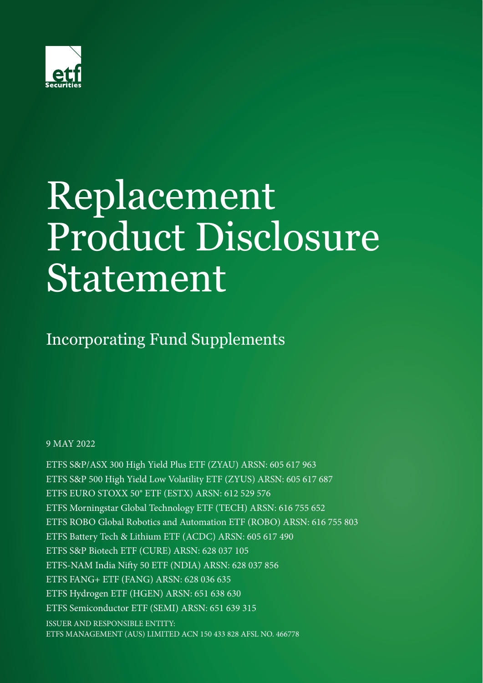

# Replacement Product Disclosure Statement

Incorporating Fund Supplements

9 MAY 2022

ETFS S&P/ASX 300 High Yield Plus ETF (ZYAU) ARSN: 605 617 963 ETFS S&P 500 High Yield Low Volatility ETF (ZYUS) ARSN: 605 617 687 ETFS EURO STOXX 50® ETF (ESTX) ARSN: 612 529 576 ETFS Morningstar Global Technology ETF (TECH) ARSN: 616 755 652 ETFS ROBO Global Robotics and Automation ETF (ROBO) ARSN: 616 755 803 ETFS Battery Tech & Lithium ETF (ACDC) ARSN: 605 617 490 ETFS S&P Biotech ETF (CURE) ARSN: 628 037 105 ETFS-NAM India Nifty 50 ETF (NDIA) ARSN: 628 037 856 ETFS FANG+ ETF (FANG) ARSN: 628 036 635 ETFS Hydrogen ETF (HGEN) ARSN: 651 638 630 ETFS Semiconductor ETF (SEMI) ARSN: 651 639 315 ISSUER AND RESPONSIBLE ENTITY: ETFS MANAGEMENT (AUS) LIMITED ACN 150 433 828 AFSL NO. 466778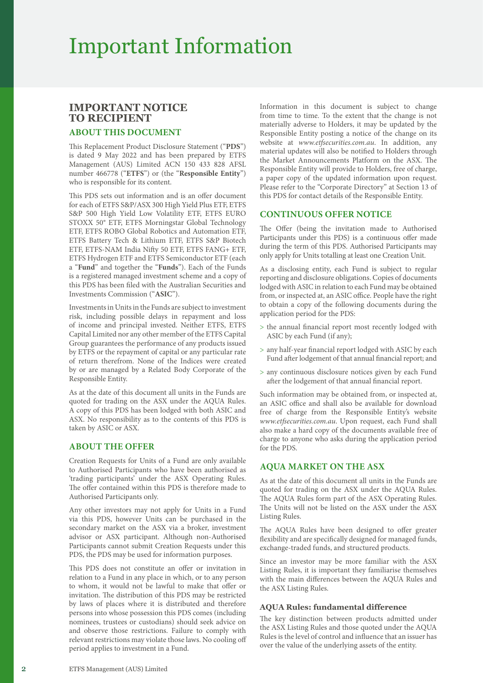# Important Information

# **IMPORTANT NOTICE TO RECIPIENT**

# **ABOUT THIS DOCUMENT**

This Replacement Product Disclosure Statement ("**PDS**") is dated 9 May 2022 and has been prepared by ETFS Management (AUS) Limited ACN 150 433 828 AFSL number 466778 ("**ETFS**") or (the "**Responsible Entity**") who is responsible for its content.

This PDS sets out information and is an offer document for each of ETFS S&P/ASX 300 High Yield Plus ETF, ETFS S&P 500 High Yield Low Volatility ETF, ETFS EURO STOXX 50® ETF, ETFS Morningstar Global Technology ETF, ETFS ROBO Global Robotics and Automation ETF, ETFS Battery Tech & Lithium ETF, ETFS S&P Biotech ETF, ETFS-NAM India Nifty 50 ETF, ETFS FANG+ ETF, ETFS Hydrogen ETF and ETFS Semiconductor ETF (each a "**Fund**" and together the "**Funds**"). Each of the Funds is a registered managed investment scheme and a copy of this PDS has been filed with the Australian Securities and Investments Commission ("**ASIC**").

Investments in Units in the Funds are subject to investment risk, including possible delays in repayment and loss of income and principal invested. Neither ETFS, ETFS Capital Limited nor any other member of the ETFS Capital Group guarantees the performance of any products issued by ETFS or the repayment of capital or any particular rate of return therefrom. None of the Indices were created by or are managed by a Related Body Corporate of the Responsible Entity.

As at the date of this document all units in the Funds are quoted for trading on the ASX under the AQUA Rules. A copy of this PDS has been lodged with both ASIC and ASX. No responsibility as to the contents of this PDS is taken by ASIC or ASX.

# **ABOUT THE OFFER**

Creation Requests for Units of a Fund are only available to Authorised Participants who have been authorised as 'trading participants' under the ASX Operating Rules. The offer contained within this PDS is therefore made to Authorised Participants only.

Any other investors may not apply for Units in a Fund via this PDS, however Units can be purchased in the secondary market on the ASX via a broker, investment advisor or ASX participant. Although non-Authorised Participants cannot submit Creation Requests under this PDS, the PDS may be used for information purposes.

This PDS does not constitute an offer or invitation in relation to a Fund in any place in which, or to any person to whom, it would not be lawful to make that offer or invitation. The distribution of this PDS may be restricted by laws of places where it is distributed and therefore persons into whose possession this PDS comes (including nominees, trustees or custodians) should seek advice on and observe those restrictions. Failure to comply with relevant restrictions may violate those laws. No cooling off period applies to investment in a Fund.

Information in this document is subject to change from time to time. To the extent that the change is not materially adverse to Holders, it may be updated by the Responsible Entity posting a notice of the change on its website at *[www.etfsecurities.com.au](https://www.etfsecurities.com.au)*. In addition, any material updates will also be notified to Holders through the Market Announcements Platform on the ASX. The Responsible Entity will provide to Holders, free of charge, a paper copy of the updated information upon request. Please refer to the "Corporate Directory" at Section 13 of this PDS for contact details of the Responsible Entity.

# **CONTINUOUS OFFER NOTICE**

The Offer (being the invitation made to Authorised Participants under this PDS) is a continuous offer made during the term of this PDS. Authorised Participants may only apply for Units totalling at least one Creation Unit.

As a disclosing entity, each Fund is subject to regular reporting and disclosure obligations. Copies of documents lodged with ASIC in relation to each Fund may be obtained from, or inspected at, an ASIC office. People have the right to obtain a copy of the following documents during the application period for the PDS:

- > the annual financial report most recently lodged with ASIC by each Fund (if any);
- > any half-year financial report lodged with ASIC by each Fund after lodgement of that annual financial report; and
- > any continuous disclosure notices given by each Fund after the lodgement of that annual financial report.

Such information may be obtained from, or inspected at, an ASIC office and shall also be available for download free of charge from the Responsible Entity's website *[www.etfsecurities.com.au](https://www.etfsecurities.com.au)*. Upon request, each Fund shall also make a hard copy of the documents available free of charge to anyone who asks during the application period for the PDS.

# **AQUA MARKET ON THE ASX**

As at the date of this document all units in the Funds are quoted for trading on the ASX under the AQUA Rules. The AQUA Rules form part of the ASX Operating Rules. The Units will not be listed on the ASX under the ASX Listing Rules.

The AQUA Rules have been designed to offer greater flexibility and are specifically designed for managed funds, exchange-traded funds, and structured products.

Since an investor may be more familiar with the ASX Listing Rules, it is important they familiarise themselves with the main differences between the AQUA Rules and the ASX Listing Rules.

#### **AQUA Rules: fundamental difference**

The key distinction between products admitted under the ASX Listing Rules and those quoted under the AQUA Rules is the level of control and influence that an issuer has over the value of the underlying assets of the entity.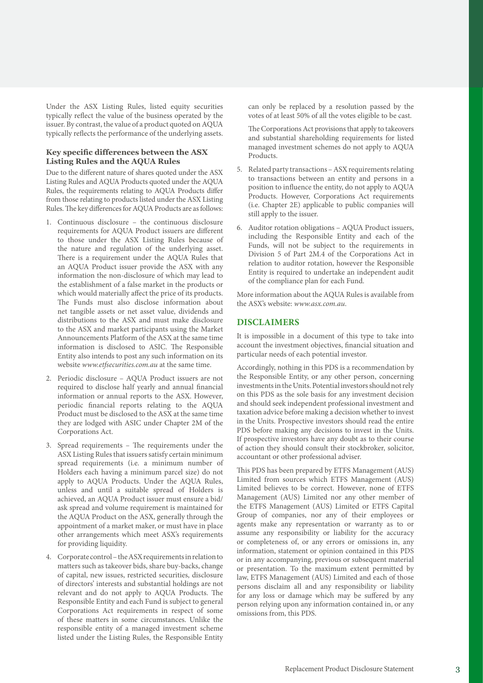Under the ASX Listing Rules, listed equity securities typically reflect the value of the business operated by the issuer. By contrast, the value of a product quoted on AQUA typically reflects the performance of the underlying assets.

#### **Key specific differences between the ASX Listing Rules and the AQUA Rules**

Due to the different nature of shares quoted under the ASX Listing Rules and AQUA Products quoted under the AQUA Rules, the requirements relating to AQUA Products differ from those relating to products listed under the ASX Listing Rules. The key differences for AQUA Products are as follows:

- 1. Continuous disclosure the continuous disclosure requirements for AQUA Product issuers are different to those under the ASX Listing Rules because of the nature and regulation of the underlying asset. There is a requirement under the AQUA Rules that an AQUA Product issuer provide the ASX with any information the non-disclosure of which may lead to the establishment of a false market in the products or which would materially affect the price of its products. The Funds must also disclose information about net tangible assets or net asset value, dividends and distributions to the ASX and must make disclosure to the ASX and market participants using the Market Announcements Platform of the ASX at the same time information is disclosed to ASIC. The Responsible Entity also intends to post any such information on its website *[www.etfsecurities.com.au](https://www.etfsecurities.com.au)* at the same time.
- 2. Periodic disclosure AQUA Product issuers are not required to disclose half yearly and annual financial information or annual reports to the ASX. However, periodic financial reports relating to the AQUA Product must be disclosed to the ASX at the same time they are lodged with ASIC under Chapter 2M of the Corporations Act.
- 3. Spread requirements The requirements under the ASX Listing Rules that issuers satisfy certain minimum spread requirements (i.e. a minimum number of Holders each having a minimum parcel size) do not apply to AQUA Products. Under the AQUA Rules, unless and until a suitable spread of Holders is achieved, an AQUA Product issuer must ensure a bid/ ask spread and volume requirement is maintained for the AQUA Product on the ASX, generally through the appointment of a market maker, or must have in place other arrangements which meet ASX's requirements for providing liquidity.
- 4. Corporate control the ASX requirements in relation to matters such as takeover bids, share buy-backs, change of capital, new issues, restricted securities, disclosure of directors' interests and substantial holdings are not relevant and do not apply to AQUA Products. The Responsible Entity and each Fund is subject to general Corporations Act requirements in respect of some of these matters in some circumstances. Unlike the responsible entity of a managed investment scheme listed under the Listing Rules, the Responsible Entity

can only be replaced by a resolution passed by the votes of at least 50% of all the votes eligible to be cast.

The Corporations Act provisions that apply to takeovers and substantial shareholding requirements for listed managed investment schemes do not apply to AQUA Products.

- 5. Related party transactions ASX requirements relating to transactions between an entity and persons in a position to influence the entity, do not apply to AQUA Products. However, Corporations Act requirements (i.e. Chapter 2E) applicable to public companies will still apply to the issuer.
- 6. Auditor rotation obligations AQUA Product issuers, including the Responsible Entity and each of the Funds, will not be subject to the requirements in Division 5 of Part 2M.4 of the Corporations Act in relation to auditor rotation, however the Responsible Entity is required to undertake an independent audit of the compliance plan for each Fund.

More information about the AQUA Rules is available from the ASX's website: *[www.asx.com.au](https://www.asx.com.au)*.

# **DISCLAIMERS**

It is impossible in a document of this type to take into account the investment objectives, financial situation and particular needs of each potential investor.

Accordingly, nothing in this PDS is a recommendation by the Responsible Entity, or any other person, concerning investments in the Units. Potential investors should not rely on this PDS as the sole basis for any investment decision and should seek independent professional investment and taxation advice before making a decision whether to invest in the Units. Prospective investors should read the entire PDS before making any decisions to invest in the Units. If prospective investors have any doubt as to their course of action they should consult their stockbroker, solicitor, accountant or other professional adviser.

This PDS has been prepared by ETFS Management (AUS) Limited from sources which ETFS Management (AUS) Limited believes to be correct. However, none of ETFS Management (AUS) Limited nor any other member of the ETFS Management (AUS) Limited or ETFS Capital Group of companies, nor any of their employees or agents make any representation or warranty as to or assume any responsibility or liability for the accuracy or completeness of, or any errors or omissions in, any information, statement or opinion contained in this PDS or in any accompanying, previous or subsequent material or presentation. To the maximum extent permitted by law, ETFS Management (AUS) Limited and each of those persons disclaim all and any responsibility or liability for any loss or damage which may be suffered by any person relying upon any information contained in, or any omissions from, this PDS.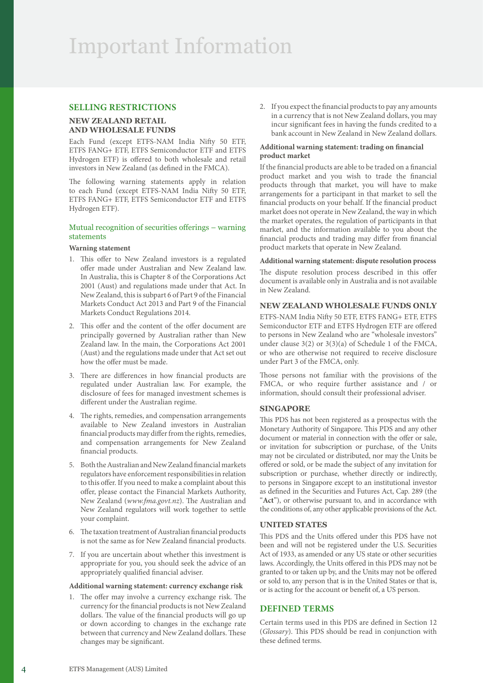# **SELLING RESTRICTIONS**

# **NEW ZEALAND RETAIL AND WHOLESALE FUNDS**

Each Fund (except ETFS-NAM India Nifty 50 ETF, ETFS FANG+ ETF, ETFS Semiconductor ETF and ETFS Hydrogen ETF) is offered to both wholesale and retail investors in New Zealand (as defined in the FMCA).

The following warning statements apply in relation to each Fund (except ETFS-NAM India Nifty 50 ETF, ETFS FANG+ ETF, ETFS Semiconductor ETF and ETFS Hydrogen ETF).

#### Mutual recognition of securities offerings – warning statements

#### **Warning statement**

- 1. This offer to New Zealand investors is a regulated offer made under Australian and New Zealand law. In Australia, this is Chapter 8 of the Corporations Act 2001 (Aust) and regulations made under that Act. In New Zealand, this is subpart 6 of Part 9 of the Financial Markets Conduct Act 2013 and Part 9 of the Financial Markets Conduct Regulations 2014.
- 2. This offer and the content of the offer document are principally governed by Australian rather than New Zealand law. In the main, the Corporations Act 2001 (Aust) and the regulations made under that Act set out how the offer must be made.
- 3. There are differences in how financial products are regulated under Australian law. For example, the disclosure of fees for managed investment schemes is different under the Australian regime.
- 4. The rights, remedies, and compensation arrangements available to New Zealand investors in Australian financial products may differ from the rights, remedies, and compensation arrangements for New Zealand financial products.
- 5. Both the Australian and New Zealand financial markets regulators have enforcement responsibilities in relation to this offer. If you need to make a complaint about this offer, please contact the Financial Markets Authority, New Zealand (*[www.fma.govt.nz](http://www.fma.govt.nz)*). The Australian and New Zealand regulators will work together to settle your complaint.
- 6. The taxation treatment of Australian financial products is not the same as for New Zealand financial products.
- 7. If you are uncertain about whether this investment is appropriate for you, you should seek the advice of an appropriately qualified financial adviser.

#### **Additional warning statement: currency exchange risk**

1. The offer may involve a currency exchange risk. The currency for the financial products is not New Zealand dollars. The value of the financial products will go up or down according to changes in the exchange rate between that currency and New Zealand dollars. These changes may be significant.

2. If you expect the financial products to pay any amounts in a currency that is not New Zealand dollars, you may incur significant fees in having the funds credited to a bank account in New Zealand in New Zealand dollars.

#### **Additional warning statement: trading on financial product market**

If the financial products are able to be traded on a financial product market and you wish to trade the financial products through that market, you will have to make arrangements for a participant in that market to sell the financial products on your behalf. If the financial product market does not operate in New Zealand, the way in which the market operates, the regulation of participants in that market, and the information available to you about the financial products and trading may differ from financial product markets that operate in New Zealand.

#### **Additional warning statement: dispute resolution process**

The dispute resolution process described in this offer document is available only in Australia and is not available in New Zealand.

# **NEW ZEALAND WHOLESALE FUNDS ONLY**

ETFS-NAM India Nifty 50 ETF, ETFS FANG+ ETF, ETFS Semiconductor ETF and ETFS Hydrogen ETF are offered to persons in New Zealand who are "wholesale investors" under clause 3(2) or 3(3)(a) of Schedule 1 of the FMCA, or who are otherwise not required to receive disclosure under Part 3 of the FMCA, only.

Those persons not familiar with the provisions of the FMCA, or who require further assistance and / or information, should consult their professional adviser.

#### **SINGAPORE**

This PDS has not been registered as a prospectus with the Monetary Authority of Singapore. This PDS and any other document or material in connection with the offer or sale, or invitation for subscription or purchase, of the Units may not be circulated or distributed, nor may the Units be offered or sold, or be made the subject of any invitation for subscription or purchase, whether directly or indirectly, to persons in Singapore except to an institutional investor as defined in the Securities and Futures Act, Cap. 289 (the "**Act**"), or otherwise pursuant to, and in accordance with the conditions of, any other applicable provisions of the Act.

# **UNITED STATES**

This PDS and the Units offered under this PDS have not been and will not be registered under the U.S. Securities Act of 1933, as amended or any US state or other securities laws. Accordingly, the Units offered in this PDS may not be granted to or taken up by, and the Units may not be offered or sold to, any person that is in the United States or that is, or is acting for the account or benefit of, a US person.

# **DEFINED TERMS**

Certain terms used in this PDS are defined in Section 12 (*Glossary*). This PDS should be read in conjunction with these defined terms.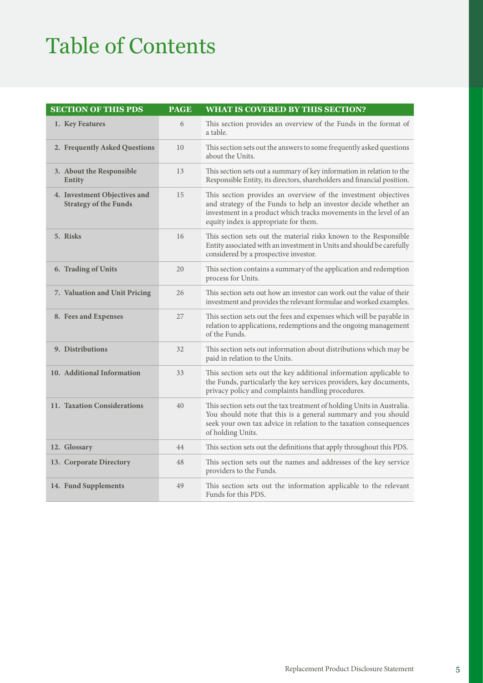# Table of Contents

| <b>SECTION OF THIS PDS</b>                                   | <b>PAGE</b> | <b>WHAT IS COVERED BY THIS SECTION?</b>                                                                                                                                                                                                         |
|--------------------------------------------------------------|-------------|-------------------------------------------------------------------------------------------------------------------------------------------------------------------------------------------------------------------------------------------------|
| 1. Key Features                                              | 6           | This section provides an overview of the Funds in the format of<br>a table.                                                                                                                                                                     |
| 2. Frequently Asked Questions                                | 10          | This section sets out the answers to some frequently asked questions<br>about the Units.                                                                                                                                                        |
| 3. About the Responsible<br>Entity                           | 13          | This section sets out a summary of key information in relation to the<br>Responsible Entity, its directors, shareholders and financial position.                                                                                                |
| 4. Investment Objectives and<br><b>Strategy of the Funds</b> | 15          | This section provides an overview of the investment objectives<br>and strategy of the Funds to help an investor decide whether an<br>investment in a product which tracks movements in the level of an<br>equity index is appropriate for them. |
| 5. Risks                                                     | 16          | This section sets out the material risks known to the Responsible<br>Entity associated with an investment in Units and should be carefully<br>considered by a prospective investor.                                                             |
| 6. Trading of Units                                          | 20          | This section contains a summary of the application and redemption<br>process for Units.                                                                                                                                                         |
| 7. Valuation and Unit Pricing                                | 26          | This section sets out how an investor can work out the value of their<br>investment and provides the relevant formulae and worked examples.                                                                                                     |
| 8. Fees and Expenses                                         | 27          | This section sets out the fees and expenses which will be payable in<br>relation to applications, redemptions and the ongoing management<br>of the Funds.                                                                                       |
| 9. Distributions                                             | 32          | This section sets out information about distributions which may be<br>paid in relation to the Units.                                                                                                                                            |
| 10. Additional Information                                   | 33          | This section sets out the key additional information applicable to<br>the Funds, particularly the key services providers, key documents,<br>privacy policy and complaints handling procedures.                                                  |
| 11. Taxation Considerations                                  | 40          | This section sets out the tax treatment of holding Units in Australia.<br>You should note that this is a general summary and you should<br>seek your own tax advice in relation to the taxation consequences<br>of holding Units.               |
| 12. Glossary                                                 | 44          | This section sets out the definitions that apply throughout this PDS.                                                                                                                                                                           |
| 13. Corporate Directory                                      | 48          | This section sets out the names and addresses of the key service<br>providers to the Funds.                                                                                                                                                     |
| 14. Fund Supplements                                         | 49          | This section sets out the information applicable to the relevant<br>Funds for this PDS.                                                                                                                                                         |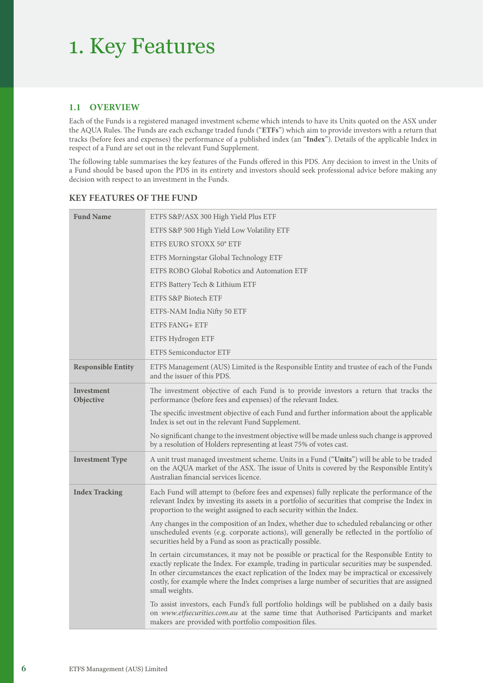# 1. Key Features

# **1.1 OVERVIEW**

Each of the Funds is a registered managed investment scheme which intends to have its Units quoted on the ASX under the AQUA Rules. The Funds are each exchange traded funds ("**ETFs**") which aim to provide investors with a return that tracks (before fees and expenses) the performance of a published index (an "**Index**"). Details of the applicable Index in respect of a Fund are set out in the relevant Fund Supplement.

The following table summarises the key features of the Funds offered in this PDS. Any decision to invest in the Units of a Fund should be based upon the PDS in its entirety and investors should seek professional advice before making any decision with respect to an investment in the Funds.

# **KEY FEATURES OF THE FUND**

| <b>Fund Name</b>          | ETFS S&P/ASX 300 High Yield Plus ETF                                                                                                                                                                                                                                                                                                                                                                         |
|---------------------------|--------------------------------------------------------------------------------------------------------------------------------------------------------------------------------------------------------------------------------------------------------------------------------------------------------------------------------------------------------------------------------------------------------------|
|                           | ETFS S&P 500 High Yield Low Volatility ETF                                                                                                                                                                                                                                                                                                                                                                   |
|                           | ETFS EURO STOXX 50° ETF                                                                                                                                                                                                                                                                                                                                                                                      |
|                           | ETFS Morningstar Global Technology ETF                                                                                                                                                                                                                                                                                                                                                                       |
|                           | ETFS ROBO Global Robotics and Automation ETF                                                                                                                                                                                                                                                                                                                                                                 |
|                           | ETFS Battery Tech & Lithium ETF                                                                                                                                                                                                                                                                                                                                                                              |
|                           | ETFS S&P Biotech ETF                                                                                                                                                                                                                                                                                                                                                                                         |
|                           | ETFS-NAM India Nifty 50 ETF                                                                                                                                                                                                                                                                                                                                                                                  |
|                           | <b>ETFS FANG+ ETF</b>                                                                                                                                                                                                                                                                                                                                                                                        |
|                           | ETFS Hydrogen ETF                                                                                                                                                                                                                                                                                                                                                                                            |
|                           | <b>ETFS Semiconductor ETF</b>                                                                                                                                                                                                                                                                                                                                                                                |
| <b>Responsible Entity</b> | ETFS Management (AUS) Limited is the Responsible Entity and trustee of each of the Funds<br>and the issuer of this PDS.                                                                                                                                                                                                                                                                                      |
| Investment<br>Objective   | The investment objective of each Fund is to provide investors a return that tracks the<br>performance (before fees and expenses) of the relevant Index.                                                                                                                                                                                                                                                      |
|                           | The specific investment objective of each Fund and further information about the applicable<br>Index is set out in the relevant Fund Supplement.                                                                                                                                                                                                                                                             |
|                           | No significant change to the investment objective will be made unless such change is approved<br>by a resolution of Holders representing at least 75% of votes cast.                                                                                                                                                                                                                                         |
| <b>Investment Type</b>    | A unit trust managed investment scheme. Units in a Fund ("Units") will be able to be traded<br>on the AQUA market of the ASX. The issue of Units is covered by the Responsible Entity's<br>Australian financial services licence.                                                                                                                                                                            |
| <b>Index Tracking</b>     | Each Fund will attempt to (before fees and expenses) fully replicate the performance of the<br>relevant Index by investing its assets in a portfolio of securities that comprise the Index in<br>proportion to the weight assigned to each security within the Index.                                                                                                                                        |
|                           | Any changes in the composition of an Index, whether due to scheduled rebalancing or other<br>unscheduled events (e.g. corporate actions), will generally be reflected in the portfolio of<br>securities held by a Fund as soon as practically possible.                                                                                                                                                      |
|                           | In certain circumstances, it may not be possible or practical for the Responsible Entity to<br>exactly replicate the Index. For example, trading in particular securities may be suspended.<br>In other circumstances the exact replication of the Index may be impractical or excessively<br>costly, for example where the Index comprises a large number of securities that are assigned<br>small weights. |
|                           | To assist investors, each Fund's full portfolio holdings will be published on a daily basis<br>on www.etfsecurities.com.au at the same time that Authorised Participants and market<br>makers are provided with portfolio composition files.                                                                                                                                                                 |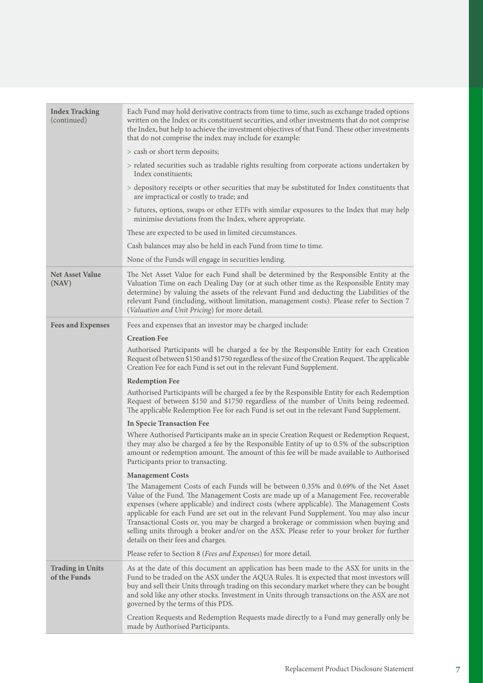| <b>Index Tracking</b><br>(continued)    | Each Fund may hold derivative contracts from time to time, such as exchange traded options<br>written on the Index or its constituent securities, and other investments that do not comprise<br>the Index, but help to achieve the investment objectives of that Fund. These other investments<br>that do not comprise the index may include for example:                                                                                                                                                                                                                                     |
|-----------------------------------------|-----------------------------------------------------------------------------------------------------------------------------------------------------------------------------------------------------------------------------------------------------------------------------------------------------------------------------------------------------------------------------------------------------------------------------------------------------------------------------------------------------------------------------------------------------------------------------------------------|
|                                         | > cash or short term deposits;                                                                                                                                                                                                                                                                                                                                                                                                                                                                                                                                                                |
|                                         | > related securities such as tradable rights resulting from corporate actions undertaken by<br>Index constituents;                                                                                                                                                                                                                                                                                                                                                                                                                                                                            |
|                                         | > depository receipts or other securities that may be substituted for Index constituents that<br>are impractical or costly to trade; and                                                                                                                                                                                                                                                                                                                                                                                                                                                      |
|                                         | > futures, options, swaps or other ETFs with similar exposures to the Index that may help<br>minimise deviations from the Index, where appropriate.                                                                                                                                                                                                                                                                                                                                                                                                                                           |
|                                         | These are expected to be used in limited circumstances.                                                                                                                                                                                                                                                                                                                                                                                                                                                                                                                                       |
|                                         | Cash balances may also be held in each Fund from time to time.                                                                                                                                                                                                                                                                                                                                                                                                                                                                                                                                |
|                                         | None of the Funds will engage in securities lending.                                                                                                                                                                                                                                                                                                                                                                                                                                                                                                                                          |
| <b>Net Asset Value</b><br>(NAV)         | The Net Asset Value for each Fund shall be determined by the Responsible Entity at the<br>Valuation Time on each Dealing Day (or at such other time as the Responsible Entity may<br>determine) by valuing the assets of the relevant Fund and deducting the Liabilities of the<br>relevant Fund (including, without limitation, management costs). Please refer to Section 7<br>(Valuation and Unit Pricing) for more detail.                                                                                                                                                                |
| <b>Fees and Expenses</b>                | Fees and expenses that an investor may be charged include:                                                                                                                                                                                                                                                                                                                                                                                                                                                                                                                                    |
|                                         | <b>Creation Fee</b><br>Authorised Participants will be charged a fee by the Responsible Entity for each Creation<br>Request of between \$150 and \$1750 regardless of the size of the Creation Request. The applicable<br>Creation Fee for each Fund is set out in the relevant Fund Supplement.                                                                                                                                                                                                                                                                                              |
|                                         | <b>Redemption Fee</b>                                                                                                                                                                                                                                                                                                                                                                                                                                                                                                                                                                         |
|                                         | Authorised Participants will be charged a fee by the Responsible Entity for each Redemption<br>Request of between \$150 and \$1750 regardless of the number of Units being redeemed.<br>The applicable Redemption Fee for each Fund is set out in the relevant Fund Supplement.                                                                                                                                                                                                                                                                                                               |
|                                         | In Specie Transaction Fee                                                                                                                                                                                                                                                                                                                                                                                                                                                                                                                                                                     |
|                                         | Where Authorised Participants make an in specie Creation Request or Redemption Request,<br>they may also be charged a fee by the Responsible Entity of up to 0.5% of the subscription<br>amount or redemption amount. The amount of this fee will be made available to Authorised<br>Participants prior to transacting.                                                                                                                                                                                                                                                                       |
|                                         | <b>Management Costs</b>                                                                                                                                                                                                                                                                                                                                                                                                                                                                                                                                                                       |
|                                         | The Management Costs of each Funds will be between 0.35% and 0.69% of the Net Asset<br>Value of the Fund. The Management Costs are made up of a Management Fee, recoverable<br>expenses (where applicable) and indirect costs (where applicable). The Management Costs<br>applicable for each Fund are set out in the relevant Fund Supplement. You may also incur<br>Transactional Costs or, you may be charged a brokerage or commission when buying and<br>selling units through a broker and/or on the ASX. Please refer to your broker for further<br>details on their fees and charges. |
|                                         | Please refer to Section 8 (Fees and Expenses) for more detail.                                                                                                                                                                                                                                                                                                                                                                                                                                                                                                                                |
| <b>Trading in Units</b><br>of the Funds | As at the date of this document an application has been made to the ASX for units in the<br>Fund to be traded on the ASX under the AQUA Rules. It is expected that most investors will<br>buy and sell their Units through trading on this secondary market where they can be bought<br>and sold like any other stocks. Investment in Units through transactions on the ASX are not<br>governed by the terms of this PDS.                                                                                                                                                                     |
|                                         | Creation Requests and Redemption Requests made directly to a Fund may generally only be<br>made by Authorised Participants.                                                                                                                                                                                                                                                                                                                                                                                                                                                                   |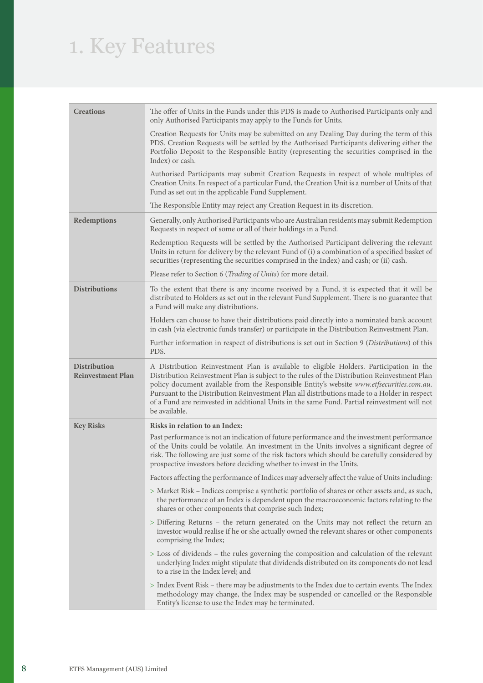# 1. Key Features

| <b>Creations</b>                                | The offer of Units in the Funds under this PDS is made to Authorised Participants only and<br>only Authorised Participants may apply to the Funds for Units.                                                                                                                                                                                                                                                                                                                                          |
|-------------------------------------------------|-------------------------------------------------------------------------------------------------------------------------------------------------------------------------------------------------------------------------------------------------------------------------------------------------------------------------------------------------------------------------------------------------------------------------------------------------------------------------------------------------------|
|                                                 | Creation Requests for Units may be submitted on any Dealing Day during the term of this<br>PDS. Creation Requests will be settled by the Authorised Participants delivering either the<br>Portfolio Deposit to the Responsible Entity (representing the securities comprised in the<br>Index) or cash.                                                                                                                                                                                                |
|                                                 | Authorised Participants may submit Creation Requests in respect of whole multiples of<br>Creation Units. In respect of a particular Fund, the Creation Unit is a number of Units of that<br>Fund as set out in the applicable Fund Supplement.                                                                                                                                                                                                                                                        |
|                                                 | The Responsible Entity may reject any Creation Request in its discretion.                                                                                                                                                                                                                                                                                                                                                                                                                             |
| Redemptions                                     | Generally, only Authorised Participants who are Australian residents may submit Redemption<br>Requests in respect of some or all of their holdings in a Fund.                                                                                                                                                                                                                                                                                                                                         |
|                                                 | Redemption Requests will be settled by the Authorised Participant delivering the relevant<br>Units in return for delivery by the relevant Fund of (i) a combination of a specified basket of<br>securities (representing the securities comprised in the Index) and cash; or (ii) cash.                                                                                                                                                                                                               |
|                                                 | Please refer to Section 6 (Trading of Units) for more detail.                                                                                                                                                                                                                                                                                                                                                                                                                                         |
| <b>Distributions</b>                            | To the extent that there is any income received by a Fund, it is expected that it will be<br>distributed to Holders as set out in the relevant Fund Supplement. There is no guarantee that<br>a Fund will make any distributions.                                                                                                                                                                                                                                                                     |
|                                                 | Holders can choose to have their distributions paid directly into a nominated bank account<br>in cash (via electronic funds transfer) or participate in the Distribution Reinvestment Plan.                                                                                                                                                                                                                                                                                                           |
|                                                 | Further information in respect of distributions is set out in Section 9 (Distributions) of this<br>PDS.                                                                                                                                                                                                                                                                                                                                                                                               |
| <b>Distribution</b><br><b>Reinvestment Plan</b> | A Distribution Reinvestment Plan is available to eligible Holders. Participation in the<br>Distribution Reinvestment Plan is subject to the rules of the Distribution Reinvestment Plan<br>policy document available from the Responsible Entity's website www.etfsecurities.com.au.<br>Pursuant to the Distribution Reinvestment Plan all distributions made to a Holder in respect<br>of a Fund are reinvested in additional Units in the same Fund. Partial reinvestment will not<br>be available. |
| <b>Key Risks</b>                                | Risks in relation to an Index:                                                                                                                                                                                                                                                                                                                                                                                                                                                                        |
|                                                 | Past performance is not an indication of future performance and the investment performance<br>of the Units could be volatile. An investment in the Units involves a significant degree of<br>risk. The following are just some of the risk factors which should be carefully considered by<br>prospective investors before deciding whether to invest in the Units.                                                                                                                                   |
|                                                 | Factors affecting the performance of Indices may adversely affect the value of Units including:                                                                                                                                                                                                                                                                                                                                                                                                       |
|                                                 | > Market Risk - Indices comprise a synthetic portfolio of shares or other assets and, as such,<br>the performance of an Index is dependent upon the macroeconomic factors relating to the<br>shares or other components that comprise such Index;                                                                                                                                                                                                                                                     |
|                                                 | > Differing Returns – the return generated on the Units may not reflect the return an<br>investor would realise if he or she actually owned the relevant shares or other components<br>comprising the Index;                                                                                                                                                                                                                                                                                          |
|                                                 | > Loss of dividends - the rules governing the composition and calculation of the relevant<br>underlying Index might stipulate that dividends distributed on its components do not lead<br>to a rise in the Index level; and                                                                                                                                                                                                                                                                           |
|                                                 | > Index Event Risk – there may be adjustments to the Index due to certain events. The Index<br>methodology may change, the Index may be suspended or cancelled or the Responsible<br>Entity's license to use the Index may be terminated.                                                                                                                                                                                                                                                             |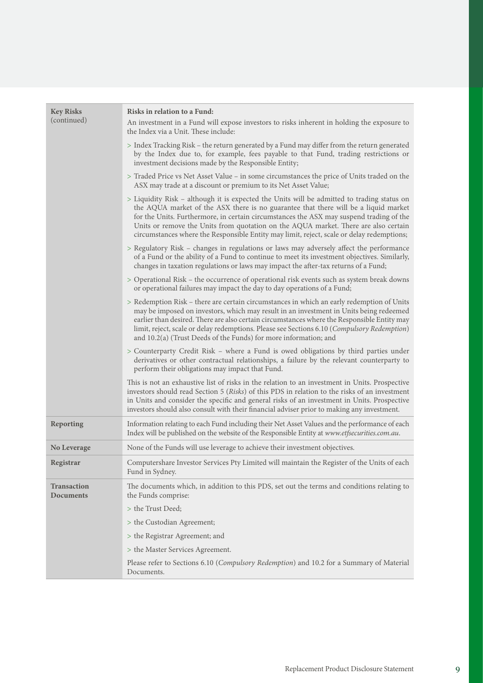| <b>Key Risks</b><br>(continued)        | Risks in relation to a Fund:<br>An investment in a Fund will expose investors to risks inherent in holding the exposure to<br>the Index via a Unit. These include:                                                                                                                                                                                                                                                                                               |
|----------------------------------------|------------------------------------------------------------------------------------------------------------------------------------------------------------------------------------------------------------------------------------------------------------------------------------------------------------------------------------------------------------------------------------------------------------------------------------------------------------------|
|                                        | > Index Tracking Risk – the return generated by a Fund may differ from the return generated<br>by the Index due to, for example, fees payable to that Fund, trading restrictions or<br>investment decisions made by the Responsible Entity;                                                                                                                                                                                                                      |
|                                        | > Traded Price vs Net Asset Value – in some circumstances the price of Units traded on the<br>ASX may trade at a discount or premium to its Net Asset Value;                                                                                                                                                                                                                                                                                                     |
|                                        | > Liquidity Risk – although it is expected the Units will be admitted to trading status on<br>the AQUA market of the ASX there is no guarantee that there will be a liquid market<br>for the Units. Furthermore, in certain circumstances the ASX may suspend trading of the<br>Units or remove the Units from quotation on the AQUA market. There are also certain<br>circumstances where the Responsible Entity may limit, reject, scale or delay redemptions; |
|                                        | > Regulatory Risk - changes in regulations or laws may adversely affect the performance<br>of a Fund or the ability of a Fund to continue to meet its investment objectives. Similarly,<br>changes in taxation regulations or laws may impact the after-tax returns of a Fund;                                                                                                                                                                                   |
|                                        | > Operational Risk – the occurrence of operational risk events such as system break downs<br>or operational failures may impact the day to day operations of a Fund;                                                                                                                                                                                                                                                                                             |
|                                        | > Redemption Risk – there are certain circumstances in which an early redemption of Units<br>may be imposed on investors, which may result in an investment in Units being redeemed<br>earlier than desired. There are also certain circumstances where the Responsible Entity may<br>limit, reject, scale or delay redemptions. Please see Sections 6.10 (Compulsory Redemption)<br>and $10.2(a)$ (Trust Deeds of the Funds) for more information; and          |
|                                        | > Counterparty Credit Risk - where a Fund is owed obligations by third parties under<br>derivatives or other contractual relationships, a failure by the relevant counterparty to<br>perform their obligations may impact that Fund.                                                                                                                                                                                                                             |
|                                        | This is not an exhaustive list of risks in the relation to an investment in Units. Prospective<br>investors should read Section 5 (Risks) of this PDS in relation to the risks of an investment<br>in Units and consider the specific and general risks of an investment in Units. Prospective<br>investors should also consult with their financial adviser prior to making any investment.                                                                     |
| Reporting                              | Information relating to each Fund including their Net Asset Values and the performance of each<br>Index will be published on the website of the Responsible Entity at www.etfsecurities.com.au.                                                                                                                                                                                                                                                                  |
| No Leverage                            | None of the Funds will use leverage to achieve their investment objectives.                                                                                                                                                                                                                                                                                                                                                                                      |
| Registrar                              | Computershare Investor Services Pty Limited will maintain the Register of the Units of each<br>Fund in Sydney.                                                                                                                                                                                                                                                                                                                                                   |
| <b>Transaction</b><br><b>Documents</b> | The documents which, in addition to this PDS, set out the terms and conditions relating to<br>the Funds comprise:                                                                                                                                                                                                                                                                                                                                                |
|                                        | > the Trust Deed;                                                                                                                                                                                                                                                                                                                                                                                                                                                |
|                                        | > the Custodian Agreement;                                                                                                                                                                                                                                                                                                                                                                                                                                       |
|                                        | > the Registrar Agreement; and                                                                                                                                                                                                                                                                                                                                                                                                                                   |
|                                        | > the Master Services Agreement.                                                                                                                                                                                                                                                                                                                                                                                                                                 |
|                                        | Please refer to Sections 6.10 (Compulsory Redemption) and 10.2 for a Summary of Material<br>Documents.                                                                                                                                                                                                                                                                                                                                                           |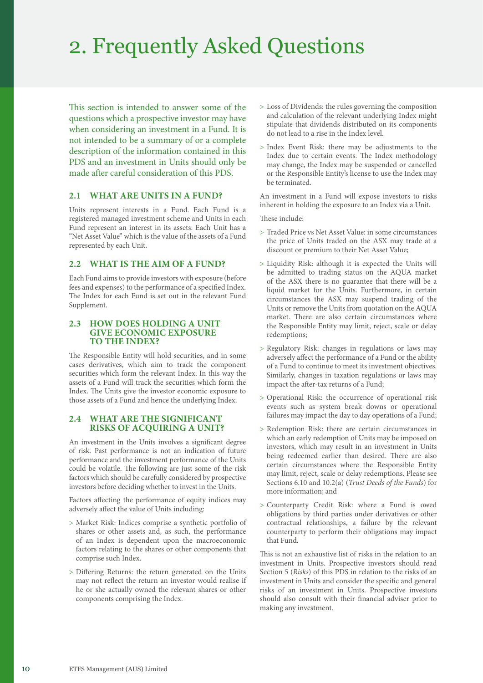# 2. Frequently Asked Questions

This section is intended to answer some of the questions which a prospective investor may have when considering an investment in a Fund. It is not intended to be a summary of or a complete description of the information contained in this PDS and an investment in Units should only be made after careful consideration of this PDS.

# **2.1 WHAT ARE UNITS IN A FUND?**

Units represent interests in a Fund. Each Fund is a registered managed investment scheme and Units in each Fund represent an interest in its assets. Each Unit has a "Net Asset Value" which is the value of the assets of a Fund represented by each Unit.

# **2.2 WHAT IS THE AIM OF A FUND?**

Each Fund aims to provide investors with exposure (before fees and expenses) to the performance of a specified Index. The Index for each Fund is set out in the relevant Fund Supplement.

#### **2.3 HOW DOES HOLDING A UNIT GIVE ECONOMIC EXPOSURE TO THE INDEX?**

The Responsible Entity will hold securities, and in some cases derivatives, which aim to track the component securities which form the relevant Index. In this way the assets of a Fund will track the securities which form the Index. The Units give the investor economic exposure to those assets of a Fund and hence the underlying Index.

# **2.4 WHAT ARE THE SIGNIFICANT RISKS OF ACQUIRING A UNIT?**

An investment in the Units involves a significant degree of risk. Past performance is not an indication of future performance and the investment performance of the Units could be volatile. The following are just some of the risk factors which should be carefully considered by prospective investors before deciding whether to invest in the Units.

Factors affecting the performance of equity indices may adversely affect the value of Units including:

- > Market Risk: Indices comprise a synthetic portfolio of shares or other assets and, as such, the performance of an Index is dependent upon the macroeconomic factors relating to the shares or other components that comprise such Index.
- > Differing Returns: the return generated on the Units may not reflect the return an investor would realise if he or she actually owned the relevant shares or other components comprising the Index.
- > Loss of Dividends: the rules governing the composition and calculation of the relevant underlying Index might stipulate that dividends distributed on its components do not lead to a rise in the Index level.
- > Index Event Risk: there may be adjustments to the Index due to certain events. The Index methodology may change, the Index may be suspended or cancelled or the Responsible Entity's license to use the Index may be terminated.

An investment in a Fund will expose investors to risks inherent in holding the exposure to an Index via a Unit.

These include:

- > Traded Price vs Net Asset Value: in some circumstances the price of Units traded on the ASX may trade at a discount or premium to their Net Asset Value;
- > Liquidity Risk: although it is expected the Units will be admitted to trading status on the AQUA market of the ASX there is no guarantee that there will be a liquid market for the Units. Furthermore, in certain circumstances the ASX may suspend trading of the Units or remove the Units from quotation on the AQUA market. There are also certain circumstances where the Responsible Entity may limit, reject, scale or delay redemptions;
- > Regulatory Risk: changes in regulations or laws may adversely affect the performance of a Fund or the ability of a Fund to continue to meet its investment objectives. Similarly, changes in taxation regulations or laws may impact the after-tax returns of a Fund;
- > Operational Risk: the occurrence of operational risk events such as system break downs or operational failures may impact the day to day operations of a Fund;
- > Redemption Risk: there are certain circumstances in which an early redemption of Units may be imposed on investors, which may result in an investment in Units being redeemed earlier than desired. There are also certain circumstances where the Responsible Entity may limit, reject, scale or delay redemptions. Please see Sections 6.10 and 10.2(a) (*Trust Deeds of the Funds*) for more information; and
- > Counterparty Credit Risk: where a Fund is owed obligations by third parties under derivatives or other contractual relationships, a failure by the relevant counterparty to perform their obligations may impact that Fund.

This is not an exhaustive list of risks in the relation to an investment in Units. Prospective investors should read Section 5 (*Risks*) of this PDS in relation to the risks of an investment in Units and consider the specific and general risks of an investment in Units. Prospective investors should also consult with their financial adviser prior to making any investment.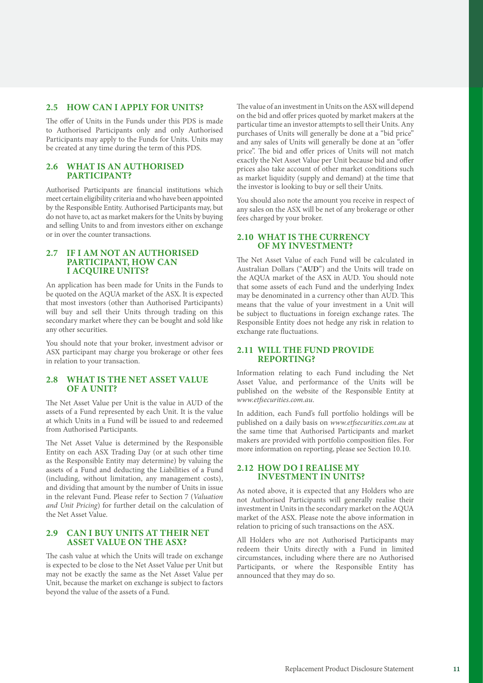# **2.5 HOW CAN I APPLY FOR UNITS?**

The offer of Units in the Funds under this PDS is made to Authorised Participants only and only Authorised Participants may apply to the Funds for Units. Units may be created at any time during the term of this PDS.

# **2.6 WHAT IS AN AUTHORISED PARTICIPANT?**

Authorised Participants are financial institutions which meet certain eligibility criteria and who have been appointed by the Responsible Entity. Authorised Participants may, but do not have to, act as market makers for the Units by buying and selling Units to and from investors either on exchange or in over the counter transactions.

#### **2.7 IF I AM NOT AN AUTHORISED PARTICIPANT, HOW CAN I ACQUIRE UNITS?**

An application has been made for Units in the Funds to be quoted on the AQUA market of the ASX. It is expected that most investors (other than Authorised Participants) will buy and sell their Units through trading on this secondary market where they can be bought and sold like any other securities.

You should note that your broker, investment advisor or ASX participant may charge you brokerage or other fees in relation to your transaction.

#### **2.8 WHAT IS THE NET ASSET VALUE OF A UNIT?**

The Net Asset Value per Unit is the value in AUD of the assets of a Fund represented by each Unit. It is the value at which Units in a Fund will be issued to and redeemed from Authorised Participants.

The Net Asset Value is determined by the Responsible Entity on each ASX Trading Day (or at such other time as the Responsible Entity may determine) by valuing the assets of a Fund and deducting the Liabilities of a Fund (including, without limitation, any management costs), and dividing that amount by the number of Units in issue in the relevant Fund. Please refer to Section 7 (*Valuation and Unit Pricing*) for further detail on the calculation of the Net Asset Value.

#### **2.9 CAN I BUY UNITS AT THEIR NET ASSET VALUE ON THE ASX?**

The cash value at which the Units will trade on exchange is expected to be close to the Net Asset Value per Unit but may not be exactly the same as the Net Asset Value per Unit, because the market on exchange is subject to factors beyond the value of the assets of a Fund.

The value of an investment in Units on the ASX will depend on the bid and offer prices quoted by market makers at the particular time an investor attempts to sell their Units. Any purchases of Units will generally be done at a "bid price" and any sales of Units will generally be done at an "offer price". The bid and offer prices of Units will not match exactly the Net Asset Value per Unit because bid and offer prices also take account of other market conditions such as market liquidity (supply and demand) at the time that the investor is looking to buy or sell their Units.

You should also note the amount you receive in respect of any sales on the ASX will be net of any brokerage or other fees charged by your broker.

#### **2.10 WHAT IS THE CURRENCY OF MY INVESTMENT?**

The Net Asset Value of each Fund will be calculated in Australian Dollars ("**AUD**") and the Units will trade on the AQUA market of the ASX in AUD. You should note that some assets of each Fund and the underlying Index may be denominated in a currency other than AUD. This means that the value of your investment in a Unit will be subject to fluctuations in foreign exchange rates. The Responsible Entity does not hedge any risk in relation to exchange rate fluctuations.

#### **2.11 WILL THE FUND PROVIDE REPORTING?**

Information relating to each Fund including the Net Asset Value, and performance of the Units will be published on the website of the Responsible Entity at *[www.etfsecurities.com.au](https://www.etfsecurities.com.au)*.

In addition, each Fund's full portfolio holdings will be published on a daily basis on *[www.etfsecurities.com.au](https://www.etfsecurities.com.au)* at the same time that Authorised Participants and market makers are provided with portfolio composition files. For more information on reporting, please see Section 10.10.

#### **2.12 HOW DO I REALISE MY INVESTMENT IN UNITS?**

As noted above, it is expected that any Holders who are not Authorised Participants will generally realise their investment in Units in the secondary market on the AQUA market of the ASX. Please note the above information in relation to pricing of such transactions on the ASX.

All Holders who are not Authorised Participants may redeem their Units directly with a Fund in limited circumstances, including where there are no Authorised Participants, or where the Responsible Entity has announced that they may do so.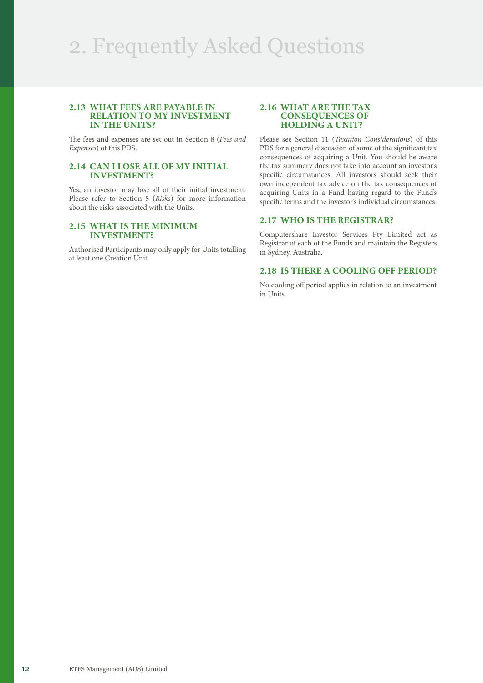# 2. Frequently Asked Questions

#### **2.13 WHAT FEES ARE PAYABLE IN RELATION TO MY INVESTMENT IN THE UNITS?**

The fees and expenses are set out in Section 8 (*Fees and Expenses*) of this PDS.

# **2.14 CAN I LOSE ALL OF MY INITIAL INVESTMENT?**

Yes, an investor may lose all of their initial investment. Please refer to Section 5 (*Risks*) for more information about the risks associated with the Units.

#### **2.15 WHAT IS THE MINIMUM INVESTMENT?**

Authorised Participants may only apply for Units totalling at least one Creation Unit.

#### **2.16 WHAT ARE THE TAX CONSEQUENCES OF HOLDING A UNIT?**

Please see Section 11 (*Taxation Considerations*) of this PDS for a general discussion of some of the significant tax consequences of acquiring a Unit. You should be aware the tax summary does not take into account an investor's specific circumstances. All investors should seek their own independent tax advice on the tax consequences of acquiring Units in a Fund having regard to the Fund's specific terms and the investor's individual circumstances.

# **2.17 WHO IS THE REGISTRAR?**

Computershare Investor Services Pty Limited act as Registrar of each of the Funds and maintain the Registers in Sydney, Australia.

# **2.18 IS THERE A COOLING OFF PERIOD?**

No cooling off period applies in relation to an investment in Units.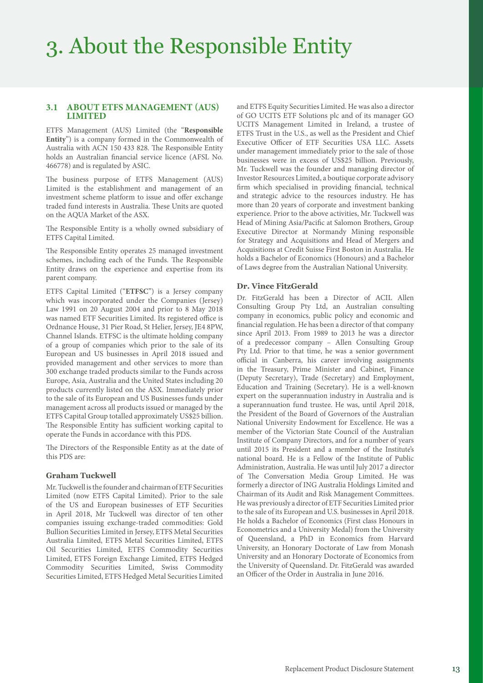# **3.1 ABOUT ETFS MANAGEMENT (AUS) LIMITED**

ETFS Management (AUS) Limited (the "**Responsible Entity**") is a company formed in the Commonwealth of Australia with ACN 150 433 828. The Responsible Entity holds an Australian financial service licence (AFSL No. 466778) and is regulated by ASIC.

The business purpose of ETFS Management (AUS) Limited is the establishment and management of an investment scheme platform to issue and offer exchange traded fund interests in Australia. These Units are quoted on the AQUA Market of the ASX.

The Responsible Entity is a wholly owned subsidiary of ETFS Capital Limited.

The Responsible Entity operates 25 managed investment schemes, including each of the Funds. The Responsible Entity draws on the experience and expertise from its parent company.

ETFS Capital Limited ("**ETFSC**") is a Jersey company which was incorporated under the Companies (Jersey) Law 1991 on 20 August 2004 and prior to 8 May 2018 was named ETF Securities Limited. Its registered office is Ordnance House, 31 Pier Road, St Helier, Jersey, JE4 8PW, Channel Islands. ETFSC is the ultimate holding company of a group of companies which prior to the sale of its European and US businesses in April 2018 issued and provided management and other services to more than 300 exchange traded products similar to the Funds across Europe, Asia, Australia and the United States including 20 products currently listed on the ASX. Immediately prior to the sale of its European and US Businesses funds under management across all products issued or managed by the ETFS Capital Group totalled approximately US\$25 billion. The Responsible Entity has sufficient working capital to operate the Funds in accordance with this PDS.

The Directors of the Responsible Entity as at the date of this PDS are:

# **Graham Tuckwell**

Mr. Tuckwell is the founder and chairman of ETF Securities Limited (now ETFS Capital Limited). Prior to the sale of the US and European businesses of ETF Securities in April 2018, Mr Tuckwell was director of ten other companies issuing exchange-traded commodities: Gold Bullion Securities Limited in Jersey, ETFS Metal Securities Australia Limited, ETFS Metal Securities Limited, ETFS Oil Securities Limited, ETFS Commodity Securities Limited, ETFS Foreign Exchange Limited, ETFS Hedged Commodity Securities Limited, Swiss Commodity Securities Limited, ETFS Hedged Metal Securities Limited and ETFS Equity Securities Limited. He was also a director of GO UCITS ETF Solutions plc and of its manager GO UCITS Management Limited in Ireland, a trustee of ETFS Trust in the U.S., as well as the President and Chief Executive Officer of ETF Securities USA LLC. Assets under management immediately prior to the sale of those businesses were in excess of US\$25 billion. Previously, Mr. Tuckwell was the founder and managing director of Investor Resources Limited, a boutique corporate advisory firm which specialised in providing financial, technical and strategic advice to the resources industry. He has more than 20 years of corporate and investment banking experience. Prior to the above activities, Mr. Tuckwell was Head of Mining Asia/Pacific at Salomon Brothers, Group Executive Director at Normandy Mining responsible for Strategy and Acquisitions and Head of Mergers and Acquisitions at Credit Suisse First Boston in Australia. He holds a Bachelor of Economics (Honours) and a Bachelor of Laws degree from the Australian National University.

#### **Dr. Vince FitzGerald**

Dr. FitzGerald has been a Director of ACIL Allen Consulting Group Pty Ltd, an Australian consulting company in economics, public policy and economic and financial regulation. He has been a director of that company since April 2013. From 1989 to 2013 he was a director of a predecessor company – Allen Consulting Group Pty Ltd. Prior to that time, he was a senior government official in Canberra, his career involving assignments in the Treasury, Prime Minister and Cabinet, Finance (Deputy Secretary), Trade (Secretary) and Employment, Education and Training (Secretary). He is a well-known expert on the superannuation industry in Australia and is a superannuation fund trustee. He was, until April 2018, the President of the Board of Governors of the Australian National University Endowment for Excellence. He was a member of the Victorian State Council of the Australian Institute of Company Directors, and for a number of years until 2015 its President and a member of the Institute's national board. He is a Fellow of the Institute of Public Administration, Australia. He was until July 2017 a director of The Conversation Media Group Limited. He was formerly a director of ING Australia Holdings Limited and Chairman of its Audit and Risk Management Committees. He was previously a director of ETF Securities Limited prior to the sale of its European and U.S. businesses in April 2018. He holds a Bachelor of Economics (First class Honours in Econometrics and a University Medal) from the University of Queensland, a PhD in Economics from Harvard University, an Honorary Doctorate of Law from Monash University and an Honorary Doctorate of Economics from the University of Queensland. Dr. FitzGerald was awarded an Officer of the Order in Australia in June 2016.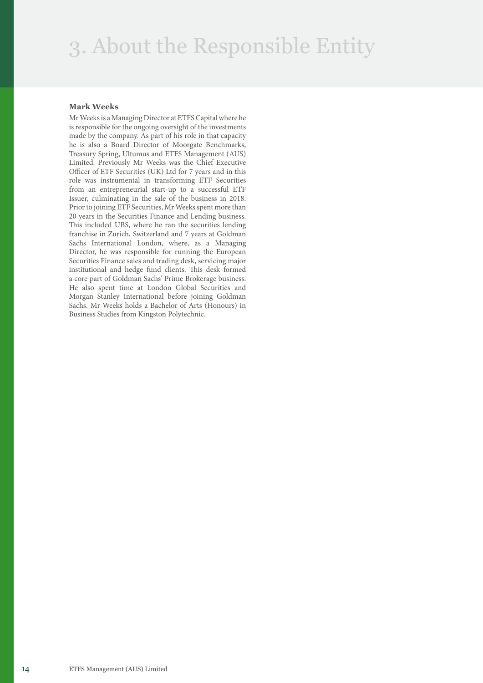# 3. About the Responsible Entity

#### **Mark Weeks**

Mr Weeks is a Managing Director at ETFS Capital where he is responsible for the ongoing oversight of the investments made by the company. As part of his role in that capacity he is also a Board Director of Moorgate Benchmarks, Treasury Spring, Ultumus and ETFS Management (AUS) Limited. Previously Mr Weeks was the Chief Executive Officer of ETF Securities (UK) Ltd for 7 years and in this role was instrumental in transforming ETF Securities from an entrepreneurial start-up to a successful ETF Issuer, culminating in the sale of the business in 2018. Prior to joining ETF Securities, Mr Weeks spent more than 20 years in the Securities Finance and Lending business. This included UBS, where he ran the securities lending franchise in Zurich, Switzerland and 7 years at Goldman Sachs International London, where, as a Managing Director, he was responsible for running the European Securities Finance sales and trading desk, servicing major institutional and hedge fund clients. This desk formed a core part of Goldman Sachs' Prime Brokerage business. He also spent time at London Global Securities and Morgan Stanley International before joining Goldman Sachs. Mr Weeks holds a Bachelor of Arts (Honours) in Business Studies from Kingston Polytechnic.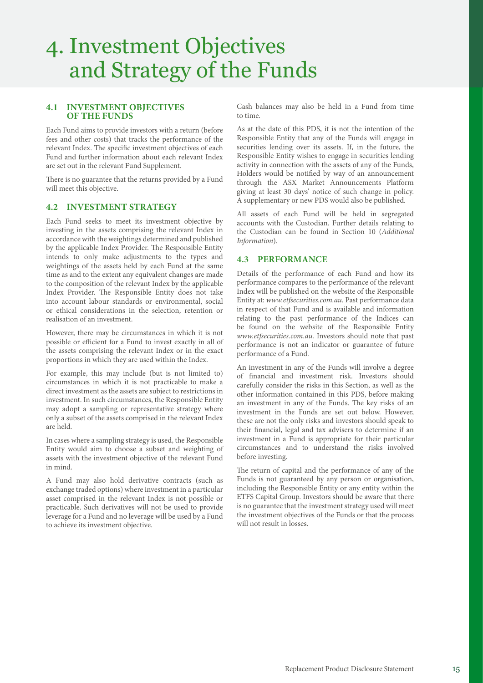# 4. Investment Objectives and Strategy of the Funds

# **4.1 INVESTMENT OBJECTIVES OF THE FUNDS**

Each Fund aims to provide investors with a return (before fees and other costs) that tracks the performance of the relevant Index. The specific investment objectives of each Fund and further information about each relevant Index are set out in the relevant Fund Supplement.

There is no guarantee that the returns provided by a Fund will meet this objective.

# **4.2 INVESTMENT STRATEGY**

Each Fund seeks to meet its investment objective by investing in the assets comprising the relevant Index in accordance with the weightings determined and published by the applicable Index Provider. The Responsible Entity intends to only make adjustments to the types and weightings of the assets held by each Fund at the same time as and to the extent any equivalent changes are made to the composition of the relevant Index by the applicable Index Provider. The Responsible Entity does not take into account labour standards or environmental, social or ethical considerations in the selection, retention or realisation of an investment.

However, there may be circumstances in which it is not possible or efficient for a Fund to invest exactly in all of the assets comprising the relevant Index or in the exact proportions in which they are used within the Index.

For example, this may include (but is not limited to) circumstances in which it is not practicable to make a direct investment as the assets are subject to restrictions in investment. In such circumstances, the Responsible Entity may adopt a sampling or representative strategy where only a subset of the assets comprised in the relevant Index are held.

In cases where a sampling strategy is used, the Responsible Entity would aim to choose a subset and weighting of assets with the investment objective of the relevant Fund in mind.

A Fund may also hold derivative contracts (such as exchange traded options) where investment in a particular asset comprised in the relevant Index is not possible or practicable. Such derivatives will not be used to provide leverage for a Fund and no leverage will be used by a Fund to achieve its investment objective.

Cash balances may also be held in a Fund from time to time.

As at the date of this PDS, it is not the intention of the Responsible Entity that any of the Funds will engage in securities lending over its assets. If, in the future, the Responsible Entity wishes to engage in securities lending activity in connection with the assets of any of the Funds, Holders would be notified by way of an announcement through the ASX Market Announcements Platform giving at least 30 days' notice of such change in policy. A supplementary or new PDS would also be published.

All assets of each Fund will be held in segregated accounts with the Custodian. Further details relating to the Custodian can be found in Section 10 (*Additional Information*).

# **4.3 PERFORMANCE**

Details of the performance of each Fund and how its performance compares to the performance of the relevant Index will be published on the website of the Responsible Entity at: *[www.etfsecurities.com.au](https://www.etfsecurities.com.au)*. Past performance data in respect of that Fund and is available and information relating to the past performance of the Indices can be found on the website of the Responsible Entity *[www.etfsecurities.com.au](https://www.etfsecurities.com.au).* Investors should note that past performance is not an indicator or guarantee of future performance of a Fund.

An investment in any of the Funds will involve a degree of financial and investment risk. Investors should carefully consider the risks in this Section, as well as the other information contained in this PDS, before making an investment in any of the Funds. The key risks of an investment in the Funds are set out below. However, these are not the only risks and investors should speak to their financial, legal and tax advisers to determine if an investment in a Fund is appropriate for their particular circumstances and to understand the risks involved before investing.

The return of capital and the performance of any of the Funds is not guaranteed by any person or organisation, including the Responsible Entity or any entity within the ETFS Capital Group. Investors should be aware that there is no guarantee that the investment strategy used will meet the investment objectives of the Funds or that the process will not result in losses.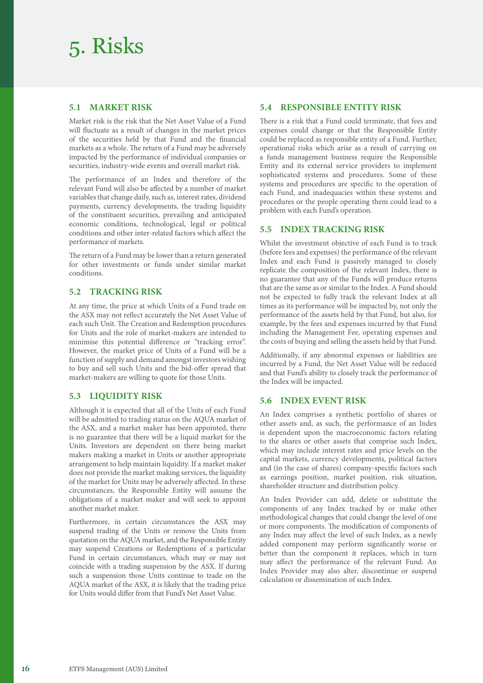# 5. Risks

# **5.1 MARKET RISK**

Market risk is the risk that the Net Asset Value of a Fund will fluctuate as a result of changes in the market prices of the securities held by that Fund and the financial markets as a whole. The return of a Fund may be adversely impacted by the performance of individual companies or securities, industry-wide events and overall market risk.

The performance of an Index and therefore of the relevant Fund will also be affected by a number of market variables that change daily, such as, interest rates, dividend payments, currency developments, the trading liquidity of the constituent securities, prevailing and anticipated economic conditions, technological, legal or political conditions and other inter-related factors which affect the performance of markets.

The return of a Fund may be lower than a return generated for other investments or funds under similar market conditions.

# **5.2 TRACKING RISK**

At any time, the price at which Units of a Fund trade on the ASX may not reflect accurately the Net Asset Value of each such Unit. The Creation and Redemption procedures for Units and the role of market-makers are intended to minimise this potential difference or "tracking error". However, the market price of Units of a Fund will be a function of supply and demand amongst investors wishing to buy and sell such Units and the bid-offer spread that market-makers are willing to quote for those Units.

# **5.3 LIQUIDITY RISK**

Although it is expected that all of the Units of each Fund will be admitted to trading status on the AQUA market of the ASX, and a market maker has been appointed, there is no guarantee that there will be a liquid market for the Units. Investors are dependent on there being market makers making a market in Units or another appropriate arrangement to help maintain liquidity. If a market maker does not provide the market making services, the liquidity of the market for Units may be adversely affected. In these circumstances, the Responsible Entity will assume the obligations of a market maker and will seek to appoint another market maker.

Furthermore, in certain circumstances the ASX may suspend trading of the Units or remove the Units from quotation on the AQUA market, and the Responsible Entity may suspend Creations or Redemptions of a particular Fund in certain circumstances, which may or may not coincide with a trading suspension by the ASX. If during such a suspension those Units continue to trade on the AQUA market of the ASX, it is likely that the trading price for Units would differ from that Fund's Net Asset Value.

# **5.4 RESPONSIBLE ENTITY RISK**

There is a risk that a Fund could terminate, that fees and expenses could change or that the Responsible Entity could be replaced as responsible entity of a Fund. Further, operational risks which arise as a result of carrying on a funds management business require the Responsible Entity and its external service providers to implement sophisticated systems and procedures. Some of these systems and procedures are specific to the operation of each Fund, and inadequacies within these systems and procedures or the people operating them could lead to a problem with each Fund's operation.

# **5.5 INDEX TRACKING RISK**

Whilst the investment objective of each Fund is to track (before fees and expenses) the performance of the relevant Index and each Fund is passively managed to closely replicate the composition of the relevant Index, there is no guarantee that any of the Funds will produce returns that are the same as or similar to the Index. A Fund should not be expected to fully track the relevant Index at all times as its performance will be impacted by, not only the performance of the assets held by that Fund, but also, for example, by the fees and expenses incurred by that Fund including the Management Fee, operating expenses and the costs of buying and selling the assets held by that Fund.

Additionally, if any abnormal expenses or liabilities are incurred by a Fund, the Net Asset Value will be reduced and that Fund's ability to closely track the performance of the Index will be impacted.

# **5.6 INDEX EVENT RISK**

An Index comprises a synthetic portfolio of shares or other assets and, as such, the performance of an Index is dependent upon the macroeconomic factors relating to the shares or other assets that comprise such Index, which may include interest rates and price levels on the capital markets, currency developments, political factors and (in the case of shares) company-specific factors such as earnings position, market position, risk situation, shareholder structure and distribution policy.

An Index Provider can add, delete or substitute the components of any Index tracked by or make other methodological changes that could change the level of one or more components. The modification of components of any Index may affect the level of such Index, as a newly added component may perform significantly worse or better than the component it replaces, which in turn may affect the performance of the relevant Fund. An Index Provider may also alter, discontinue or suspend calculation or dissemination of such Index.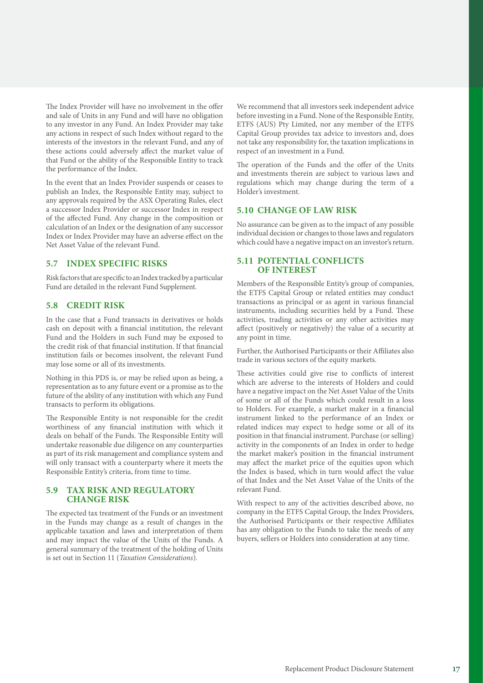The Index Provider will have no involvement in the offer and sale of Units in any Fund and will have no obligation to any investor in any Fund. An Index Provider may take any actions in respect of such Index without regard to the interests of the investors in the relevant Fund, and any of these actions could adversely affect the market value of that Fund or the ability of the Responsible Entity to track the performance of the Index.

In the event that an Index Provider suspends or ceases to publish an Index, the Responsible Entity may, subject to any approvals required by the ASX Operating Rules, elect a successor Index Provider or successor Index in respect of the affected Fund. Any change in the composition or calculation of an Index or the designation of any successor Index or Index Provider may have an adverse effect on the Net Asset Value of the relevant Fund.

# **5.7 INDEX SPECIFIC RISKS**

Risk factors that are specific to an Index tracked by a particular Fund are detailed in the relevant Fund Supplement.

# **5.8 CREDIT RISK**

In the case that a Fund transacts in derivatives or holds cash on deposit with a financial institution, the relevant Fund and the Holders in such Fund may be exposed to the credit risk of that financial institution. If that financial institution fails or becomes insolvent, the relevant Fund may lose some or all of its investments.

Nothing in this PDS is, or may be relied upon as being, a representation as to any future event or a promise as to the future of the ability of any institution with which any Fund transacts to perform its obligations.

The Responsible Entity is not responsible for the credit worthiness of any financial institution with which it deals on behalf of the Funds. The Responsible Entity will undertake reasonable due diligence on any counterparties as part of its risk management and compliance system and will only transact with a counterparty where it meets the Responsible Entity's criteria, from time to time.

# **5.9 TAX RISK AND REGULATORY CHANGE RISK**

The expected tax treatment of the Funds or an investment in the Funds may change as a result of changes in the applicable taxation and laws and interpretation of them and may impact the value of the Units of the Funds. A general summary of the treatment of the holding of Units is set out in Section 11 (*Taxation Considerations*).

We recommend that all investors seek independent advice before investing in a Fund. None of the Responsible Entity, ETFS (AUS) Pty Limited, nor any member of the ETFS Capital Group provides tax advice to investors and, does not take any responsibility for, the taxation implications in respect of an investment in a Fund.

The operation of the Funds and the offer of the Units and investments therein are subject to various laws and regulations which may change during the term of a Holder's investment.

# **5.10 CHANGE OF LAW RISK**

No assurance can be given as to the impact of any possible individual decision or changes to those laws and regulators which could have a negative impact on an investor's return.

### **5.11 POTENTIAL CONFLICTS OF INTEREST**

Members of the Responsible Entity's group of companies, the ETFS Capital Group or related entities may conduct transactions as principal or as agent in various financial instruments, including securities held by a Fund. These activities, trading activities or any other activities may affect (positively or negatively) the value of a security at any point in time.

Further, the Authorised Participants or their Affiliates also trade in various sectors of the equity markets.

These activities could give rise to conflicts of interest which are adverse to the interests of Holders and could have a negative impact on the Net Asset Value of the Units of some or all of the Funds which could result in a loss to Holders. For example, a market maker in a financial instrument linked to the performance of an Index or related indices may expect to hedge some or all of its position in that financial instrument. Purchase (or selling) activity in the components of an Index in order to hedge the market maker's position in the financial instrument may affect the market price of the equities upon which the Index is based, which in turn would affect the value of that Index and the Net Asset Value of the Units of the relevant Fund.

With respect to any of the activities described above, no company in the ETFS Capital Group, the Index Providers, the Authorised Participants or their respective Affiliates has any obligation to the Funds to take the needs of any buyers, sellers or Holders into consideration at any time.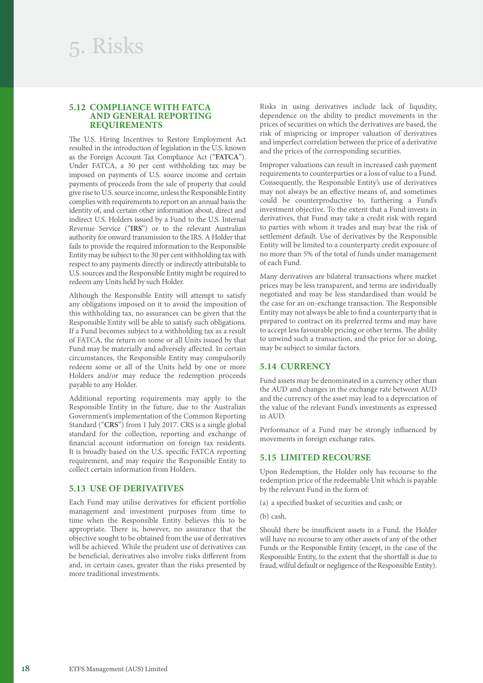### **5.12 COMPLIANCE WITH FATCA AND GENERAL REPORTING REQUIREMENTS**

The U.S. Hiring Incentives to Restore Employment Act resulted in the introduction of legislation in the U.S. known as the Foreign Account Tax Compliance Act ("**FATCA**"). Under FATCA, a 30 per cent withholding tax may be imposed on payments of U.S. source income and certain payments of proceeds from the sale of property that could give rise to U.S. source income, unless the Responsible Entity complies with requirements to report on an annual basis the identity of, and certain other information about, direct and indirect U.S. Holders issued by a Fund to the U.S. Internal Revenue Service ("**IRS**") or to the relevant Australian authority for onward transmission to the IRS. A Holder that fails to provide the required information to the Responsible Entity may be subject to the 30 per cent withholding tax with respect to any payments directly or indirectly attributable to U.S. sources and the Responsible Entity might be required to redeem any Units held by such Holder.

Although the Responsible Entity will attempt to satisfy any obligations imposed on it to avoid the imposition of this withholding tax, no assurances can be given that the Responsible Entity will be able to satisfy such obligations. If a Fund becomes subject to a withholding tax as a result of FATCA, the return on some or all Units issued by that Fund may be materially and adversely affected. In certain circumstances, the Responsible Entity may compulsorily redeem some or all of the Units held by one or more Holders and/or may reduce the redemption proceeds payable to any Holder.

Additional reporting requirements may apply to the Responsible Entity in the future, due to the Australian Government's implementation of the Common Reporting Standard ("**CRS**") from 1 July 2017. CRS is a single global standard for the collection, reporting and exchange of financial account information on foreign tax residents. It is broadly based on the U.S. specific FATCA reporting requirement, and may require the Responsible Entity to collect certain information from Holders.

#### **5.13 USE OF DERIVATIVES**

Each Fund may utilise derivatives for efficient portfolio management and investment purposes from time to time when the Responsible Entity believes this to be appropriate. There is, however, no assurance that the objective sought to be obtained from the use of derivatives will be achieved. While the prudent use of derivatives can be beneficial, derivatives also involve risks different from and, in certain cases, greater than the risks presented by more traditional investments.

Risks in using derivatives include lack of liquidity, dependence on the ability to predict movements in the prices of securities on which the derivatives are based, the risk of mispricing or improper valuation of derivatives and imperfect correlation between the price of a derivative and the prices of the corresponding securities.

Improper valuations can result in increased cash payment requirements to counterparties or a loss of value to a Fund. Consequently, the Responsible Entity's use of derivatives may not always be an effective means of, and sometimes could be counterproductive to, furthering a Fund's investment objective. To the extent that a Fund invests in derivatives, that Fund may take a credit risk with regard to parties with whom it trades and may bear the risk of settlement default. Use of derivatives by the Responsible Entity will be limited to a counterparty credit exposure of no more than 5% of the total of funds under management of each Fund.

Many derivatives are bilateral transactions where market prices may be less transparent, and terms are individually negotiated and may be less standardised than would be the case for an on-exchange transaction. The Responsible Entity may not always be able to find a counterparty that is prepared to contract on its preferred terms and may have to accept less favourable pricing or other terms. The ability to unwind such a transaction, and the price for so doing, may be subject to similar factors.

#### **5.14 CURRENCY**

Fund assets may be denominated in a currency other than the AUD and changes in the exchange rate between AUD and the currency of the asset may lead to a depreciation of the value of the relevant Fund's investments as expressed in AUD.

Performance of a Fund may be strongly influenced by movements in foreign exchange rates.

#### **5.15 LIMITED RECOURSE**

Upon Redemption, the Holder only has recourse to the redemption price of the redeemable Unit which is payable by the relevant Fund in the form of:

- (a) a specified basket of securities and cash; or
- (b) cash.

Should there be insufficient assets in a Fund, the Holder will have no recourse to any other assets of any of the other Funds or the Responsible Entity (except, in the case of the Responsible Entity, to the extent that the shortfall is due to fraud, wilful default or negligence of the Responsible Entity).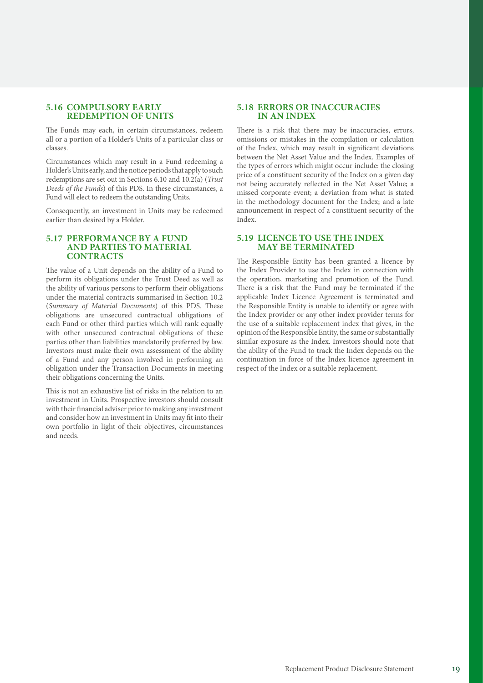# **5.16 COMPULSORY EARLY REDEMPTION OF UNITS**

The Funds may each, in certain circumstances, redeem all or a portion of a Holder's Units of a particular class or classes.

Circumstances which may result in a Fund redeeming a Holder's Units early, and the notice periods that apply to such redemptions are set out in Sections 6.10 and 10.2(a) (*Trust Deeds of the Funds*) of this PDS. In these circumstances, a Fund will elect to redeem the outstanding Units.

Consequently, an investment in Units may be redeemed earlier than desired by a Holder.

#### **5.17 PERFORMANCE BY A FUND AND PARTIES TO MATERIAL CONTRACTS**

The value of a Unit depends on the ability of a Fund to perform its obligations under the Trust Deed as well as the ability of various persons to perform their obligations under the material contracts summarised in Section 10.2 (*Summary of Material Documents*) of this PDS. These obligations are unsecured contractual obligations of each Fund or other third parties which will rank equally with other unsecured contractual obligations of these parties other than liabilities mandatorily preferred by law. Investors must make their own assessment of the ability of a Fund and any person involved in performing an obligation under the Transaction Documents in meeting their obligations concerning the Units.

This is not an exhaustive list of risks in the relation to an investment in Units. Prospective investors should consult with their financial adviser prior to making any investment and consider how an investment in Units may fit into their own portfolio in light of their objectives, circumstances and needs.

# **5.18 ERRORS OR INACCURACIES IN AN INDEX**

There is a risk that there may be inaccuracies, errors, omissions or mistakes in the compilation or calculation of the Index, which may result in significant deviations between the Net Asset Value and the Index. Examples of the types of errors which might occur include: the closing price of a constituent security of the Index on a given day not being accurately reflected in the Net Asset Value; a missed corporate event; a deviation from what is stated in the methodology document for the Index; and a late announcement in respect of a constituent security of the Index.

#### **5.19 LICENCE TO USE THE INDEX MAY BE TERMINATED**

The Responsible Entity has been granted a licence by the Index Provider to use the Index in connection with the operation, marketing and promotion of the Fund. There is a risk that the Fund may be terminated if the applicable Index Licence Agreement is terminated and the Responsible Entity is unable to identify or agree with the Index provider or any other index provider terms for the use of a suitable replacement index that gives, in the opinion of the Responsible Entity, the same or substantially similar exposure as the Index. Investors should note that the ability of the Fund to track the Index depends on the continuation in force of the Index licence agreement in respect of the Index or a suitable replacement.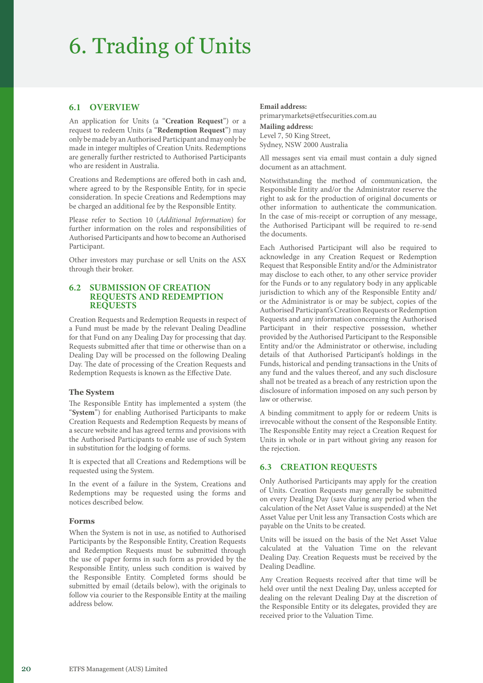# 6. Trading of Units

# **6.1 OVERVIEW**

An application for Units (a "**Creation Request**") or a request to redeem Units (a "**Redemption Request**") may only be made by an Authorised Participant and may only be made in integer multiples of Creation Units. Redemptions are generally further restricted to Authorised Participants who are resident in Australia.

Creations and Redemptions are offered both in cash and, where agreed to by the Responsible Entity, for in specie consideration. In specie Creations and Redemptions may be charged an additional fee by the Responsible Entity.

Please refer to Section 10 (*Additional Information*) for further information on the roles and responsibilities of Authorised Participants and how to become an Authorised Participant.

Other investors may purchase or sell Units on the ASX through their broker.

#### **6.2 SUBMISSION OF CREATION REQUESTS AND REDEMPTION REQUESTS**

Creation Requests and Redemption Requests in respect of a Fund must be made by the relevant Dealing Deadline for that Fund on any Dealing Day for processing that day. Requests submitted after that time or otherwise than on a Dealing Day will be processed on the following Dealing Day. The date of processing of the Creation Requests and Redemption Requests is known as the Effective Date.

#### **The System**

The Responsible Entity has implemented a system (the "**System**") for enabling Authorised Participants to make Creation Requests and Redemption Requests by means of a secure website and has agreed terms and provisions with the Authorised Participants to enable use of such System in substitution for the lodging of forms.

It is expected that all Creations and Redemptions will be requested using the System.

In the event of a failure in the System, Creations and Redemptions may be requested using the forms and notices described below.

#### **Forms**

When the System is not in use, as notified to Authorised Participants by the Responsible Entity, Creation Requests and Redemption Requests must be submitted through the use of paper forms in such form as provided by the Responsible Entity, unless such condition is waived by the Responsible Entity. Completed forms should be submitted by email (details below), with the originals to follow via courier to the Responsible Entity at the mailing address below.

#### **Email address:**

primarymarkets@etfsecurities.com.au **Mailing address:** Level 7, 50 King Street, Sydney, NSW 2000 Australia

All messages sent via email must contain a duly signed document as an attachment.

Notwithstanding the method of communication, the Responsible Entity and/or the Administrator reserve the right to ask for the production of original documents or other information to authenticate the communication. In the case of mis-receipt or corruption of any message, the Authorised Participant will be required to re-send the documents.

Each Authorised Participant will also be required to acknowledge in any Creation Request or Redemption Request that Responsible Entity and/or the Administrator may disclose to each other, to any other service provider for the Funds or to any regulatory body in any applicable jurisdiction to which any of the Responsible Entity and/ or the Administrator is or may be subject, copies of the Authorised Participant's Creation Requests or Redemption Requests and any information concerning the Authorised Participant in their respective possession, whether provided by the Authorised Participant to the Responsible Entity and/or the Administrator or otherwise, including details of that Authorised Participant's holdings in the Funds, historical and pending transactions in the Units of any fund and the values thereof, and any such disclosure shall not be treated as a breach of any restriction upon the disclosure of information imposed on any such person by law or otherwise.

A binding commitment to apply for or redeem Units is irrevocable without the consent of the Responsible Entity. The Responsible Entity may reject a Creation Request for Units in whole or in part without giving any reason for the rejection.

# **6.3 CREATION REQUESTS**

Only Authorised Participants may apply for the creation of Units. Creation Requests may generally be submitted on every Dealing Day (save during any period when the calculation of the Net Asset Value is suspended) at the Net Asset Value per Unit less any Transaction Costs which are payable on the Units to be created.

Units will be issued on the basis of the Net Asset Value calculated at the Valuation Time on the relevant Dealing Day. Creation Requests must be received by the Dealing Deadline.

Any Creation Requests received after that time will be held over until the next Dealing Day, unless accepted for dealing on the relevant Dealing Day at the discretion of the Responsible Entity or its delegates, provided they are received prior to the Valuation Time.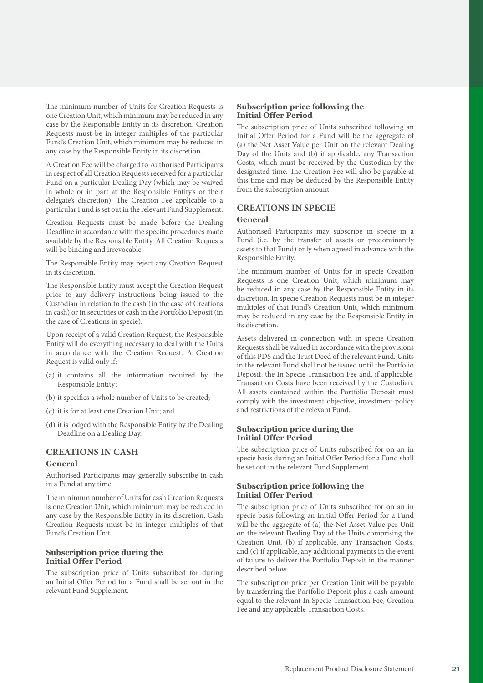The minimum number of Units for Creation Requests is one Creation Unit, which minimum may be reduced in any case by the Responsible Entity in its discretion. Creation Requests must be in integer multiples of the particular Fund's Creation Unit, which minimum may be reduced in any case by the Responsible Entity in its discretion.

A Creation Fee will be charged to Authorised Participants in respect of all Creation Requests received for a particular Fund on a particular Dealing Day (which may be waived in whole or in part at the Responsible Entity's or their delegate's discretion). The Creation Fee applicable to a particular Fund is set out in the relevant Fund Supplement.

Creation Requests must be made before the Dealing Deadline in accordance with the specific procedures made available by the Responsible Entity. All Creation Requests will be binding and irrevocable.

The Responsible Entity may reject any Creation Request in its discretion.

The Responsible Entity must accept the Creation Request prior to any delivery instructions being issued to the Custodian in relation to the cash (in the case of Creations in cash) or in securities or cash in the Portfolio Deposit (in the case of Creations in specie).

Upon receipt of a valid Creation Request, the Responsible Entity will do everything necessary to deal with the Units in accordance with the Creation Request. A Creation Request is valid only if:

- (a) it contains all the information required by the Responsible Entity;
- (b) it specifies a whole number of Units to be created;
- (c) it is for at least one Creation Unit; and
- (d) it is lodged with the Responsible Entity by the Dealing Deadline on a Dealing Day.

# **CREATIONS IN CASH**

#### **General**

Authorised Participants may generally subscribe in cash in a Fund at any time.

The minimum number of Units for cash Creation Requests is one Creation Unit, which minimum may be reduced in any case by the Responsible Entity in its discretion. Cash Creation Requests must be in integer multiples of that Fund's Creation Unit.

#### **Subscription price during the Initial Offer Period**

The subscription price of Units subscribed for during an Initial Offer Period for a Fund shall be set out in the relevant Fund Supplement.

# **Subscription price following the Initial Offer Period**

The subscription price of Units subscribed following an Initial Offer Period for a Fund will be the aggregate of (a) the Net Asset Value per Unit on the relevant Dealing Day of the Units and (b) if applicable, any Transaction Costs, which must be received by the Custodian by the designated time. The Creation Fee will also be payable at this time and may be deduced by the Responsible Entity from the subscription amount.

# **CREATIONS IN SPECIE**

#### **General**

Authorised Participants may subscribe in specie in a Fund (i.e. by the transfer of assets or predominantly assets to that Fund) only when agreed in advance with the Responsible Entity.

The minimum number of Units for in specie Creation Requests is one Creation Unit, which minimum may be reduced in any case by the Responsible Entity in its discretion. In specie Creation Requests must be in integer multiples of that Fund's Creation Unit, which minimum may be reduced in any case by the Responsible Entity in its discretion.

Assets delivered in connection with in specie Creation Requests shall be valued in accordance with the provisions of this PDS and the Trust Deed of the relevant Fund. Units in the relevant Fund shall not be issued until the Portfolio Deposit, the In Specie Transaction Fee and, if applicable, Transaction Costs have been received by the Custodian. All assets contained within the Portfolio Deposit must comply with the investment objective, investment policy and restrictions of the relevant Fund.

#### **Subscription price during the Initial Offer Period**

The subscription price of Units subscribed for on an in specie basis during an Initial Offer Period for a Fund shall be set out in the relevant Fund Supplement.

#### **Subscription price following the Initial Offer Period**

The subscription price of Units subscribed for on an in specie basis following an Initial Offer Period for a Fund will be the aggregate of (a) the Net Asset Value per Unit on the relevant Dealing Day of the Units comprising the Creation Unit, (b) if applicable, any Transaction Costs, and (c) if applicable, any additional payments in the event of failure to deliver the Portfolio Deposit in the manner described below.

The subscription price per Creation Unit will be payable by transferring the Portfolio Deposit plus a cash amount equal to the relevant In Specie Transaction Fee, Creation Fee and any applicable Transaction Costs.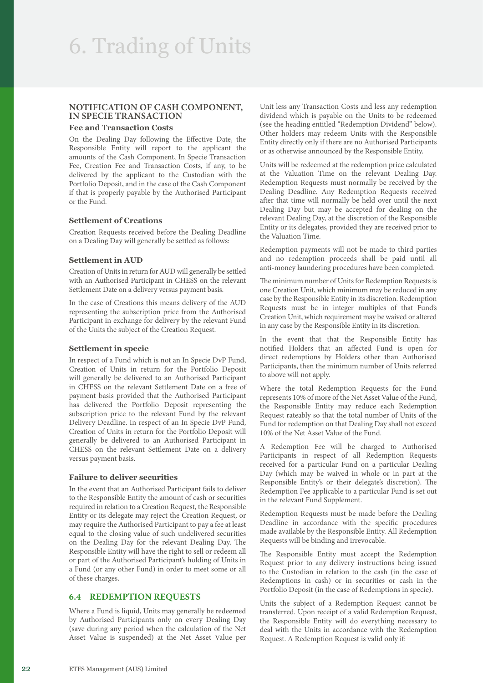# **NOTIFICATION OF CASH COMPONENT, IN SPECIE TRANSACTION**

# **Fee and Transaction Costs**

On the Dealing Day following the Effective Date, the Responsible Entity will report to the applicant the amounts of the Cash Component, In Specie Transaction Fee, Creation Fee and Transaction Costs, if any, to be delivered by the applicant to the Custodian with the Portfolio Deposit, and in the case of the Cash Component if that is properly payable by the Authorised Participant or the Fund.

#### **Settlement of Creations**

Creation Requests received before the Dealing Deadline on a Dealing Day will generally be settled as follows:

#### **Settlement in AUD**

Creation of Units in return for AUD will generally be settled with an Authorised Participant in CHESS on the relevant Settlement Date on a delivery versus payment basis.

In the case of Creations this means delivery of the AUD representing the subscription price from the Authorised Participant in exchange for delivery by the relevant Fund of the Units the subject of the Creation Request.

#### **Settlement in specie**

In respect of a Fund which is not an In Specie DvP Fund, Creation of Units in return for the Portfolio Deposit will generally be delivered to an Authorised Participant in CHESS on the relevant Settlement Date on a free of payment basis provided that the Authorised Participant has delivered the Portfolio Deposit representing the subscription price to the relevant Fund by the relevant Delivery Deadline. In respect of an In Specie DvP Fund, Creation of Units in return for the Portfolio Deposit will generally be delivered to an Authorised Participant in CHESS on the relevant Settlement Date on a delivery versus payment basis.

#### **Failure to deliver securities**

In the event that an Authorised Participant fails to deliver to the Responsible Entity the amount of cash or securities required in relation to a Creation Request, the Responsible Entity or its delegate may reject the Creation Request, or may require the Authorised Participant to pay a fee at least equal to the closing value of such undelivered securities on the Dealing Day for the relevant Dealing Day. The Responsible Entity will have the right to sell or redeem all or part of the Authorised Participant's holding of Units in a Fund (or any other Fund) in order to meet some or all of these charges.

# **6.4 REDEMPTION REQUESTS**

Where a Fund is liquid, Units may generally be redeemed by Authorised Participants only on every Dealing Day (save during any period when the calculation of the Net Asset Value is suspended) at the Net Asset Value per Unit less any Transaction Costs and less any redemption dividend which is payable on the Units to be redeemed (see the heading entitled "Redemption Dividend" below). Other holders may redeem Units with the Responsible Entity directly only if there are no Authorised Participants or as otherwise announced by the Responsible Entity.

Units will be redeemed at the redemption price calculated at the Valuation Time on the relevant Dealing Day. Redemption Requests must normally be received by the Dealing Deadline. Any Redemption Requests received after that time will normally be held over until the next Dealing Day but may be accepted for dealing on the relevant Dealing Day, at the discretion of the Responsible Entity or its delegates, provided they are received prior to the Valuation Time.

Redemption payments will not be made to third parties and no redemption proceeds shall be paid until all anti-money laundering procedures have been completed.

The minimum number of Units for Redemption Requests is one Creation Unit, which minimum may be reduced in any case by the Responsible Entity in its discretion. Redemption Requests must be in integer multiples of that Fund's Creation Unit, which requirement may be waived or altered in any case by the Responsible Entity in its discretion.

In the event that that the Responsible Entity has notified Holders that an affected Fund is open for direct redemptions by Holders other than Authorised Participants, then the minimum number of Units referred to above will not apply.

Where the total Redemption Requests for the Fund represents 10% of more of the Net Asset Value of the Fund, the Responsible Entity may reduce each Redemption Request rateably so that the total number of Units of the Fund for redemption on that Dealing Day shall not exceed 10% of the Net Asset Value of the Fund.

A Redemption Fee will be charged to Authorised Participants in respect of all Redemption Requests received for a particular Fund on a particular Dealing Day (which may be waived in whole or in part at the Responsible Entity's or their delegate's discretion). The Redemption Fee applicable to a particular Fund is set out in the relevant Fund Supplement.

Redemption Requests must be made before the Dealing Deadline in accordance with the specific procedures made available by the Responsible Entity. All Redemption Requests will be binding and irrevocable.

The Responsible Entity must accept the Redemption Request prior to any delivery instructions being issued to the Custodian in relation to the cash (in the case of Redemptions in cash) or in securities or cash in the Portfolio Deposit (in the case of Redemptions in specie).

Units the subject of a Redemption Request cannot be transferred. Upon receipt of a valid Redemption Request, the Responsible Entity will do everything necessary to deal with the Units in accordance with the Redemption Request. A Redemption Request is valid only if: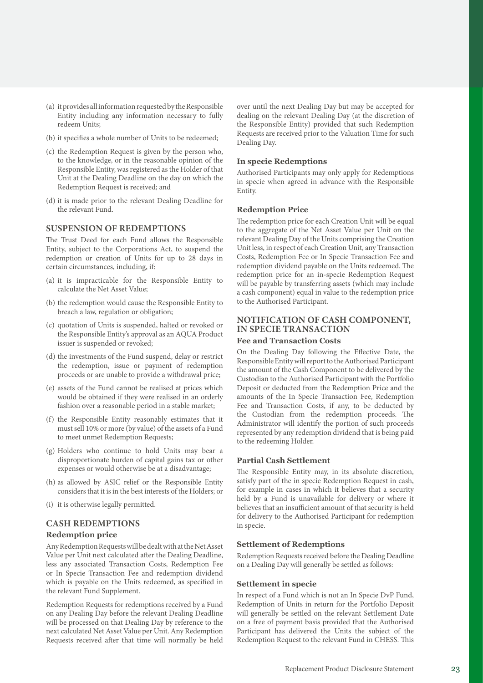- (a) it provides all information requested by the Responsible Entity including any information necessary to fully redeem Units;
- (b) it specifies a whole number of Units to be redeemed;
- (c) the Redemption Request is given by the person who, to the knowledge, or in the reasonable opinion of the Responsible Entity, was registered as the Holder of that Unit at the Dealing Deadline on the day on which the Redemption Request is received; and
- (d) it is made prior to the relevant Dealing Deadline for the relevant Fund.

# **SUSPENSION OF REDEMPTIONS**

The Trust Deed for each Fund allows the Responsible Entity, subject to the Corporations Act, to suspend the redemption or creation of Units for up to 28 days in certain circumstances, including, if:

- (a) it is impracticable for the Responsible Entity to calculate the Net Asset Value;
- (b) the redemption would cause the Responsible Entity to breach a law, regulation or obligation;
- (c) quotation of Units is suspended, halted or revoked or the Responsible Entity's approval as an AQUA Product issuer is suspended or revoked;
- (d) the investments of the Fund suspend, delay or restrict the redemption, issue or payment of redemption proceeds or are unable to provide a withdrawal price;
- (e) assets of the Fund cannot be realised at prices which would be obtained if they were realised in an orderly fashion over a reasonable period in a stable market;
- (f) the Responsible Entity reasonably estimates that it must sell 10% or more (by value) of the assets of a Fund to meet unmet Redemption Requests;
- (g) Holders who continue to hold Units may bear a disproportionate burden of capital gains tax or other expenses or would otherwise be at a disadvantage;
- (h) as allowed by ASIC relief or the Responsible Entity considers that it is in the best interests of the Holders; or
- (i) it is otherwise legally permitted.

# **CASH REDEMPTIONS**

#### **Redemption price**

Any Redemption Requests will be dealt with at the Net Asset Value per Unit next calculated after the Dealing Deadline, less any associated Transaction Costs, Redemption Fee or In Specie Transaction Fee and redemption dividend which is payable on the Units redeemed, as specified in the relevant Fund Supplement.

Redemption Requests for redemptions received by a Fund on any Dealing Day before the relevant Dealing Deadline will be processed on that Dealing Day by reference to the next calculated Net Asset Value per Unit. Any Redemption Requests received after that time will normally be held over until the next Dealing Day but may be accepted for dealing on the relevant Dealing Day (at the discretion of the Responsible Entity) provided that such Redemption Requests are received prior to the Valuation Time for such Dealing Day.

#### **In specie Redemptions**

Authorised Participants may only apply for Redemptions in specie when agreed in advance with the Responsible Entity.

# **Redemption Price**

The redemption price for each Creation Unit will be equal to the aggregate of the Net Asset Value per Unit on the relevant Dealing Day of the Units comprising the Creation Unit less, in respect of each Creation Unit, any Transaction Costs, Redemption Fee or In Specie Transaction Fee and redemption dividend payable on the Units redeemed. The redemption price for an in-specie Redemption Request will be payable by transferring assets (which may include a cash component) equal in value to the redemption price to the Authorised Participant.

# **NOTIFICATION OF CASH COMPONENT, IN SPECIE TRANSACTION**

#### **Fee and Transaction Costs**

On the Dealing Day following the Effective Date, the Responsible Entity will report to the Authorised Participant the amount of the Cash Component to be delivered by the Custodian to the Authorised Participant with the Portfolio Deposit or deducted from the Redemption Price and the amounts of the In Specie Transaction Fee, Redemption Fee and Transaction Costs, if any, to be deducted by the Custodian from the redemption proceeds. The Administrator will identify the portion of such proceeds represented by any redemption dividend that is being paid to the redeeming Holder.

#### **Partial Cash Settlement**

The Responsible Entity may, in its absolute discretion, satisfy part of the in specie Redemption Request in cash, for example in cases in which it believes that a security held by a Fund is unavailable for delivery or where it believes that an insufficient amount of that security is held for delivery to the Authorised Participant for redemption in specie.

#### **Settlement of Redemptions**

Redemption Requests received before the Dealing Deadline on a Dealing Day will generally be settled as follows:

#### **Settlement in specie**

In respect of a Fund which is not an In Specie DvP Fund, Redemption of Units in return for the Portfolio Deposit will generally be settled on the relevant Settlement Date on a free of payment basis provided that the Authorised Participant has delivered the Units the subject of the Redemption Request to the relevant Fund in CHESS. This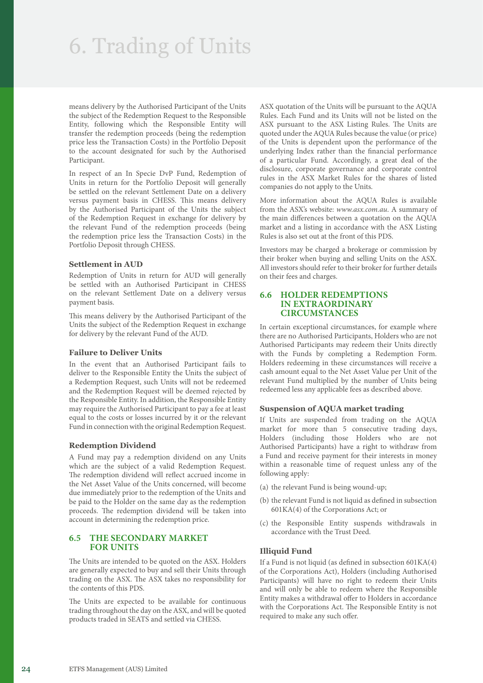# 6. Trading of Units

means delivery by the Authorised Participant of the Units the subject of the Redemption Request to the Responsible Entity, following which the Responsible Entity will transfer the redemption proceeds (being the redemption price less the Transaction Costs) in the Portfolio Deposit to the account designated for such by the Authorised Participant.

In respect of an In Specie DvP Fund, Redemption of Units in return for the Portfolio Deposit will generally be settled on the relevant Settlement Date on a delivery versus payment basis in CHESS. This means delivery by the Authorised Participant of the Units the subject of the Redemption Request in exchange for delivery by the relevant Fund of the redemption proceeds (being the redemption price less the Transaction Costs) in the Portfolio Deposit through CHESS.

#### **Settlement in AUD**

Redemption of Units in return for AUD will generally be settled with an Authorised Participant in CHESS on the relevant Settlement Date on a delivery versus payment basis.

This means delivery by the Authorised Participant of the Units the subject of the Redemption Request in exchange for delivery by the relevant Fund of the AUD.

#### **Failure to Deliver Units**

In the event that an Authorised Participant fails to deliver to the Responsible Entity the Units the subject of a Redemption Request, such Units will not be redeemed and the Redemption Request will be deemed rejected by the Responsible Entity. In addition, the Responsible Entity may require the Authorised Participant to pay a fee at least equal to the costs or losses incurred by it or the relevant Fund in connection with the original Redemption Request.

#### **Redemption Dividend**

A Fund may pay a redemption dividend on any Units which are the subject of a valid Redemption Request. The redemption dividend will reflect accrued income in the Net Asset Value of the Units concerned, will become due immediately prior to the redemption of the Units and be paid to the Holder on the same day as the redemption proceeds. The redemption dividend will be taken into account in determining the redemption price.

#### **6.5 THE SECONDARY MARKET FOR UNITS**

The Units are intended to be quoted on the ASX. Holders are generally expected to buy and sell their Units through trading on the ASX. The ASX takes no responsibility for the contents of this PDS.

The Units are expected to be available for continuous trading throughout the day on the ASX, and will be quoted products traded in SEATS and settled via CHESS.

ASX quotation of the Units will be pursuant to the AQUA Rules. Each Fund and its Units will not be listed on the ASX pursuant to the ASX Listing Rules. The Units are quoted under the AQUA Rules because the value (or price) of the Units is dependent upon the performance of the underlying Index rather than the financial performance of a particular Fund. Accordingly, a great deal of the disclosure, corporate governance and corporate control rules in the ASX Market Rules for the shares of listed companies do not apply to the Units.

More information about the AQUA Rules is available from the ASX's website: *[www.asx.com.au](https://www.asx.com.au)*. A summary of the main differences between a quotation on the AQUA market and a listing in accordance with the ASX Listing Rules is also set out at the front of this PDS.

Investors may be charged a brokerage or commission by their broker when buying and selling Units on the ASX. All investors should refer to their broker for further details on their fees and charges.

#### **6.6 HOLDER REDEMPTIONS IN EXTRAORDINARY CIRCUMSTANCES**

In certain exceptional circumstances, for example where there are no Authorised Participants, Holders who are not Authorised Participants may redeem their Units directly with the Funds by completing a Redemption Form. Holders redeeming in these circumstances will receive a cash amount equal to the Net Asset Value per Unit of the relevant Fund multiplied by the number of Units being redeemed less any applicable fees as described above.

#### **Suspension of AQUA market trading**

If Units are suspended from trading on the AQUA market for more than 5 consecutive trading days, Holders (including those Holders who are not Authorised Participants) have a right to withdraw from a Fund and receive payment for their interests in money within a reasonable time of request unless any of the following apply:

- (a) the relevant Fund is being wound-up;
- (b) the relevant Fund is not liquid as defined in subsection 601KA(4) of the Corporations Act; or
- (c) the Responsible Entity suspends withdrawals in accordance with the Trust Deed.

#### **Illiquid Fund**

If a Fund is not liquid (as defined in subsection 601KA(4) of the Corporations Act), Holders (including Authorised Participants) will have no right to redeem their Units and will only be able to redeem where the Responsible Entity makes a withdrawal offer to Holders in accordance with the Corporations Act. The Responsible Entity is not required to make any such offer.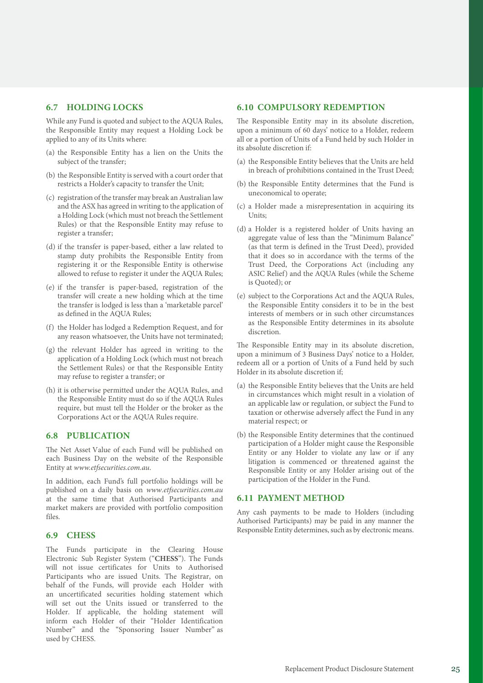# **6.7 HOLDING LOCKS**

While any Fund is quoted and subject to the AQUA Rules, the Responsible Entity may request a Holding Lock be applied to any of its Units where:

- (a) the Responsible Entity has a lien on the Units the subject of the transfer;
- (b) the Responsible Entity is served with a court order that restricts a Holder's capacity to transfer the Unit;
- (c) registration of the transfer may break an Australian law and the ASX has agreed in writing to the application of a Holding Lock (which must not breach the Settlement Rules) or that the Responsible Entity may refuse to register a transfer;
- (d) if the transfer is paper-based, either a law related to stamp duty prohibits the Responsible Entity from registering it or the Responsible Entity is otherwise allowed to refuse to register it under the AQUA Rules;
- (e) if the transfer is paper-based, registration of the transfer will create a new holding which at the time the transfer is lodged is less than a 'marketable parcel' as defined in the AQUA Rules;
- (f) the Holder has lodged a Redemption Request, and for any reason whatsoever, the Units have not terminated;
- (g) the relevant Holder has agreed in writing to the application of a Holding Lock (which must not breach the Settlement Rules) or that the Responsible Entity may refuse to register a transfer; or
- (h) it is otherwise permitted under the AQUA Rules, and the Responsible Entity must do so if the AQUA Rules require, but must tell the Holder or the broker as the Corporations Act or the AQUA Rules require.

# **6.8 PUBLICATION**

The Net Asset Value of each Fund will be published on each Business Day on the website of the Responsible Entity at *[www.etfsecurities.com.au](https://www.etfsecurities.com.au)*.

In addition, each Fund's full portfolio holdings will be published on a daily basis on *[www.etfsecurities.com.au](https://www.etfsecurities.com.au)* at the same time that Authorised Participants and market makers are provided with portfolio composition files.

#### **6.9 CHESS**

The Funds participate in the Clearing House Electronic Sub Register System ("**CHESS**"). The Funds will not issue certificates for Units to Authorised Participants who are issued Units. The Registrar, on behalf of the Funds, will provide each Holder with an uncertificated securities holding statement which will set out the Units issued or transferred to the Holder. If applicable, the holding statement will inform each Holder of their "Holder Identification Number" and the "Sponsoring Issuer Number" as used by CHESS.

# **6.10 COMPULSORY REDEMPTION**

The Responsible Entity may in its absolute discretion, upon a minimum of 60 days' notice to a Holder, redeem all or a portion of Units of a Fund held by such Holder in its absolute discretion if:

- (a) the Responsible Entity believes that the Units are held in breach of prohibitions contained in the Trust Deed;
- (b) the Responsible Entity determines that the Fund is uneconomical to operate;
- (c) a Holder made a misrepresentation in acquiring its Units;
- (d) a Holder is a registered holder of Units having an aggregate value of less than the "Minimum Balance" (as that term is defined in the Trust Deed), provided that it does so in accordance with the terms of the Trust Deed, the Corporations Act (including any ASIC Relief) and the AQUA Rules (while the Scheme is Quoted); or
- (e) subject to the Corporations Act and the AQUA Rules, the Responsible Entity considers it to be in the best interests of members or in such other circumstances as the Responsible Entity determines in its absolute discretion.

The Responsible Entity may in its absolute discretion, upon a minimum of 3 Business Days' notice to a Holder, redeem all or a portion of Units of a Fund held by such Holder in its absolute discretion if;

- (a) the Responsible Entity believes that the Units are held in circumstances which might result in a violation of an applicable law or regulation, or subject the Fund to taxation or otherwise adversely affect the Fund in any material respect; or
- (b) the Responsible Entity determines that the continued participation of a Holder might cause the Responsible Entity or any Holder to violate any law or if any litigation is commenced or threatened against the Responsible Entity or any Holder arising out of the participation of the Holder in the Fund.

# **6.11 PAYMENT METHOD**

Any cash payments to be made to Holders (including Authorised Participants) may be paid in any manner the Responsible Entity determines, such as by electronic means.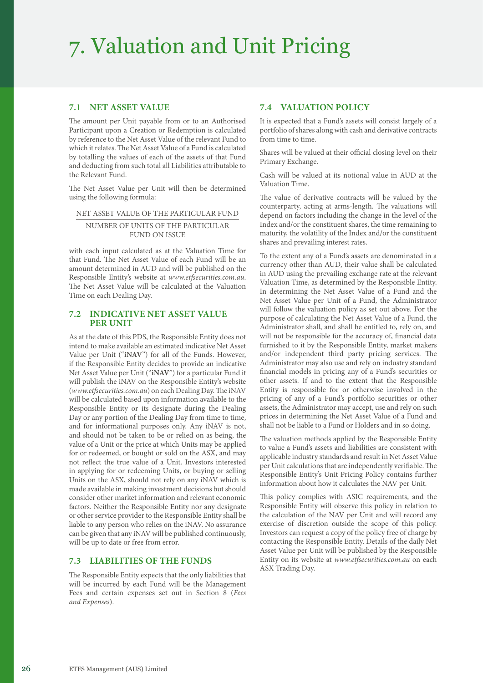# 7. Valuation and Unit Pricing

# **7.1 NET ASSET VALUE**

The amount per Unit payable from or to an Authorised Participant upon a Creation or Redemption is calculated by reference to the Net Asset Value of the relevant Fund to which it relates. The Net Asset Value of a Fund is calculated by totalling the values of each of the assets of that Fund and deducting from such total all Liabilities attributable to the Relevant Fund.

The Net Asset Value per Unit will then be determined using the following formula:

NET ASSET VALUE OF THE PARTICULAR FUND

NUMBER OF UNITS OF THE PARTICULAR FUND ON ISSUE

with each input calculated as at the Valuation Time for that Fund. The Net Asset Value of each Fund will be an amount determined in AUD and will be published on the Responsible Entity's website at *[www.etfsecurities.com.au](https://www.etfsecurities.com.au)*. The Net Asset Value will be calculated at the Valuation Time on each Dealing Day.

# **7.2 INDICATIVE NET ASSET VALUE PER UNIT**

As at the date of this PDS, the Responsible Entity does not intend to make available an estimated indicative Net Asset Value per Unit ("**iNAV**") for all of the Funds. However, if the Responsible Entity decides to provide an indicative Net Asset Value per Unit ("**iNAV**") for a particular Fund it will publish the iNAV on the Responsible Entity's website (*[www.etfsecurities.com.au](https://www.etfsecurities.com.au)*) on each Dealing Day. The iNAV will be calculated based upon information available to the Responsible Entity or its designate during the Dealing Day or any portion of the Dealing Day from time to time, and for informational purposes only. Any iNAV is not, and should not be taken to be or relied on as being, the value of a Unit or the price at which Units may be applied for or redeemed, or bought or sold on the ASX, and may not reflect the true value of a Unit. Investors interested in applying for or redeeming Units, or buying or selling Units on the ASX, should not rely on any iNAV which is made available in making investment decisions but should consider other market information and relevant economic factors. Neither the Responsible Entity nor any designate or other service provider to the Responsible Entity shall be liable to any person who relies on the iNAV. No assurance can be given that any iNAV will be published continuously, will be up to date or free from error.

# **7.3 LIABILITIES OF THE FUNDS**

The Responsible Entity expects that the only liabilities that will be incurred by each Fund will be the Management Fees and certain expenses set out in Section 8 (*Fees and Expenses*).

# **7.4 VALUATION POLICY**

It is expected that a Fund's assets will consist largely of a portfolio of shares along with cash and derivative contracts from time to time.

Shares will be valued at their official closing level on their Primary Exchange.

Cash will be valued at its notional value in AUD at the Valuation Time.

The value of derivative contracts will be valued by the counterparty, acting at arms-length. The valuations will depend on factors including the change in the level of the Index and/or the constituent shares, the time remaining to maturity, the volatility of the Index and/or the constituent shares and prevailing interest rates.

To the extent any of a Fund's assets are denominated in a currency other than AUD, their value shall be calculated in AUD using the prevailing exchange rate at the relevant Valuation Time, as determined by the Responsible Entity. In determining the Net Asset Value of a Fund and the Net Asset Value per Unit of a Fund, the Administrator will follow the valuation policy as set out above. For the purpose of calculating the Net Asset Value of a Fund, the Administrator shall, and shall be entitled to, rely on, and will not be responsible for the accuracy of, financial data furnished to it by the Responsible Entity, market makers and/or independent third party pricing services. The Administrator may also use and rely on industry standard financial models in pricing any of a Fund's securities or other assets. If and to the extent that the Responsible Entity is responsible for or otherwise involved in the pricing of any of a Fund's portfolio securities or other assets, the Administrator may accept, use and rely on such prices in determining the Net Asset Value of a Fund and shall not be liable to a Fund or Holders and in so doing.

The valuation methods applied by the Responsible Entity to value a Fund's assets and liabilities are consistent with applicable industry standards and result in Net Asset Value per Unit calculations that are independently verifiable. The Responsible Entity's Unit Pricing Policy contains further information about how it calculates the NAV per Unit.

This policy complies with ASIC requirements, and the Responsible Entity will observe this policy in relation to the calculation of the NAV per Unit and will record any exercise of discretion outside the scope of this policy. Investors can request a copy of the policy free of charge by contacting the Responsible Entity. Details of the daily Net Asset Value per Unit will be published by the Responsible Entity on its website at *[www.etfsecurities.com.au](https://www.etfsecurities.com.au)* on each ASX Trading Day.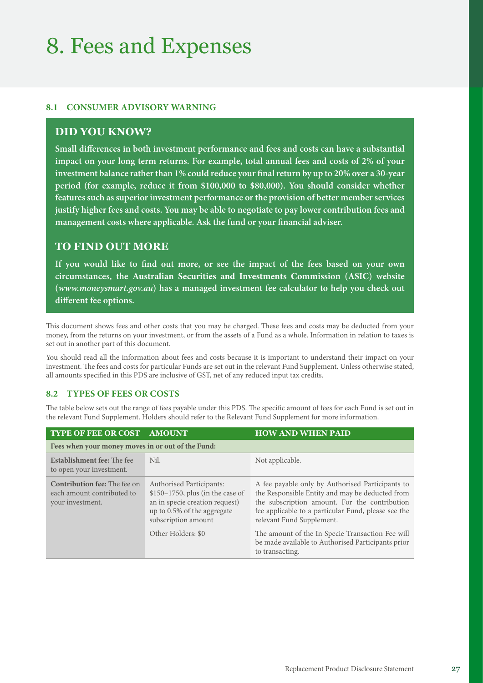# 8. Fees and Expenses

# **8.1 CONSUMER ADVISORY WARNING**

# **DID YOU KNOW?**

**Small differences in both investment performance and fees and costs can have a substantial impact on your long term returns. For example, total annual fees and costs of 2% of your investment balance rather than 1% could reduce your final return by up to 20% over a 30‑year period (for example, reduce it from \$100,000 to \$80,000). You should consider whether features such as superior investment performance or the provision of better member services justify higher fees and costs. You may be able to negotiate to pay lower contribution fees and management costs where applicable. Ask the fund or your financial adviser.**

# **TO FIND OUT MORE**

**If you would like to find out more, or see the impact of the fees based on your own circumstances, the Australian Securities and Investments Commission (ASIC) website (***www.moneysmart.gov.au***) has a managed investment fee calculator to help you check out different fee options.**

This document shows fees and other costs that you may be charged. These fees and costs may be deducted from your money, from the returns on your investment, or from the assets of a Fund as a whole. Information in relation to taxes is set out in another part of this document.

You should read all the information about fees and costs because it is important to understand their impact on your investment. The fees and costs for particular Funds are set out in the relevant Fund Supplement. Unless otherwise stated, all amounts specified in this PDS are inclusive of GST, net of any reduced input tax credits.

# **8.2 TYPES OF FEES OR COSTS**

The table below sets out the range of fees payable under this PDS. The specific amount of fees for each Fund is set out in the relevant Fund Supplement. Holders should refer to the Relevant Fund Supplement for more information.

| <b>TYPE OF FEE OR COST</b>                                                            | <b>AMOUNT</b>                                                                                                                                                                     | <b>HOW AND WHEN PAID</b>                                                                                                                                                                                                                                                                     |  |
|---------------------------------------------------------------------------------------|-----------------------------------------------------------------------------------------------------------------------------------------------------------------------------------|----------------------------------------------------------------------------------------------------------------------------------------------------------------------------------------------------------------------------------------------------------------------------------------------|--|
| Fees when your money moves in or out of the Fund:                                     |                                                                                                                                                                                   |                                                                                                                                                                                                                                                                                              |  |
| <b>Establishment fee:</b> The fee<br>to open your investment.                         | Nil.                                                                                                                                                                              | Not applicable.                                                                                                                                                                                                                                                                              |  |
| <b>Contribution fee:</b> The fee on<br>each amount contributed to<br>your investment. | <b>Authorised Participants:</b><br>\$150-1750, plus (in the case of<br>an in specie creation request)<br>up to 0.5% of the aggregate<br>subscription amount<br>Other Holders: \$0 | A fee payable only by Authorised Participants to<br>the Responsible Entity and may be deducted from<br>the subscription amount. For the contribution<br>fee applicable to a particular Fund, please see the<br>relevant Fund Supplement.<br>The amount of the In Specie Transaction Fee will |  |
|                                                                                       |                                                                                                                                                                                   | be made available to Authorised Participants prior<br>to transacting.                                                                                                                                                                                                                        |  |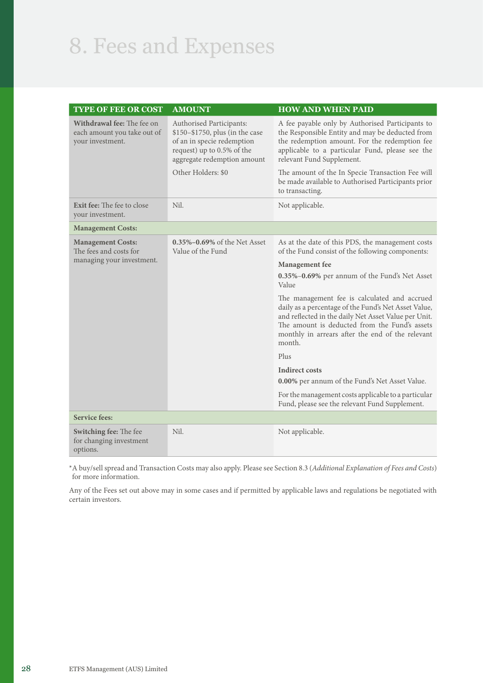# 8. Fees and Expenses

| TYPE OF FEE OR COST                                                             | <b>AMOUNT</b>                                                                                                                                          | <b>HOW AND WHEN PAID</b>                                                                                                                                                                                                                                                    |
|---------------------------------------------------------------------------------|--------------------------------------------------------------------------------------------------------------------------------------------------------|-----------------------------------------------------------------------------------------------------------------------------------------------------------------------------------------------------------------------------------------------------------------------------|
| Withdrawal fee: The fee on<br>each amount you take out of<br>your investment.   | Authorised Participants:<br>\$150-\$1750, plus (in the case<br>of an in specie redemption<br>request) up to 0.5% of the<br>aggregate redemption amount | A fee payable only by Authorised Participants to<br>the Responsible Entity and may be deducted from<br>the redemption amount. For the redemption fee<br>applicable to a particular Fund, please see the<br>relevant Fund Supplement.                                        |
|                                                                                 | Other Holders: \$0                                                                                                                                     | The amount of the In Specie Transaction Fee will<br>be made available to Authorised Participants prior<br>to transacting.                                                                                                                                                   |
| <b>Exit fee:</b> The fee to close<br>your investment.                           | Nil.                                                                                                                                                   | Not applicable.                                                                                                                                                                                                                                                             |
| <b>Management Costs:</b>                                                        |                                                                                                                                                        |                                                                                                                                                                                                                                                                             |
| <b>Management Costs:</b><br>The fees and costs for<br>managing your investment. | 0.35%-0.69% of the Net Asset<br>Value of the Fund                                                                                                      | As at the date of this PDS, the management costs<br>of the Fund consist of the following components:                                                                                                                                                                        |
|                                                                                 |                                                                                                                                                        | Management fee                                                                                                                                                                                                                                                              |
|                                                                                 |                                                                                                                                                        | 0.35%-0.69% per annum of the Fund's Net Asset<br>Value                                                                                                                                                                                                                      |
|                                                                                 |                                                                                                                                                        | The management fee is calculated and accrued<br>daily as a percentage of the Fund's Net Asset Value,<br>and reflected in the daily Net Asset Value per Unit.<br>The amount is deducted from the Fund's assets<br>monthly in arrears after the end of the relevant<br>month. |
|                                                                                 |                                                                                                                                                        | Plus                                                                                                                                                                                                                                                                        |
|                                                                                 |                                                                                                                                                        | <b>Indirect costs</b>                                                                                                                                                                                                                                                       |
|                                                                                 |                                                                                                                                                        | 0.00% per annum of the Fund's Net Asset Value.                                                                                                                                                                                                                              |
|                                                                                 |                                                                                                                                                        | For the management costs applicable to a particular<br>Fund, please see the relevant Fund Supplement.                                                                                                                                                                       |
| <b>Service fees:</b>                                                            |                                                                                                                                                        |                                                                                                                                                                                                                                                                             |
| Switching fee: The fee<br>for changing investment<br>options.                   | Nil.                                                                                                                                                   | Not applicable.                                                                                                                                                                                                                                                             |

\*A buy/sell spread and Transaction Costs may also apply. Please see Section 8.3 (*Additional Explanation of Fees and Costs*) for more information.

Any of the Fees set out above may in some cases and if permitted by applicable laws and regulations be negotiated with certain investors.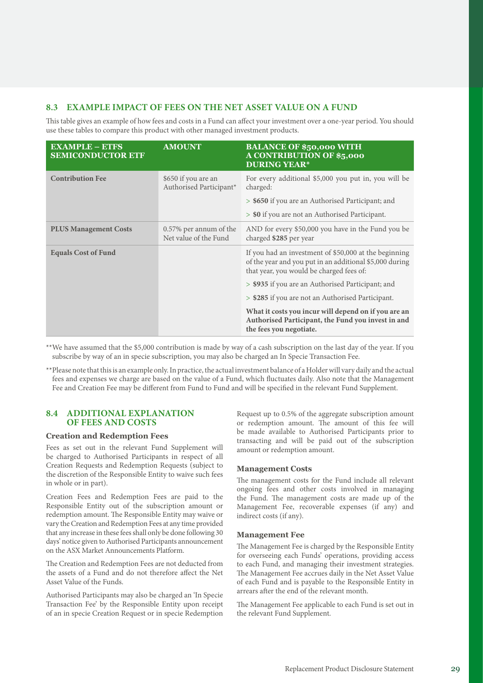# **8.3 EXAMPLE IMPACT OF FEES ON THE NET ASSET VALUE ON A FUND**

This table gives an example of how fees and costs in a Fund can affect your investment over a one-year period. You should use these tables to compare this product with other managed investment products.

| <b>EXAMPLE - ETFS</b><br><b>SEMICONDUCTOR ETF</b> | <b>AMOUNT</b>                                   | <b>BALANCE OF \$50,000 WITH</b><br><b>A CONTRIBUTION OF \$5,000</b><br><b>DURING YEAR*</b>                                                                   |
|---------------------------------------------------|-------------------------------------------------|--------------------------------------------------------------------------------------------------------------------------------------------------------------|
| <b>Contribution Fee</b>                           | \$650 if you are an<br>Authorised Participant*  | For every additional \$5,000 you put in, you will be<br>charged:                                                                                             |
|                                                   |                                                 | > \$650 if you are an Authorised Participant; and                                                                                                            |
|                                                   |                                                 | > \$0 if you are not an Authorised Participant.                                                                                                              |
| <b>PLUS Management Costs</b>                      | 0.57% per annum of the<br>Net value of the Fund | AND for every \$50,000 you have in the Fund you be<br>charged \$285 per year                                                                                 |
| <b>Equals Cost of Fund</b>                        |                                                 | If you had an investment of \$50,000 at the beginning<br>of the year and you put in an additional \$5,000 during<br>that year, you would be charged fees of: |
|                                                   |                                                 | > \$935 if you are an Authorised Participant; and                                                                                                            |
|                                                   |                                                 | > \$285 if you are not an Authorised Participant.                                                                                                            |
|                                                   |                                                 | What it costs you incur will depend on if you are an<br>Authorised Participant, the Fund you invest in and<br>the fees you negotiate.                        |

\*\*We have assumed that the \$5,000 contribution is made by way of a cash subscription on the last day of the year. If you subscribe by way of an in specie subscription, you may also be charged an In Specie Transaction Fee.

\*\*Please note that this is an example only. In practice, the actual investment balance of a Holder will vary daily and the actual fees and expenses we charge are based on the value of a Fund, which fluctuates daily. Also note that the Management Fee and Creation Fee may be different from Fund to Fund and will be specified in the relevant Fund Supplement.

#### **8.4 ADDITIONAL EXPLANATION OF FEES AND COSTS**

# **Creation and Redemption Fees**

Fees as set out in the relevant Fund Supplement will be charged to Authorised Participants in respect of all Creation Requests and Redemption Requests (subject to the discretion of the Responsible Entity to waive such fees in whole or in part).

Creation Fees and Redemption Fees are paid to the Responsible Entity out of the subscription amount or redemption amount. The Responsible Entity may waive or vary the Creation and Redemption Fees at any time provided that any increase in these fees shall only be done following 30 days' notice given to Authorised Participants announcement on the ASX Market Announcements Platform.

The Creation and Redemption Fees are not deducted from the assets of a Fund and do not therefore affect the Net Asset Value of the Funds.

Authorised Participants may also be charged an 'In Specie Transaction Fee' by the Responsible Entity upon receipt of an in specie Creation Request or in specie Redemption Request up to 0.5% of the aggregate subscription amount or redemption amount. The amount of this fee will be made available to Authorised Participants prior to transacting and will be paid out of the subscription amount or redemption amount.

# **Management Costs**

The management costs for the Fund include all relevant ongoing fees and other costs involved in managing the Fund. The management costs are made up of the Management Fee, recoverable expenses (if any) and indirect costs (if any).

#### **Management Fee**

The Management Fee is charged by the Responsible Entity for overseeing each Funds' operations, providing access to each Fund, and managing their investment strategies. The Management Fee accrues daily in the Net Asset Value of each Fund and is payable to the Responsible Entity in arrears after the end of the relevant month.

The Management Fee applicable to each Fund is set out in the relevant Fund Supplement.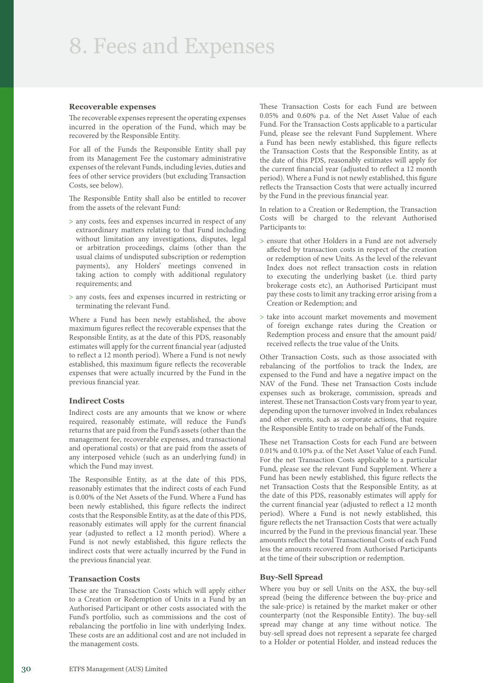# 8. Fees and Expenses

#### **Recoverable expenses**

The recoverable expenses represent the operating expenses incurred in the operation of the Fund, which may be recovered by the Responsible Entity.

For all of the Funds the Responsible Entity shall pay from its Management Fee the customary administrative expenses of the relevant Funds, including levies, duties and fees of other service providers (but excluding Transaction Costs, see below).

The Responsible Entity shall also be entitled to recover from the assets of the relevant Fund:

- > any costs, fees and expenses incurred in respect of any extraordinary matters relating to that Fund including without limitation any investigations, disputes, legal or arbitration proceedings, claims (other than the usual claims of undisputed subscription or redemption payments), any Holders' meetings convened in taking action to comply with additional regulatory requirements; and
- > any costs, fees and expenses incurred in restricting or terminating the relevant Fund.

Where a Fund has been newly established, the above maximum figures reflect the recoverable expenses that the Responsible Entity, as at the date of this PDS, reasonably estimates will apply for the current financial year (adjusted to reflect a 12 month period). Where a Fund is not newly established, this maximum figure reflects the recoverable expenses that were actually incurred by the Fund in the previous financial year.

#### **Indirect Costs**

Indirect costs are any amounts that we know or where required, reasonably estimate, will reduce the Fund's returns that are paid from the Fund's assets (other than the management fee, recoverable expenses, and transactional and operational costs) or that are paid from the assets of any interposed vehicle (such as an underlying fund) in which the Fund may invest.

The Responsible Entity, as at the date of this PDS, reasonably estimates that the indirect costs of each Fund is 0.00% of the Net Assets of the Fund. Where a Fund has been newly established, this figure reflects the indirect costs that the Responsible Entity, as at the date of this PDS, reasonably estimates will apply for the current financial year (adjusted to reflect a 12 month period). Where a Fund is not newly established, this figure reflects the indirect costs that were actually incurred by the Fund in the previous financial year.

# **Transaction Costs**

These are the Transaction Costs which will apply either to a Creation or Redemption of Units in a Fund by an Authorised Participant or other costs associated with the Fund's portfolio, such as commissions and the cost of rebalancing the portfolio in line with underlying Index. These costs are an additional cost and are not included in the management costs.

These Transaction Costs for each Fund are between 0.05% and 0.60% p.a. of the Net Asset Value of each Fund. For the Transaction Costs applicable to a particular Fund, please see the relevant Fund Supplement. Where a Fund has been newly established, this figure reflects the Transaction Costs that the Responsible Entity, as at the date of this PDS, reasonably estimates will apply for the current financial year (adjusted to reflect a 12 month period). Where a Fund is not newly established, this figure reflects the Transaction Costs that were actually incurred by the Fund in the previous financial year.

In relation to a Creation or Redemption, the Transaction Costs will be charged to the relevant Authorised Participants to:

- > ensure that other Holders in a Fund are not adversely affected by transaction costs in respect of the creation or redemption of new Units. As the level of the relevant Index does not reflect transaction costs in relation to executing the underlying basket (i.e. third party brokerage costs etc), an Authorised Participant must pay these costs to limit any tracking error arising from a Creation or Redemption; and
- > take into account market movements and movement of foreign exchange rates during the Creation or Redemption process and ensure that the amount paid/ received reflects the true value of the Units.

Other Transaction Costs, such as those associated with rebalancing of the portfolios to track the Index, are expensed to the Fund and have a negative impact on the NAV of the Fund. These net Transaction Costs include expenses such as brokerage, commission, spreads and interest. These net Transaction Costs vary from year to year, depending upon the turnover involved in Index rebalances and other events, such as corporate actions, that require the Responsible Entity to trade on behalf of the Funds.

These net Transaction Costs for each Fund are between 0.01% and 0.10% p.a. of the Net Asset Value of each Fund. For the net Transaction Costs applicable to a particular Fund, please see the relevant Fund Supplement. Where a Fund has been newly established, this figure reflects the net Transaction Costs that the Responsible Entity, as at the date of this PDS, reasonably estimates will apply for the current financial year (adjusted to reflect a 12 month period). Where a Fund is not newly established, this figure reflects the net Transaction Costs that were actually incurred by the Fund in the previous financial year. These amounts reflect the total Transactional Costs of each Fund less the amounts recovered from Authorised Participants at the time of their subscription or redemption.

# **Buy‑Sell Spread**

Where you buy or sell Units on the ASX, the buy-sell spread (being the difference between the buy-price and the sale-price) is retained by the market maker or other counterparty (not the Responsible Entity). The buy-sell spread may change at any time without notice. The buy-sell spread does not represent a separate fee charged to a Holder or potential Holder, and instead reduces the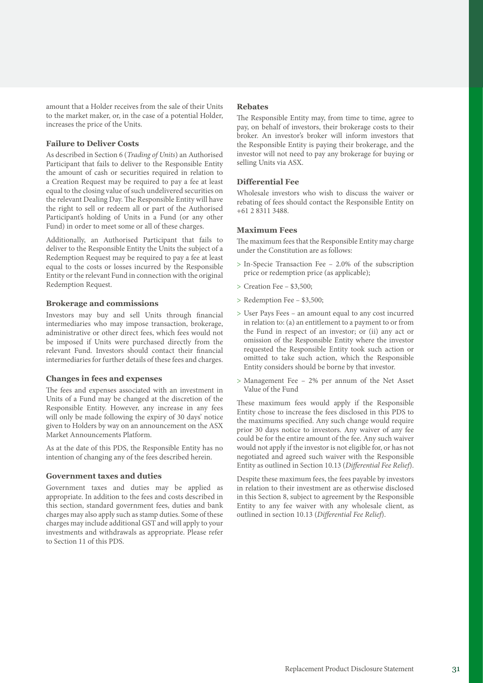amount that a Holder receives from the sale of their Units to the market maker, or, in the case of a potential Holder, increases the price of the Units.

#### **Failure to Deliver Costs**

As described in Section 6 (*Trading of Units*) an Authorised Participant that fails to deliver to the Responsible Entity the amount of cash or securities required in relation to a Creation Request may be required to pay a fee at least equal to the closing value of such undelivered securities on the relevant Dealing Day. The Responsible Entity will have the right to sell or redeem all or part of the Authorised Participant's holding of Units in a Fund (or any other Fund) in order to meet some or all of these charges.

Additionally, an Authorised Participant that fails to deliver to the Responsible Entity the Units the subject of a Redemption Request may be required to pay a fee at least equal to the costs or losses incurred by the Responsible Entity or the relevant Fund in connection with the original Redemption Request.

#### **Brokerage and commissions**

Investors may buy and sell Units through financial intermediaries who may impose transaction, brokerage, administrative or other direct fees, which fees would not be imposed if Units were purchased directly from the relevant Fund. Investors should contact their financial intermediaries for further details of these fees and charges.

#### **Changes in fees and expenses**

The fees and expenses associated with an investment in Units of a Fund may be changed at the discretion of the Responsible Entity. However, any increase in any fees will only be made following the expiry of 30 days' notice given to Holders by way on an announcement on the ASX Market Announcements Platform.

As at the date of this PDS, the Responsible Entity has no intention of changing any of the fees described herein.

#### **Government taxes and duties**

Government taxes and duties may be applied as appropriate. In addition to the fees and costs described in this section, standard government fees, duties and bank charges may also apply such as stamp duties. Some of these charges may include additional GST and will apply to your investments and withdrawals as appropriate. Please refer to Section 11 of this PDS.

#### **Rebates**

The Responsible Entity may, from time to time, agree to pay, on behalf of investors, their brokerage costs to their broker. An investor's broker will inform investors that the Responsible Entity is paying their brokerage, and the investor will not need to pay any brokerage for buying or selling Units via ASX.

#### **Differential Fee**

Wholesale investors who wish to discuss the waiver or rebating of fees should contact the Responsible Entity on +61 2 8311 3488.

#### **Maximum Fees**

The maximum fees that the Responsible Entity may charge under the Constitution are as follows:

- > In-Specie Transaction Fee 2.0% of the subscription price or redemption price (as applicable);
- > Creation Fee \$3,500;
- > Redemption Fee \$3,500;
- > User Pays Fees an amount equal to any cost incurred in relation to: (a) an entitlement to a payment to or from the Fund in respect of an investor; or (ii) any act or omission of the Responsible Entity where the investor requested the Responsible Entity took such action or omitted to take such action, which the Responsible Entity considers should be borne by that investor.
- > Management Fee 2% per annum of the Net Asset Value of the Fund

These maximum fees would apply if the Responsible Entity chose to increase the fees disclosed in this PDS to the maximums specified. Any such change would require prior 30 days notice to investors. Any waiver of any fee could be for the entire amount of the fee. Any such waiver would not apply if the investor is not eligible for, or has not negotiated and agreed such waiver with the Responsible Entity as outlined in Section 10.13 (*Differential Fee Relief*).

Despite these maximum fees, the fees payable by investors in relation to their investment are as otherwise disclosed in this Section 8, subject to agreement by the Responsible Entity to any fee waiver with any wholesale client, as outlined in section 10.13 (*Differential Fee Relief*).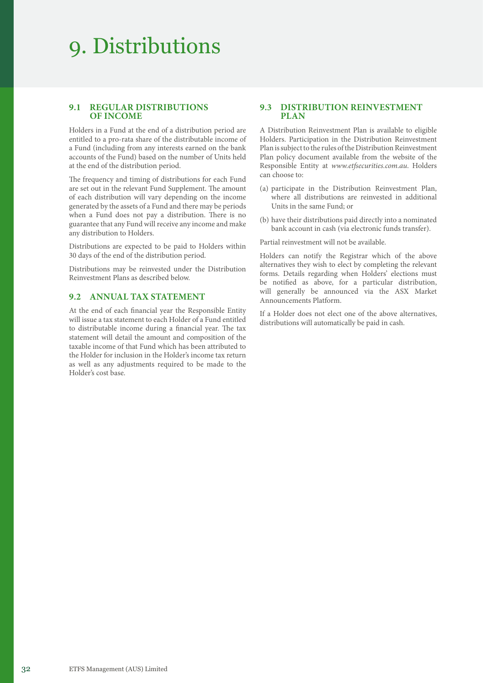# 9. Distributions

# **9.1 REGULAR DISTRIBUTIONS OF INCOME**

Holders in a Fund at the end of a distribution period are entitled to a pro-rata share of the distributable income of a Fund (including from any interests earned on the bank accounts of the Fund) based on the number of Units held at the end of the distribution period.

The frequency and timing of distributions for each Fund are set out in the relevant Fund Supplement. The amount of each distribution will vary depending on the income generated by the assets of a Fund and there may be periods when a Fund does not pay a distribution. There is no guarantee that any Fund will receive any income and make any distribution to Holders.

Distributions are expected to be paid to Holders within 30 days of the end of the distribution period.

Distributions may be reinvested under the Distribution Reinvestment Plans as described below.

# **9.2 ANNUAL TAX STATEMENT**

At the end of each financial year the Responsible Entity will issue a tax statement to each Holder of a Fund entitled to distributable income during a financial year. The tax statement will detail the amount and composition of the taxable income of that Fund which has been attributed to the Holder for inclusion in the Holder's income tax return as well as any adjustments required to be made to the Holder's cost base.

#### **9.3 DISTRIBUTION REINVESTMENT PLAN**

A Distribution Reinvestment Plan is available to eligible Holders. Participation in the Distribution Reinvestment Plan is subject to the rules of the Distribution Reinvestment Plan policy document available from the website of the Responsible Entity at *[www.etfsecurities.com.au](https://www.etfsecurities.com.au)*. Holders can choose to:

- (a) participate in the Distribution Reinvestment Plan, where all distributions are reinvested in additional Units in the same Fund; or
- (b) have their distributions paid directly into a nominated bank account in cash (via electronic funds transfer).

Partial reinvestment will not be available.

Holders can notify the Registrar which of the above alternatives they wish to elect by completing the relevant forms. Details regarding when Holders' elections must be notified as above, for a particular distribution, will generally be announced via the ASX Market Announcements Platform.

If a Holder does not elect one of the above alternatives, distributions will automatically be paid in cash.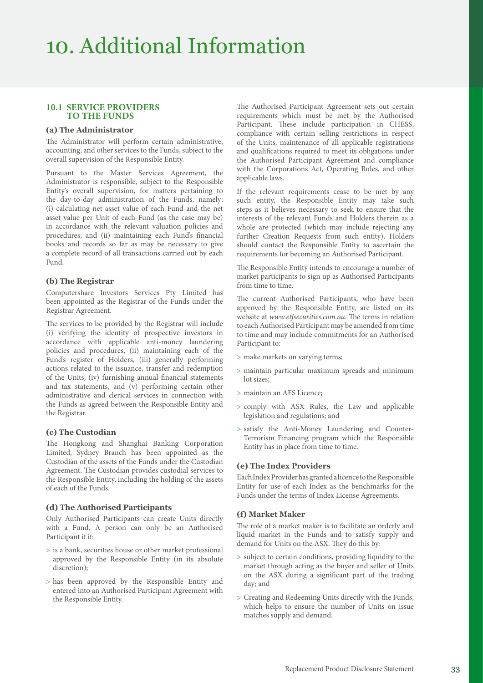# 10. Additional Information

# **10.1 SERVICE PROVIDERS TO THE FUNDS**

#### **(a) The Administrator**

The Administrator will perform certain administrative, accounting, and other services to the Funds, subject to the overall supervision of the Responsible Entity.

Pursuant to the Master Services Agreement, the Administrator is responsible, subject to the Responsible Entity's overall supervision, for matters pertaining to the day-to-day administration of the Funds, namely: (i) calculating net asset value of each Fund and the net asset value per Unit of each Fund (as the case may be) in accordance with the relevant valuation policies and procedures; and (ii) maintaining each Fund's financial books and records so far as may be necessary to give a complete record of all transactions carried out by each Fund.

#### **(b) The Registrar**

Computershare Investors Services Pty Limited has been appointed as the Registrar of the Funds under the Registrar Agreement.

The services to be provided by the Registrar will include (i) verifying the identity of prospective investors in accordance with applicable anti-money laundering policies and procedures, (ii) maintaining each of the Fund's register of Holders, (iii) generally performing actions related to the issuance, transfer and redemption of the Units, (iv) furnishing annual financial statements and tax statements, and (v) performing certain other administrative and clerical services in connection with the Funds as agreed between the Responsible Entity and the Registrar.

#### **(c) The Custodian**

The Hongkong and Shanghai Banking Corporation Limited, Sydney Branch has been appointed as the Custodian of the assets of the Funds under the Custodian Agreement. The Custodian provides custodial services to the Responsible Entity, including the holding of the assets of each of the Funds.

#### **(d) The Authorised Participants**

Only Authorised Participants can create Units directly with a Fund. A person can only be an Authorised Participant if it:

- > is a bank, securities house or other market professional approved by the Responsible Entity (in its absolute discretion);
- > has been approved by the Responsible Entity and entered into an Authorised Participant Agreement with the Responsible Entity.

The Authorised Participant Agreement sets out certain requirements which must be met by the Authorised Participant. These include participation in CHESS, compliance with certain selling restrictions in respect of the Units, maintenance of all applicable registrations and qualifications required to meet its obligations under the Authorised Participant Agreement and compliance with the Corporations Act, Operating Rules, and other applicable laws.

If the relevant requirements cease to be met by any such entity, the Responsible Entity may take such steps as it believes necessary to seek to ensure that the interests of the relevant Funds and Holders therein as a whole are protected (which may include rejecting any further Creation Requests from such entity). Holders should contact the Responsible Entity to ascertain the requirements for becoming an Authorised Participant.

The Responsible Entity intends to encourage a number of market participants to sign up as Authorised Participants from time to time.

The current Authorised Participants, who have been approved by the Responsible Entity, are listed on its website at *[www.etfsecurities.com.au](https://www.etfsecurities.com.au)*. The terms in relation to each Authorised Participant may be amended from time to time and may include commitments for an Authorised Participant to:

- > make markets on varying terms;
- > maintain particular maximum spreads and minimum lot sizes;
- > maintain an AFS Licence;
- > comply with ASX Rules, the Law and applicable legislation and regulations; and
- > satisfy the Anti-Money Laundering and Counter-Terrorism Financing program which the Responsible Entity has in place from time to time.

#### **(e) The Index Providers**

Each Index Provider has granted a licence to the Responsible Entity for use of each Index as the benchmarks for the Funds under the terms of Index License Agreements.

#### **(f) Market Maker**

The role of a market maker is to facilitate an orderly and liquid market in the Funds and to satisfy supply and demand for Units on the ASX. They do this by:

- > subject to certain conditions, providing liquidity to the market through acting as the buyer and seller of Units on the ASX during a significant part of the trading day; and
- > Creating and Redeeming Units directly with the Funds, which helps to ensure the number of Units on issue matches supply and demand.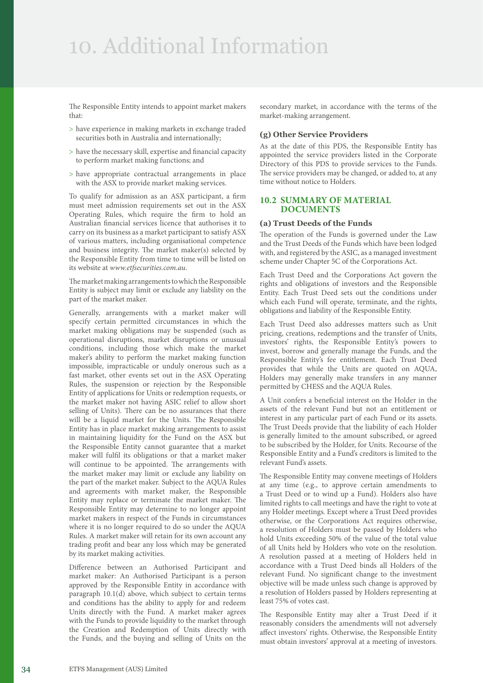# 10. Additional Information

The Responsible Entity intends to appoint market makers that:

- > have experience in making markets in exchange traded securities both in Australia and internationally;
- > have the necessary skill, expertise and financial capacity to perform market making functions; and
- > have appropriate contractual arrangements in place with the ASX to provide market making services.

To qualify for admission as an ASX participant, a firm must meet admission requirements set out in the ASX Operating Rules, which require the firm to hold an Australian financial services licence that authorises it to carry on its business as a market participant to satisfy ASX of various matters, including organisational competence and business integrity. The market maker(s) selected by the Responsible Entity from time to time will be listed on its website at *[www.etfsecurities.com.au](https://www.etfsecurities.com.au)*.

The market making arrangements to which the Responsible Entity is subject may limit or exclude any liability on the part of the market maker.

Generally, arrangements with a market maker will specify certain permitted circumstances in which the market making obligations may be suspended (such as operational disruptions, market disruptions or unusual conditions, including those which make the market maker's ability to perform the market making function impossible, impracticable or unduly onerous such as a fast market, other events set out in the ASX Operating Rules, the suspension or rejection by the Responsible Entity of applications for Units or redemption requests, or the market maker not having ASIC relief to allow short selling of Units). There can be no assurances that there will be a liquid market for the Units. The Responsible Entity has in place market making arrangements to assist in maintaining liquidity for the Fund on the ASX but the Responsible Entity cannot guarantee that a market maker will fulfil its obligations or that a market maker will continue to be appointed. The arrangements with the market maker may limit or exclude any liability on the part of the market maker. Subject to the AQUA Rules and agreements with market maker, the Responsible Entity may replace or terminate the market maker. The Responsible Entity may determine to no longer appoint market makers in respect of the Funds in circumstances where it is no longer required to do so under the AQUA Rules. A market maker will retain for its own account any trading profit and bear any loss which may be generated by its market making activities.

Difference between an Authorised Participant and market maker: An Authorised Participant is a person approved by the Responsible Entity in accordance with paragraph 10.1(d) above, which subject to certain terms and conditions has the ability to apply for and redeem Units directly with the Fund. A market maker agrees with the Funds to provide liquidity to the market through the Creation and Redemption of Units directly with the Funds, and the buying and selling of Units on the

secondary market, in accordance with the terms of the market-making arrangement.

#### **(g) Other Service Providers**

As at the date of this PDS, the Responsible Entity has appointed the service providers listed in the Corporate Directory of this PDS to provide services to the Funds. The service providers may be changed, or added to, at any time without notice to Holders.

#### **10.2 SUMMARY OF MATERIAL DOCUMENTS**

#### **(a) Trust Deeds of the Funds**

The operation of the Funds is governed under the Law and the Trust Deeds of the Funds which have been lodged with, and registered by the ASIC, as a managed investment scheme under Chapter 5C of the Corporations Act.

Each Trust Deed and the Corporations Act govern the rights and obligations of investors and the Responsible Entity. Each Trust Deed sets out the conditions under which each Fund will operate, terminate, and the rights, obligations and liability of the Responsible Entity.

Each Trust Deed also addresses matters such as Unit pricing, creations, redemptions and the transfer of Units, investors' rights, the Responsible Entity's powers to invest, borrow and generally manage the Funds, and the Responsible Entity's fee entitlement. Each Trust Deed provides that while the Units are quoted on AQUA, Holders may generally make transfers in any manner permitted by CHESS and the AQUA Rules.

A Unit confers a beneficial interest on the Holder in the assets of the relevant Fund but not an entitlement or interest in any particular part of each Fund or its assets. The Trust Deeds provide that the liability of each Holder is generally limited to the amount subscribed, or agreed to be subscribed by the Holder, for Units. Recourse of the Responsible Entity and a Fund's creditors is limited to the relevant Fund's assets.

The Responsible Entity may convene meetings of Holders at any time (e.g., to approve certain amendments to a Trust Deed or to wind up a Fund). Holders also have limited rights to call meetings and have the right to vote at any Holder meetings. Except where a Trust Deed provides otherwise, or the Corporations Act requires otherwise, a resolution of Holders must be passed by Holders who hold Units exceeding 50% of the value of the total value of all Units held by Holders who vote on the resolution. A resolution passed at a meeting of Holders held in accordance with a Trust Deed binds all Holders of the relevant Fund. No significant change to the investment objective will be made unless such change is approved by a resolution of Holders passed by Holders representing at least 75% of votes cast.

The Responsible Entity may alter a Trust Deed if it reasonably considers the amendments will not adversely affect investors' rights. Otherwise, the Responsible Entity must obtain investors' approval at a meeting of investors.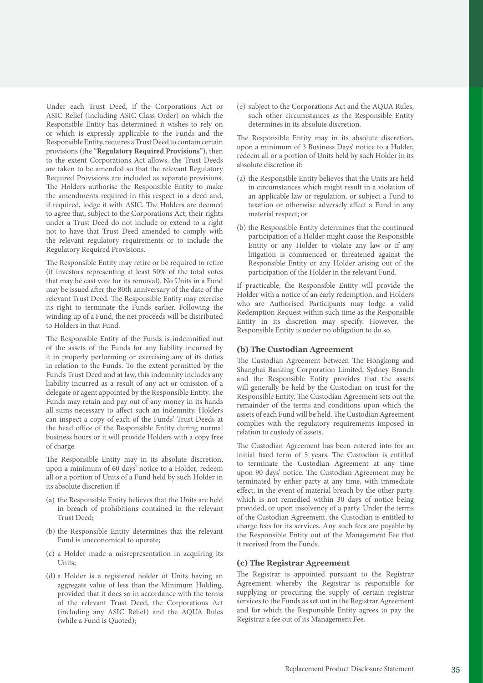Under each Trust Deed, if the Corporations Act or ASIC Relief (including ASIC Class Order) on which the Responsible Entity has determined it wishes to rely on or which is expressly applicable to the Funds and the Responsible Entity, requires a Trust Deed to contain certain provisions (the "**Regulatory Required Provisions**"), then to the extent Corporations Act allows, the Trust Deeds are taken to be amended so that the relevant Regulatory Required Provisions are included as separate provisions. The Holders authorise the Responsible Entity to make the amendments required in this respect in a deed and, if required, lodge it with ASIC. The Holders are deemed to agree that, subject to the Corporations Act, their rights under a Trust Deed do not include or extend to a right not to have that Trust Deed amended to comply with the relevant regulatory requirements or to include the Regulatory Required Provisions.

The Responsible Entity may retire or be required to retire (if investors representing at least 50% of the total votes that may be cast vote for its removal). No Units in a Fund may be issued after the 80th anniversary of the date of the relevant Trust Deed. The Responsible Entity may exercise its right to terminate the Funds earlier. Following the winding up of a Fund, the net proceeds will be distributed to Holders in that Fund.

The Responsible Entity of the Funds is indemnified out of the assets of the Funds for any liability incurred by it in properly performing or exercising any of its duties in relation to the Funds. To the extent permitted by the Fund's Trust Deed and at law, this indemnity includes any liability incurred as a result of any act or omission of a delegate or agent appointed by the Responsible Entity. The Funds may retain and pay out of any money in its hands all sums necessary to affect such an indemnity. Holders can inspect a copy of each of the Funds' Trust Deeds at the head office of the Responsible Entity during normal business hours or it will provide Holders with a copy free of charge.

The Responsible Entity may in its absolute discretion, upon a minimum of 60 days' notice to a Holder, redeem all or a portion of Units of a Fund held by such Holder in its absolute discretion if:

- (a) the Responsible Entity believes that the Units are held in breach of prohibitions contained in the relevant Trust Deed;
- (b) the Responsible Entity determines that the relevant Fund is uneconomical to operate;
- (c) a Holder made a misrepresentation in acquiring its Units;
- (d) a Holder is a registered holder of Units having an aggregate value of less than the Minimum Holding, provided that it does so in accordance with the terms of the relevant Trust Deed, the Corporations Act (including any ASIC Relief) and the AQUA Rules (while a Fund is Quoted);

(e) subject to the Corporations Act and the AQUA Rules, such other circumstances as the Responsible Entity determines in its absolute discretion.

The Responsible Entity may in its absolute discretion, upon a minimum of 3 Business Days' notice to a Holder, redeem all or a portion of Units held by such Holder in its absolute discretion if:

- (a) the Responsible Entity believes that the Units are held in circumstances which might result in a violation of an applicable law or regulation, or subject a Fund to taxation or otherwise adversely affect a Fund in any material respect; or
- (b) the Responsible Entity determines that the continued participation of a Holder might cause the Responsible Entity or any Holder to violate any law or if any litigation is commenced or threatened against the Responsible Entity or any Holder arising out of the participation of the Holder in the relevant Fund.

If practicable, the Responsible Entity will provide the Holder with a notice of an early redemption, and Holders who are Authorised Participants may lodge a valid Redemption Request within such time as the Responsible Entity in its discretion may specify. However, the Responsible Entity is under no obligation to do so.

#### **(b) The Custodian Agreement**

The Custodian Agreement between The Hongkong and Shanghai Banking Corporation Limited, Sydney Branch and the Responsible Entity provides that the assets will generally be held by the Custodian on trust for the Responsible Entity. The Custodian Agreement sets out the remainder of the terms and conditions upon which the assets of each Fund will be held. The Custodian Agreement complies with the regulatory requirements imposed in relation to custody of assets.

The Custodian Agreement has been entered into for an initial fixed term of 5 years. The Custodian is entitled to terminate the Custodian Agreement at any time upon 90 days' notice. The Custodian Agreement may be terminated by either party at any time, with immediate effect, in the event of material breach by the other party, which is not remedied within 30 days of notice being provided, or upon insolvency of a party. Under the terms of the Custodian Agreement, the Custodian is entitled to charge fees for its services. Any such fees are payable by the Responsible Entity out of the Management Fee that it received from the Funds.

# **(c) The Registrar Agreement**

The Registrar is appointed pursuant to the Registrar Agreement whereby the Registrar is responsible for supplying or procuring the supply of certain registrar services to the Funds as set out in the Registrar Agreement and for which the Responsible Entity agrees to pay the Registrar a fee out of its Management Fee.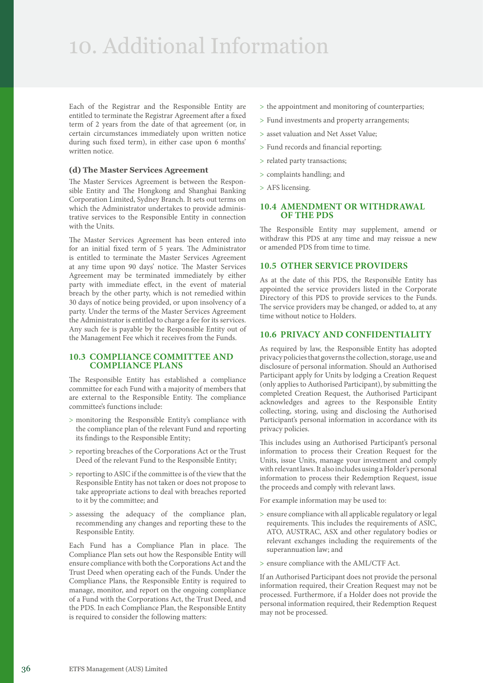# 10. Additional Information

Each of the Registrar and the Responsible Entity are entitled to terminate the Registrar Agreement after a fixed term of 2 years from the date of that agreement (or, in certain circumstances immediately upon written notice during such fixed term), in either case upon 6 months' written notice.

#### **(d) The Master Services Agreement**

The Master Services Agreement is between the Responsible Entity and The Hongkong and Shanghai Banking Corporation Limited, Sydney Branch. It sets out terms on which the Administrator undertakes to provide administrative services to the Responsible Entity in connection with the Units.

The Master Services Agreement has been entered into for an initial fixed term of 5 years. The Administrator is entitled to terminate the Master Services Agreement at any time upon 90 days' notice. The Master Services Agreement may be terminated immediately by either party with immediate effect, in the event of material breach by the other party, which is not remedied within 30 days of notice being provided, or upon insolvency of a party. Under the terms of the Master Services Agreement the Administrator is entitled to charge a fee for its services. Any such fee is payable by the Responsible Entity out of the Management Fee which it receives from the Funds.

#### **10.3 COMPLIANCE COMMITTEE AND COMPLIANCE PLANS**

The Responsible Entity has established a compliance committee for each Fund with a majority of members that are external to the Responsible Entity. The compliance committee's functions include:

- > monitoring the Responsible Entity's compliance with the compliance plan of the relevant Fund and reporting its findings to the Responsible Entity;
- > reporting breaches of the Corporations Act or the Trust Deed of the relevant Fund to the Responsible Entity;
- > reporting to ASIC if the committee is of the view that the Responsible Entity has not taken or does not propose to take appropriate actions to deal with breaches reported to it by the committee; and
- > assessing the adequacy of the compliance plan, recommending any changes and reporting these to the Responsible Entity.

Each Fund has a Compliance Plan in place. The Compliance Plan sets out how the Responsible Entity will ensure compliance with both the Corporations Act and the Trust Deed when operating each of the Funds. Under the Compliance Plans, the Responsible Entity is required to manage, monitor, and report on the ongoing compliance of a Fund with the Corporations Act, the Trust Deed, and the PDS. In each Compliance Plan, the Responsible Entity is required to consider the following matters:

- > the appointment and monitoring of counterparties;
- > Fund investments and property arrangements;
- > asset valuation and Net Asset Value;
- > Fund records and financial reporting;
- > related party transactions;
- > complaints handling; and
- > AFS licensing.

#### **10.4 AMENDMENT OR WITHDRAWAL OF THE PDS**

The Responsible Entity may supplement, amend or withdraw this PDS at any time and may reissue a new or amended PDS from time to time.

#### **10.5 OTHER SERVICE PROVIDERS**

As at the date of this PDS, the Responsible Entity has appointed the service providers listed in the Corporate Directory of this PDS to provide services to the Funds. The service providers may be changed, or added to, at any time without notice to Holders.

# **10.6 PRIVACY AND CONFIDENTIALITY**

As required by law, the Responsible Entity has adopted privacy policies that governs the collection, storage, use and disclosure of personal information. Should an Authorised Participant apply for Units by lodging a Creation Request (only applies to Authorised Participant), by submitting the completed Creation Request, the Authorised Participant acknowledges and agrees to the Responsible Entity collecting, storing, using and disclosing the Authorised Participant's personal information in accordance with its privacy policies.

This includes using an Authorised Participant's personal information to process their Creation Request for the Units, issue Units, manage your investment and comply with relevant laws. It also includes using a Holder's personal information to process their Redemption Request, issue the proceeds and comply with relevant laws.

For example information may be used to:

- > ensure compliance with all applicable regulatory or legal requirements. This includes the requirements of ASIC, ATO, AUSTRAC, ASX and other regulatory bodies or relevant exchanges including the requirements of the superannuation law; and
- > ensure compliance with the AML/CTF Act.

If an Authorised Participant does not provide the personal information required, their Creation Request may not be processed. Furthermore, if a Holder does not provide the personal information required, their Redemption Request may not be processed.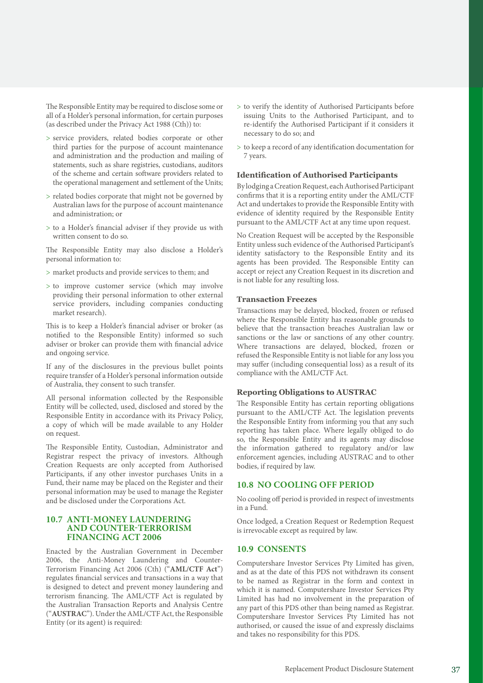The Responsible Entity may be required to disclose some or all of a Holder's personal information, for certain purposes (as described under the Privacy Act 1988 (Cth)) to:

- > service providers, related bodies corporate or other third parties for the purpose of account maintenance and administration and the production and mailing of statements, such as share registries, custodians, auditors of the scheme and certain software providers related to the operational management and settlement of the Units;
- > related bodies corporate that might not be governed by Australian laws for the purpose of account maintenance and administration; or
- > to a Holder's financial adviser if they provide us with written consent to do so.

The Responsible Entity may also disclose a Holder's personal information to:

- > market products and provide services to them; and
- > to improve customer service (which may involve providing their personal information to other external service providers, including companies conducting market research).

This is to keep a Holder's financial adviser or broker (as notified to the Responsible Entity) informed so such adviser or broker can provide them with financial advice and ongoing service.

If any of the disclosures in the previous bullet points require transfer of a Holder's personal information outside of Australia, they consent to such transfer.

All personal information collected by the Responsible Entity will be collected, used, disclosed and stored by the Responsible Entity in accordance with its Privacy Policy, a copy of which will be made available to any Holder on request.

The Responsible Entity, Custodian, Administrator and Registrar respect the privacy of investors. Although Creation Requests are only accepted from Authorised Participants, if any other investor purchases Units in a Fund, their name may be placed on the Register and their personal information may be used to manage the Register and be disclosed under the Corporations Act.

### **10.7 ANTI‑MONEY LAUNDERING AND COUNTER‑TERRORISM FINANCING ACT 2006**

Enacted by the Australian Government in December 2006, the Anti-Money Laundering and Counter-Terrorism Financing Act 2006 (Cth) ("**AML/CTF Act**") regulates financial services and transactions in a way that is designed to detect and prevent money laundering and terrorism financing. The AML/CTF Act is regulated by the Australian Transaction Reports and Analysis Centre ("**AUSTRAC**"). Under the AML/CTF Act, the Responsible Entity (or its agent) is required:

- > to verify the identity of Authorised Participants before issuing Units to the Authorised Participant, and to re-identify the Authorised Participant if it considers it necessary to do so; and
- > to keep a record of any identification documentation for 7 years.

### **Identification of Authorised Participants**

By lodging a Creation Request, each Authorised Participant confirms that it is a reporting entity under the AML/CTF Act and undertakes to provide the Responsible Entity with evidence of identity required by the Responsible Entity pursuant to the AML/CTF Act at any time upon request.

No Creation Request will be accepted by the Responsible Entity unless such evidence of the Authorised Participant's identity satisfactory to the Responsible Entity and its agents has been provided. The Responsible Entity can accept or reject any Creation Request in its discretion and is not liable for any resulting loss.

### **Transaction Freezes**

Transactions may be delayed, blocked, frozen or refused where the Responsible Entity has reasonable grounds to believe that the transaction breaches Australian law or sanctions or the law or sanctions of any other country. Where transactions are delayed, blocked, frozen or refused the Responsible Entity is not liable for any loss you may suffer (including consequential loss) as a result of its compliance with the AML/CTF Act.

### **Reporting Obligations to AUSTRAC**

The Responsible Entity has certain reporting obligations pursuant to the AML/CTF Act. The legislation prevents the Responsible Entity from informing you that any such reporting has taken place. Where legally obliged to do so, the Responsible Entity and its agents may disclose the information gathered to regulatory and/or law enforcement agencies, including AUSTRAC and to other bodies, if required by law.

### **10.8 NO COOLING OFF PERIOD**

No cooling off period is provided in respect of investments in a Fund.

Once lodged, a Creation Request or Redemption Request is irrevocable except as required by law.

### **10.9 CONSENTS**

Computershare Investor Services Pty Limited has given, and as at the date of this PDS not withdrawn its consent to be named as Registrar in the form and context in which it is named. Computershare Investor Services Pty Limited has had no involvement in the preparation of any part of this PDS other than being named as Registrar. Computershare Investor Services Pty Limited has not authorised, or caused the issue of and expressly disclaims and takes no responsibility for this PDS.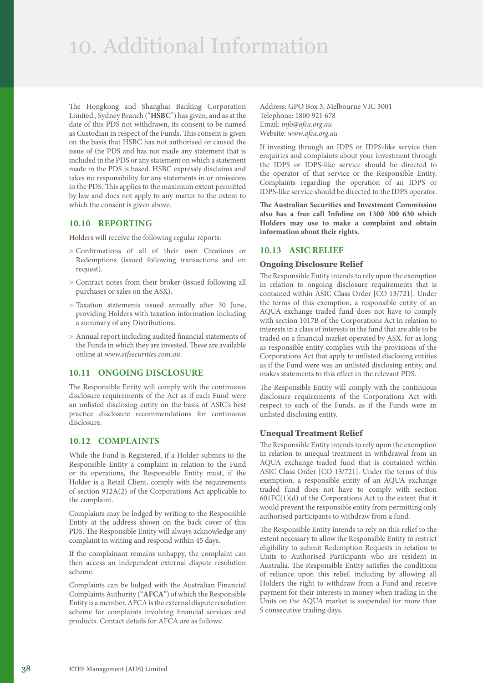# 10. Additional Information

The Hongkong and Shanghai Banking Corporation Limited., Sydney Branch ("**HSBC**") has given, and as at the date of this PDS not withdrawn, its consent to be named as Custodian in respect of the Funds. This consent is given on the basis that HSBC has not authorised or caused the issue of the PDS and has not made any statement that is included in the PDS or any statement on which a statement made in the PDS is based. HSBC expressly disclaims and takes no responsibility for any statements in or omissions in the PDS. This applies to the maximum extent permitted by law and does not apply to any matter to the extent to which the consent is given above.

### **10.10 REPORTING**

Holders will receive the following regular reports:

- > Confirmations of all of their own Creations or Redemptions (issued following transactions and on request).
- > Contract notes from their broker (issued following all purchases or sales on the ASX).
- > Taxation statements issued annually after 30 June, providing Holders with taxation information including a summary of any Distributions.
- > Annual report including audited financial statements of the Funds in which they are invested. These are available online at *[www.etfsecurities.com.au](https://www.etfsecurities.com.au)*.

### **10.11 ONGOING DISCLOSURE**

The Responsible Entity will comply with the continuous disclosure requirements of the Act as if each Fund were an unlisted disclosing entity on the basis of ASIC's best practice disclosure recommendations for continuous disclosure.

## **10.12 COMPLAINTS**

While the Fund is Registered, if a Holder submits to the Responsible Entity a complaint in relation to the Fund or its operations, the Responsible Entity must, if the Holder is a Retail Client, comply with the requirements of section 912A(2) of the Corporations Act applicable to the complaint.

Complaints may be lodged by writing to the Responsible Entity at the address shown on the back cover of this PDS. The Responsible Entity will always acknowledge any complaint in writing and respond within 45 days.

If the complainant remains unhappy, the complaint can then access an independent external dispute resolution scheme.

Complaints can be lodged with the Australian Financial Complaints Authority ("**AFCA**") of which the Responsible Entity is a member. AFCA is the external dispute resolution scheme for complaints involving financial services and products. Contact details for AFCA are as follows:

Address: GPO Box 3, Melbourne VIC 3001 Telephone: 1800 921 678 Email: *[info@afca.org.au](mailto:info%40afca.org.au?subject=)* Website: *[www.afca.org.au](https://www.afca.org.au)*

If investing through an IDPS or IDPS-like service then enquiries and complaints about your investment through the IDPS or IDPS-like service should be directed to the operator of that service or the Responsible Entity. Complaints regarding the operation of an IDPS or IDPS-like service should be directed to the IDPS operator.

**The Australian Securities and Investment Commission also has a free call Infoline on 1300 300 630 which Holders may use to make a complaint and obtain information about their rights.** 

### **10.13 ASIC RELIEF**

### **Ongoing Disclosure Relief**

The Responsible Entity intends to rely upon the exemption in relation to ongoing disclosure requirements that is contained within ASIC Class Order [CO 13/721]. Under the terms of this exemption, a responsible entity of an AQUA exchange traded fund does not have to comply with section 1017B of the Corporations Act in relation to interests in a class of interests in the fund that are able to be traded on a financial market operated by ASX, for as long as responsible entity complies with the provisions of the Corporations Act that apply to unlisted disclosing entities as if the Fund were was an unlisted disclosing entity, and makes statements to this effect in the relevant PDS.

The Responsible Entity will comply with the continuous disclosure requirements of the Corporations Act with respect to each of the Funds, as if the Funds were an unlisted disclosing entity.

### **Unequal Treatment Relief**

The Responsible Entity intends to rely upon the exemption in relation to unequal treatment in withdrawal from an AQUA exchange traded fund that is contained within ASIC Class Order [CO 13/721]. Under the terms of this exemption, a responsible entity of an AQUA exchange traded fund does not have to comply with section  $601FC(1)(d)$  of the Corporations Act to the extent that it would prevent the responsible entity from permitting only authorised participants to withdraw from a fund.

The Responsible Entity intends to rely on this relief to the extent necessary to allow the Responsible Entity to restrict eligibility to submit Redemption Requests in relation to Units to Authorised Participants who are resident in Australia. The Responsible Entity satisfies the conditions of reliance upon this relief, including by allowing all Holders the right to withdraw from a Fund and receive payment for their interests in money when trading in the Units on the AQUA market is suspended for more than 5 consecutive trading days.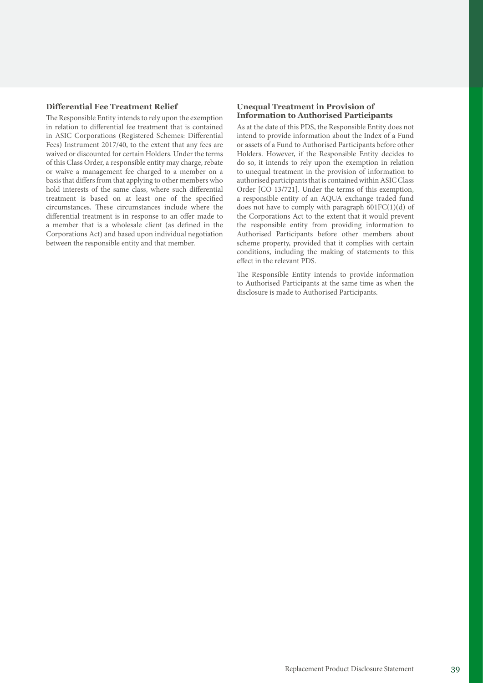#### **Differential Fee Treatment Relief**

The Responsible Entity intends to rely upon the exemption in relation to differential fee treatment that is contained in ASIC Corporations (Registered Schemes: Differential Fees) Instrument 2017/40, to the extent that any fees are waived or discounted for certain Holders. Under the terms of this Class Order, a responsible entity may charge, rebate or waive a management fee charged to a member on a basis that differs from that applying to other members who hold interests of the same class, where such differential treatment is based on at least one of the specified circumstances. These circumstances include where the differential treatment is in response to an offer made to a member that is a wholesale client (as defined in the Corporations Act) and based upon individual negotiation between the responsible entity and that member.

### **Unequal Treatment in Provision of Information to Authorised Participants**

As at the date of this PDS, the Responsible Entity does not intend to provide information about the Index of a Fund or assets of a Fund to Authorised Participants before other Holders. However, if the Responsible Entity decides to do so, it intends to rely upon the exemption in relation to unequal treatment in the provision of information to authorised participants that is contained within ASIC Class Order [CO 13/721]. Under the terms of this exemption, a responsible entity of an AQUA exchange traded fund does not have to comply with paragraph  $601FC(1)(d)$  of the Corporations Act to the extent that it would prevent the responsible entity from providing information to Authorised Participants before other members about scheme property, provided that it complies with certain conditions, including the making of statements to this effect in the relevant PDS.

The Responsible Entity intends to provide information to Authorised Participants at the same time as when the disclosure is made to Authorised Participants.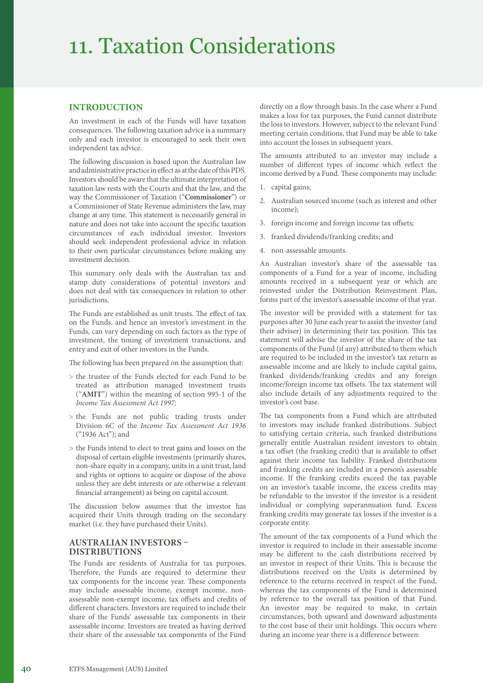# 11. Taxation Considerations

### **INTRODUCTION**

An investment in each of the Funds will have taxation consequences. The following taxation advice is a summary only and each investor is encouraged to seek their own independent tax advice.

The following discussion is based upon the Australian law and administrative practice in effect as at the date of this PDS. Investors should be aware that the ultimate interpretation of taxation law rests with the Courts and that the law, and the way the Commissioner of Taxation ("**Commissioner**") or a Commissioner of State Revenue administers the law, may change at any time. This statement is necessarily general in nature and does not take into account the specific taxation circumstances of each individual investor. Investors should seek independent professional advice in relation to their own particular circumstances before making any investment decision.

This summary only deals with the Australian tax and stamp duty considerations of potential investors and does not deal with tax consequences in relation to other jurisdictions.

The Funds are established as unit trusts. The effect of tax on the Funds, and hence an investor's investment in the Funds, can vary depending on such factors as the type of investment, the timing of investment transactions, and entry and exit of other investors in the Funds.

The following has been prepared on the assumption that:

- > the trustee of the Funds elected for each Fund to be treated as attribution managed investment trusts ("**AMIT**") within the meaning of section 995-1 of the *Income Tax Assessment Act 1997;*
- > the Funds are not public trading trusts under Division 6C of the *Income Tax Assessment Act 1936* ("1936 Act"); and
- > the Funds intend to elect to treat gains and losses on the disposal of certain eligible investments (primarily shares, non-share equity in a company, units in a unit trust, land and rights or options to acquire or dispose of the above unless they are debt interests or are otherwise a relevant financial arrangement) as being on capital account.

The discussion below assumes that the investor has acquired their Units through trading on the secondary market (i.e. they have purchased their Units).

### **AUSTRALIAN INVESTORS – DISTRIBUTIONS**

The Funds are residents of Australia for tax purposes. Therefore, the Funds are required to determine their tax components for the income year. These components may include assessable income, exempt income, nonassessable non-exempt income, tax offsets and credits of different characters. Investors are required to include their share of the Funds' assessable tax components in their assessable income. Investors are treated as having derived their share of the assessable tax components of the Fund

directly on a flow through basis. In the case where a Fund makes a loss for tax purposes, the Fund cannot distribute the loss to investors. However, subject to the relevant Fund meeting certain conditions, that Fund may be able to take into account the losses in subsequent years.

The amounts attributed to an investor may include a number of different types of income which reflect the income derived by a Fund. These components may include:

- 1. capital gains;
- 2. Australian sourced income (such as interest and other income);
- 3. foreign income and foreign income tax offsets;
- 3. franked dividends/franking credits; and
- 4. non-assessable amounts.

An Australian investor's share of the assessable tax components of a Fund for a year of income, including amounts received in a subsequent year or which are reinvested under the Distribution Reinvestment Plan, forms part of the investor's assessable income of that year.

The investor will be provided with a statement for tax purposes after 30 June each year to assist the investor (and their adviser) in determining their tax position. This tax statement will advise the investor of the share of the tax components of the Fund (if any) attributed to them which are required to be included in the investor's tax return as assessable income and are likely to include capital gains, franked dividends/franking credits and any foreign income/foreign income tax offsets. The tax statement will also include details of any adjustments required to the investor's cost base.

The tax components from a Fund which are attributed to investors may include franked distributions. Subject to satisfying certain criteria, such franked distributions generally entitle Australian resident investors to obtain a tax offset (the franking credit) that is available to offset against their income tax liability. Franked distributions and franking credits are included in a person's assessable income. If the franking credits exceed the tax payable on an investor's taxable income, the excess credits may be refundable to the investor if the investor is a resident individual or complying superannuation fund. Excess franking credits may generate tax losses if the investor is a corporate entity.

The amount of the tax components of a Fund which the investor is required to include in their assessable income may be different to the cash distributions received by an investor in respect of their Units. This is because the distributions received on the Units is determined by reference to the returns received in respect of the Fund, whereas the tax components of the Fund is determined by reference to the overall tax position of that Fund. An investor may be required to make, in certain circumstances, both upward and downward adjustments to the cost base of their unit holdings. This occurs where during an income year there is a difference between: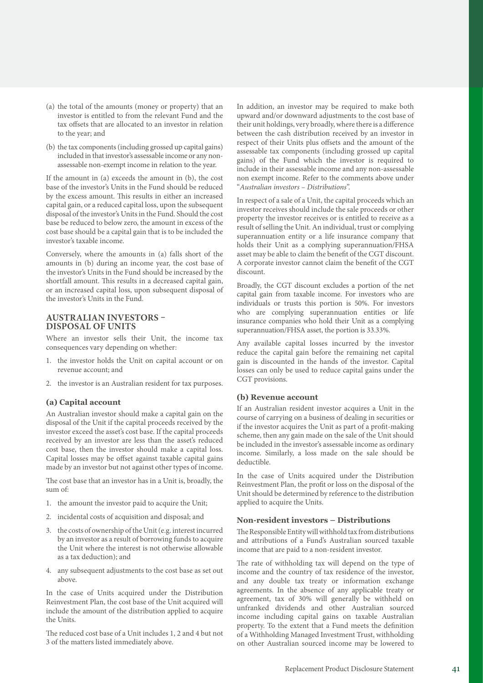- (a) the total of the amounts (money or property) that an investor is entitled to from the relevant Fund and the tax offsets that are allocated to an investor in relation to the year; and
- (b) the tax components (including grossed up capital gains) included in that investor's assessable income or any nonassessable non-exempt income in relation to the year.

If the amount in (a) exceeds the amount in (b), the cost base of the investor's Units in the Fund should be reduced by the excess amount. This results in either an increased capital gain, or a reduced capital loss, upon the subsequent disposal of the investor's Units in the Fund. Should the cost base be reduced to below zero, the amount in excess of the cost base should be a capital gain that is to be included the investor's taxable income.

Conversely, where the amounts in (a) falls short of the amounts in (b) during an income year, the cost base of the investor's Units in the Fund should be increased by the shortfall amount. This results in a decreased capital gain, or an increased capital loss, upon subsequent disposal of the investor's Units in the Fund.

### **AUSTRALIAN INVESTORS – DISPOSAL OF UNITS**

Where an investor sells their Unit, the income tax consequences vary depending on whether:

- 1. the investor holds the Unit on capital account or on revenue account; and
- 2. the investor is an Australian resident for tax purposes.

### **(a) Capital account**

An Australian investor should make a capital gain on the disposal of the Unit if the capital proceeds received by the investor exceed the asset's cost base. If the capital proceeds received by an investor are less than the asset's reduced cost base, then the investor should make a capital loss. Capital losses may be offset against taxable capital gains made by an investor but not against other types of income.

The cost base that an investor has in a Unit is, broadly, the sum of:

- 1. the amount the investor paid to acquire the Unit;
- 2. incidental costs of acquisition and disposal; and
- 3. the costs of ownership of the Unit (e.g. interest incurred by an investor as a result of borrowing funds to acquire the Unit where the interest is not otherwise allowable as a tax deduction); and
- 4. any subsequent adjustments to the cost base as set out above.

In the case of Units acquired under the Distribution Reinvestment Plan, the cost base of the Unit acquired will include the amount of the distribution applied to acquire the Units.

The reduced cost base of a Unit includes 1, 2 and 4 but not 3 of the matters listed immediately above.

In addition, an investor may be required to make both upward and/or downward adjustments to the cost base of their unit holdings, very broadly, where there is a difference between the cash distribution received by an investor in respect of their Units plus offsets and the amount of the assessable tax components (including grossed up capital gains) of the Fund which the investor is required to include in their assessable income and any non-assessable non exempt income. Refer to the comments above under "*Australian investors – Distributions*".

In respect of a sale of a Unit, the capital proceeds which an investor receives should include the sale proceeds or other property the investor receives or is entitled to receive as a result of selling the Unit. An individual, trust or complying superannuation entity or a life insurance company that holds their Unit as a complying superannuation/FHSA asset may be able to claim the benefit of the CGT discount. A corporate investor cannot claim the benefit of the CGT discount.

Broadly, the CGT discount excludes a portion of the net capital gain from taxable income. For investors who are individuals or trusts this portion is 50%. For investors who are complying superannuation entities or life insurance companies who hold their Unit as a complying superannuation/FHSA asset, the portion is 33.33%.

Any available capital losses incurred by the investor reduce the capital gain before the remaining net capital gain is discounted in the hands of the investor. Capital losses can only be used to reduce capital gains under the CGT provisions.

### **(b) Revenue account**

If an Australian resident investor acquires a Unit in the course of carrying on a business of dealing in securities or if the investor acquires the Unit as part of a profit-making scheme, then any gain made on the sale of the Unit should be included in the investor's assessable income as ordinary income. Similarly, a loss made on the sale should be deductible.

In the case of Units acquired under the Distribution Reinvestment Plan, the profit or loss on the disposal of the Unit should be determined by reference to the distribution applied to acquire the Units.

#### **Non‑resident investors – Distributions**

The Responsible Entity will withhold tax from distributions and attributions of a Fund's Australian sourced taxable income that are paid to a non-resident investor.

The rate of withholding tax will depend on the type of income and the country of tax residence of the investor, and any double tax treaty or information exchange agreements. In the absence of any applicable treaty or agreement, tax of 30% will generally be withheld on unfranked dividends and other Australian sourced income including capital gains on taxable Australian property. To the extent that a Fund meets the definition of a Withholding Managed Investment Trust, withholding on other Australian sourced income may be lowered to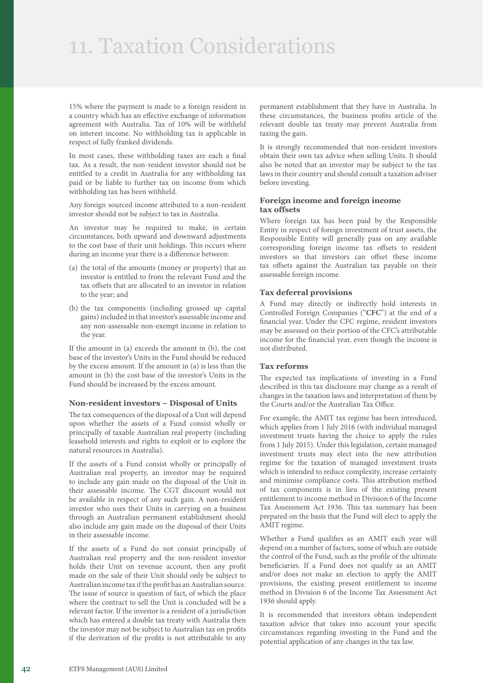# 11. Taxation Considerations

15% where the payment is made to a foreign resident in a country which has an effective exchange of information agreement with Australia. Tax of 10% will be withheld on interest income. No withholding tax is applicable in respect of fully franked dividends.

In most cases, these withholding taxes are each a final tax. As a result, the non-resident investor should not be entitled to a credit in Australia for any withholding tax paid or be liable to further tax on income from which withholding tax has been withheld.

Any foreign sourced income attributed to a non-resident investor should not be subject to tax in Australia.

An investor may be required to make, in certain circumstances, both upward and downward adjustments to the cost base of their unit holdings. This occurs where during an income year there is a difference between:

- (a) the total of the amounts (money or property) that an investor is entitled to from the relevant Fund and the tax offsets that are allocated to an investor in relation to the year; and
- (b) the tax components (including grossed up capital gains) included in that investor's assessable income and any non-assessable non-exempt income in relation to the year.

If the amount in (a) exceeds the amount in (b), the cost base of the investor's Units in the Fund should be reduced by the excess amount. If the amount in (a) is less than the amount in (b) the cost base of the investor's Units in the Fund should be increased by the excess amount.

### **Non‑resident investors – Disposal of Units**

The tax consequences of the disposal of a Unit will depend upon whether the assets of a Fund consist wholly or principally of taxable Australian real property (including leasehold interests and rights to exploit or to explore the natural resources in Australia).

If the assets of a Fund consist wholly or principally of Australian real property, an investor may be required to include any gain made on the disposal of the Unit in their assessable income. The CGT discount would not be available in respect of any such gain. A non-resident investor who uses their Units in carrying on a business through an Australian permanent establishment should also include any gain made on the disposal of their Units in their assessable income.

If the assets of a Fund do not consist principally of Australian real property and the non-resident investor holds their Unit on revenue account, then any profit made on the sale of their Unit should only be subject to Australian income tax if the profit has an Australian source. The issue of source is question of fact, of which the place where the contract to sell the Unit is concluded will be a relevant factor. If the investor is a resident of a jurisdiction which has entered a double tax treaty with Australia then the investor may not be subject to Australian tax on profits if the derivation of the profits is not attributable to any

permanent establishment that they have in Australia. In these circumstances, the business profits article of the relevant double tax treaty may prevent Australia from taxing the gain.

It is strongly recommended that non-resident investors obtain their own tax advice when selling Units. It should also be noted that an investor may be subject to the tax laws in their country and should consult a taxation adviser before investing.

### **Foreign income and foreign income tax offsets**

Where foreign tax has been paid by the Responsible Entity in respect of foreign investment of trust assets, the Responsible Entity will generally pass on any available corresponding foreign income tax offsets to resident investors so that investors can offset these income tax offsets against the Australian tax payable on their assessable foreign income.

### **Tax deferral provisions**

A Fund may directly or indirectly hold interests in Controlled Foreign Companies ("**CFC**") at the end of a financial year. Under the CFC regime, resident investors may be assessed on their portion of the CFC's attributable income for the financial year, even though the income is not distributed.

### **Tax reforms**

The expected tax implications of investing in a Fund described in this tax disclosure may change as a result of changes in the taxation laws and interpretation of them by the Courts and/or the Australian Tax Office.

For example, the AMIT tax regime has been introduced, which applies from 1 July 2016 (with individual managed investment trusts having the choice to apply the rules from 1 July 2015). Under this legislation, certain managed investment trusts may elect into the new attribution regime for the taxation of managed investment trusts which is intended to reduce complexity, increase certainty and minimise compliance costs. This attribution method of tax components is in lieu of the existing present entitlement to income method in Division 6 of the Income Tax Assessment Act 1936. This tax summary has been prepared on the basis that the Fund will elect to apply the AMIT regime.

Whether a Fund qualifies as an AMIT each year will depend on a number of factors, some of which are outside the control of the Fund, such as the profile of the ultimate beneficiaries. If a Fund does not qualify as an AMIT and/or does not make an election to apply the AMIT provisions, the existing present entitlement to income method in Division 6 of the Income Tax Assessment Act 1936 should apply.

It is recommended that investors obtain independent taxation advice that takes into account your specific circumstances regarding investing in the Fund and the potential application of any changes in the tax law.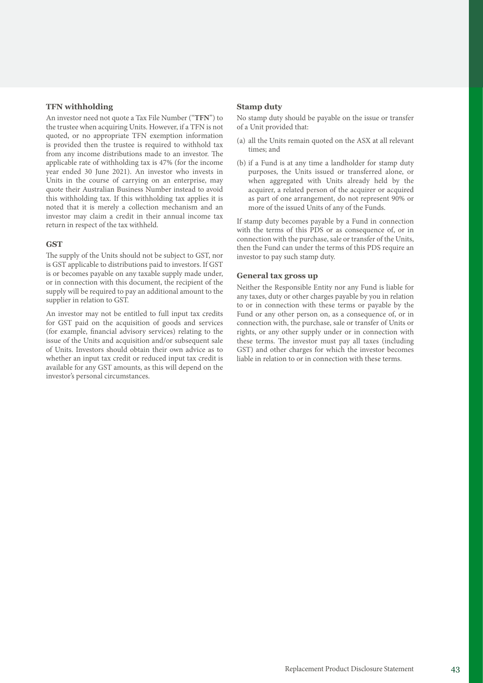### **TFN withholding**

An investor need not quote a Tax File Number ("**TFN**") to the trustee when acquiring Units. However, if a TFN is not quoted, or no appropriate TFN exemption information is provided then the trustee is required to withhold tax from any income distributions made to an investor. The applicable rate of withholding tax is 47% (for the income year ended 30 June 2021). An investor who invests in Units in the course of carrying on an enterprise, may quote their Australian Business Number instead to avoid this withholding tax. If this withholding tax applies it is noted that it is merely a collection mechanism and an investor may claim a credit in their annual income tax return in respect of the tax withheld.

### **GST**

The supply of the Units should not be subject to GST, nor is GST applicable to distributions paid to investors. If GST is or becomes payable on any taxable supply made under, or in connection with this document, the recipient of the supply will be required to pay an additional amount to the supplier in relation to GST.

An investor may not be entitled to full input tax credits for GST paid on the acquisition of goods and services (for example, financial advisory services) relating to the issue of the Units and acquisition and/or subsequent sale of Units. Investors should obtain their own advice as to whether an input tax credit or reduced input tax credit is available for any GST amounts, as this will depend on the investor's personal circumstances.

#### **Stamp duty**

No stamp duty should be payable on the issue or transfer of a Unit provided that:

- (a) all the Units remain quoted on the ASX at all relevant times; and
- (b) if a Fund is at any time a landholder for stamp duty purposes, the Units issued or transferred alone, or when aggregated with Units already held by the acquirer, a related person of the acquirer or acquired as part of one arrangement, do not represent 90% or more of the issued Units of any of the Funds.

If stamp duty becomes payable by a Fund in connection with the terms of this PDS or as consequence of, or in connection with the purchase, sale or transfer of the Units, then the Fund can under the terms of this PDS require an investor to pay such stamp duty.

### **General tax gross up**

Neither the Responsible Entity nor any Fund is liable for any taxes, duty or other charges payable by you in relation to or in connection with these terms or payable by the Fund or any other person on, as a consequence of, or in connection with, the purchase, sale or transfer of Units or rights, or any other supply under or in connection with these terms. The investor must pay all taxes (including GST) and other charges for which the investor becomes liable in relation to or in connection with these terms.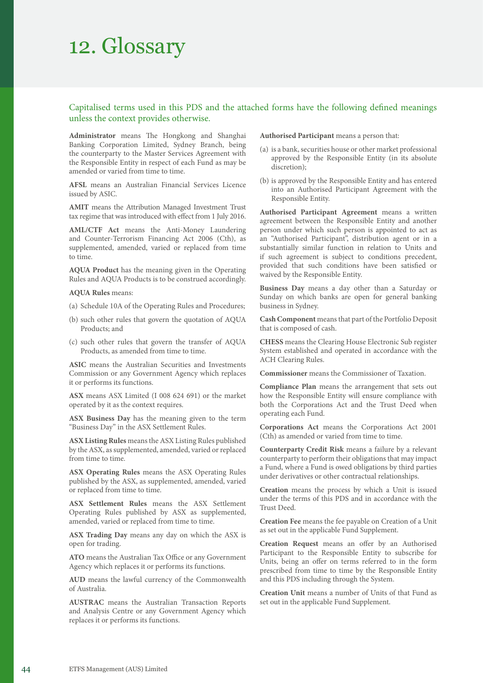# 12. Glossary

# Capitalised terms used in this PDS and the attached forms have the following defined meanings unless the context provides otherwise.

**Administrator** means The Hongkong and Shanghai Banking Corporation Limited, Sydney Branch, being the counterparty to the Master Services Agreement with the Responsible Entity in respect of each Fund as may be amended or varied from time to time.

**AFSL** means an Australian Financial Services Licence issued by ASIC.

**AMIT** means the Attribution Managed Investment Trust tax regime that was introduced with effect from 1 July 2016.

**AML/CTF Act** means the Anti-Money Laundering and Counter-Terrorism Financing Act 2006 (Cth), as supplemented, amended, varied or replaced from time to time.

**AQUA Product** has the meaning given in the Operating Rules and AQUA Products is to be construed accordingly.

**AQUA Rules** means:

(a) Schedule 10A of the Operating Rules and Procedures;

- (b) such other rules that govern the quotation of AQUA Products; and
- (c) such other rules that govern the transfer of AQUA Products, as amended from time to time.

**ASIC** means the Australian Securities and Investments Commission or any Government Agency which replaces it or performs its functions.

**ASX** means ASX Limited (I 008 624 691) or the market operated by it as the context requires.

**ASX Business Day** has the meaning given to the term "Business Day" in the ASX Settlement Rules.

**ASX Listing Rules** means the ASX Listing Rules published by the ASX, as supplemented, amended, varied or replaced from time to time.

**ASX Operating Rules** means the ASX Operating Rules published by the ASX, as supplemented, amended, varied or replaced from time to time.

**ASX Settlement Rules** means the ASX Settlement Operating Rules published by ASX as supplemented, amended, varied or replaced from time to time.

**ASX Trading Day** means any day on which the ASX is open for trading.

**ATO** means the Australian Tax Office or any Government Agency which replaces it or performs its functions.

**AUD** means the lawful currency of the Commonwealth of Australia.

**AUSTRAC** means the Australian Transaction Reports and Analysis Centre or any Government Agency which replaces it or performs its functions.

**Authorised Participant** means a person that:

- (a) is a bank, securities house or other market professional approved by the Responsible Entity (in its absolute discretion);
- (b) is approved by the Responsible Entity and has entered into an Authorised Participant Agreement with the Responsible Entity.

**Authorised Participant Agreement** means a written agreement between the Responsible Entity and another person under which such person is appointed to act as an "Authorised Participant", distribution agent or in a substantially similar function in relation to Units and if such agreement is subject to conditions precedent, provided that such conditions have been satisfied or waived by the Responsible Entity.

**Business Day** means a day other than a Saturday or Sunday on which banks are open for general banking business in Sydney.

**Cash Component** means that part of the Portfolio Deposit that is composed of cash.

**CHESS** means the Clearing House Electronic Sub register System established and operated in accordance with the ACH Clearing Rules.

**Commissioner** means the Commissioner of Taxation.

**Compliance Plan** means the arrangement that sets out how the Responsible Entity will ensure compliance with both the Corporations Act and the Trust Deed when operating each Fund.

**Corporations Act** means the Corporations Act 2001 (Cth) as amended or varied from time to time.

**Counterparty Credit Risk** means a failure by a relevant counterparty to perform their obligations that may impact a Fund, where a Fund is owed obligations by third parties under derivatives or other contractual relationships.

**Creation** means the process by which a Unit is issued under the terms of this PDS and in accordance with the Trust Deed.

**Creation Fee** means the fee payable on Creation of a Unit as set out in the applicable Fund Supplement.

**Creation Request** means an offer by an Authorised Participant to the Responsible Entity to subscribe for Units, being an offer on terms referred to in the form prescribed from time to time by the Responsible Entity and this PDS including through the System.

**Creation Unit** means a number of Units of that Fund as set out in the applicable Fund Supplement.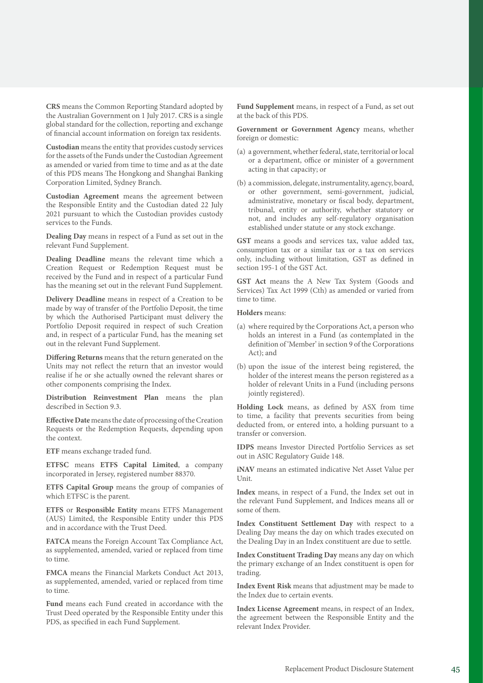**CRS** means the Common Reporting Standard adopted by the Australian Government on 1 July 2017. CRS is a single global standard for the collection, reporting and exchange of financial account information on foreign tax residents.

**Custodian** means the entity that provides custody services for the assets of the Funds under the Custodian Agreement as amended or varied from time to time and as at the date of this PDS means The Hongkong and Shanghai Banking Corporation Limited, Sydney Branch.

**Custodian Agreement** means the agreement between the Responsible Entity and the Custodian dated 22 July 2021 pursuant to which the Custodian provides custody services to the Funds.

**Dealing Day** means in respect of a Fund as set out in the relevant Fund Supplement.

**Dealing Deadline** means the relevant time which a Creation Request or Redemption Request must be received by the Fund and in respect of a particular Fund has the meaning set out in the relevant Fund Supplement.

**Delivery Deadline** means in respect of a Creation to be made by way of transfer of the Portfolio Deposit, the time by which the Authorised Participant must delivery the Portfolio Deposit required in respect of such Creation and, in respect of a particular Fund, has the meaning set out in the relevant Fund Supplement.

**Differing Returns** means that the return generated on the Units may not reflect the return that an investor would realise if he or she actually owned the relevant shares or other components comprising the Index.

**Distribution Reinvestment Plan** means the plan described in Section 9.3.

**Effective Date** means the date of processing of the Creation Requests or the Redemption Requests, depending upon the context.

**ETF** means exchange traded fund.

**ETFSC** means **ETFS Capital Limited**, a company incorporated in Jersey, registered number 88370.

**ETFS Capital Group** means the group of companies of which ETFSC is the parent.

**ETFS** or **Responsible Entity** means ETFS Management (AUS) Limited, the Responsible Entity under this PDS and in accordance with the Trust Deed.

**FATCA** means the Foreign Account Tax Compliance Act, as supplemented, amended, varied or replaced from time to time.

**FMCA** means the Financial Markets Conduct Act 2013, as supplemented, amended, varied or replaced from time to time.

**Fund** means each Fund created in accordance with the Trust Deed operated by the Responsible Entity under this PDS, as specified in each Fund Supplement.

**Fund Supplement** means, in respect of a Fund, as set out at the back of this PDS.

**Government or Government Agency** means, whether foreign or domestic:

- (a) a government, whether federal, state, territorial or local or a department, office or minister of a government acting in that capacity; or
- (b) a commission, delegate, instrumentality, agency, board, or other government, semi-government, judicial, administrative, monetary or fiscal body, department, tribunal, entity or authority, whether statutory or not, and includes any self-regulatory organisation established under statute or any stock exchange.

**GST** means a goods and services tax, value added tax, consumption tax or a similar tax or a tax on services only, including without limitation, GST as defined in section 195-1 of the GST Act.

**GST Act** means the A New Tax System (Goods and Services) Tax Act 1999 (Cth) as amended or varied from time to time.

#### **Holders** means:

- (a) where required by the Corporations Act, a person who holds an interest in a Fund (as contemplated in the definition of 'Member' in section 9 of the Corporations Act); and
- (b) upon the issue of the interest being registered, the holder of the interest means the person registered as a holder of relevant Units in a Fund (including persons jointly registered).

**Holding Lock** means, as defined by ASX from time to time, a facility that prevents securities from being deducted from, or entered into, a holding pursuant to a transfer or conversion.

**IDPS** means Investor Directed Portfolio Services as set out in ASIC Regulatory Guide 148.

**iNAV** means an estimated indicative Net Asset Value per Unit.

**Index** means, in respect of a Fund, the Index set out in the relevant Fund Supplement, and Indices means all or some of them.

**Index Constituent Settlement Day** with respect to a Dealing Day means the day on which trades executed on the Dealing Day in an Index constituent are due to settle.

**Index Constituent Trading Day** means any day on which the primary exchange of an Index constituent is open for trading.

**Index Event Risk** means that adjustment may be made to the Index due to certain events.

**Index License Agreement** means, in respect of an Index, the agreement between the Responsible Entity and the relevant Index Provider.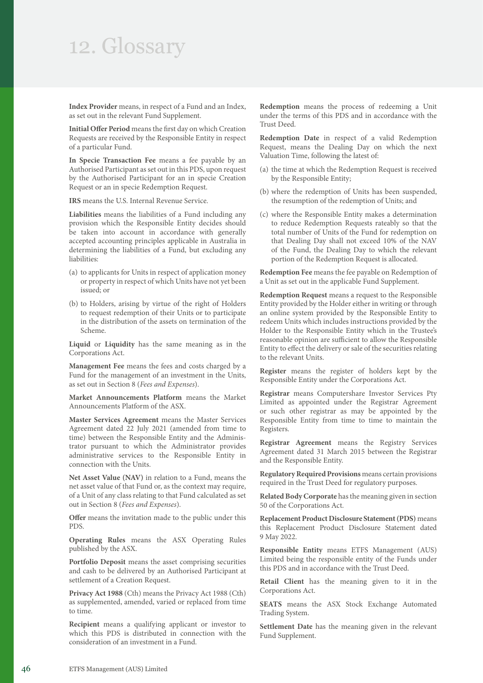# 12. Glossary

Index Provider means, in respect of a Fund and an Index, as set out in the relevant Fund Supplement.

**Initial Offer Period** means the first day on which Creation Requests are received by the Responsible Entity in respect of a particular Fund.

**In Specie Transaction Fee** means a fee payable by an Authorised Participant as set out in this PDS, upon request by the Authorised Participant for an in specie Creation Request or an in specie Redemption Request.

**IRS** means the U.S. Internal Revenue Service.

**Liabilities** means the liabilities of a Fund including any provision which the Responsible Entity decides should be taken into account in accordance with generally accepted accounting principles applicable in Australia in determining the liabilities of a Fund, but excluding any liabilities:

- (a) to applicants for Units in respect of application money or property in respect of which Units have not yet been issued; or
- (b) to Holders, arising by virtue of the right of Holders to request redemption of their Units or to participate in the distribution of the assets on termination of the Scheme.

**Liquid** or **Liquidity** has the same meaning as in the Corporations Act.

**Management Fee** means the fees and costs charged by a Fund for the management of an investment in the Units, as set out in Section 8 (*Fees and Expenses*).

**Market Announcements Platform** means the Market Announcements Platform of the ASX.

**Master Services Agreement** means the Master Services Agreement dated 22 July 2021 (amended from time to time) between the Responsible Entity and the Administrator pursuant to which the Administrator provides administrative services to the Responsible Entity in connection with the Units.

**Net Asset Value (NAV)** in relation to a Fund, means the net asset value of that Fund or, as the context may require, of a Unit of any class relating to that Fund calculated as set out in Section 8 (*Fees and Expenses*).

**Offer** means the invitation made to the public under this PDS.

**Operating Rules** means the ASX Operating Rules published by the ASX.

**Portfolio Deposit** means the asset comprising securities and cash to be delivered by an Authorised Participant at settlement of a Creation Request.

**Privacy Act 1988** (Cth) means the Privacy Act 1988 (Cth) as supplemented, amended, varied or replaced from time to time.

**Recipient** means a qualifying applicant or investor to which this PDS is distributed in connection with the consideration of an investment in a Fund.

**Redemption** means the process of redeeming a Unit under the terms of this PDS and in accordance with the Trust Deed.

**Redemption Date** in respect of a valid Redemption Request, means the Dealing Day on which the next Valuation Time, following the latest of:

- (a) the time at which the Redemption Request is received by the Responsible Entity;
- (b) where the redemption of Units has been suspended, the resumption of the redemption of Units; and
- (c) where the Responsible Entity makes a determination to reduce Redemption Requests rateably so that the total number of Units of the Fund for redemption on that Dealing Day shall not exceed 10% of the NAV of the Fund, the Dealing Day to which the relevant portion of the Redemption Request is allocated.

**Redemption Fee** means the fee payable on Redemption of a Unit as set out in the applicable Fund Supplement.

**Redemption Request** means a request to the Responsible Entity provided by the Holder either in writing or through an online system provided by the Responsible Entity to redeem Units which includes instructions provided by the Holder to the Responsible Entity which in the Trustee's reasonable opinion are sufficient to allow the Responsible Entity to effect the delivery or sale of the securities relating to the relevant Units.

**Register** means the register of holders kept by the Responsible Entity under the Corporations Act.

**Registrar** means Computershare Investor Services Pty Limited as appointed under the Registrar Agreement or such other registrar as may be appointed by the Responsible Entity from time to time to maintain the Registers.

**Registrar Agreement** means the Registry Services Agreement dated 31 March 2015 between the Registrar and the Responsible Entity.

**Regulatory Required Provisions** means certain provisions required in the Trust Deed for regulatory purposes.

**Related Body Corporate** has the meaning given in section 50 of the Corporations Act.

**Replacement Product Disclosure Statement (PDS)** means this Replacement Product Disclosure Statement dated 9 May 2022.

**Responsible Entity** means ETFS Management (AUS) Limited being the responsible entity of the Funds under this PDS and in accordance with the Trust Deed.

**Retail Client** has the meaning given to it in the Corporations Act.

**SEATS** means the ASX Stock Exchange Automated Trading System.

**Settlement Date** has the meaning given in the relevant Fund Supplement.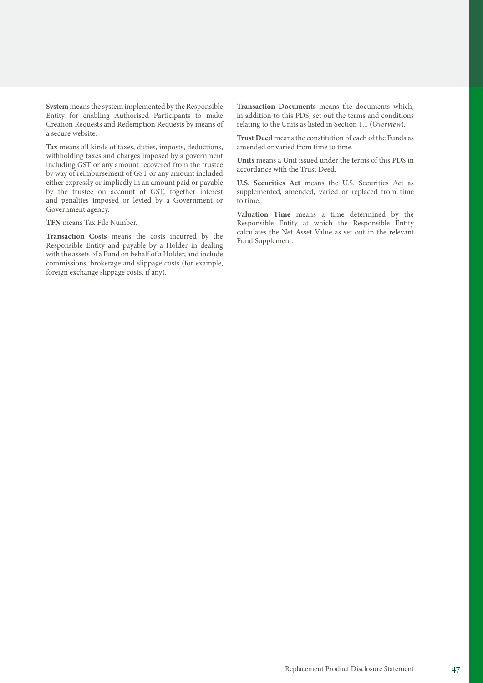**System** means the system implemented by the Responsible Entity for enabling Authorised Participants to make Creation Requests and Redemption Requests by means of a secure website.

**Tax** means all kinds of taxes, duties, imposts, deductions, withholding taxes and charges imposed by a government including GST or any amount recovered from the trustee by way of reimbursement of GST or any amount included either expressly or impliedly in an amount paid or payable by the trustee on account of GST, together interest and penalties imposed or levied by a Government or Government agency.

**TFN** means Tax File Number.

**Transaction Costs** means the costs incurred by the Responsible Entity and payable by a Holder in dealing with the assets of a Fund on behalf of a Holder, and include commissions, brokerage and slippage costs (for example, foreign exchange slippage costs, if any).

**Transaction Documents** means the documents which, in addition to this PDS, set out the terms and conditions relating to the Units as listed in Section 1.1 (*Overview*).

**Trust Deed** means the constitution of each of the Funds as amended or varied from time to time.

**Units** means a Unit issued under the terms of this PDS in accordance with the Trust Deed.

**U.S. Securities Act** means the U.S. Securities Act as supplemented, amended, varied or replaced from time to time.

**Valuation Time** means a time determined by the Responsible Entity at which the Responsible Entity calculates the Net Asset Value as set out in the relevant Fund Supplement.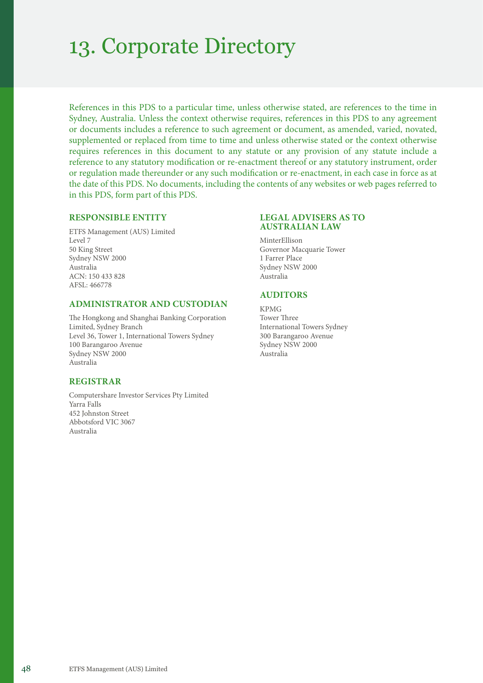# 13. Corporate Directory

References in this PDS to a particular time, unless otherwise stated, are references to the time in Sydney, Australia. Unless the context otherwise requires, references in this PDS to any agreement or documents includes a reference to such agreement or document, as amended, varied, novated, supplemented or replaced from time to time and unless otherwise stated or the context otherwise requires references in this document to any statute or any provision of any statute include a reference to any statutory modification or re-enactment thereof or any statutory instrument, order or regulation made thereunder or any such modification or re-enactment, in each case in force as at the date of this PDS. No documents, including the contents of any websites or web pages referred to in this PDS, form part of this PDS.

### **RESPONSIBLE ENTITY**

ETFS Management (AUS) Limited Level 7 50 King Street Sydney NSW 2000 Australia ACN: 150 433 828 AFSL: 466778

### **ADMINISTRATOR AND CUSTODIAN**

The Hongkong and Shanghai Banking Corporation Limited, Sydney Branch Level 36, Tower 1, International Towers Sydney 100 Barangaroo Avenue Sydney NSW 2000 Australia

## **REGISTRAR**

Computershare Investor Services Pty Limited Yarra Falls 452 Johnston Street Abbotsford VIC 3067 Australia

### **LEGAL ADVISERS AS TO AUSTRALIAN LAW**

MinterEllison Governor Macquarie Tower 1 Farrer Place Sydney NSW 2000 Australia

# **AUDITORS**

KPMG Tower Three International Towers Sydney 300 Barangaroo Avenue Sydney NSW 2000 Australia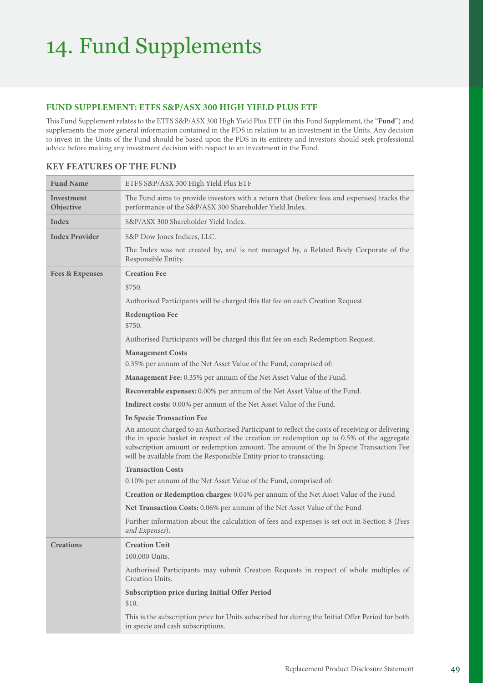## **FUND SUPPLEMENT: ETFS S&P/ASX 300 HIGH YIELD PLUS ETF**

This Fund Supplement relates to the ETFS S&P/ASX 300 High Yield Plus ETF (in this Fund Supplement, the "**Fund**") and supplements the more general information contained in the PDS in relation to an investment in the Units. Any decision to invest in the Units of the Fund should be based upon the PDS in its entirety and investors should seek professional advice before making any investment decision with respect to an investment in the Fund.

| <b>Fund Name</b>           | ETFS S&P/ASX 300 High Yield Plus ETF                                                                                                                                                                                                                                                                                                                        |
|----------------------------|-------------------------------------------------------------------------------------------------------------------------------------------------------------------------------------------------------------------------------------------------------------------------------------------------------------------------------------------------------------|
| Investment<br>Objective    | The Fund aims to provide investors with a return that (before fees and expenses) tracks the<br>performance of the S&P/ASX 300 Shareholder Yield Index.                                                                                                                                                                                                      |
| Index                      | S&P/ASX 300 Shareholder Yield Index.                                                                                                                                                                                                                                                                                                                        |
| <b>Index Provider</b>      | S&P Dow Jones Indices, LLC.                                                                                                                                                                                                                                                                                                                                 |
|                            | The Index was not created by, and is not managed by, a Related Body Corporate of the<br>Responsible Entity.                                                                                                                                                                                                                                                 |
| <b>Fees &amp; Expenses</b> | <b>Creation Fee</b>                                                                                                                                                                                                                                                                                                                                         |
|                            | \$750.                                                                                                                                                                                                                                                                                                                                                      |
|                            | Authorised Participants will be charged this flat fee on each Creation Request.                                                                                                                                                                                                                                                                             |
|                            | <b>Redemption Fee</b>                                                                                                                                                                                                                                                                                                                                       |
|                            | \$750.                                                                                                                                                                                                                                                                                                                                                      |
|                            | Authorised Participants will be charged this flat fee on each Redemption Request.                                                                                                                                                                                                                                                                           |
|                            | <b>Management Costs</b>                                                                                                                                                                                                                                                                                                                                     |
|                            | 0.35% per annum of the Net Asset Value of the Fund, comprised of:                                                                                                                                                                                                                                                                                           |
|                            | Management Fee: 0.35% per annum of the Net Asset Value of the Fund.                                                                                                                                                                                                                                                                                         |
|                            | Recoverable expenses: 0.00% per annum of the Net Asset Value of the Fund.                                                                                                                                                                                                                                                                                   |
|                            | <b>Indirect costs:</b> 0.00% per annum of the Net Asset Value of the Fund.                                                                                                                                                                                                                                                                                  |
|                            | <b>In Specie Transaction Fee</b>                                                                                                                                                                                                                                                                                                                            |
|                            | An amount charged to an Authorised Participant to reflect the costs of receiving or delivering<br>the in specie basket in respect of the creation or redemption up to 0.5% of the aggregate<br>subscription amount or redemption amount. The amount of the In Specie Transaction Fee<br>will be available from the Responsible Entity prior to transacting. |
|                            | <b>Transaction Costs</b>                                                                                                                                                                                                                                                                                                                                    |
|                            | 0.10% per annum of the Net Asset Value of the Fund, comprised of:                                                                                                                                                                                                                                                                                           |
|                            | Creation or Redemption charges: 0.04% per annum of the Net Asset Value of the Fund                                                                                                                                                                                                                                                                          |
|                            | Net Transaction Costs: 0.06% per annum of the Net Asset Value of the Fund                                                                                                                                                                                                                                                                                   |
|                            | Further information about the calculation of fees and expenses is set out in Section 8 (Fees<br>and Expenses).                                                                                                                                                                                                                                              |
| <b>Creations</b>           | <b>Creation Unit</b>                                                                                                                                                                                                                                                                                                                                        |
|                            | 100,000 Units.                                                                                                                                                                                                                                                                                                                                              |
|                            | Authorised Participants may submit Creation Requests in respect of whole multiples of<br>Creation Units.                                                                                                                                                                                                                                                    |
|                            | Subscription price during Initial Offer Period                                                                                                                                                                                                                                                                                                              |
|                            | \$10.                                                                                                                                                                                                                                                                                                                                                       |
|                            | This is the subscription price for Units subscribed for during the Initial Offer Period for both<br>in specie and cash subscriptions.                                                                                                                                                                                                                       |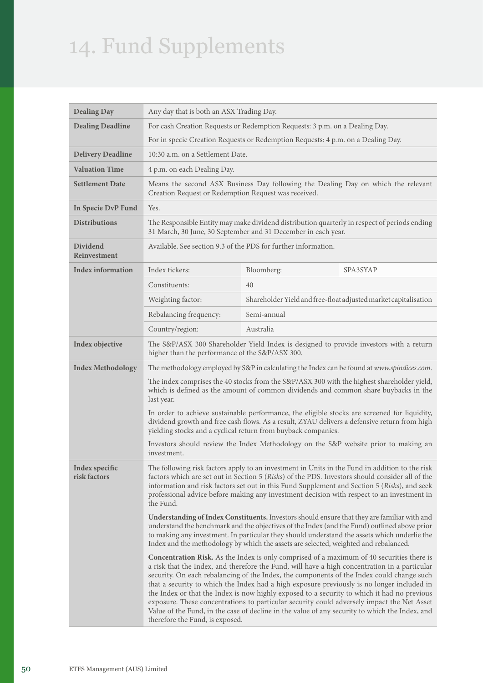| <b>Dealing Day</b>             | Any day that is both an ASX Trading Day.                                                                                                                                                                                                                                                                                                                                                                     |                                                                |                                                                                                                                                                                                                                                                                                                                                                                                                                                                                                                                                                                                                                                                                             |
|--------------------------------|--------------------------------------------------------------------------------------------------------------------------------------------------------------------------------------------------------------------------------------------------------------------------------------------------------------------------------------------------------------------------------------------------------------|----------------------------------------------------------------|---------------------------------------------------------------------------------------------------------------------------------------------------------------------------------------------------------------------------------------------------------------------------------------------------------------------------------------------------------------------------------------------------------------------------------------------------------------------------------------------------------------------------------------------------------------------------------------------------------------------------------------------------------------------------------------------|
| <b>Dealing Deadline</b>        | For cash Creation Requests or Redemption Requests: 3 p.m. on a Dealing Day.                                                                                                                                                                                                                                                                                                                                  |                                                                |                                                                                                                                                                                                                                                                                                                                                                                                                                                                                                                                                                                                                                                                                             |
|                                | For in specie Creation Requests or Redemption Requests: 4 p.m. on a Dealing Day.                                                                                                                                                                                                                                                                                                                             |                                                                |                                                                                                                                                                                                                                                                                                                                                                                                                                                                                                                                                                                                                                                                                             |
| <b>Delivery Deadline</b>       | 10:30 a.m. on a Settlement Date.                                                                                                                                                                                                                                                                                                                                                                             |                                                                |                                                                                                                                                                                                                                                                                                                                                                                                                                                                                                                                                                                                                                                                                             |
| <b>Valuation Time</b>          | 4 p.m. on each Dealing Day.                                                                                                                                                                                                                                                                                                                                                                                  |                                                                |                                                                                                                                                                                                                                                                                                                                                                                                                                                                                                                                                                                                                                                                                             |
| <b>Settlement Date</b>         | Creation Request or Redemption Request was received.                                                                                                                                                                                                                                                                                                                                                         |                                                                | Means the second ASX Business Day following the Dealing Day on which the relevant                                                                                                                                                                                                                                                                                                                                                                                                                                                                                                                                                                                                           |
| In Specie DvP Fund             | Yes.                                                                                                                                                                                                                                                                                                                                                                                                         |                                                                |                                                                                                                                                                                                                                                                                                                                                                                                                                                                                                                                                                                                                                                                                             |
| <b>Distributions</b>           |                                                                                                                                                                                                                                                                                                                                                                                                              | 31 March, 30 June, 30 September and 31 December in each year.  | The Responsible Entity may make dividend distribution quarterly in respect of periods ending                                                                                                                                                                                                                                                                                                                                                                                                                                                                                                                                                                                                |
| Dividend<br>Reinvestment       |                                                                                                                                                                                                                                                                                                                                                                                                              | Available. See section 9.3 of the PDS for further information. |                                                                                                                                                                                                                                                                                                                                                                                                                                                                                                                                                                                                                                                                                             |
| <b>Index information</b>       | Index tickers:                                                                                                                                                                                                                                                                                                                                                                                               | Bloomberg:                                                     | SPA3SYAP                                                                                                                                                                                                                                                                                                                                                                                                                                                                                                                                                                                                                                                                                    |
|                                | Constituents:                                                                                                                                                                                                                                                                                                                                                                                                | 40                                                             |                                                                                                                                                                                                                                                                                                                                                                                                                                                                                                                                                                                                                                                                                             |
|                                | Weighting factor:                                                                                                                                                                                                                                                                                                                                                                                            |                                                                | Shareholder Yield and free-float adjusted market capitalisation                                                                                                                                                                                                                                                                                                                                                                                                                                                                                                                                                                                                                             |
|                                | Rebalancing frequency:                                                                                                                                                                                                                                                                                                                                                                                       | Semi-annual                                                    |                                                                                                                                                                                                                                                                                                                                                                                                                                                                                                                                                                                                                                                                                             |
|                                | Country/region:                                                                                                                                                                                                                                                                                                                                                                                              | Australia                                                      |                                                                                                                                                                                                                                                                                                                                                                                                                                                                                                                                                                                                                                                                                             |
| Index objective                | higher than the performance of the S&P/ASX 300.                                                                                                                                                                                                                                                                                                                                                              |                                                                | The S&P/ASX 300 Shareholder Yield Index is designed to provide investors with a return                                                                                                                                                                                                                                                                                                                                                                                                                                                                                                                                                                                                      |
| <b>Index Methodology</b>       |                                                                                                                                                                                                                                                                                                                                                                                                              |                                                                | The methodology employed by S&P in calculating the Index can be found at www.spindices.com.                                                                                                                                                                                                                                                                                                                                                                                                                                                                                                                                                                                                 |
|                                | The index comprises the 40 stocks from the S&P/ASX 300 with the highest shareholder yield,<br>which is defined as the amount of common dividends and common share buybacks in the<br>last year.                                                                                                                                                                                                              |                                                                |                                                                                                                                                                                                                                                                                                                                                                                                                                                                                                                                                                                                                                                                                             |
|                                | In order to achieve sustainable performance, the eligible stocks are screened for liquidity,<br>dividend growth and free cash flows. As a result, ZYAU delivers a defensive return from high<br>yielding stocks and a cyclical return from buyback companies.                                                                                                                                                |                                                                |                                                                                                                                                                                                                                                                                                                                                                                                                                                                                                                                                                                                                                                                                             |
|                                | investment.                                                                                                                                                                                                                                                                                                                                                                                                  |                                                                | Investors should review the Index Methodology on the S&P website prior to making an                                                                                                                                                                                                                                                                                                                                                                                                                                                                                                                                                                                                         |
| Index specific<br>risk factors | The following risk factors apply to an investment in Units in the Fund in addition to the risk<br>factors which are set out in Section 5 (Risks) of the PDS. Investors should consider all of the<br>information and risk factors set out in this Fund Supplement and Section 5 (Risks), and seek<br>professional advice before making any investment decision with respect to an investment in<br>the Fund. |                                                                |                                                                                                                                                                                                                                                                                                                                                                                                                                                                                                                                                                                                                                                                                             |
|                                | Understanding of Index Constituents. Investors should ensure that they are familiar with and<br>understand the benchmark and the objectives of the Index (and the Fund) outlined above prior<br>to making any investment. In particular they should understand the assets which underlie the<br>Index and the methodology by which the assets are selected, weighted and rebalanced.                         |                                                                |                                                                                                                                                                                                                                                                                                                                                                                                                                                                                                                                                                                                                                                                                             |
|                                | therefore the Fund, is exposed.                                                                                                                                                                                                                                                                                                                                                                              |                                                                | <b>Concentration Risk.</b> As the Index is only comprised of a maximum of 40 securities there is<br>a risk that the Index, and therefore the Fund, will have a high concentration in a particular<br>security. On each rebalancing of the Index, the components of the Index could change such<br>that a security to which the Index had a high exposure previously is no longer included in<br>the Index or that the Index is now highly exposed to a security to which it had no previous<br>exposure. These concentrations to particular security could adversely impact the Net Asset<br>Value of the Fund, in the case of decline in the value of any security to which the Index, and |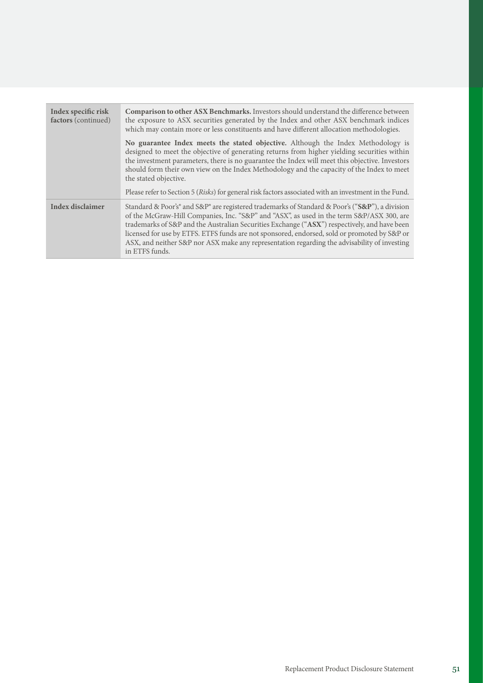| Index specific risk<br>factors (continued) | <b>Comparison to other ASX Benchmarks.</b> Investors should understand the difference between<br>the exposure to ASX securities generated by the Index and other ASX benchmark indices<br>which may contain more or less constituents and have different allocation methodologies.                                                                                                                                                                                                                               |
|--------------------------------------------|------------------------------------------------------------------------------------------------------------------------------------------------------------------------------------------------------------------------------------------------------------------------------------------------------------------------------------------------------------------------------------------------------------------------------------------------------------------------------------------------------------------|
|                                            | No guarantee Index meets the stated objective. Although the Index Methodology is<br>designed to meet the objective of generating returns from higher yielding securities within<br>the investment parameters, there is no guarantee the Index will meet this objective. Investors<br>should form their own view on the Index Methodology and the capacity of the Index to meet<br>the stated objective.<br>Please refer to Section 5 (Risks) for general risk factors associated with an investment in the Fund. |
| Index disclaimer                           | Standard & Poor's® and S&P® are registered trademarks of Standard & Poor's ("S&P"), a division<br>of the McGraw-Hill Companies, Inc. "S&P" and "ASX", as used in the term S&P/ASX 300, are<br>trademarks of S&P and the Australian Securities Exchange ("ASX") respectively, and have been<br>licensed for use by ETFS. ETFS funds are not sponsored, endorsed, sold or promoted by S&P or                                                                                                                       |
|                                            | ASX, and neither S&P nor ASX make any representation regarding the advisability of investing<br>in ETFS funds.                                                                                                                                                                                                                                                                                                                                                                                                   |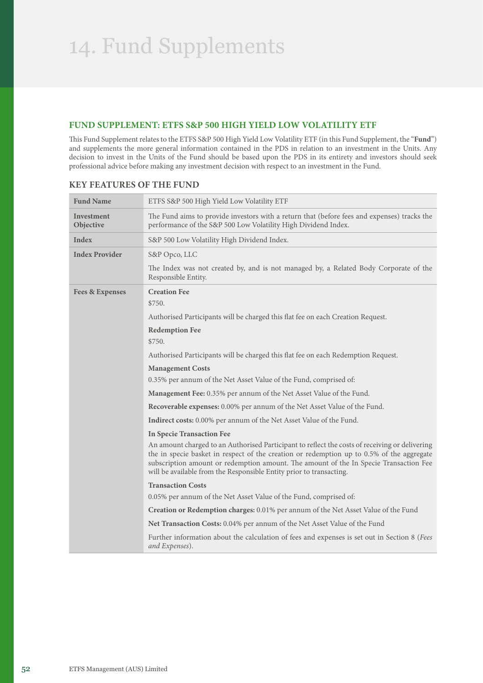# **FUND SUPPLEMENT: ETFS S&P 500 HIGH YIELD LOW VOLATILITY ETF**

This Fund Supplement relates to the ETFS S&P 500 High Yield Low Volatility ETF (in this Fund Supplement, the "**Fund**") and supplements the more general information contained in the PDS in relation to an investment in the Units. Any decision to invest in the Units of the Fund should be based upon the PDS in its entirety and investors should seek professional advice before making any investment decision with respect to an investment in the Fund.

| <b>Fund Name</b>               | ETFS S&P 500 High Yield Low Volatility ETF                                                                                                                                                                                                                                                                                                                  |
|--------------------------------|-------------------------------------------------------------------------------------------------------------------------------------------------------------------------------------------------------------------------------------------------------------------------------------------------------------------------------------------------------------|
| <b>Investment</b><br>Objective | The Fund aims to provide investors with a return that (before fees and expenses) tracks the<br>performance of the S&P 500 Low Volatility High Dividend Index.                                                                                                                                                                                               |
| Index                          | S&P 500 Low Volatility High Dividend Index.                                                                                                                                                                                                                                                                                                                 |
| <b>Index Provider</b>          | S&P Opco, LLC                                                                                                                                                                                                                                                                                                                                               |
|                                | The Index was not created by, and is not managed by, a Related Body Corporate of the<br>Responsible Entity.                                                                                                                                                                                                                                                 |
| <b>Fees &amp; Expenses</b>     | <b>Creation Fee</b><br>\$750.                                                                                                                                                                                                                                                                                                                               |
|                                | Authorised Participants will be charged this flat fee on each Creation Request.                                                                                                                                                                                                                                                                             |
|                                | <b>Redemption Fee</b>                                                                                                                                                                                                                                                                                                                                       |
|                                | \$750.                                                                                                                                                                                                                                                                                                                                                      |
|                                | Authorised Participants will be charged this flat fee on each Redemption Request.                                                                                                                                                                                                                                                                           |
|                                | <b>Management Costs</b>                                                                                                                                                                                                                                                                                                                                     |
|                                | 0.35% per annum of the Net Asset Value of the Fund, comprised of:                                                                                                                                                                                                                                                                                           |
|                                | Management Fee: 0.35% per annum of the Net Asset Value of the Fund.                                                                                                                                                                                                                                                                                         |
|                                | Recoverable expenses: 0.00% per annum of the Net Asset Value of the Fund.                                                                                                                                                                                                                                                                                   |
|                                | Indirect costs: 0.00% per annum of the Net Asset Value of the Fund.                                                                                                                                                                                                                                                                                         |
|                                | <b>In Specie Transaction Fee</b>                                                                                                                                                                                                                                                                                                                            |
|                                | An amount charged to an Authorised Participant to reflect the costs of receiving or delivering<br>the in specie basket in respect of the creation or redemption up to 0.5% of the aggregate<br>subscription amount or redemption amount. The amount of the In Specie Transaction Fee<br>will be available from the Responsible Entity prior to transacting. |
|                                | <b>Transaction Costs</b>                                                                                                                                                                                                                                                                                                                                    |
|                                | 0.05% per annum of the Net Asset Value of the Fund, comprised of:                                                                                                                                                                                                                                                                                           |
|                                | Creation or Redemption charges: 0.01% per annum of the Net Asset Value of the Fund                                                                                                                                                                                                                                                                          |
|                                | <b>Net Transaction Costs:</b> 0.04% per annum of the Net Asset Value of the Fund                                                                                                                                                                                                                                                                            |
|                                | Further information about the calculation of fees and expenses is set out in Section 8 (Fees<br>and Expenses).                                                                                                                                                                                                                                              |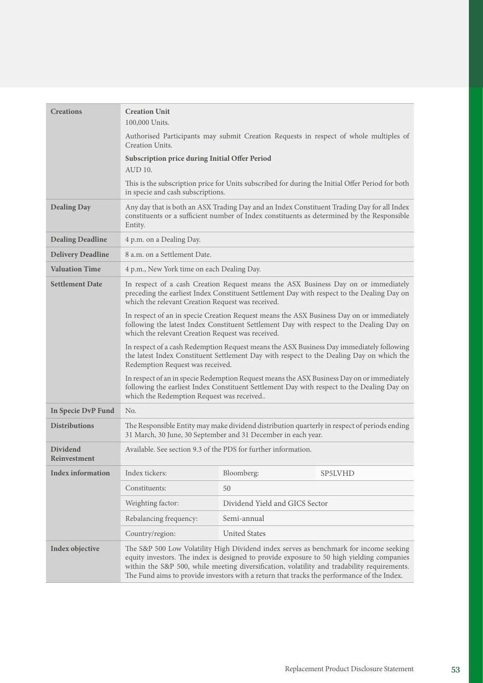| <b>Creations</b>                | <b>Creation Unit</b><br>100,000 Units.                                                                                                                                                                                                                                                                                                                                                                                                                                |                                                                                                                                                                                         |                                                                                                                                                                                      |
|---------------------------------|-----------------------------------------------------------------------------------------------------------------------------------------------------------------------------------------------------------------------------------------------------------------------------------------------------------------------------------------------------------------------------------------------------------------------------------------------------------------------|-----------------------------------------------------------------------------------------------------------------------------------------------------------------------------------------|--------------------------------------------------------------------------------------------------------------------------------------------------------------------------------------|
|                                 | Authorised Participants may submit Creation Requests in respect of whole multiples of<br>Creation Units.                                                                                                                                                                                                                                                                                                                                                              |                                                                                                                                                                                         |                                                                                                                                                                                      |
|                                 | Subscription price during Initial Offer Period<br>AUD 10.                                                                                                                                                                                                                                                                                                                                                                                                             |                                                                                                                                                                                         |                                                                                                                                                                                      |
|                                 | in specie and cash subscriptions.                                                                                                                                                                                                                                                                                                                                                                                                                                     |                                                                                                                                                                                         | This is the subscription price for Units subscribed for during the Initial Offer Period for both                                                                                     |
| <b>Dealing Day</b>              | Any day that is both an ASX Trading Day and an Index Constituent Trading Day for all Index<br>constituents or a sufficient number of Index constituents as determined by the Responsible<br>Entity.                                                                                                                                                                                                                                                                   |                                                                                                                                                                                         |                                                                                                                                                                                      |
| <b>Dealing Deadline</b>         | 4 p.m. on a Dealing Day.                                                                                                                                                                                                                                                                                                                                                                                                                                              |                                                                                                                                                                                         |                                                                                                                                                                                      |
| <b>Delivery Deadline</b>        | 8 a.m. on a Settlement Date.                                                                                                                                                                                                                                                                                                                                                                                                                                          |                                                                                                                                                                                         |                                                                                                                                                                                      |
| <b>Valuation Time</b>           | 4 p.m., New York time on each Dealing Day.                                                                                                                                                                                                                                                                                                                                                                                                                            |                                                                                                                                                                                         |                                                                                                                                                                                      |
| <b>Settlement Date</b>          | In respect of a cash Creation Request means the ASX Business Day on or immediately<br>preceding the earliest Index Constituent Settlement Day with respect to the Dealing Day on<br>which the relevant Creation Request was received.                                                                                                                                                                                                                                 |                                                                                                                                                                                         |                                                                                                                                                                                      |
|                                 | In respect of an in specie Creation Request means the ASX Business Day on or immediately<br>following the latest Index Constituent Settlement Day with respect to the Dealing Day on<br>which the relevant Creation Request was received.<br>In respect of a cash Redemption Request means the ASX Business Day immediately following<br>the latest Index Constituent Settlement Day with respect to the Dealing Day on which the<br>Redemption Request was received. |                                                                                                                                                                                         |                                                                                                                                                                                      |
|                                 |                                                                                                                                                                                                                                                                                                                                                                                                                                                                       |                                                                                                                                                                                         |                                                                                                                                                                                      |
|                                 | In respect of an in specie Redemption Request means the ASX Business Day on or immediately<br>following the earliest Index Constituent Settlement Day with respect to the Dealing Day on<br>which the Redemption Request was received                                                                                                                                                                                                                                 |                                                                                                                                                                                         |                                                                                                                                                                                      |
| In Specie DvP Fund              | No.                                                                                                                                                                                                                                                                                                                                                                                                                                                                   |                                                                                                                                                                                         |                                                                                                                                                                                      |
| <b>Distributions</b>            | The Responsible Entity may make dividend distribution quarterly in respect of periods ending<br>31 March, 30 June, 30 September and 31 December in each year.                                                                                                                                                                                                                                                                                                         |                                                                                                                                                                                         |                                                                                                                                                                                      |
| <b>Dividend</b><br>Reinvestment | Available. See section 9.3 of the PDS for further information.                                                                                                                                                                                                                                                                                                                                                                                                        |                                                                                                                                                                                         |                                                                                                                                                                                      |
| <b>Index information</b>        | Index tickers:                                                                                                                                                                                                                                                                                                                                                                                                                                                        | Bloomberg:                                                                                                                                                                              | SP5LVHD                                                                                                                                                                              |
|                                 | Constituents:                                                                                                                                                                                                                                                                                                                                                                                                                                                         | 50                                                                                                                                                                                      |                                                                                                                                                                                      |
|                                 | Weighting factor:                                                                                                                                                                                                                                                                                                                                                                                                                                                     | Dividend Yield and GICS Sector                                                                                                                                                          |                                                                                                                                                                                      |
|                                 | Rebalancing frequency:                                                                                                                                                                                                                                                                                                                                                                                                                                                | Semi-annual                                                                                                                                                                             |                                                                                                                                                                                      |
|                                 | Country/region:                                                                                                                                                                                                                                                                                                                                                                                                                                                       | <b>United States</b>                                                                                                                                                                    |                                                                                                                                                                                      |
| Index objective                 |                                                                                                                                                                                                                                                                                                                                                                                                                                                                       | equity investors. The index is designed to provide exposure to 50 high yielding companies<br>The Fund aims to provide investors with a return that tracks the performance of the Index. | The S&P 500 Low Volatility High Dividend index serves as benchmark for income seeking<br>within the S&P 500, while meeting diversification, volatility and tradability requirements. |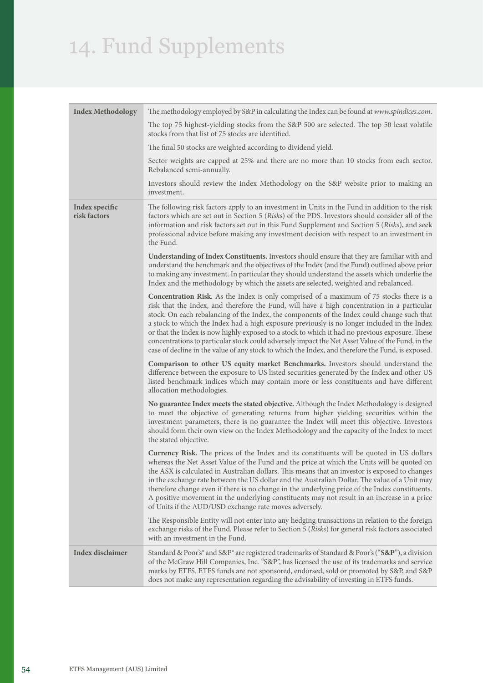| <b>Index Methodology</b>       | The methodology employed by S&P in calculating the Index can be found at www.spindices.com.                                                                                                                                                                                                                                                                                                                                                                                                                                                                                                                                                                                                              |
|--------------------------------|----------------------------------------------------------------------------------------------------------------------------------------------------------------------------------------------------------------------------------------------------------------------------------------------------------------------------------------------------------------------------------------------------------------------------------------------------------------------------------------------------------------------------------------------------------------------------------------------------------------------------------------------------------------------------------------------------------|
|                                | The top 75 highest-yielding stocks from the S&P 500 are selected. The top 50 least volatile<br>stocks from that list of 75 stocks are identified.                                                                                                                                                                                                                                                                                                                                                                                                                                                                                                                                                        |
|                                | The final 50 stocks are weighted according to dividend yield.                                                                                                                                                                                                                                                                                                                                                                                                                                                                                                                                                                                                                                            |
|                                | Sector weights are capped at 25% and there are no more than 10 stocks from each sector.<br>Rebalanced semi-annually.                                                                                                                                                                                                                                                                                                                                                                                                                                                                                                                                                                                     |
|                                | Investors should review the Index Methodology on the S&P website prior to making an<br>investment.                                                                                                                                                                                                                                                                                                                                                                                                                                                                                                                                                                                                       |
| Index specific<br>risk factors | The following risk factors apply to an investment in Units in the Fund in addition to the risk<br>factors which are set out in Section 5 (Risks) of the PDS. Investors should consider all of the<br>information and risk factors set out in this Fund Supplement and Section 5 (Risks), and seek<br>professional advice before making any investment decision with respect to an investment in<br>the Fund.                                                                                                                                                                                                                                                                                             |
|                                | Understanding of Index Constituents. Investors should ensure that they are familiar with and<br>understand the benchmark and the objectives of the Index (and the Fund) outlined above prior<br>to making any investment. In particular they should understand the assets which underlie the<br>Index and the methodology by which the assets are selected, weighted and rebalanced.                                                                                                                                                                                                                                                                                                                     |
|                                | <b>Concentration Risk.</b> As the Index is only comprised of a maximum of 75 stocks there is a<br>risk that the Index, and therefore the Fund, will have a high concentration in a particular<br>stock. On each rebalancing of the Index, the components of the Index could change such that<br>a stock to which the Index had a high exposure previously is no longer included in the Index<br>or that the Index is now highly exposed to a stock to which it had no previous exposure. These<br>concentrations to particular stock could adversely impact the Net Asset Value of the Fund, in the<br>case of decline in the value of any stock to which the Index, and therefore the Fund, is exposed. |
|                                | Comparison to other US equity market Benchmarks. Investors should understand the<br>difference between the exposure to US listed securities generated by the Index and other US<br>listed benchmark indices which may contain more or less constituents and have different<br>allocation methodologies.                                                                                                                                                                                                                                                                                                                                                                                                  |
|                                | No guarantee Index meets the stated objective. Although the Index Methodology is designed<br>to meet the objective of generating returns from higher yielding securities within the<br>investment parameters, there is no guarantee the Index will meet this objective. Investors<br>should form their own view on the Index Methodology and the capacity of the Index to meet<br>the stated objective.                                                                                                                                                                                                                                                                                                  |
|                                | <b>Currency Risk.</b> The prices of the Index and its constituents will be quoted in US dollars<br>whereas the Net Asset Value of the Fund and the price at which the Units will be quoted on<br>the ASX is calculated in Australian dollars. This means that an investor is exposed to changes<br>in the exchange rate between the US dollar and the Australian Dollar. The value of a Unit may<br>therefore change even if there is no change in the underlying price of the Index constituents.<br>A positive movement in the underlying constituents may not result in an increase in a price<br>of Units if the AUD/USD exchange rate moves adversely.                                              |
|                                | The Responsible Entity will not enter into any hedging transactions in relation to the foreign<br>exchange risks of the Fund. Please refer to Section 5 (Risks) for general risk factors associated<br>with an investment in the Fund.                                                                                                                                                                                                                                                                                                                                                                                                                                                                   |
| <b>Index disclaimer</b>        | Standard & Poor's® and S&P® are registered trademarks of Standard & Poor's ("S&P"), a division<br>of the McGraw Hill Companies, Inc. "S&P", has licensed the use of its trademarks and service<br>marks by ETFS. ETFS funds are not sponsored, endorsed, sold or promoted by S&P, and S&P<br>does not make any representation regarding the advisability of investing in ETFS funds.                                                                                                                                                                                                                                                                                                                     |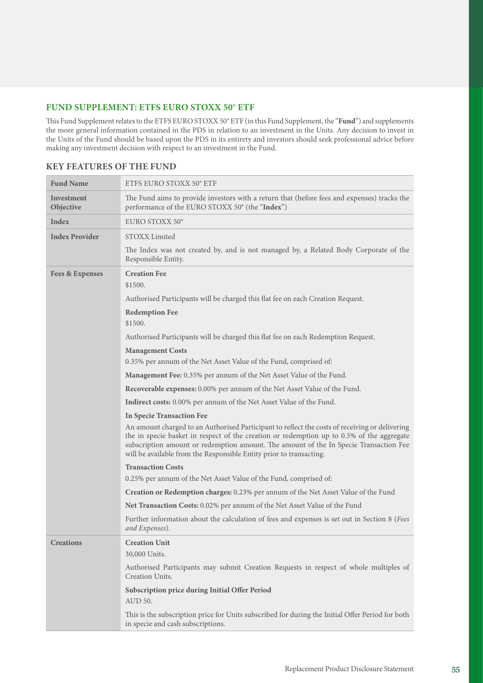# **FUND SUPPLEMENT: ETFS EURO STOXX 50® ETF**

This Fund Supplement relates to the ETFS EURO STOXX 50® ETF (in this Fund Supplement, the "**Fund**") and supplements the more general information contained in the PDS in relation to an investment in the Units. Any decision to invest in the Units of the Fund should be based upon the PDS in its entirety and investors should seek professional advice before making any investment decision with respect to an investment in the Fund.

| <b>Fund Name</b>               | ETFS EURO STOXX 50° ETF                                                                                                                                                                                                                                                                                                                                     |
|--------------------------------|-------------------------------------------------------------------------------------------------------------------------------------------------------------------------------------------------------------------------------------------------------------------------------------------------------------------------------------------------------------|
| <b>Investment</b><br>Objective | The Fund aims to provide investors with a return that (before fees and expenses) tracks the<br>performance of the EURO STOXX 50° (the "Index")                                                                                                                                                                                                              |
| Index                          | EURO STOXX 50°                                                                                                                                                                                                                                                                                                                                              |
| <b>Index Provider</b>          | STOXX Limited                                                                                                                                                                                                                                                                                                                                               |
|                                | The Index was not created by, and is not managed by, a Related Body Corporate of the<br>Responsible Entity.                                                                                                                                                                                                                                                 |
| <b>Fees &amp; Expenses</b>     | <b>Creation Fee</b>                                                                                                                                                                                                                                                                                                                                         |
|                                | \$1500.                                                                                                                                                                                                                                                                                                                                                     |
|                                | Authorised Participants will be charged this flat fee on each Creation Request.                                                                                                                                                                                                                                                                             |
|                                | <b>Redemption Fee</b>                                                                                                                                                                                                                                                                                                                                       |
|                                | \$1500.                                                                                                                                                                                                                                                                                                                                                     |
|                                | Authorised Participants will be charged this flat fee on each Redemption Request.                                                                                                                                                                                                                                                                           |
|                                | <b>Management Costs</b>                                                                                                                                                                                                                                                                                                                                     |
|                                | 0.35% per annum of the Net Asset Value of the Fund, comprised of:                                                                                                                                                                                                                                                                                           |
|                                | Management Fee: 0.35% per annum of the Net Asset Value of the Fund.                                                                                                                                                                                                                                                                                         |
|                                | Recoverable expenses: 0.00% per annum of the Net Asset Value of the Fund.                                                                                                                                                                                                                                                                                   |
|                                | <b>Indirect costs:</b> 0.00% per annum of the Net Asset Value of the Fund.                                                                                                                                                                                                                                                                                  |
|                                | <b>In Specie Transaction Fee</b>                                                                                                                                                                                                                                                                                                                            |
|                                | An amount charged to an Authorised Participant to reflect the costs of receiving or delivering<br>the in specie basket in respect of the creation or redemption up to 0.5% of the aggregate<br>subscription amount or redemption amount. The amount of the In Specie Transaction Fee<br>will be available from the Responsible Entity prior to transacting. |
|                                | <b>Transaction Costs</b>                                                                                                                                                                                                                                                                                                                                    |
|                                | 0.25% per annum of the Net Asset Value of the Fund, comprised of:                                                                                                                                                                                                                                                                                           |
|                                | Creation or Redemption charges: 0.23% per annum of the Net Asset Value of the Fund                                                                                                                                                                                                                                                                          |
|                                | Net Transaction Costs: 0.02% per annum of the Net Asset Value of the Fund                                                                                                                                                                                                                                                                                   |
|                                | Further information about the calculation of fees and expenses is set out in Section 8 (Fees<br>and Expenses).                                                                                                                                                                                                                                              |
| <b>Creations</b>               | <b>Creation Unit</b>                                                                                                                                                                                                                                                                                                                                        |
|                                | 30,000 Units.                                                                                                                                                                                                                                                                                                                                               |
|                                | Authorised Participants may submit Creation Requests in respect of whole multiples of<br>Creation Units.                                                                                                                                                                                                                                                    |
|                                | Subscription price during Initial Offer Period<br>AUD 50.                                                                                                                                                                                                                                                                                                   |
|                                | This is the subscription price for Units subscribed for during the Initial Offer Period for both<br>in specie and cash subscriptions.                                                                                                                                                                                                                       |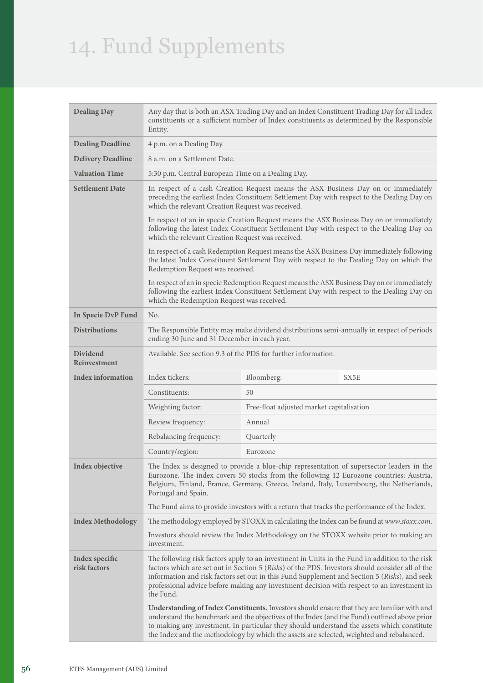| <b>Dealing Day</b>             | Any day that is both an ASX Trading Day and an Index Constituent Trading Day for all Index<br>constituents or a sufficient number of Index constituents as determined by the Responsible<br>Entity.                                                                                                    |                                                                                            |                                                                                                                                                                                                                                                                                                                                                                                                 |
|--------------------------------|--------------------------------------------------------------------------------------------------------------------------------------------------------------------------------------------------------------------------------------------------------------------------------------------------------|--------------------------------------------------------------------------------------------|-------------------------------------------------------------------------------------------------------------------------------------------------------------------------------------------------------------------------------------------------------------------------------------------------------------------------------------------------------------------------------------------------|
| <b>Dealing Deadline</b>        | 4 p.m. on a Dealing Day.                                                                                                                                                                                                                                                                               |                                                                                            |                                                                                                                                                                                                                                                                                                                                                                                                 |
| <b>Delivery Deadline</b>       | 8 a.m. on a Settlement Date.                                                                                                                                                                                                                                                                           |                                                                                            |                                                                                                                                                                                                                                                                                                                                                                                                 |
| <b>Valuation Time</b>          | 5:30 p.m. Central European Time on a Dealing Day.                                                                                                                                                                                                                                                      |                                                                                            |                                                                                                                                                                                                                                                                                                                                                                                                 |
| <b>Settlement Date</b>         | In respect of a cash Creation Request means the ASX Business Day on or immediately<br>preceding the earliest Index Constituent Settlement Day with respect to the Dealing Day on<br>which the relevant Creation Request was received.                                                                  |                                                                                            |                                                                                                                                                                                                                                                                                                                                                                                                 |
|                                | which the relevant Creation Request was received.                                                                                                                                                                                                                                                      |                                                                                            | In respect of an in specie Creation Request means the ASX Business Day on or immediately<br>following the latest Index Constituent Settlement Day with respect to the Dealing Day on                                                                                                                                                                                                            |
|                                | Redemption Request was received.                                                                                                                                                                                                                                                                       |                                                                                            | In respect of a cash Redemption Request means the ASX Business Day immediately following<br>the latest Index Constituent Settlement Day with respect to the Dealing Day on which the                                                                                                                                                                                                            |
|                                | which the Redemption Request was received.                                                                                                                                                                                                                                                             |                                                                                            | In respect of an in specie Redemption Request means the ASX Business Day on or immediately<br>following the earliest Index Constituent Settlement Day with respect to the Dealing Day on                                                                                                                                                                                                        |
| In Specie DvP Fund             | No.                                                                                                                                                                                                                                                                                                    |                                                                                            |                                                                                                                                                                                                                                                                                                                                                                                                 |
| <b>Distributions</b>           | The Responsible Entity may make dividend distributions semi-annually in respect of periods<br>ending 30 June and 31 December in each year.                                                                                                                                                             |                                                                                            |                                                                                                                                                                                                                                                                                                                                                                                                 |
| Dividend<br>Reinvestment       | Available. See section 9.3 of the PDS for further information.                                                                                                                                                                                                                                         |                                                                                            |                                                                                                                                                                                                                                                                                                                                                                                                 |
| <b>Index information</b>       | Index tickers:                                                                                                                                                                                                                                                                                         | Bloomberg:                                                                                 | SX5E                                                                                                                                                                                                                                                                                                                                                                                            |
|                                | Constituents:                                                                                                                                                                                                                                                                                          | 50                                                                                         |                                                                                                                                                                                                                                                                                                                                                                                                 |
|                                | Weighting factor:                                                                                                                                                                                                                                                                                      | Free-float adjusted market capitalisation                                                  |                                                                                                                                                                                                                                                                                                                                                                                                 |
|                                | Review frequency:                                                                                                                                                                                                                                                                                      | Annual                                                                                     |                                                                                                                                                                                                                                                                                                                                                                                                 |
|                                | Rebalancing frequency:                                                                                                                                                                                                                                                                                 | Quarterly                                                                                  |                                                                                                                                                                                                                                                                                                                                                                                                 |
|                                | Country/region:                                                                                                                                                                                                                                                                                        | Eurozone                                                                                   |                                                                                                                                                                                                                                                                                                                                                                                                 |
| Index objective                | The Index is designed to provide a blue-chip representation of supersector leaders in the<br>Eurozone. The index covers 50 stocks from the following 12 Eurozone countries: Austria,<br>Belgium, Finland, France, Germany, Greece, Ireland, Italy, Luxembourg, the Netherlands,<br>Portugal and Spain. |                                                                                            |                                                                                                                                                                                                                                                                                                                                                                                                 |
|                                |                                                                                                                                                                                                                                                                                                        | The Fund aims to provide investors with a return that tracks the performance of the Index. |                                                                                                                                                                                                                                                                                                                                                                                                 |
| <b>Index Methodology</b>       |                                                                                                                                                                                                                                                                                                        |                                                                                            | The methodology employed by STOXX in calculating the Index can be found at www.stoxx.com.                                                                                                                                                                                                                                                                                                       |
|                                | Investors should review the Index Methodology on the STOXX website prior to making an<br>investment.                                                                                                                                                                                                   |                                                                                            |                                                                                                                                                                                                                                                                                                                                                                                                 |
| Index specific<br>risk factors | the Fund.                                                                                                                                                                                                                                                                                              |                                                                                            | The following risk factors apply to an investment in Units in the Fund in addition to the risk<br>factors which are set out in Section 5 (Risks) of the PDS. Investors should consider all of the<br>information and risk factors set out in this Fund Supplement and Section 5 (Risks), and seek<br>professional advice before making any investment decision with respect to an investment in |
|                                |                                                                                                                                                                                                                                                                                                        | the Index and the methodology by which the assets are selected, weighted and rebalanced.   | Understanding of Index Constituents. Investors should ensure that they are familiar with and<br>understand the benchmark and the objectives of the Index (and the Fund) outlined above prior<br>to making any investment. In particular they should understand the assets which constitute                                                                                                      |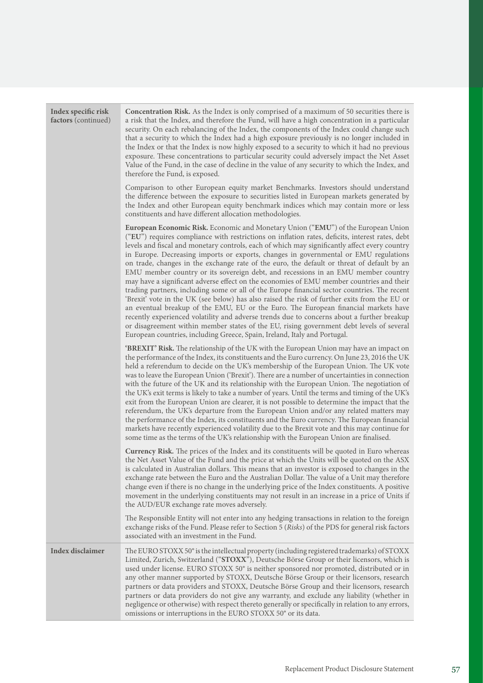| Index specific risk<br>factors (continued) | Concentration Risk. As the Index is only comprised of a maximum of 50 securities there is<br>a risk that the Index, and therefore the Fund, will have a high concentration in a particular<br>security. On each rebalancing of the Index, the components of the Index could change such<br>that a security to which the Index had a high exposure previously is no longer included in<br>the Index or that the Index is now highly exposed to a security to which it had no previous<br>exposure. These concentrations to particular security could adversely impact the Net Asset<br>Value of the Fund, in the case of decline in the value of any security to which the Index, and<br>therefore the Fund, is exposed.                                                                                                                                                                                                                                                                                                                                                                                                                                                                                                    |
|--------------------------------------------|----------------------------------------------------------------------------------------------------------------------------------------------------------------------------------------------------------------------------------------------------------------------------------------------------------------------------------------------------------------------------------------------------------------------------------------------------------------------------------------------------------------------------------------------------------------------------------------------------------------------------------------------------------------------------------------------------------------------------------------------------------------------------------------------------------------------------------------------------------------------------------------------------------------------------------------------------------------------------------------------------------------------------------------------------------------------------------------------------------------------------------------------------------------------------------------------------------------------------|
|                                            | Comparison to other European equity market Benchmarks. Investors should understand<br>the difference between the exposure to securities listed in European markets generated by<br>the Index and other European equity benchmark indices which may contain more or less<br>constituents and have different allocation methodologies.                                                                                                                                                                                                                                                                                                                                                                                                                                                                                                                                                                                                                                                                                                                                                                                                                                                                                       |
|                                            | European Economic Risk. Economic and Monetary Union ("EMU") of the European Union<br>("EU") requires compliance with restrictions on inflation rates, deficits, interest rates, debt<br>levels and fiscal and monetary controls, each of which may significantly affect every country<br>in Europe. Decreasing imports or exports, changes in governmental or EMU regulations<br>on trade, changes in the exchange rate of the euro, the default or threat of default by an<br>EMU member country or its sovereign debt, and recessions in an EMU member country<br>may have a significant adverse effect on the economies of EMU member countries and their<br>trading partners, including some or all of the Europe financial sector countries. The recent<br>'Brexit' vote in the UK (see below) has also raised the risk of further exits from the EU or<br>an eventual breakup of the EMU, EU or the Euro. The European financial markets have<br>recently experienced volatility and adverse trends due to concerns about a further breakup<br>or disagreement within member states of the EU, rising government debt levels of several<br>European countries, including Greece, Spain, Ireland, Italy and Portugal. |
|                                            | <b>'BREXIT' Risk.</b> The relationship of the UK with the European Union may have an impact on<br>the performance of the Index, its constituents and the Euro currency. On June 23, 2016 the UK<br>held a referendum to decide on the UK's membership of the European Union. The UK vote<br>was to leave the European Union ('Brexit'). There are a number of uncertainties in connection<br>with the future of the UK and its relationship with the European Union. The negotiation of<br>the UK's exit terms is likely to take a number of years. Until the terms and timing of the UK's<br>exit from the European Union are clearer, it is not possible to determine the impact that the<br>referendum, the UK's departure from the European Union and/or any related matters may<br>the performance of the Index, its constituents and the Euro currency. The European financial<br>markets have recently experienced volatility due to the Brexit vote and this may continue for<br>some time as the terms of the UK's relationship with the European Union are finalised.                                                                                                                                            |
|                                            | Currency Risk. The prices of the Index and its constituents will be quoted in Euro whereas<br>the Net Asset Value of the Fund and the price at which the Units will be quoted on the ASX<br>is calculated in Australian dollars. This means that an investor is exposed to changes in the<br>exchange rate between the Euro and the Australian Dollar. The value of a Unit may therefore<br>change even if there is no change in the underlying price of the Index constituents. A positive<br>movement in the underlying constituents may not result in an increase in a price of Units if<br>the AUD/EUR exchange rate moves adversely.                                                                                                                                                                                                                                                                                                                                                                                                                                                                                                                                                                                  |
|                                            | The Responsible Entity will not enter into any hedging transactions in relation to the foreign<br>exchange risks of the Fund. Please refer to Section 5 (Risks) of the PDS for general risk factors<br>associated with an investment in the Fund.                                                                                                                                                                                                                                                                                                                                                                                                                                                                                                                                                                                                                                                                                                                                                                                                                                                                                                                                                                          |
| <b>Index disclaimer</b>                    | The EURO STOXX 50° is the intellectual property (including registered trademarks) of STOXX<br>Limited, Zurich, Switzerland ("STOXX"), Deutsche Börse Group or their licensors, which is<br>used under license. EURO STOXX 50° is neither sponsored nor promoted, distributed or in<br>any other manner supported by STOXX, Deutsche Börse Group or their licensors, research<br>partners or data providers and STOXX, Deutsche Börse Group and their licensors, research<br>partners or data providers do not give any warranty, and exclude any liability (whether in<br>negligence or otherwise) with respect thereto generally or specifically in relation to any errors,<br>omissions or interruptions in the EURO STOXX 50° or its data.                                                                                                                                                                                                                                                                                                                                                                                                                                                                              |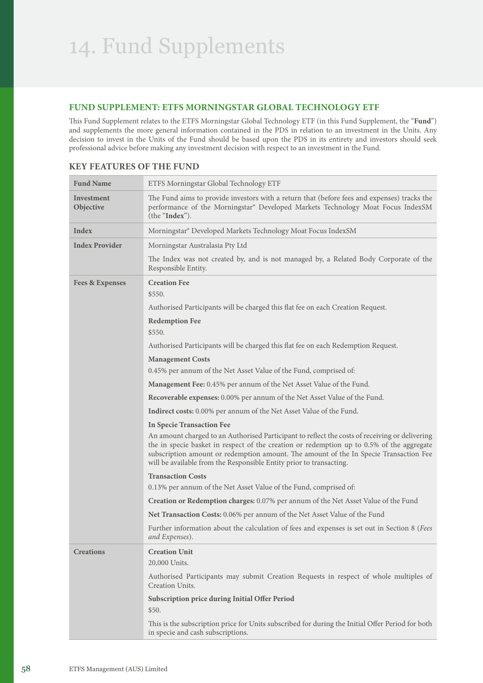## **FUND SUPPLEMENT: ETFS MORNINGSTAR GLOBAL TECHNOLOGY ETF**

This Fund Supplement relates to the ETFS Morningstar Global Technology ETF (in this Fund Supplement, the "**Fund**") and supplements the more general information contained in the PDS in relation to an investment in the Units. Any decision to invest in the Units of the Fund should be based upon the PDS in its entirety and investors should seek professional advice before making any investment decision with respect to an investment in the Fund.

| <b>Fund Name</b>           | ETFS Morningstar Global Technology ETF                                                                                                                                                                                                                                                                                                                      |
|----------------------------|-------------------------------------------------------------------------------------------------------------------------------------------------------------------------------------------------------------------------------------------------------------------------------------------------------------------------------------------------------------|
| Investment<br>Objective    | The Fund aims to provide investors with a return that (before fees and expenses) tracks the<br>performance of the Morningstar® Developed Markets Technology Moat Focus IndexSM<br>(the "Index").                                                                                                                                                            |
| Index                      | Morningstar® Developed Markets Technology Moat Focus IndexSM                                                                                                                                                                                                                                                                                                |
| <b>Index Provider</b>      | Morningstar Australasia Pty Ltd                                                                                                                                                                                                                                                                                                                             |
|                            | The Index was not created by, and is not managed by, a Related Body Corporate of the<br>Responsible Entity.                                                                                                                                                                                                                                                 |
| <b>Fees &amp; Expenses</b> | <b>Creation Fee</b><br>\$550.                                                                                                                                                                                                                                                                                                                               |
|                            | Authorised Participants will be charged this flat fee on each Creation Request.                                                                                                                                                                                                                                                                             |
|                            | <b>Redemption Fee</b><br>\$550.                                                                                                                                                                                                                                                                                                                             |
|                            | Authorised Participants will be charged this flat fee on each Redemption Request.                                                                                                                                                                                                                                                                           |
|                            | <b>Management Costs</b>                                                                                                                                                                                                                                                                                                                                     |
|                            | 0.45% per annum of the Net Asset Value of the Fund, comprised of:                                                                                                                                                                                                                                                                                           |
|                            | Management Fee: 0.45% per annum of the Net Asset Value of the Fund.                                                                                                                                                                                                                                                                                         |
|                            | Recoverable expenses: 0.00% per annum of the Net Asset Value of the Fund.                                                                                                                                                                                                                                                                                   |
|                            | <b>Indirect costs:</b> 0.00% per annum of the Net Asset Value of the Fund.                                                                                                                                                                                                                                                                                  |
|                            | <b>In Specie Transaction Fee</b>                                                                                                                                                                                                                                                                                                                            |
|                            | An amount charged to an Authorised Participant to reflect the costs of receiving or delivering<br>the in specie basket in respect of the creation or redemption up to 0.5% of the aggregate<br>subscription amount or redemption amount. The amount of the In Specie Transaction Fee<br>will be available from the Responsible Entity prior to transacting. |
|                            | <b>Transaction Costs</b>                                                                                                                                                                                                                                                                                                                                    |
|                            | 0.13% per annum of the Net Asset Value of the Fund, comprised of:                                                                                                                                                                                                                                                                                           |
|                            | Creation or Redemption charges: 0.07% per annum of the Net Asset Value of the Fund                                                                                                                                                                                                                                                                          |
|                            | Net Transaction Costs: 0.06% per annum of the Net Asset Value of the Fund                                                                                                                                                                                                                                                                                   |
|                            | Further information about the calculation of fees and expenses is set out in Section 8 (Fees<br>and Expenses).                                                                                                                                                                                                                                              |
| <b>Creations</b>           | <b>Creation Unit</b><br>20,000 Units.                                                                                                                                                                                                                                                                                                                       |
|                            | Authorised Participants may submit Creation Requests in respect of whole multiples of<br>Creation Units.                                                                                                                                                                                                                                                    |
|                            | Subscription price during Initial Offer Period<br>\$50.                                                                                                                                                                                                                                                                                                     |
|                            | This is the subscription price for Units subscribed for during the Initial Offer Period for both<br>in specie and cash subscriptions.                                                                                                                                                                                                                       |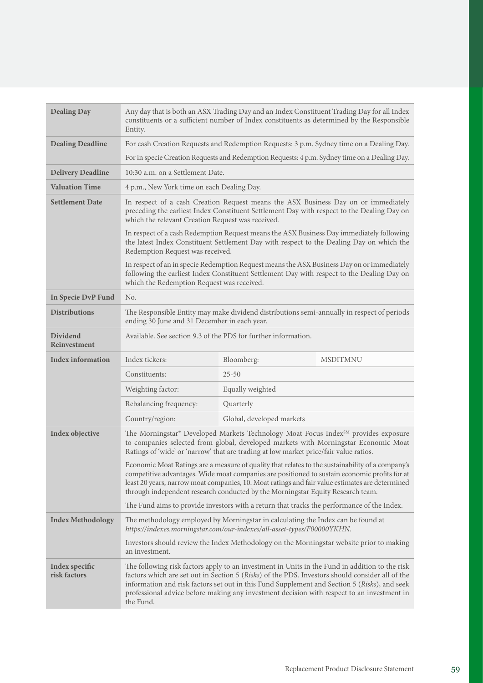| <b>Dealing Day</b>              | Any day that is both an ASX Trading Day and an Index Constituent Trading Day for all Index<br>constituents or a sufficient number of Index constituents as determined by the Responsible<br>Entity.                                                                                                                                                                                                          |                                                                                                                                                             |                                                                                                                                                                                                                                                                                                      |
|---------------------------------|--------------------------------------------------------------------------------------------------------------------------------------------------------------------------------------------------------------------------------------------------------------------------------------------------------------------------------------------------------------------------------------------------------------|-------------------------------------------------------------------------------------------------------------------------------------------------------------|------------------------------------------------------------------------------------------------------------------------------------------------------------------------------------------------------------------------------------------------------------------------------------------------------|
| <b>Dealing Deadline</b>         | For cash Creation Requests and Redemption Requests: 3 p.m. Sydney time on a Dealing Day.                                                                                                                                                                                                                                                                                                                     |                                                                                                                                                             |                                                                                                                                                                                                                                                                                                      |
|                                 | For in specie Creation Requests and Redemption Requests: 4 p.m. Sydney time on a Dealing Day.                                                                                                                                                                                                                                                                                                                |                                                                                                                                                             |                                                                                                                                                                                                                                                                                                      |
| <b>Delivery Deadline</b>        | 10:30 a.m. on a Settlement Date.                                                                                                                                                                                                                                                                                                                                                                             |                                                                                                                                                             |                                                                                                                                                                                                                                                                                                      |
| <b>Valuation Time</b>           | 4 p.m., New York time on each Dealing Day.                                                                                                                                                                                                                                                                                                                                                                   |                                                                                                                                                             |                                                                                                                                                                                                                                                                                                      |
| <b>Settlement Date</b>          | In respect of a cash Creation Request means the ASX Business Day on or immediately<br>preceding the earliest Index Constituent Settlement Day with respect to the Dealing Day on<br>which the relevant Creation Request was received.                                                                                                                                                                        |                                                                                                                                                             |                                                                                                                                                                                                                                                                                                      |
|                                 | Redemption Request was received.                                                                                                                                                                                                                                                                                                                                                                             |                                                                                                                                                             | In respect of a cash Redemption Request means the ASX Business Day immediately following<br>the latest Index Constituent Settlement Day with respect to the Dealing Day on which the                                                                                                                 |
|                                 | which the Redemption Request was received.                                                                                                                                                                                                                                                                                                                                                                   |                                                                                                                                                             | In respect of an in specie Redemption Request means the ASX Business Day on or immediately<br>following the earliest Index Constituent Settlement Day with respect to the Dealing Day on                                                                                                             |
| In Specie DvP Fund              | No.                                                                                                                                                                                                                                                                                                                                                                                                          |                                                                                                                                                             |                                                                                                                                                                                                                                                                                                      |
| <b>Distributions</b>            | The Responsible Entity may make dividend distributions semi-annually in respect of periods<br>ending 30 June and 31 December in each year.                                                                                                                                                                                                                                                                   |                                                                                                                                                             |                                                                                                                                                                                                                                                                                                      |
| <b>Dividend</b><br>Reinvestment | Available. See section 9.3 of the PDS for further information.                                                                                                                                                                                                                                                                                                                                               |                                                                                                                                                             |                                                                                                                                                                                                                                                                                                      |
| <b>Index information</b>        | Index tickers:                                                                                                                                                                                                                                                                                                                                                                                               | Bloomberg:                                                                                                                                                  | <b>MSDITMNU</b>                                                                                                                                                                                                                                                                                      |
|                                 | Constituents:                                                                                                                                                                                                                                                                                                                                                                                                | $25 - 50$                                                                                                                                                   |                                                                                                                                                                                                                                                                                                      |
|                                 | Weighting factor:                                                                                                                                                                                                                                                                                                                                                                                            | Equally weighted                                                                                                                                            |                                                                                                                                                                                                                                                                                                      |
|                                 | Rebalancing frequency:                                                                                                                                                                                                                                                                                                                                                                                       | Quarterly                                                                                                                                                   |                                                                                                                                                                                                                                                                                                      |
|                                 | Country/region:                                                                                                                                                                                                                                                                                                                                                                                              | Global, developed markets                                                                                                                                   |                                                                                                                                                                                                                                                                                                      |
| Index objective                 | The Morningstar® Developed Markets Technology Moat Focus Index <sup>SM</sup> provides exposure<br>to companies selected from global, developed markets with Morningstar Economic Moat<br>Ratings of 'wide' or 'narrow' that are trading at low market price/fair value ratios.                                                                                                                               |                                                                                                                                                             |                                                                                                                                                                                                                                                                                                      |
|                                 |                                                                                                                                                                                                                                                                                                                                                                                                              | through independent research conducted by the Morningstar Equity Research team.                                                                             | Economic Moat Ratings are a measure of quality that relates to the sustainability of a company's<br>competitive advantages. Wide moat companies are positioned to sustain economic profits for at<br>least 20 years, narrow moat companies, 10. Moat ratings and fair value estimates are determined |
|                                 |                                                                                                                                                                                                                                                                                                                                                                                                              | The Fund aims to provide investors with a return that tracks the performance of the Index.                                                                  |                                                                                                                                                                                                                                                                                                      |
| <b>Index Methodology</b>        |                                                                                                                                                                                                                                                                                                                                                                                                              | The methodology employed by Morningstar in calculating the Index can be found at<br>https://indexes.morningstar.com/our-indexes/all-asset-types/F00000YKHN. |                                                                                                                                                                                                                                                                                                      |
|                                 | an investment.                                                                                                                                                                                                                                                                                                                                                                                               |                                                                                                                                                             | Investors should review the Index Methodology on the Morningstar website prior to making                                                                                                                                                                                                             |
| Index specific<br>risk factors  | The following risk factors apply to an investment in Units in the Fund in addition to the risk<br>factors which are set out in Section 5 (Risks) of the PDS. Investors should consider all of the<br>information and risk factors set out in this Fund Supplement and Section 5 (Risks), and seek<br>professional advice before making any investment decision with respect to an investment in<br>the Fund. |                                                                                                                                                             |                                                                                                                                                                                                                                                                                                      |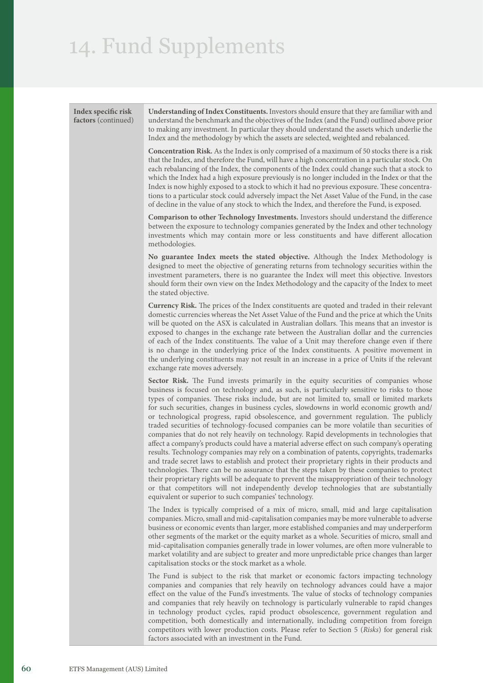**Index specific risk factors** (continued) **Understanding of Index Constituents.** Investors should ensure that they are familiar with and understand the benchmark and the objectives of the Index (and the Fund) outlined above prior to making any investment. In particular they should understand the assets which underlie the Index and the methodology by which the assets are selected, weighted and rebalanced. **Concentration Risk.** As the Index is only comprised of a maximum of 50 stocks there is a risk that the Index, and therefore the Fund, will have a high concentration in a particular stock. On each rebalancing of the Index, the components of the Index could change such that a stock to which the Index had a high exposure previously is no longer included in the Index or that the Index is now highly exposed to a stock to which it had no previous exposure. These concentrations to a particular stock could adversely impact the Net Asset Value of the Fund, in the case of decline in the value of any stock to which the Index, and therefore the Fund, is exposed. **Comparison to other Technology Investments.** Investors should understand the difference between the exposure to technology companies generated by the Index and other technology investments which may contain more or less constituents and have different allocation methodologies. **No guarantee Index meets the stated objective.** Although the Index Methodology is designed to meet the objective of generating returns from technology securities within the investment parameters, there is no guarantee the Index will meet this objective. Investors should form their own view on the Index Methodology and the capacity of the Index to meet the stated objective. **Currency Risk.** The prices of the Index constituents are quoted and traded in their relevant domestic currencies whereas the Net Asset Value of the Fund and the price at which the Units will be quoted on the ASX is calculated in Australian dollars. This means that an investor is exposed to changes in the exchange rate between the Australian dollar and the currencies of each of the Index constituents. The value of a Unit may therefore change even if there is no change in the underlying price of the Index constituents. A positive movement in the underlying constituents may not result in an increase in a price of Units if the relevant exchange rate moves adversely. **Sector Risk.** The Fund invests primarily in the equity securities of companies whose business is focused on technology and, as such, is particularly sensitive to risks to those types of companies. These risks include, but are not limited to, small or limited markets for such securities, changes in business cycles, slowdowns in world economic growth and/ or technological progress, rapid obsolescence, and government regulation. The publicly traded securities of technology-focused companies can be more volatile than securities of companies that do not rely heavily on technology. Rapid developments in technologies that affect a company's products could have a material adverse effect on such company's operating results. Technology companies may rely on a combination of patents, copyrights, trademarks and trade secret laws to establish and protect their proprietary rights in their products and technologies. There can be no assurance that the steps taken by these companies to protect their proprietary rights will be adequate to prevent the misappropriation of their technology or that competitors will not independently develop technologies that are substantially equivalent or superior to such companies' technology. The Index is typically comprised of a mix of micro, small, mid and large capitalisation companies. Micro, small and mid-capitalisation companies may be more vulnerable to adverse business or economic events than larger, more established companies and may underperform other segments of the market or the equity market as a whole. Securities of micro, small and mid-capitalisation companies generally trade in lower volumes, are often more vulnerable to market volatility and are subject to greater and more unpredictable price changes than larger capitalisation stocks or the stock market as a whole. The Fund is subject to the risk that market or economic factors impacting technology companies and companies that rely heavily on technology advances could have a major effect on the value of the Fund's investments. The value of stocks of technology companies and companies that rely heavily on technology is particularly vulnerable to rapid changes in technology product cycles, rapid product obsolescence, government regulation and competition, both domestically and internationally, including competition from foreign

competitors with lower production costs. Please refer to Section 5 (*Risks*) for general risk

factors associated with an investment in the Fund.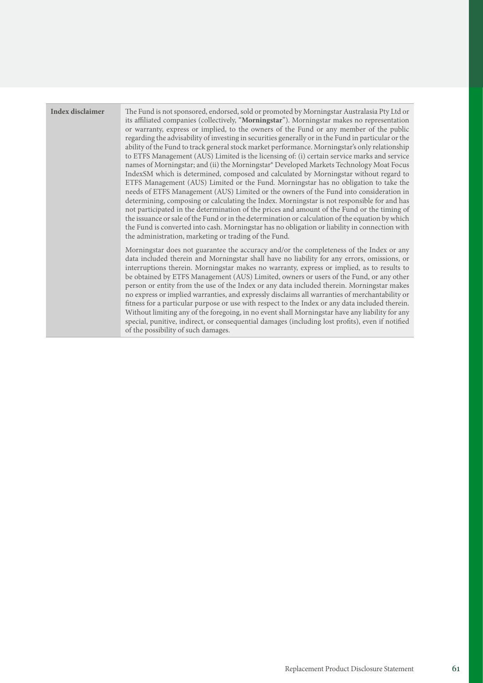| Index disclaimer | The Fund is not sponsored, endorsed, sold or promoted by Morningstar Australasia Pty Ltd or<br>its affiliated companies (collectively, "Morningstar"). Morningstar makes no representation<br>or warranty, express or implied, to the owners of the Fund or any member of the public<br>regarding the advisability of investing in securities generally or in the Fund in particular or the<br>ability of the Fund to track general stock market performance. Morningstar's only relationship<br>to ETFS Management (AUS) Limited is the licensing of: (i) certain service marks and service<br>names of Morningstar; and (ii) the Morningstar® Developed Markets Technology Moat Focus<br>IndexSM which is determined, composed and calculated by Morningstar without regard to<br>ETFS Management (AUS) Limited or the Fund. Morningstar has no obligation to take the<br>needs of ETFS Management (AUS) Limited or the owners of the Fund into consideration in<br>determining, composing or calculating the Index. Morningstar is not responsible for and has<br>not participated in the determination of the prices and amount of the Fund or the timing of<br>the issuance or sale of the Fund or in the determination or calculation of the equation by which<br>the Fund is converted into cash. Morningstar has no obligation or liability in connection with<br>the administration, marketing or trading of the Fund. |
|------------------|---------------------------------------------------------------------------------------------------------------------------------------------------------------------------------------------------------------------------------------------------------------------------------------------------------------------------------------------------------------------------------------------------------------------------------------------------------------------------------------------------------------------------------------------------------------------------------------------------------------------------------------------------------------------------------------------------------------------------------------------------------------------------------------------------------------------------------------------------------------------------------------------------------------------------------------------------------------------------------------------------------------------------------------------------------------------------------------------------------------------------------------------------------------------------------------------------------------------------------------------------------------------------------------------------------------------------------------------------------------------------------------------------------------------------------|
|                  | Morningstar does not guarantee the accuracy and/or the completeness of the Index or any<br>data included therein and Morningstar shall have no liability for any errors, omissions, or<br>interruptions therein. Morningstar makes no warranty, express or implied, as to results to<br>be obtained by ETFS Management (AUS) Limited, owners or users of the Fund, or any other<br>person or entity from the use of the Index or any data included therein. Morningstar makes<br>no express or implied warranties, and expressly disclaims all warranties of merchantability or<br>fitness for a particular purpose or use with respect to the Index or any data included therein.<br>Without limiting any of the foregoing, in no event shall Morningstar have any liability for any<br>special, punitive, indirect, or consequential damages (including lost profits), even if notified<br>of the possibility of such damages.                                                                                                                                                                                                                                                                                                                                                                                                                                                                                                |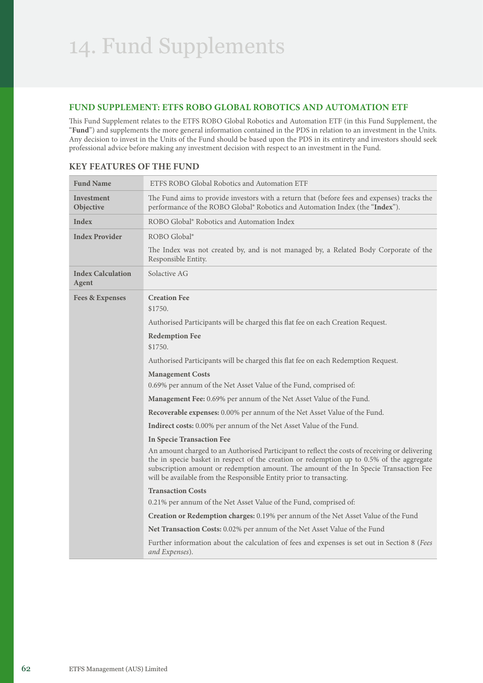## **FUND SUPPLEMENT: ETFS ROBO GLOBAL ROBOTICS AND AUTOMATION ETF**

This Fund Supplement relates to the ETFS ROBO Global Robotics and Automation ETF (in this Fund Supplement, the "**Fund**") and supplements the more general information contained in the PDS in relation to an investment in the Units. Any decision to invest in the Units of the Fund should be based upon the PDS in its entirety and investors should seek professional advice before making any investment decision with respect to an investment in the Fund.

| <b>Fund Name</b>                  | ETFS ROBO Global Robotics and Automation ETF                                                                                                                                                                                                                                                                                                                |  |
|-----------------------------------|-------------------------------------------------------------------------------------------------------------------------------------------------------------------------------------------------------------------------------------------------------------------------------------------------------------------------------------------------------------|--|
| Investment<br>Objective           | The Fund aims to provide investors with a return that (before fees and expenses) tracks the<br>performance of the ROBO Global® Robotics and Automation Index (the "Index").                                                                                                                                                                                 |  |
| Index                             | ROBO Global <sup>®</sup> Robotics and Automation Index                                                                                                                                                                                                                                                                                                      |  |
| <b>Index Provider</b>             | ROBO Global <sup>®</sup>                                                                                                                                                                                                                                                                                                                                    |  |
|                                   | The Index was not created by, and is not managed by, a Related Body Corporate of the<br>Responsible Entity.                                                                                                                                                                                                                                                 |  |
| <b>Index Calculation</b><br>Agent | Solactive AG                                                                                                                                                                                                                                                                                                                                                |  |
| <b>Fees &amp; Expenses</b>        | <b>Creation Fee</b><br>\$1750.                                                                                                                                                                                                                                                                                                                              |  |
|                                   | Authorised Participants will be charged this flat fee on each Creation Request.                                                                                                                                                                                                                                                                             |  |
|                                   | <b>Redemption Fee</b><br>\$1750.                                                                                                                                                                                                                                                                                                                            |  |
|                                   | Authorised Participants will be charged this flat fee on each Redemption Request.                                                                                                                                                                                                                                                                           |  |
|                                   | <b>Management Costs</b><br>0.69% per annum of the Net Asset Value of the Fund, comprised of:                                                                                                                                                                                                                                                                |  |
|                                   | Management Fee: 0.69% per annum of the Net Asset Value of the Fund.                                                                                                                                                                                                                                                                                         |  |
|                                   | Recoverable expenses: 0.00% per annum of the Net Asset Value of the Fund.                                                                                                                                                                                                                                                                                   |  |
|                                   | <b>Indirect costs:</b> 0.00% per annum of the Net Asset Value of the Fund.                                                                                                                                                                                                                                                                                  |  |
|                                   | <b>In Specie Transaction Fee</b>                                                                                                                                                                                                                                                                                                                            |  |
|                                   | An amount charged to an Authorised Participant to reflect the costs of receiving or delivering<br>the in specie basket in respect of the creation or redemption up to 0.5% of the aggregate<br>subscription amount or redemption amount. The amount of the In Specie Transaction Fee<br>will be available from the Responsible Entity prior to transacting. |  |
|                                   | <b>Transaction Costs</b>                                                                                                                                                                                                                                                                                                                                    |  |
|                                   | 0.21% per annum of the Net Asset Value of the Fund, comprised of:                                                                                                                                                                                                                                                                                           |  |
|                                   | Creation or Redemption charges: 0.19% per annum of the Net Asset Value of the Fund                                                                                                                                                                                                                                                                          |  |
|                                   | Net Transaction Costs: 0.02% per annum of the Net Asset Value of the Fund                                                                                                                                                                                                                                                                                   |  |
|                                   | Further information about the calculation of fees and expenses is set out in Section 8 (Fees<br>and Expenses).                                                                                                                                                                                                                                              |  |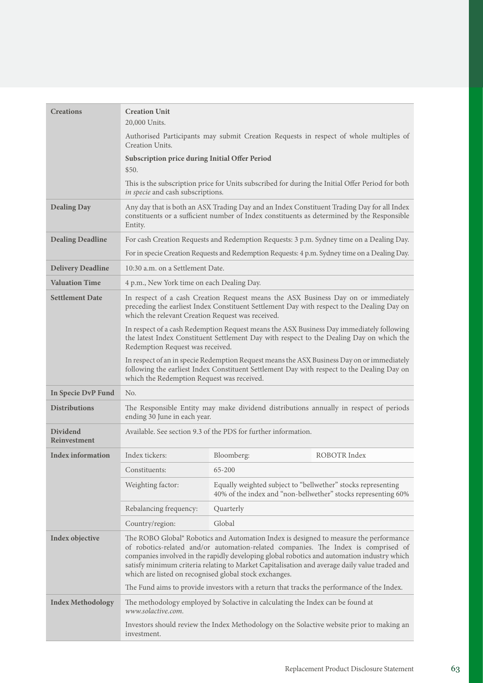| <b>Creations</b>                       | <b>Creation Unit</b><br>20,000 Units.                                                                                                                                                                                                                                                                                                                                                                                                                                                                                              |                                                                                                                               |                                                                                                                                                                                          |
|----------------------------------------|------------------------------------------------------------------------------------------------------------------------------------------------------------------------------------------------------------------------------------------------------------------------------------------------------------------------------------------------------------------------------------------------------------------------------------------------------------------------------------------------------------------------------------|-------------------------------------------------------------------------------------------------------------------------------|------------------------------------------------------------------------------------------------------------------------------------------------------------------------------------------|
|                                        | Authorised Participants may submit Creation Requests in respect of whole multiples of<br>Creation Units.                                                                                                                                                                                                                                                                                                                                                                                                                           |                                                                                                                               |                                                                                                                                                                                          |
|                                        | Subscription price during Initial Offer Period                                                                                                                                                                                                                                                                                                                                                                                                                                                                                     |                                                                                                                               |                                                                                                                                                                                          |
|                                        | \$50.                                                                                                                                                                                                                                                                                                                                                                                                                                                                                                                              |                                                                                                                               |                                                                                                                                                                                          |
|                                        | in specie and cash subscriptions.                                                                                                                                                                                                                                                                                                                                                                                                                                                                                                  |                                                                                                                               | This is the subscription price for Units subscribed for during the Initial Offer Period for both                                                                                         |
| <b>Dealing Day</b>                     | Any day that is both an ASX Trading Day and an Index Constituent Trading Day for all Index<br>constituents or a sufficient number of Index constituents as determined by the Responsible<br>Entity.                                                                                                                                                                                                                                                                                                                                |                                                                                                                               |                                                                                                                                                                                          |
| <b>Dealing Deadline</b>                | For cash Creation Requests and Redemption Requests: 3 p.m. Sydney time on a Dealing Day.                                                                                                                                                                                                                                                                                                                                                                                                                                           |                                                                                                                               |                                                                                                                                                                                          |
|                                        |                                                                                                                                                                                                                                                                                                                                                                                                                                                                                                                                    |                                                                                                                               | For in specie Creation Requests and Redemption Requests: 4 p.m. Sydney time on a Dealing Day.                                                                                            |
| <b>Delivery Deadline</b>               | 10:30 a.m. on a Settlement Date.                                                                                                                                                                                                                                                                                                                                                                                                                                                                                                   |                                                                                                                               |                                                                                                                                                                                          |
| <b>Valuation Time</b>                  | 4 p.m., New York time on each Dealing Day.                                                                                                                                                                                                                                                                                                                                                                                                                                                                                         |                                                                                                                               |                                                                                                                                                                                          |
| <b>Settlement Date</b>                 | In respect of a cash Creation Request means the ASX Business Day on or immediately<br>preceding the earliest Index Constituent Settlement Day with respect to the Dealing Day on<br>which the relevant Creation Request was received.                                                                                                                                                                                                                                                                                              |                                                                                                                               |                                                                                                                                                                                          |
|                                        | In respect of a cash Redemption Request means the ASX Business Day immediately following<br>the latest Index Constituent Settlement Day with respect to the Dealing Day on which the<br>Redemption Request was received.                                                                                                                                                                                                                                                                                                           |                                                                                                                               |                                                                                                                                                                                          |
|                                        | which the Redemption Request was received.                                                                                                                                                                                                                                                                                                                                                                                                                                                                                         |                                                                                                                               | In respect of an in specie Redemption Request means the ASX Business Day on or immediately<br>following the earliest Index Constituent Settlement Day with respect to the Dealing Day on |
| In Specie DvP Fund                     | No.                                                                                                                                                                                                                                                                                                                                                                                                                                                                                                                                |                                                                                                                               |                                                                                                                                                                                          |
| <b>Distributions</b>                   | The Responsible Entity may make dividend distributions annually in respect of periods<br>ending 30 June in each year.                                                                                                                                                                                                                                                                                                                                                                                                              |                                                                                                                               |                                                                                                                                                                                          |
| <b>Dividend</b><br><b>Reinvestment</b> | Available. See section 9.3 of the PDS for further information.                                                                                                                                                                                                                                                                                                                                                                                                                                                                     |                                                                                                                               |                                                                                                                                                                                          |
| Index information                      | Index tickers:                                                                                                                                                                                                                                                                                                                                                                                                                                                                                                                     | Bloomberg:                                                                                                                    | ROBOTR Index                                                                                                                                                                             |
|                                        | Constituents:                                                                                                                                                                                                                                                                                                                                                                                                                                                                                                                      | 65-200                                                                                                                        |                                                                                                                                                                                          |
|                                        | Weighting factor:                                                                                                                                                                                                                                                                                                                                                                                                                                                                                                                  | Equally weighted subject to "bellwether" stocks representing<br>40% of the index and "non-bellwether" stocks representing 60% |                                                                                                                                                                                          |
|                                        | Rebalancing frequency:                                                                                                                                                                                                                                                                                                                                                                                                                                                                                                             | Quarterly                                                                                                                     |                                                                                                                                                                                          |
|                                        | Country/region:                                                                                                                                                                                                                                                                                                                                                                                                                                                                                                                    | Global                                                                                                                        |                                                                                                                                                                                          |
| Index objective                        | The ROBO Global® Robotics and Automation Index is designed to measure the performance<br>of robotics-related and/or automation-related companies. The Index is comprised of<br>companies involved in the rapidly developing global robotics and automation industry which<br>satisfy minimum criteria relating to Market Capitalisation and average daily value traded and<br>which are listed on recognised global stock exchanges.<br>The Fund aims to provide investors with a return that tracks the performance of the Index. |                                                                                                                               |                                                                                                                                                                                          |
| <b>Index Methodology</b>               |                                                                                                                                                                                                                                                                                                                                                                                                                                                                                                                                    |                                                                                                                               |                                                                                                                                                                                          |
|                                        | The methodology employed by Solactive in calculating the Index can be found at<br>www.solactive.com.                                                                                                                                                                                                                                                                                                                                                                                                                               |                                                                                                                               |                                                                                                                                                                                          |
|                                        | investment.                                                                                                                                                                                                                                                                                                                                                                                                                                                                                                                        |                                                                                                                               | Investors should review the Index Methodology on the Solactive website prior to making an                                                                                                |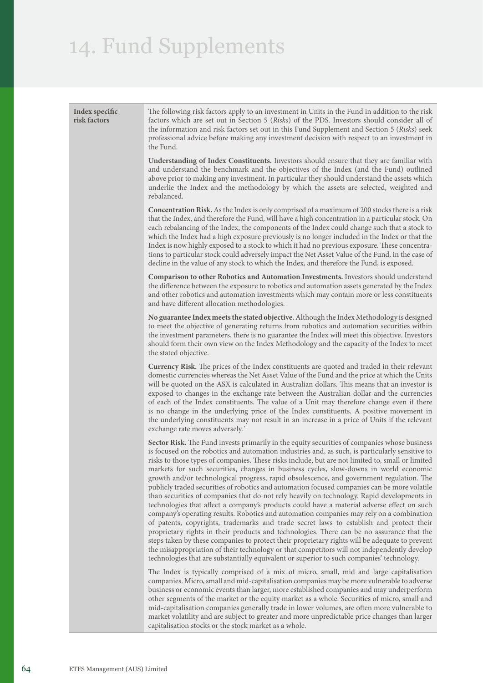| Index specific<br>risk factors | The following risk factors apply to an investment in Units in the Fund in addition to the risk<br>factors which are set out in Section 5 (Risks) of the PDS. Investors should consider all of<br>the information and risk factors set out in this Fund Supplement and Section 5 (Risks) seek<br>professional advice before making any investment decision with respect to an investment in<br>the Fund.                                                                                                                                                                                                                                                                                                                                                                                                                                                                                                                                                                                                                                                                                                                                                                                                                                                                                                                                                                |
|--------------------------------|------------------------------------------------------------------------------------------------------------------------------------------------------------------------------------------------------------------------------------------------------------------------------------------------------------------------------------------------------------------------------------------------------------------------------------------------------------------------------------------------------------------------------------------------------------------------------------------------------------------------------------------------------------------------------------------------------------------------------------------------------------------------------------------------------------------------------------------------------------------------------------------------------------------------------------------------------------------------------------------------------------------------------------------------------------------------------------------------------------------------------------------------------------------------------------------------------------------------------------------------------------------------------------------------------------------------------------------------------------------------|
|                                | <b>Understanding of Index Constituents.</b> Investors should ensure that they are familiar with<br>and understand the benchmark and the objectives of the Index (and the Fund) outlined<br>above prior to making any investment. In particular they should understand the assets which<br>underlie the Index and the methodology by which the assets are selected, weighted and<br>rebalanced.                                                                                                                                                                                                                                                                                                                                                                                                                                                                                                                                                                                                                                                                                                                                                                                                                                                                                                                                                                         |
|                                | <b>Concentration Risk.</b> As the Index is only comprised of a maximum of 200 stocks there is a risk<br>that the Index, and therefore the Fund, will have a high concentration in a particular stock. On<br>each rebalancing of the Index, the components of the Index could change such that a stock to<br>which the Index had a high exposure previously is no longer included in the Index or that the<br>Index is now highly exposed to a stock to which it had no previous exposure. These concentra-<br>tions to particular stock could adversely impact the Net Asset Value of the Fund, in the case of<br>decline in the value of any stock to which the Index, and therefore the Fund, is exposed.                                                                                                                                                                                                                                                                                                                                                                                                                                                                                                                                                                                                                                                            |
|                                | Comparison to other Robotics and Automation Investments. Investors should understand<br>the difference between the exposure to robotics and automation assets generated by the Index<br>and other robotics and automation investments which may contain more or less constituents<br>and have different allocation methodologies.                                                                                                                                                                                                                                                                                                                                                                                                                                                                                                                                                                                                                                                                                                                                                                                                                                                                                                                                                                                                                                      |
|                                | No guarantee Index meets the stated objective. Although the Index Methodology is designed<br>to meet the objective of generating returns from robotics and automation securities within<br>the investment parameters, there is no guarantee the Index will meet this objective. Investors<br>should form their own view on the Index Methodology and the capacity of the Index to meet<br>the stated objective.                                                                                                                                                                                                                                                                                                                                                                                                                                                                                                                                                                                                                                                                                                                                                                                                                                                                                                                                                        |
|                                | Currency Risk. The prices of the Index constituents are quoted and traded in their relevant<br>domestic currencies whereas the Net Asset Value of the Fund and the price at which the Units<br>will be quoted on the ASX is calculated in Australian dollars. This means that an investor is<br>exposed to changes in the exchange rate between the Australian dollar and the currencies<br>of each of the Index constituents. The value of a Unit may therefore change even if there<br>is no change in the underlying price of the Index constituents. A positive movement in<br>the underlying constituents may not result in an increase in a price of Units if the relevant<br>exchange rate moves adversely.'                                                                                                                                                                                                                                                                                                                                                                                                                                                                                                                                                                                                                                                    |
|                                | Sector Risk. The Fund invests primarily in the equity securities of companies whose business<br>is focused on the robotics and automation industries and, as such, is particularly sensitive to<br>risks to those types of companies. These risks include, but are not limited to, small or limited<br>markets for such securities, changes in business cycles, slow-downs in world economic<br>growth and/or technological progress, rapid obsolescence, and government regulation. The<br>publicly traded securities of robotics and automation focused companies can be more volatile<br>than securities of companies that do not rely heavily on technology. Rapid developments in<br>technologies that affect a company's products could have a material adverse effect on such<br>company's operating results. Robotics and automation companies may rely on a combination<br>of patents, copyrights, trademarks and trade secret laws to establish and protect their<br>proprietary rights in their products and technologies. There can be no assurance that the<br>steps taken by these companies to protect their proprietary rights will be adequate to prevent<br>the misappropriation of their technology or that competitors will not independently develop<br>technologies that are substantially equivalent or superior to such companies' technology. |
|                                | The Index is typically comprised of a mix of micro, small, mid and large capitalisation<br>companies. Micro, small and mid-capitalisation companies may be more vulnerable to adverse<br>business or economic events than larger, more established companies and may underperform<br>other segments of the market or the equity market as a whole. Securities of micro, small and<br>mid-capitalisation companies generally trade in lower volumes, are often more vulnerable to<br>market volatility and are subject to greater and more unpredictable price changes than larger<br>capitalisation stocks or the stock market as a whole.                                                                                                                                                                                                                                                                                                                                                                                                                                                                                                                                                                                                                                                                                                                             |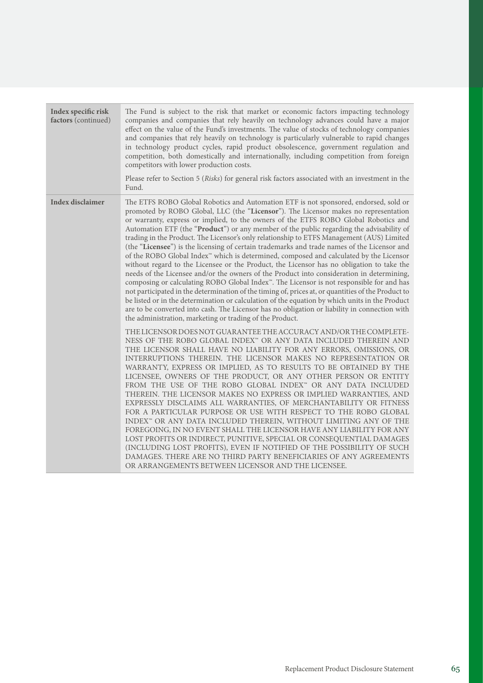| Index specific risk<br>factors (continued) | The Fund is subject to the risk that market or economic factors impacting technology<br>companies and companies that rely heavily on technology advances could have a major<br>effect on the value of the Fund's investments. The value of stocks of technology companies<br>and companies that rely heavily on technology is particularly vulnerable to rapid changes<br>in technology product cycles, rapid product obsolescence, government regulation and<br>competition, both domestically and internationally, including competition from foreign<br>competitors with lower production costs.<br>Please refer to Section 5 (Risks) for general risk factors associated with an investment in the<br>Fund.                                                                                                                                                                                                                                                                                                                                                                                                                                                                                                                                                                                                          |
|--------------------------------------------|--------------------------------------------------------------------------------------------------------------------------------------------------------------------------------------------------------------------------------------------------------------------------------------------------------------------------------------------------------------------------------------------------------------------------------------------------------------------------------------------------------------------------------------------------------------------------------------------------------------------------------------------------------------------------------------------------------------------------------------------------------------------------------------------------------------------------------------------------------------------------------------------------------------------------------------------------------------------------------------------------------------------------------------------------------------------------------------------------------------------------------------------------------------------------------------------------------------------------------------------------------------------------------------------------------------------------|
| Index disclaimer                           | The ETFS ROBO Global Robotics and Automation ETF is not sponsored, endorsed, sold or<br>promoted by ROBO Global, LLC (the "Licensor"). The Licensor makes no representation<br>or warranty, express or implied, to the owners of the ETFS ROBO Global Robotics and<br>Automation ETF (the "Product") or any member of the public regarding the advisability of<br>trading in the Product. The Licensor's only relationship to ETFS Management (AUS) Limited<br>(the "Licensee") is the licensing of certain trademarks and trade names of the Licensor and<br>of the ROBO Global Index <sup>™</sup> which is determined, composed and calculated by the Licensor<br>without regard to the Licensee or the Product, the Licensor has no obligation to take the<br>needs of the Licensee and/or the owners of the Product into consideration in determining,<br>composing or calculating ROBO Global Index <sup>16</sup> . The Licensor is not responsible for and has<br>not participated in the determination of the timing of, prices at, or quantities of the Product to<br>be listed or in the determination or calculation of the equation by which units in the Product                                                                                                                                             |
|                                            | are to be converted into cash. The Licensor has no obligation or liability in connection with<br>the administration, marketing or trading of the Product.<br>THE LICENSOR DOES NOT GUARANTEE THE ACCURACY AND/OR THE COMPLETE-<br>NESS OF THE ROBO GLOBAL INDEX <sup>®</sup> OR ANY DATA INCLUDED THEREIN AND<br>THE LICENSOR SHALL HAVE NO LIABILITY FOR ANY ERRORS, OMISSIONS, OR<br>INTERRUPTIONS THEREIN. THE LICENSOR MAKES NO REPRESENTATION OR<br>WARRANTY, EXPRESS OR IMPLIED, AS TO RESULTS TO BE OBTAINED BY THE<br>LICENSEE, OWNERS OF THE PRODUCT, OR ANY OTHER PERSON OR ENTITY<br>FROM THE USE OF THE ROBO GLOBAL INDEX <sup>®</sup> OR ANY DATA INCLUDED<br>THEREIN. THE LICENSOR MAKES NO EXPRESS OR IMPLIED WARRANTIES, AND<br>EXPRESSLY DISCLAIMS ALL WARRANTIES, OF MERCHANTABILITY OR FITNESS<br>FOR A PARTICULAR PURPOSE OR USE WITH RESPECT TO THE ROBO GLOBAL<br>INDEX <sup>®</sup> OR ANY DATA INCLUDED THEREIN, WITHOUT LIMITING ANY OF THE<br>FOREGOING, IN NO EVENT SHALL THE LICENSOR HAVE ANY LIABILITY FOR ANY<br>LOST PROFITS OR INDIRECT, PUNITIVE, SPECIAL OR CONSEQUENTIAL DAMAGES<br>(INCLUDING LOST PROFITS), EVEN IF NOTIFIED OF THE POSSIBILITY OF SUCH<br>DAMAGES. THERE ARE NO THIRD PARTY BENEFICIARIES OF ANY AGREEMENTS<br>OR ARRANGEMENTS BETWEEN LICENSOR AND THE LICENSEE. |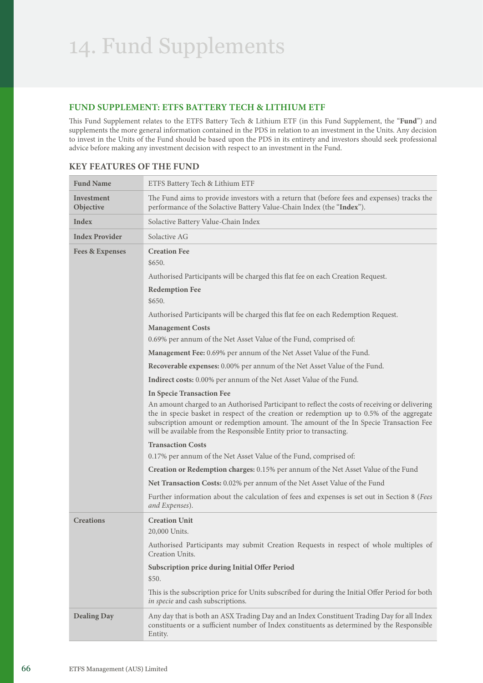# **FUND SUPPLEMENT: ETFS BATTERY TECH & LITHIUM ETF**

This Fund Supplement relates to the ETFS Battery Tech & Lithium ETF (in this Fund Supplement, the "**Fund**") and supplements the more general information contained in the PDS in relation to an investment in the Units. Any decision to invest in the Units of the Fund should be based upon the PDS in its entirety and investors should seek professional advice before making any investment decision with respect to an investment in the Fund.

| <b>Fund Name</b>               | ETFS Battery Tech & Lithium ETF                                                                                                                                                                                                                                                                                                                                                                 |  |  |
|--------------------------------|-------------------------------------------------------------------------------------------------------------------------------------------------------------------------------------------------------------------------------------------------------------------------------------------------------------------------------------------------------------------------------------------------|--|--|
| <b>Investment</b><br>Objective | The Fund aims to provide investors with a return that (before fees and expenses) tracks the<br>performance of the Solactive Battery Value-Chain Index (the "Index").                                                                                                                                                                                                                            |  |  |
| Index                          | Solactive Battery Value-Chain Index                                                                                                                                                                                                                                                                                                                                                             |  |  |
| <b>Index Provider</b>          | Solactive AG                                                                                                                                                                                                                                                                                                                                                                                    |  |  |
| <b>Fees &amp; Expenses</b>     | <b>Creation Fee</b><br>\$650.                                                                                                                                                                                                                                                                                                                                                                   |  |  |
|                                | Authorised Participants will be charged this flat fee on each Creation Request.                                                                                                                                                                                                                                                                                                                 |  |  |
|                                | <b>Redemption Fee</b><br>\$650.                                                                                                                                                                                                                                                                                                                                                                 |  |  |
|                                | Authorised Participants will be charged this flat fee on each Redemption Request.                                                                                                                                                                                                                                                                                                               |  |  |
|                                | <b>Management Costs</b>                                                                                                                                                                                                                                                                                                                                                                         |  |  |
|                                | 0.69% per annum of the Net Asset Value of the Fund, comprised of:                                                                                                                                                                                                                                                                                                                               |  |  |
|                                | Management Fee: 0.69% per annum of the Net Asset Value of the Fund.                                                                                                                                                                                                                                                                                                                             |  |  |
|                                | Recoverable expenses: 0.00% per annum of the Net Asset Value of the Fund.                                                                                                                                                                                                                                                                                                                       |  |  |
|                                | <b>Indirect costs:</b> 0.00% per annum of the Net Asset Value of the Fund.                                                                                                                                                                                                                                                                                                                      |  |  |
|                                | <b>In Specie Transaction Fee</b><br>An amount charged to an Authorised Participant to reflect the costs of receiving or delivering<br>the in specie basket in respect of the creation or redemption up to 0.5% of the aggregate<br>subscription amount or redemption amount. The amount of the In Specie Transaction Fee<br>will be available from the Responsible Entity prior to transacting. |  |  |
|                                | <b>Transaction Costs</b>                                                                                                                                                                                                                                                                                                                                                                        |  |  |
|                                | 0.17% per annum of the Net Asset Value of the Fund, comprised of:                                                                                                                                                                                                                                                                                                                               |  |  |
|                                | Creation or Redemption charges: 0.15% per annum of the Net Asset Value of the Fund                                                                                                                                                                                                                                                                                                              |  |  |
|                                | Net Transaction Costs: 0.02% per annum of the Net Asset Value of the Fund                                                                                                                                                                                                                                                                                                                       |  |  |
|                                | Further information about the calculation of fees and expenses is set out in Section 8 (Fees<br>and Expenses).                                                                                                                                                                                                                                                                                  |  |  |
| <b>Creations</b>               | <b>Creation Unit</b><br>20,000 Units.                                                                                                                                                                                                                                                                                                                                                           |  |  |
|                                | Authorised Participants may submit Creation Requests in respect of whole multiples of<br>Creation Units.                                                                                                                                                                                                                                                                                        |  |  |
|                                | Subscription price during Initial Offer Period<br>\$50.                                                                                                                                                                                                                                                                                                                                         |  |  |
|                                | This is the subscription price for Units subscribed for during the Initial Offer Period for both<br>in specie and cash subscriptions.                                                                                                                                                                                                                                                           |  |  |
| <b>Dealing Day</b>             | Any day that is both an ASX Trading Day and an Index Constituent Trading Day for all Index<br>constituents or a sufficient number of Index constituents as determined by the Responsible<br>Entity.                                                                                                                                                                                             |  |  |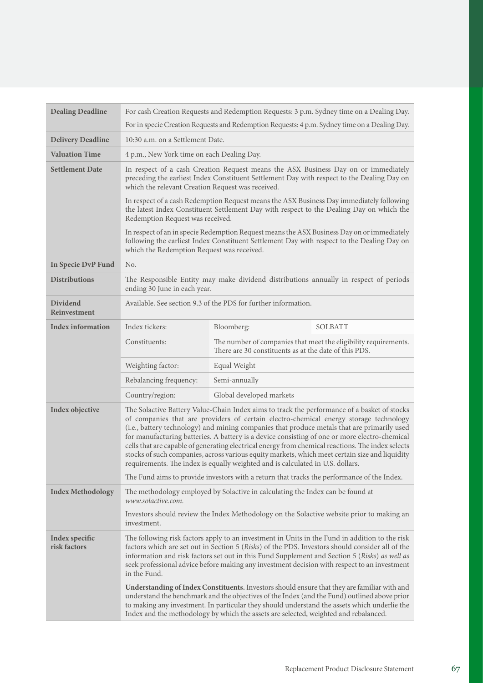| <b>Dealing Deadline</b>         | For cash Creation Requests and Redemption Requests: 3 p.m. Sydney time on a Dealing Day.                                                                                                                                                                                                                                                                                                                                                                                                                                                                                                                                                                                      |                                                                                                                                                                                                                                                                                                                                                                                      |                |  |
|---------------------------------|-------------------------------------------------------------------------------------------------------------------------------------------------------------------------------------------------------------------------------------------------------------------------------------------------------------------------------------------------------------------------------------------------------------------------------------------------------------------------------------------------------------------------------------------------------------------------------------------------------------------------------------------------------------------------------|--------------------------------------------------------------------------------------------------------------------------------------------------------------------------------------------------------------------------------------------------------------------------------------------------------------------------------------------------------------------------------------|----------------|--|
|                                 | For in specie Creation Requests and Redemption Requests: 4 p.m. Sydney time on a Dealing Day.                                                                                                                                                                                                                                                                                                                                                                                                                                                                                                                                                                                 |                                                                                                                                                                                                                                                                                                                                                                                      |                |  |
| <b>Delivery Deadline</b>        | 10:30 a.m. on a Settlement Date.                                                                                                                                                                                                                                                                                                                                                                                                                                                                                                                                                                                                                                              |                                                                                                                                                                                                                                                                                                                                                                                      |                |  |
| <b>Valuation Time</b>           | 4 p.m., New York time on each Dealing Day.                                                                                                                                                                                                                                                                                                                                                                                                                                                                                                                                                                                                                                    |                                                                                                                                                                                                                                                                                                                                                                                      |                |  |
| <b>Settlement Date</b>          | In respect of a cash Creation Request means the ASX Business Day on or immediately<br>preceding the earliest Index Constituent Settlement Day with respect to the Dealing Day on<br>which the relevant Creation Request was received.                                                                                                                                                                                                                                                                                                                                                                                                                                         |                                                                                                                                                                                                                                                                                                                                                                                      |                |  |
|                                 | In respect of a cash Redemption Request means the ASX Business Day immediately following<br>the latest Index Constituent Settlement Day with respect to the Dealing Day on which the<br>Redemption Request was received.                                                                                                                                                                                                                                                                                                                                                                                                                                                      |                                                                                                                                                                                                                                                                                                                                                                                      |                |  |
|                                 | which the Redemption Request was received.                                                                                                                                                                                                                                                                                                                                                                                                                                                                                                                                                                                                                                    | In respect of an in specie Redemption Request means the ASX Business Day on or immediately<br>following the earliest Index Constituent Settlement Day with respect to the Dealing Day on                                                                                                                                                                                             |                |  |
| In Specie DvP Fund              | No.                                                                                                                                                                                                                                                                                                                                                                                                                                                                                                                                                                                                                                                                           |                                                                                                                                                                                                                                                                                                                                                                                      |                |  |
| <b>Distributions</b>            | The Responsible Entity may make dividend distributions annually in respect of periods<br>ending 30 June in each year.                                                                                                                                                                                                                                                                                                                                                                                                                                                                                                                                                         |                                                                                                                                                                                                                                                                                                                                                                                      |                |  |
| Dividend<br><b>Reinvestment</b> | Available. See section 9.3 of the PDS for further information.                                                                                                                                                                                                                                                                                                                                                                                                                                                                                                                                                                                                                |                                                                                                                                                                                                                                                                                                                                                                                      |                |  |
| <b>Index information</b>        | Index tickers:                                                                                                                                                                                                                                                                                                                                                                                                                                                                                                                                                                                                                                                                | Bloomberg:                                                                                                                                                                                                                                                                                                                                                                           | <b>SOLBATT</b> |  |
|                                 | Constituents:                                                                                                                                                                                                                                                                                                                                                                                                                                                                                                                                                                                                                                                                 | The number of companies that meet the eligibility requirements.<br>There are 30 constituents as at the date of this PDS.                                                                                                                                                                                                                                                             |                |  |
|                                 | Weighting factor:                                                                                                                                                                                                                                                                                                                                                                                                                                                                                                                                                                                                                                                             | Equal Weight                                                                                                                                                                                                                                                                                                                                                                         |                |  |
|                                 | Rebalancing frequency:                                                                                                                                                                                                                                                                                                                                                                                                                                                                                                                                                                                                                                                        | Semi-annually                                                                                                                                                                                                                                                                                                                                                                        |                |  |
|                                 | Country/region:                                                                                                                                                                                                                                                                                                                                                                                                                                                                                                                                                                                                                                                               | Global developed markets                                                                                                                                                                                                                                                                                                                                                             |                |  |
| Index objective                 | The Solactive Battery Value-Chain Index aims to track the performance of a basket of stocks<br>of companies that are providers of certain electro-chemical energy storage technology<br>(i.e., battery technology) and mining companies that produce metals that are primarily used<br>for manufacturing batteries. A battery is a device consisting of one or more electro-chemical<br>cells that are capable of generating electrical energy from chemical reactions. The index selects<br>stocks of such companies, across various equity markets, which meet certain size and liquidity<br>requirements. The index is equally weighted and is calculated in U.S. dollars. |                                                                                                                                                                                                                                                                                                                                                                                      |                |  |
|                                 |                                                                                                                                                                                                                                                                                                                                                                                                                                                                                                                                                                                                                                                                               | The Fund aims to provide investors with a return that tracks the performance of the Index.                                                                                                                                                                                                                                                                                           |                |  |
| <b>Index Methodology</b>        | www.solactive.com.                                                                                                                                                                                                                                                                                                                                                                                                                                                                                                                                                                                                                                                            | The methodology employed by Solactive in calculating the Index can be found at                                                                                                                                                                                                                                                                                                       |                |  |
|                                 | investment.                                                                                                                                                                                                                                                                                                                                                                                                                                                                                                                                                                                                                                                                   | Investors should review the Index Methodology on the Solactive website prior to making an                                                                                                                                                                                                                                                                                            |                |  |
| Index specific<br>risk factors  | The following risk factors apply to an investment in Units in the Fund in addition to the risk<br>factors which are set out in Section 5 (Risks) of the PDS. Investors should consider all of the<br>information and risk factors set out in this Fund Supplement and Section 5 (Risks) as well as<br>seek professional advice before making any investment decision with respect to an investment<br>in the Fund.                                                                                                                                                                                                                                                            |                                                                                                                                                                                                                                                                                                                                                                                      |                |  |
|                                 |                                                                                                                                                                                                                                                                                                                                                                                                                                                                                                                                                                                                                                                                               | Understanding of Index Constituents. Investors should ensure that they are familiar with and<br>understand the benchmark and the objectives of the Index (and the Fund) outlined above prior<br>to making any investment. In particular they should understand the assets which underlie the<br>Index and the methodology by which the assets are selected, weighted and rebalanced. |                |  |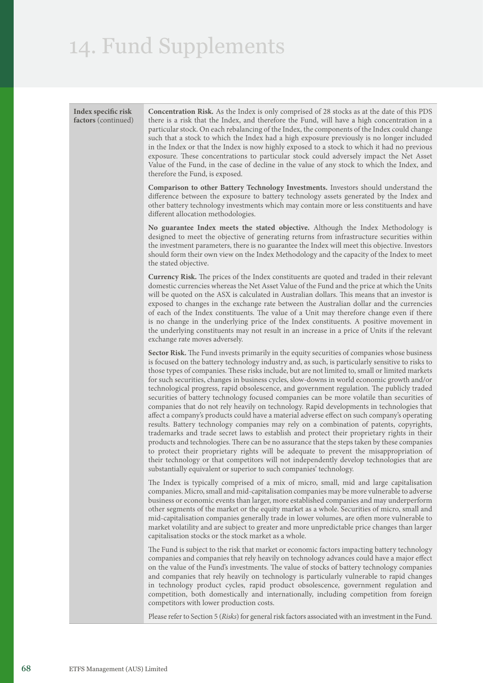| Index specific risk<br>factors (continued) | <b>Concentration Risk.</b> As the Index is only comprised of 28 stocks as at the date of this PDS<br>there is a risk that the Index, and therefore the Fund, will have a high concentration in a<br>particular stock. On each rebalancing of the Index, the components of the Index could change<br>such that a stock to which the Index had a high exposure previously is no longer included<br>in the Index or that the Index is now highly exposed to a stock to which it had no previous<br>exposure. These concentrations to particular stock could adversely impact the Net Asset<br>Value of the Fund, in the case of decline in the value of any stock to which the Index, and<br>therefore the Fund, is exposed.                                                                                                                                                                                                                                                                                                                                                                                                                                                                                                                                                                                                                             |
|--------------------------------------------|-------------------------------------------------------------------------------------------------------------------------------------------------------------------------------------------------------------------------------------------------------------------------------------------------------------------------------------------------------------------------------------------------------------------------------------------------------------------------------------------------------------------------------------------------------------------------------------------------------------------------------------------------------------------------------------------------------------------------------------------------------------------------------------------------------------------------------------------------------------------------------------------------------------------------------------------------------------------------------------------------------------------------------------------------------------------------------------------------------------------------------------------------------------------------------------------------------------------------------------------------------------------------------------------------------------------------------------------------------|
|                                            | Comparison to other Battery Technology Investments. Investors should understand the<br>difference between the exposure to battery technology assets generated by the Index and<br>other battery technology investments which may contain more or less constituents and have<br>different allocation methodologies.                                                                                                                                                                                                                                                                                                                                                                                                                                                                                                                                                                                                                                                                                                                                                                                                                                                                                                                                                                                                                                    |
|                                            | No guarantee Index meets the stated objective. Although the Index Methodology is<br>designed to meet the objective of generating returns from infrastructure securities within<br>the investment parameters, there is no guarantee the Index will meet this objective. Investors<br>should form their own view on the Index Methodology and the capacity of the Index to meet<br>the stated objective.                                                                                                                                                                                                                                                                                                                                                                                                                                                                                                                                                                                                                                                                                                                                                                                                                                                                                                                                                |
|                                            | Currency Risk. The prices of the Index constituents are quoted and traded in their relevant<br>domestic currencies whereas the Net Asset Value of the Fund and the price at which the Units<br>will be quoted on the ASX is calculated in Australian dollars. This means that an investor is<br>exposed to changes in the exchange rate between the Australian dollar and the currencies<br>of each of the Index constituents. The value of a Unit may therefore change even if there<br>is no change in the underlying price of the Index constituents. A positive movement in<br>the underlying constituents may not result in an increase in a price of Units if the relevant<br>exchange rate moves adversely.                                                                                                                                                                                                                                                                                                                                                                                                                                                                                                                                                                                                                                    |
|                                            | Sector Risk. The Fund invests primarily in the equity securities of companies whose business<br>is focused on the battery technology industry and, as such, is particularly sensitive to risks to<br>those types of companies. These risks include, but are not limited to, small or limited markets<br>for such securities, changes in business cycles, slow-downs in world economic growth and/or<br>technological progress, rapid obsolescence, and government regulation. The publicly traded<br>securities of battery technology focused companies can be more volatile than securities of<br>companies that do not rely heavily on technology. Rapid developments in technologies that<br>affect a company's products could have a material adverse effect on such company's operating<br>results. Battery technology companies may rely on a combination of patents, copyrights,<br>trademarks and trade secret laws to establish and protect their proprietary rights in their<br>products and technologies. There can be no assurance that the steps taken by these companies<br>to protect their proprietary rights will be adequate to prevent the misappropriation of<br>their technology or that competitors will not independently develop technologies that are<br>substantially equivalent or superior to such companies' technology. |
|                                            | The Index is typically comprised of a mix of micro, small, mid and large capitalisation<br>companies. Micro, small and mid-capitalisation companies may be more vulnerable to adverse<br>business or economic events than larger, more established companies and may underperform<br>other segments of the market or the equity market as a whole. Securities of micro, small and<br>mid-capitalisation companies generally trade in lower volumes, are often more vulnerable to<br>market volatility and are subject to greater and more unpredictable price changes than larger<br>capitalisation stocks or the stock market as a whole.                                                                                                                                                                                                                                                                                                                                                                                                                                                                                                                                                                                                                                                                                                            |
|                                            | The Fund is subject to the risk that market or economic factors impacting battery technology<br>companies and companies that rely heavily on technology advances could have a major effect<br>on the value of the Fund's investments. The value of stocks of battery technology companies<br>and companies that rely heavily on technology is particularly vulnerable to rapid changes<br>in technology product cycles, rapid product obsolescence, government regulation and<br>competition, both domestically and internationally, including competition from foreign<br>competitors with lower production costs.                                                                                                                                                                                                                                                                                                                                                                                                                                                                                                                                                                                                                                                                                                                                   |
|                                            | Please refer to Section 5 (Risks) for general risk factors associated with an investment in the Fund.                                                                                                                                                                                                                                                                                                                                                                                                                                                                                                                                                                                                                                                                                                                                                                                                                                                                                                                                                                                                                                                                                                                                                                                                                                                 |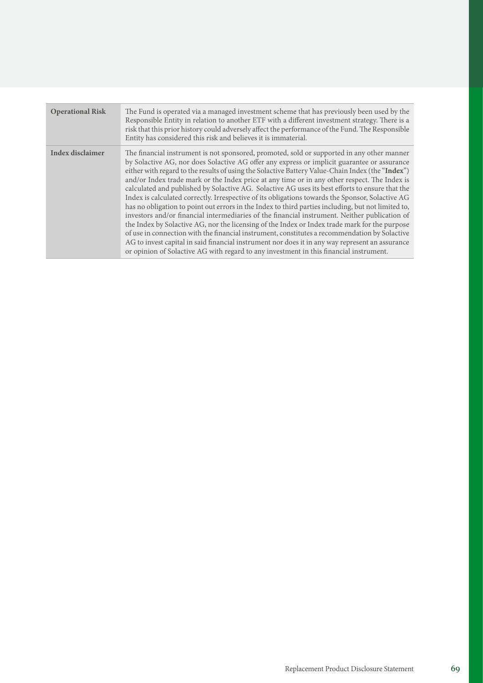| <b>Operational Risk</b> | The Fund is operated via a managed investment scheme that has previously been used by the<br>Responsible Entity in relation to another ETF with a different investment strategy. There is a<br>risk that this prior history could adversely affect the performance of the Fund. The Responsible<br>Entity has considered this risk and believes it is immaterial.                                                                                                                                                                                                                                                                                                                                                                                                                                                                                                                                                                                                                                                                                                                                                                                                                                          |
|-------------------------|------------------------------------------------------------------------------------------------------------------------------------------------------------------------------------------------------------------------------------------------------------------------------------------------------------------------------------------------------------------------------------------------------------------------------------------------------------------------------------------------------------------------------------------------------------------------------------------------------------------------------------------------------------------------------------------------------------------------------------------------------------------------------------------------------------------------------------------------------------------------------------------------------------------------------------------------------------------------------------------------------------------------------------------------------------------------------------------------------------------------------------------------------------------------------------------------------------|
| <b>Index disclaimer</b> | The financial instrument is not sponsored, promoted, sold or supported in any other manner<br>by Solactive AG, nor does Solactive AG offer any express or implicit guarantee or assurance<br>either with regard to the results of using the Solactive Battery Value-Chain Index (the "Index")<br>and/or Index trade mark or the Index price at any time or in any other respect. The Index is<br>calculated and published by Solactive AG. Solactive AG uses its best efforts to ensure that the<br>Index is calculated correctly. Irrespective of its obligations towards the Sponsor, Solactive AG<br>has no obligation to point out errors in the Index to third parties including, but not limited to,<br>investors and/or financial intermediaries of the financial instrument. Neither publication of<br>the Index by Solactive AG, nor the licensing of the Index or Index trade mark for the purpose<br>of use in connection with the financial instrument, constitutes a recommendation by Solactive<br>AG to invest capital in said financial instrument nor does it in any way represent an assurance<br>or opinion of Solactive AG with regard to any investment in this financial instrument. |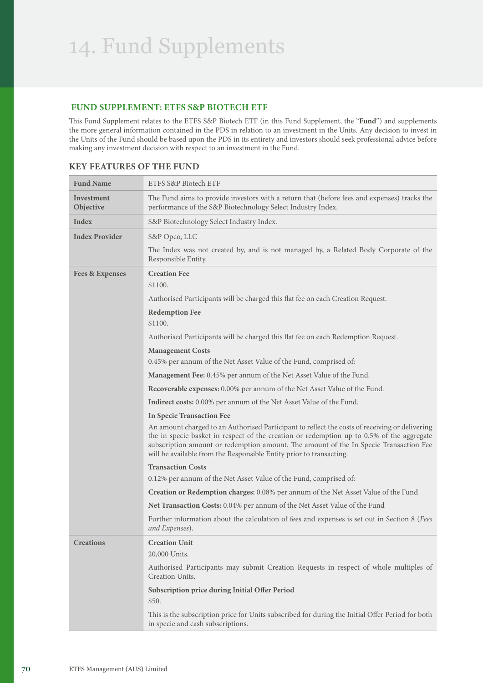## **FUND SUPPLEMENT: ETFS S&P BIOTECH ETF**

This Fund Supplement relates to the ETFS S&P Biotech ETF (in this Fund Supplement, the "**Fund**") and supplements the more general information contained in the PDS in relation to an investment in the Units. Any decision to invest in the Units of the Fund should be based upon the PDS in its entirety and investors should seek professional advice before making any investment decision with respect to an investment in the Fund.

| <b>Fund Name</b>                                                                   | ETFS S&P Biotech ETF                                                                                                                                                                                                                                                                                                                                        |  |  |
|------------------------------------------------------------------------------------|-------------------------------------------------------------------------------------------------------------------------------------------------------------------------------------------------------------------------------------------------------------------------------------------------------------------------------------------------------------|--|--|
| Investment<br>Objective                                                            | The Fund aims to provide investors with a return that (before fees and expenses) tracks the<br>performance of the S&P Biotechnology Select Industry Index.                                                                                                                                                                                                  |  |  |
| Index                                                                              | S&P Biotechnology Select Industry Index.                                                                                                                                                                                                                                                                                                                    |  |  |
| <b>Index Provider</b>                                                              | S&P Opco, LLC                                                                                                                                                                                                                                                                                                                                               |  |  |
|                                                                                    | The Index was not created by, and is not managed by, a Related Body Corporate of the<br>Responsible Entity.                                                                                                                                                                                                                                                 |  |  |
| <b>Creation Fee</b><br><b>Fees &amp; Expenses</b><br>\$1100.                       |                                                                                                                                                                                                                                                                                                                                                             |  |  |
|                                                                                    | Authorised Participants will be charged this flat fee on each Creation Request.                                                                                                                                                                                                                                                                             |  |  |
|                                                                                    | <b>Redemption Fee</b>                                                                                                                                                                                                                                                                                                                                       |  |  |
|                                                                                    | \$1100.                                                                                                                                                                                                                                                                                                                                                     |  |  |
|                                                                                    | Authorised Participants will be charged this flat fee on each Redemption Request.                                                                                                                                                                                                                                                                           |  |  |
|                                                                                    | <b>Management Costs</b>                                                                                                                                                                                                                                                                                                                                     |  |  |
|                                                                                    | 0.45% per annum of the Net Asset Value of the Fund, comprised of:                                                                                                                                                                                                                                                                                           |  |  |
| Management Fee: 0.45% per annum of the Net Asset Value of the Fund.                |                                                                                                                                                                                                                                                                                                                                                             |  |  |
|                                                                                    | Recoverable expenses: 0.00% per annum of the Net Asset Value of the Fund.                                                                                                                                                                                                                                                                                   |  |  |
|                                                                                    | Indirect costs: 0.00% per annum of the Net Asset Value of the Fund.                                                                                                                                                                                                                                                                                         |  |  |
|                                                                                    | <b>In Specie Transaction Fee</b>                                                                                                                                                                                                                                                                                                                            |  |  |
|                                                                                    | An amount charged to an Authorised Participant to reflect the costs of receiving or delivering<br>the in specie basket in respect of the creation or redemption up to 0.5% of the aggregate<br>subscription amount or redemption amount. The amount of the In Specie Transaction Fee<br>will be available from the Responsible Entity prior to transacting. |  |  |
| <b>Transaction Costs</b>                                                           |                                                                                                                                                                                                                                                                                                                                                             |  |  |
| 0.12% per annum of the Net Asset Value of the Fund, comprised of:                  |                                                                                                                                                                                                                                                                                                                                                             |  |  |
| Creation or Redemption charges: 0.08% per annum of the Net Asset Value of the Fund |                                                                                                                                                                                                                                                                                                                                                             |  |  |
|                                                                                    | Net Transaction Costs: 0.04% per annum of the Net Asset Value of the Fund                                                                                                                                                                                                                                                                                   |  |  |
|                                                                                    | Further information about the calculation of fees and expenses is set out in Section 8 (Fees<br>and Expenses).                                                                                                                                                                                                                                              |  |  |
| <b>Creations</b>                                                                   | <b>Creation Unit</b>                                                                                                                                                                                                                                                                                                                                        |  |  |
|                                                                                    | 20,000 Units.                                                                                                                                                                                                                                                                                                                                               |  |  |
|                                                                                    | Authorised Participants may submit Creation Requests in respect of whole multiples of<br>Creation Units.                                                                                                                                                                                                                                                    |  |  |
|                                                                                    | Subscription price during Initial Offer Period<br>\$50.                                                                                                                                                                                                                                                                                                     |  |  |
|                                                                                    | This is the subscription price for Units subscribed for during the Initial Offer Period for both<br>in specie and cash subscriptions.                                                                                                                                                                                                                       |  |  |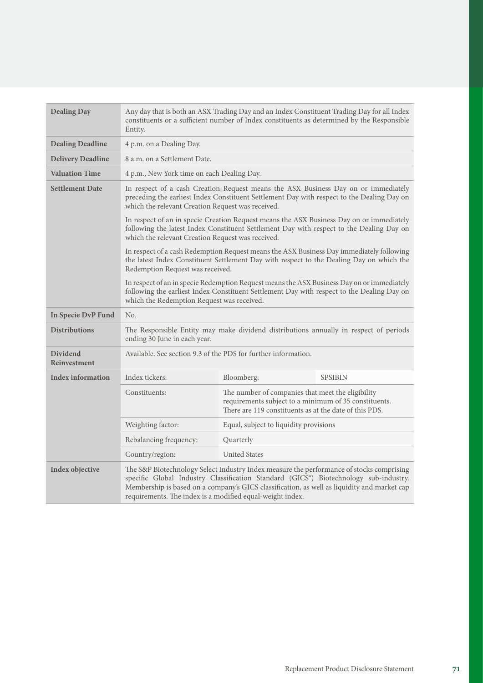| <b>Dealing Day</b>                     | Any day that is both an ASX Trading Day and an Index Constituent Trading Day for all Index<br>constituents or a sufficient number of Index constituents as determined by the Responsible<br>Entity.                                                                                                                                          |                                                                                                                                                                                                                                           |                |
|----------------------------------------|----------------------------------------------------------------------------------------------------------------------------------------------------------------------------------------------------------------------------------------------------------------------------------------------------------------------------------------------|-------------------------------------------------------------------------------------------------------------------------------------------------------------------------------------------------------------------------------------------|----------------|
| <b>Dealing Deadline</b>                | 4 p.m. on a Dealing Day.                                                                                                                                                                                                                                                                                                                     |                                                                                                                                                                                                                                           |                |
| <b>Delivery Deadline</b>               | 8 a.m. on a Settlement Date.                                                                                                                                                                                                                                                                                                                 |                                                                                                                                                                                                                                           |                |
| <b>Valuation Time</b>                  | 4 p.m., New York time on each Dealing Day.                                                                                                                                                                                                                                                                                                   |                                                                                                                                                                                                                                           |                |
| <b>Settlement Date</b>                 | In respect of a cash Creation Request means the ASX Business Day on or immediately<br>preceding the earliest Index Constituent Settlement Day with respect to the Dealing Day on<br>which the relevant Creation Request was received.                                                                                                        |                                                                                                                                                                                                                                           |                |
|                                        |                                                                                                                                                                                                                                                                                                                                              | In respect of an in specie Creation Request means the ASX Business Day on or immediately<br>following the latest Index Constituent Settlement Day with respect to the Dealing Day on<br>which the relevant Creation Request was received. |                |
|                                        | In respect of a cash Redemption Request means the ASX Business Day immediately following<br>the latest Index Constituent Settlement Day with respect to the Dealing Day on which the<br>Redemption Request was received.                                                                                                                     |                                                                                                                                                                                                                                           |                |
|                                        | which the Redemption Request was received.                                                                                                                                                                                                                                                                                                   | In respect of an in specie Redemption Request means the ASX Business Day on or immediately<br>following the earliest Index Constituent Settlement Day with respect to the Dealing Day on                                                  |                |
| In Specie DvP Fund                     | No.                                                                                                                                                                                                                                                                                                                                          |                                                                                                                                                                                                                                           |                |
| <b>Distributions</b>                   | The Responsible Entity may make dividend distributions annually in respect of periods<br>ending 30 June in each year.                                                                                                                                                                                                                        |                                                                                                                                                                                                                                           |                |
| <b>Dividend</b><br><b>Reinvestment</b> | Available. See section 9.3 of the PDS for further information.                                                                                                                                                                                                                                                                               |                                                                                                                                                                                                                                           |                |
| <b>Index information</b>               | Index tickers:                                                                                                                                                                                                                                                                                                                               | Bloomberg:                                                                                                                                                                                                                                | <b>SPSIBIN</b> |
|                                        | Constituents:                                                                                                                                                                                                                                                                                                                                | The number of companies that meet the eligibility<br>requirements subject to a minimum of 35 constituents.<br>There are 119 constituents as at the date of this PDS.                                                                      |                |
|                                        | Weighting factor:                                                                                                                                                                                                                                                                                                                            | Equal, subject to liquidity provisions                                                                                                                                                                                                    |                |
|                                        | Rebalancing frequency:                                                                                                                                                                                                                                                                                                                       | Quarterly                                                                                                                                                                                                                                 |                |
|                                        | Country/region:                                                                                                                                                                                                                                                                                                                              | <b>United States</b>                                                                                                                                                                                                                      |                |
| Index objective                        | The S&P Biotechnology Select Industry Index measure the performance of stocks comprising<br>specific Global Industry Classification Standard (GICS®) Biotechnology sub-industry.<br>Membership is based on a company's GICS classification, as well as liquidity and market cap<br>requirements. The index is a modified equal-weight index. |                                                                                                                                                                                                                                           |                |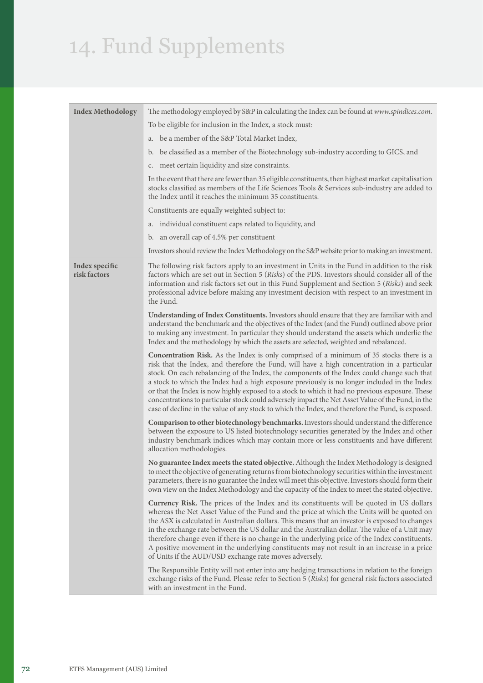| <b>Index Methodology</b>       | The methodology employed by S&P in calculating the Index can be found at www.spindices.com.                                                                                                                                                                                                                                                                                                                                                                                                                                                                                                                                                                                                       |  |  |
|--------------------------------|---------------------------------------------------------------------------------------------------------------------------------------------------------------------------------------------------------------------------------------------------------------------------------------------------------------------------------------------------------------------------------------------------------------------------------------------------------------------------------------------------------------------------------------------------------------------------------------------------------------------------------------------------------------------------------------------------|--|--|
|                                | To be eligible for inclusion in the Index, a stock must:                                                                                                                                                                                                                                                                                                                                                                                                                                                                                                                                                                                                                                          |  |  |
|                                | be a member of the S&P Total Market Index,<br>a.                                                                                                                                                                                                                                                                                                                                                                                                                                                                                                                                                                                                                                                  |  |  |
|                                | be classified as a member of the Biotechnology sub-industry according to GICS, and<br>b.                                                                                                                                                                                                                                                                                                                                                                                                                                                                                                                                                                                                          |  |  |
|                                | c. meet certain liquidity and size constraints.                                                                                                                                                                                                                                                                                                                                                                                                                                                                                                                                                                                                                                                   |  |  |
|                                | In the event that there are fewer than 35 eligible constituents, then highest market capitalisation<br>stocks classified as members of the Life Sciences Tools & Services sub-industry are added to<br>the Index until it reaches the minimum 35 constituents.                                                                                                                                                                                                                                                                                                                                                                                                                                    |  |  |
|                                | Constituents are equally weighted subject to:                                                                                                                                                                                                                                                                                                                                                                                                                                                                                                                                                                                                                                                     |  |  |
|                                | individual constituent caps related to liquidity, and<br>a.                                                                                                                                                                                                                                                                                                                                                                                                                                                                                                                                                                                                                                       |  |  |
|                                | an overall cap of 4.5% per constituent<br>b.                                                                                                                                                                                                                                                                                                                                                                                                                                                                                                                                                                                                                                                      |  |  |
|                                | Investors should review the Index Methodology on the S&P website prior to making an investment.                                                                                                                                                                                                                                                                                                                                                                                                                                                                                                                                                                                                   |  |  |
| Index specific<br>risk factors | The following risk factors apply to an investment in Units in the Fund in addition to the risk<br>factors which are set out in Section 5 (Risks) of the PDS. Investors should consider all of the<br>information and risk factors set out in this Fund Supplement and Section 5 (Risks) and seek<br>professional advice before making any investment decision with respect to an investment in<br>the Fund.                                                                                                                                                                                                                                                                                       |  |  |
|                                | Understanding of Index Constituents. Investors should ensure that they are familiar with and<br>understand the benchmark and the objectives of the Index (and the Fund) outlined above prior<br>to making any investment. In particular they should understand the assets which underlie the<br>Index and the methodology by which the assets are selected, weighted and rebalanced.                                                                                                                                                                                                                                                                                                              |  |  |
|                                | Concentration Risk. As the Index is only comprised of a minimum of 35 stocks there is a<br>risk that the Index, and therefore the Fund, will have a high concentration in a particular<br>stock. On each rebalancing of the Index, the components of the Index could change such that<br>a stock to which the Index had a high exposure previously is no longer included in the Index<br>or that the Index is now highly exposed to a stock to which it had no previous exposure. These<br>concentrations to particular stock could adversely impact the Net Asset Value of the Fund, in the<br>case of decline in the value of any stock to which the Index, and therefore the Fund, is exposed. |  |  |
|                                | Comparison to other biotechnology benchmarks. Investors should understand the difference<br>between the exposure to US listed biotechnology securities generated by the Index and other<br>industry benchmark indices which may contain more or less constituents and have different<br>allocation methodologies.                                                                                                                                                                                                                                                                                                                                                                                 |  |  |
|                                | No guarantee Index meets the stated objective. Although the Index Methodology is designed<br>to meet the objective of generating returns from biotechnology securities within the investment<br>parameters, there is no guarantee the Index will meet this objective. Investors should form their<br>own view on the Index Methodology and the capacity of the Index to meet the stated objective.                                                                                                                                                                                                                                                                                                |  |  |
|                                | <b>Currency Risk.</b> The prices of the Index and its constituents will be quoted in US dollars<br>whereas the Net Asset Value of the Fund and the price at which the Units will be quoted on<br>the ASX is calculated in Australian dollars. This means that an investor is exposed to changes<br>in the exchange rate between the US dollar and the Australian dollar. The value of a Unit may<br>therefore change even if there is no change in the underlying price of the Index constituents.<br>A positive movement in the underlying constituents may not result in an increase in a price<br>of Units if the AUD/USD exchange rate moves adversely.                                       |  |  |
|                                | The Responsible Entity will not enter into any hedging transactions in relation to the foreign<br>exchange risks of the Fund. Please refer to Section 5 (Risks) for general risk factors associated<br>with an investment in the Fund.                                                                                                                                                                                                                                                                                                                                                                                                                                                            |  |  |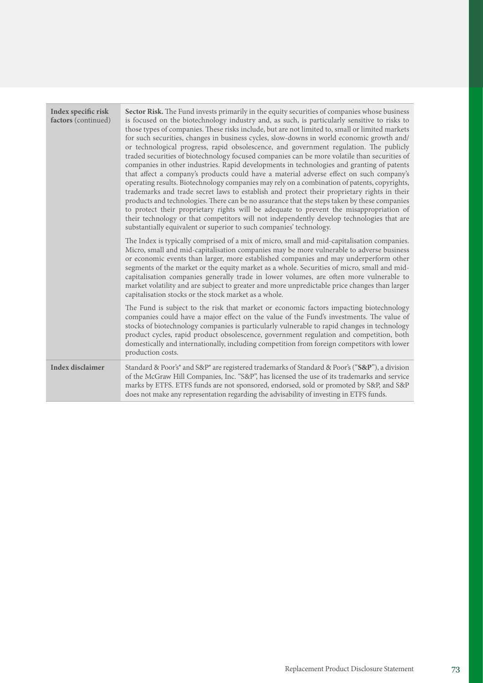| Index specific risk<br>factors (continued) | Sector Risk. The Fund invests primarily in the equity securities of companies whose business<br>is focused on the biotechnology industry and, as such, is particularly sensitive to risks to<br>those types of companies. These risks include, but are not limited to, small or limited markets<br>for such securities, changes in business cycles, slow-downs in world economic growth and/<br>or technological progress, rapid obsolescence, and government regulation. The publicly<br>traded securities of biotechnology focused companies can be more volatile than securities of<br>companies in other industries. Rapid developments in technologies and granting of patents<br>that affect a company's products could have a material adverse effect on such company's<br>operating results. Biotechnology companies may rely on a combination of patents, copyrights,<br>trademarks and trade secret laws to establish and protect their proprietary rights in their<br>products and technologies. There can be no assurance that the steps taken by these companies<br>to protect their proprietary rights will be adequate to prevent the misappropriation of<br>their technology or that competitors will not independently develop technologies that are<br>substantially equivalent or superior to such companies' technology. |
|--------------------------------------------|----------------------------------------------------------------------------------------------------------------------------------------------------------------------------------------------------------------------------------------------------------------------------------------------------------------------------------------------------------------------------------------------------------------------------------------------------------------------------------------------------------------------------------------------------------------------------------------------------------------------------------------------------------------------------------------------------------------------------------------------------------------------------------------------------------------------------------------------------------------------------------------------------------------------------------------------------------------------------------------------------------------------------------------------------------------------------------------------------------------------------------------------------------------------------------------------------------------------------------------------------------------------------------------------------------------------------------------------|
|                                            | The Index is typically comprised of a mix of micro, small and mid-capitalisation companies.<br>Micro, small and mid-capitalisation companies may be more vulnerable to adverse business<br>or economic events than larger, more established companies and may underperform other<br>segments of the market or the equity market as a whole. Securities of micro, small and mid-<br>capitalisation companies generally trade in lower volumes, are often more vulnerable to<br>market volatility and are subject to greater and more unpredictable price changes than larger<br>capitalisation stocks or the stock market as a whole.                                                                                                                                                                                                                                                                                                                                                                                                                                                                                                                                                                                                                                                                                                         |
|                                            | The Fund is subject to the risk that market or economic factors impacting biotechnology<br>companies could have a major effect on the value of the Fund's investments. The value of<br>stocks of biotechnology companies is particularly vulnerable to rapid changes in technology<br>product cycles, rapid product obsolescence, government regulation and competition, both<br>domestically and internationally, including competition from foreign competitors with lower<br>production costs.                                                                                                                                                                                                                                                                                                                                                                                                                                                                                                                                                                                                                                                                                                                                                                                                                                            |
| <b>Index disclaimer</b>                    | Standard & Poor's® and S&P® are registered trademarks of Standard & Poor's ("S&P"), a division<br>of the McGraw Hill Companies, Inc. "S&P", has licensed the use of its trademarks and service<br>marks by ETFS. ETFS funds are not sponsored, endorsed, sold or promoted by S&P, and S&P<br>does not make any representation regarding the advisability of investing in ETFS funds.                                                                                                                                                                                                                                                                                                                                                                                                                                                                                                                                                                                                                                                                                                                                                                                                                                                                                                                                                         |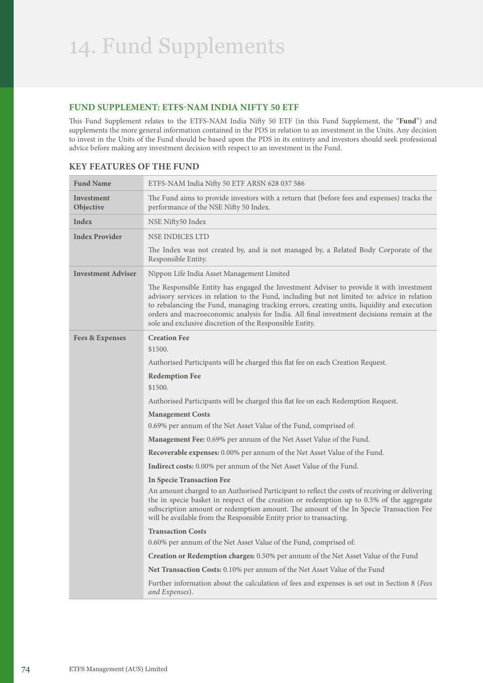#### **FUND SUPPLEMENT: ETFS-NAM INDIA NIFTY 50 ETF**

This Fund Supplement relates to the ETFS-NAM India Nifty 50 ETF (in this Fund Supplement, the "**Fund**") and supplements the more general information contained in the PDS in relation to an investment in the Units. Any decision to invest in the Units of the Fund should be based upon the PDS in its entirety and investors should seek professional advice before making any investment decision with respect to an investment in the Fund.

| <b>Fund Name</b>           | ETFS-NAM India Nifty 50 ETF ARSN 628 037 586                                                                                                                                                                                                                                                                                                                                                                                                  |
|----------------------------|-----------------------------------------------------------------------------------------------------------------------------------------------------------------------------------------------------------------------------------------------------------------------------------------------------------------------------------------------------------------------------------------------------------------------------------------------|
| Investment<br>Objective    | The Fund aims to provide investors with a return that (before fees and expenses) tracks the<br>performance of the NSE Nifty 50 Index.                                                                                                                                                                                                                                                                                                         |
| Index                      | NSE Nifty50 Index                                                                                                                                                                                                                                                                                                                                                                                                                             |
| <b>Index Provider</b>      | <b>NSE INDICES LTD</b>                                                                                                                                                                                                                                                                                                                                                                                                                        |
|                            | The Index was not created by, and is not managed by, a Related Body Corporate of the<br>Responsible Entity.                                                                                                                                                                                                                                                                                                                                   |
| <b>Investment Adviser</b>  | Nippon Life India Asset Management Limited                                                                                                                                                                                                                                                                                                                                                                                                    |
|                            | The Responsible Entity has engaged the Investment Adviser to provide it with investment<br>advisory services in relation to the Fund, including but not limited to: advice in relation<br>to rebalancing the Fund, managing tracking errors, creating units, liquidity and execution<br>orders and macroeconomic analysis for India. All final investment decisions remain at the<br>sole and exclusive discretion of the Responsible Entity. |
| <b>Fees &amp; Expenses</b> | <b>Creation Fee</b><br>\$1500.                                                                                                                                                                                                                                                                                                                                                                                                                |
|                            | Authorised Participants will be charged this flat fee on each Creation Request.                                                                                                                                                                                                                                                                                                                                                               |
|                            | <b>Redemption Fee</b><br>\$1500.                                                                                                                                                                                                                                                                                                                                                                                                              |
|                            | Authorised Participants will be charged this flat fee on each Redemption Request.                                                                                                                                                                                                                                                                                                                                                             |
|                            | <b>Management Costs</b>                                                                                                                                                                                                                                                                                                                                                                                                                       |
|                            | 0.69% per annum of the Net Asset Value of the Fund, comprised of:                                                                                                                                                                                                                                                                                                                                                                             |
|                            | <b>Management Fee:</b> 0.69% per annum of the Net Asset Value of the Fund.                                                                                                                                                                                                                                                                                                                                                                    |
|                            | <b>Recoverable expenses:</b> 0.00% per annum of the Net Asset Value of the Fund.                                                                                                                                                                                                                                                                                                                                                              |
|                            | Indirect costs: 0.00% per annum of the Net Asset Value of the Fund.                                                                                                                                                                                                                                                                                                                                                                           |
|                            | <b>In Specie Transaction Fee</b>                                                                                                                                                                                                                                                                                                                                                                                                              |
|                            | An amount charged to an Authorised Participant to reflect the costs of receiving or delivering<br>the in specie basket in respect of the creation or redemption up to 0.5% of the aggregate<br>subscription amount or redemption amount. The amount of the In Specie Transaction Fee<br>will be available from the Responsible Entity prior to transacting.                                                                                   |
|                            | <b>Transaction Costs</b>                                                                                                                                                                                                                                                                                                                                                                                                                      |
|                            | 0.60% per annum of the Net Asset Value of the Fund, comprised of:                                                                                                                                                                                                                                                                                                                                                                             |
|                            | <b>Creation or Redemption charges:</b> 0.50% per annum of the Net Asset Value of the Fund                                                                                                                                                                                                                                                                                                                                                     |
|                            | <b>Net Transaction Costs:</b> 0.10% per annum of the Net Asset Value of the Fund                                                                                                                                                                                                                                                                                                                                                              |
|                            | Further information about the calculation of fees and expenses is set out in Section 8 (Fees<br>and Expenses).                                                                                                                                                                                                                                                                                                                                |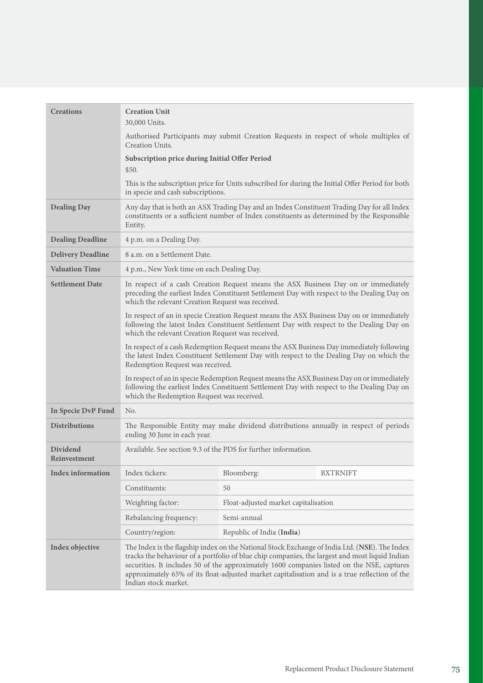| <b>Creations</b>                       | <b>Creation Unit</b>                                                                                                                                                                                                                      |                                      |                                                                                                                                                                                                                                                                                                                                                                                                |
|----------------------------------------|-------------------------------------------------------------------------------------------------------------------------------------------------------------------------------------------------------------------------------------------|--------------------------------------|------------------------------------------------------------------------------------------------------------------------------------------------------------------------------------------------------------------------------------------------------------------------------------------------------------------------------------------------------------------------------------------------|
|                                        | 30,000 Units.                                                                                                                                                                                                                             |                                      |                                                                                                                                                                                                                                                                                                                                                                                                |
|                                        | Creation Units.                                                                                                                                                                                                                           |                                      | Authorised Participants may submit Creation Requests in respect of whole multiples of                                                                                                                                                                                                                                                                                                          |
|                                        | Subscription price during Initial Offer Period                                                                                                                                                                                            |                                      |                                                                                                                                                                                                                                                                                                                                                                                                |
|                                        | \$50.                                                                                                                                                                                                                                     |                                      |                                                                                                                                                                                                                                                                                                                                                                                                |
|                                        | in specie and cash subscriptions.                                                                                                                                                                                                         |                                      | This is the subscription price for Units subscribed for during the Initial Offer Period for both                                                                                                                                                                                                                                                                                               |
| <b>Dealing Day</b>                     | Entity.                                                                                                                                                                                                                                   |                                      | Any day that is both an ASX Trading Day and an Index Constituent Trading Day for all Index<br>constituents or a sufficient number of Index constituents as determined by the Responsible                                                                                                                                                                                                       |
| <b>Dealing Deadline</b>                | 4 p.m. on a Dealing Day.                                                                                                                                                                                                                  |                                      |                                                                                                                                                                                                                                                                                                                                                                                                |
| <b>Delivery Deadline</b>               | 8 a.m. on a Settlement Date.                                                                                                                                                                                                              |                                      |                                                                                                                                                                                                                                                                                                                                                                                                |
| <b>Valuation Time</b>                  | 4 p.m., New York time on each Dealing Day.                                                                                                                                                                                                |                                      |                                                                                                                                                                                                                                                                                                                                                                                                |
| <b>Settlement Date</b>                 | In respect of a cash Creation Request means the ASX Business Day on or immediately<br>preceding the earliest Index Constituent Settlement Day with respect to the Dealing Day on<br>which the relevant Creation Request was received.     |                                      |                                                                                                                                                                                                                                                                                                                                                                                                |
|                                        | In respect of an in specie Creation Request means the ASX Business Day on or immediately<br>following the latest Index Constituent Settlement Day with respect to the Dealing Day on<br>which the relevant Creation Request was received. |                                      |                                                                                                                                                                                                                                                                                                                                                                                                |
|                                        | In respect of a cash Redemption Request means the ASX Business Day immediately following<br>the latest Index Constituent Settlement Day with respect to the Dealing Day on which the<br>Redemption Request was received.                  |                                      |                                                                                                                                                                                                                                                                                                                                                                                                |
|                                        | In respect of an in specie Redemption Request means the ASX Business Day on or immediately<br>following the earliest Index Constituent Settlement Day with respect to the Dealing Day on<br>which the Redemption Request was received.    |                                      |                                                                                                                                                                                                                                                                                                                                                                                                |
| In Specie DvP Fund                     | No.                                                                                                                                                                                                                                       |                                      |                                                                                                                                                                                                                                                                                                                                                                                                |
| <b>Distributions</b>                   | The Responsible Entity may make dividend distributions annually in respect of periods<br>ending 30 June in each year.                                                                                                                     |                                      |                                                                                                                                                                                                                                                                                                                                                                                                |
| <b>Dividend</b><br><b>Reinvestment</b> | Available. See section 9.3 of the PDS for further information.                                                                                                                                                                            |                                      |                                                                                                                                                                                                                                                                                                                                                                                                |
| <b>Index information</b>               | Index tickers:                                                                                                                                                                                                                            | Bloomberg:                           | <b>BXTRNIFT</b>                                                                                                                                                                                                                                                                                                                                                                                |
|                                        | Constituents:                                                                                                                                                                                                                             | 50                                   |                                                                                                                                                                                                                                                                                                                                                                                                |
|                                        | Weighting factor:                                                                                                                                                                                                                         | Float-adjusted market capitalisation |                                                                                                                                                                                                                                                                                                                                                                                                |
|                                        | Rebalancing frequency:                                                                                                                                                                                                                    | Semi-annual                          |                                                                                                                                                                                                                                                                                                                                                                                                |
|                                        | Country/region:                                                                                                                                                                                                                           | Republic of India (India)            |                                                                                                                                                                                                                                                                                                                                                                                                |
| Index objective                        | Indian stock market.                                                                                                                                                                                                                      |                                      | The Index is the flagship index on the National Stock Exchange of India Ltd. (NSE). The Index<br>tracks the behaviour of a portfolio of blue chip companies, the largest and most liquid Indian<br>securities. It includes 50 of the approximately 1600 companies listed on the NSE, captures<br>approximately 65% of its float-adjusted market capitalisation and is a true reflection of the |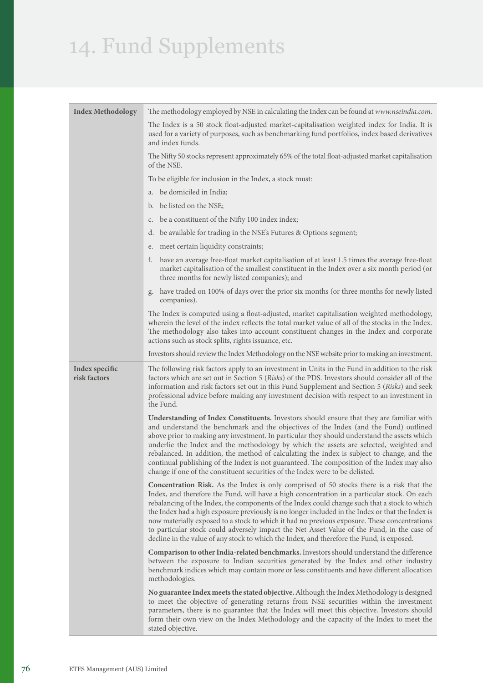| <b>Index Methodology</b>       | The methodology employed by NSE in calculating the Index can be found at www.nseindia.com.                                                                                                                                                                                                                                                                                                                                                                                                                                                                                                                                                                                               |  |  |
|--------------------------------|------------------------------------------------------------------------------------------------------------------------------------------------------------------------------------------------------------------------------------------------------------------------------------------------------------------------------------------------------------------------------------------------------------------------------------------------------------------------------------------------------------------------------------------------------------------------------------------------------------------------------------------------------------------------------------------|--|--|
|                                | The Index is a 50 stock float-adjusted market-capitalisation weighted index for India. It is<br>used for a variety of purposes, such as benchmarking fund portfolios, index based derivatives<br>and index funds.                                                                                                                                                                                                                                                                                                                                                                                                                                                                        |  |  |
|                                | The Nifty 50 stocks represent approximately 65% of the total float-adjusted market capitalisation<br>of the NSE.                                                                                                                                                                                                                                                                                                                                                                                                                                                                                                                                                                         |  |  |
|                                | To be eligible for inclusion in the Index, a stock must:                                                                                                                                                                                                                                                                                                                                                                                                                                                                                                                                                                                                                                 |  |  |
|                                | be domiciled in India;<br>a.                                                                                                                                                                                                                                                                                                                                                                                                                                                                                                                                                                                                                                                             |  |  |
|                                | be listed on the NSE;<br>b.                                                                                                                                                                                                                                                                                                                                                                                                                                                                                                                                                                                                                                                              |  |  |
|                                | be a constituent of the Nifty 100 Index index;<br>$\mathsf{C}$ .                                                                                                                                                                                                                                                                                                                                                                                                                                                                                                                                                                                                                         |  |  |
|                                | be available for trading in the NSE's Futures & Options segment;<br>d.                                                                                                                                                                                                                                                                                                                                                                                                                                                                                                                                                                                                                   |  |  |
|                                | meet certain liquidity constraints;<br>e.                                                                                                                                                                                                                                                                                                                                                                                                                                                                                                                                                                                                                                                |  |  |
|                                | have an average free-float market capitalisation of at least 1.5 times the average free-float<br>t.<br>market capitalisation of the smallest constituent in the Index over a six month period (or<br>three months for newly listed companies); and                                                                                                                                                                                                                                                                                                                                                                                                                                       |  |  |
|                                | have traded on 100% of days over the prior six months (or three months for newly listed<br>g.<br>companies).                                                                                                                                                                                                                                                                                                                                                                                                                                                                                                                                                                             |  |  |
|                                | The Index is computed using a float-adjusted, market capitalisation weighted methodology,<br>wherein the level of the index reflects the total market value of all of the stocks in the Index.<br>The methodology also takes into account constituent changes in the Index and corporate<br>actions such as stock splits, rights issuance, etc.                                                                                                                                                                                                                                                                                                                                          |  |  |
|                                | Investors should review the Index Methodology on the NSE website prior to making an investment.                                                                                                                                                                                                                                                                                                                                                                                                                                                                                                                                                                                          |  |  |
| Index specific<br>risk factors | The following risk factors apply to an investment in Units in the Fund in addition to the risk<br>factors which are set out in Section 5 (Risks) of the PDS. Investors should consider all of the<br>information and risk factors set out in this Fund Supplement and Section 5 (Risks) and seek<br>professional advice before making any investment decision with respect to an investment in<br>the Fund.                                                                                                                                                                                                                                                                              |  |  |
|                                | Understanding of Index Constituents. Investors should ensure that they are familiar with<br>and understand the benchmark and the objectives of the Index (and the Fund) outlined<br>above prior to making any investment. In particular they should understand the assets which<br>underlie the Index and the methodology by which the assets are selected, weighted and<br>rebalanced. In addition, the method of calculating the Index is subject to change, and the<br>continual publishing of the Index is not guaranteed. The composition of the Index may also<br>change if one of the constituent securities of the Index were to be delisted.                                    |  |  |
|                                | Concentration Risk. As the Index is only comprised of 50 stocks there is a risk that the<br>Index, and therefore the Fund, will have a high concentration in a particular stock. On each<br>rebalancing of the Index, the components of the Index could change such that a stock to which<br>the Index had a high exposure previously is no longer included in the Index or that the Index is<br>now materially exposed to a stock to which it had no previous exposure. These concentrations<br>to particular stock could adversely impact the Net Asset Value of the Fund, in the case of<br>decline in the value of any stock to which the Index, and therefore the Fund, is exposed. |  |  |
|                                | Comparison to other India-related benchmarks. Investors should understand the difference<br>between the exposure to Indian securities generated by the Index and other industry<br>benchmark indices which may contain more or less constituents and have different allocation<br>methodologies.                                                                                                                                                                                                                                                                                                                                                                                         |  |  |
|                                | No guarantee Index meets the stated objective. Although the Index Methodology is designed<br>to meet the objective of generating returns from NSE securities within the investment<br>parameters, there is no guarantee that the Index will meet this objective. Investors should<br>form their own view on the Index Methodology and the capacity of the Index to meet the<br>stated objective.                                                                                                                                                                                                                                                                                         |  |  |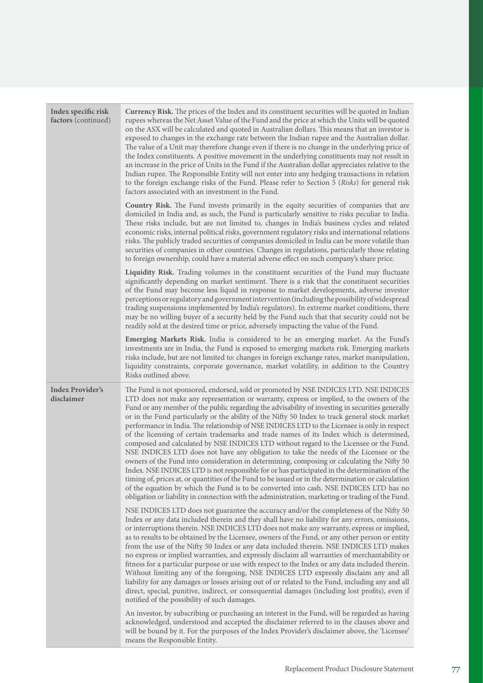| Index specific risk<br>factors (continued) | Currency Risk. The prices of the Index and its constituent securities will be quoted in Indian<br>rupees whereas the Net Asset Value of the Fund and the price at which the Units will be quoted<br>on the ASX will be calculated and quoted in Australian dollars. This means that an investor is<br>exposed to changes in the exchange rate between the Indian rupee and the Australian dollar.<br>The value of a Unit may therefore change even if there is no change in the underlying price of<br>the Index constituents. A positive movement in the underlying constituents may not result in<br>an increase in the price of Units in the Fund if the Australian dollar appreciates relative to the<br>Indian rupee. The Responsible Entity will not enter into any hedging transactions in relation<br>to the foreign exchange risks of the Fund. Please refer to Section 5 (Risks) for general risk<br>factors associated with an investment in the Fund.                                                                                                                                                                                                                                                                                                             |
|--------------------------------------------|-------------------------------------------------------------------------------------------------------------------------------------------------------------------------------------------------------------------------------------------------------------------------------------------------------------------------------------------------------------------------------------------------------------------------------------------------------------------------------------------------------------------------------------------------------------------------------------------------------------------------------------------------------------------------------------------------------------------------------------------------------------------------------------------------------------------------------------------------------------------------------------------------------------------------------------------------------------------------------------------------------------------------------------------------------------------------------------------------------------------------------------------------------------------------------------------------------------------------------------------------------------------------------|
|                                            | Country Risk. The Fund invests primarily in the equity securities of companies that are<br>domiciled in India and, as such, the Fund is particularly sensitive to risks peculiar to India.<br>These risks include, but are not limited to, changes in India's business cycles and related<br>economic risks, internal political risks, government regulatory risks and international relations<br>risks. The publicly traded securities of companies domiciled in India can be more volatile than<br>securities of companies in other countries. Changes in regulations, particularly those relating<br>to foreign ownership, could have a material adverse effect on such company's share price.                                                                                                                                                                                                                                                                                                                                                                                                                                                                                                                                                                             |
|                                            | Liquidity Risk. Trading volumes in the constituent securities of the Fund may fluctuate<br>significantly depending on market sentiment. There is a risk that the constituent securities<br>of the Fund may become less liquid in response to market developments, adverse investor<br>perceptions or regulatory and government intervention (including the possibility of widespread<br>trading suspensions implemented by India's regulators). In extreme market conditions, there<br>may be no willing buyer of a security held by the Fund such that that security could not be<br>readily sold at the desired time or price, adversely impacting the value of the Fund.                                                                                                                                                                                                                                                                                                                                                                                                                                                                                                                                                                                                   |
|                                            | Emerging Markets Risk. India is considered to be an emerging market. As the Fund's<br>investments are in India, the Fund is exposed to emerging markets risk. Emerging markets<br>risks include, but are not limited to: changes in foreign exchange rates, market manipulation,<br>liquidity constraints, corporate governance, market volatility, in addition to the Country<br>Risks outlined above.                                                                                                                                                                                                                                                                                                                                                                                                                                                                                                                                                                                                                                                                                                                                                                                                                                                                       |
| <b>Index Provider's</b><br>disclaimer      | The Fund is not sponsored, endorsed, sold or promoted by NSE INDICES LTD. NSE INDICES<br>LTD does not make any representation or warranty, express or implied, to the owners of the<br>Fund or any member of the public regarding the advisability of investing in securities generally<br>or in the Fund particularly or the ability of the Nifty 50 Index to track general stock market<br>performance in India. The relationship of NSE INDICES LTD to the Licensee is only in respect<br>of the licensing of certain trademarks and trade names of its Index which is determined,<br>composed and calculated by NSE INDICES LTD without regard to the Licensee or the Fund.<br>NSE INDICES LTD does not have any obligation to take the needs of the Licensee or the<br>owners of the Fund into consideration in determining, composing or calculating the Nifty 50<br>Index. NSE INDICES LTD is not responsible for or has participated in the determination of the<br>timing of, prices at, or quantities of the Fund to be issued or in the determination or calculation<br>of the equation by which the Fund is to be converted into cash. NSE INDICES LTD has no<br>obligation or liability in connection with the administration, marketing or trading of the Fund. |
|                                            | NSE INDICES LTD does not guarantee the accuracy and/or the completeness of the Nifty 50<br>Index or any data included therein and they shall have no liability for any errors, omissions,<br>or interruptions therein. NSE INDICES LTD does not make any warranty, express or implied,<br>as to results to be obtained by the Licensee, owners of the Fund, or any other person or entity<br>from the use of the Nifty 50 Index or any data included therein. NSE INDICES LTD makes<br>no express or implied warranties, and expressly disclaim all warranties of merchantability or<br>fitness for a particular purpose or use with respect to the Index or any data included therein.<br>Without limiting any of the foregoing, NSE INDICES LTD expressly disclaim any and all<br>liability for any damages or losses arising out of or related to the Fund, including any and all<br>direct, special, punitive, indirect, or consequential damages (including lost profits), even if<br>notified of the possibility of such damages.                                                                                                                                                                                                                                       |
|                                            | An investor, by subscribing or purchasing an interest in the Fund, will be regarded as having<br>acknowledged, understood and accepted the disclaimer referred to in the clauses above and<br>will be bound by it. For the purposes of the Index Provider's disclaimer above, the 'Licensee'<br>means the Responsible Entity.                                                                                                                                                                                                                                                                                                                                                                                                                                                                                                                                                                                                                                                                                                                                                                                                                                                                                                                                                 |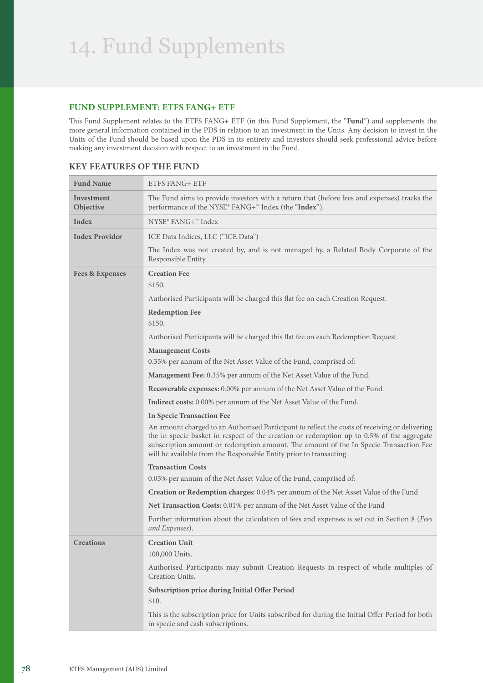### **FUND SUPPLEMENT: ETFS FANG+ ETF**

This Fund Supplement relates to the ETFS FANG+ ETF (in this Fund Supplement, the "**Fund**") and supplements the more general information contained in the PDS in relation to an investment in the Units. Any decision to invest in the Units of the Fund should be based upon the PDS in its entirety and investors should seek professional advice before making any investment decision with respect to an investment in the Fund.

| <b>Fund Name</b>           | ETFS FANG+ ETF                                                                                                                                                                                                                                                                                                                                              |
|----------------------------|-------------------------------------------------------------------------------------------------------------------------------------------------------------------------------------------------------------------------------------------------------------------------------------------------------------------------------------------------------------|
| Investment<br>Objective    | The Fund aims to provide investors with a return that (before fees and expenses) tracks the<br>performance of the NYSE® FANG+ <sup>™</sup> Index (the "Index").                                                                                                                                                                                             |
| Index                      | NYSE® FANG+™ Index                                                                                                                                                                                                                                                                                                                                          |
| <b>Index Provider</b>      | ICE Data Indices, LLC ("ICE Data")                                                                                                                                                                                                                                                                                                                          |
|                            | The Index was not created by, and is not managed by, a Related Body Corporate of the<br>Responsible Entity.                                                                                                                                                                                                                                                 |
| <b>Fees &amp; Expenses</b> | <b>Creation Fee</b><br>\$150.                                                                                                                                                                                                                                                                                                                               |
|                            | Authorised Participants will be charged this flat fee on each Creation Request.                                                                                                                                                                                                                                                                             |
|                            | <b>Redemption Fee</b><br>\$150.                                                                                                                                                                                                                                                                                                                             |
|                            | Authorised Participants will be charged this flat fee on each Redemption Request.                                                                                                                                                                                                                                                                           |
|                            | <b>Management Costs</b>                                                                                                                                                                                                                                                                                                                                     |
|                            | 0.35% per annum of the Net Asset Value of the Fund, comprised of:                                                                                                                                                                                                                                                                                           |
|                            | Management Fee: 0.35% per annum of the Net Asset Value of the Fund.                                                                                                                                                                                                                                                                                         |
|                            | Recoverable expenses: 0.00% per annum of the Net Asset Value of the Fund.                                                                                                                                                                                                                                                                                   |
|                            | <b>Indirect costs:</b> 0.00% per annum of the Net Asset Value of the Fund.                                                                                                                                                                                                                                                                                  |
|                            | <b>In Specie Transaction Fee</b>                                                                                                                                                                                                                                                                                                                            |
|                            | An amount charged to an Authorised Participant to reflect the costs of receiving or delivering<br>the in specie basket in respect of the creation or redemption up to 0.5% of the aggregate<br>subscription amount or redemption amount. The amount of the In Specie Transaction Fee<br>will be available from the Responsible Entity prior to transacting. |
|                            | <b>Transaction Costs</b>                                                                                                                                                                                                                                                                                                                                    |
|                            | 0.05% per annum of the Net Asset Value of the Fund, comprised of:                                                                                                                                                                                                                                                                                           |
|                            | Creation or Redemption charges: 0.04% per annum of the Net Asset Value of the Fund                                                                                                                                                                                                                                                                          |
|                            | Net Transaction Costs: 0.01% per annum of the Net Asset Value of the Fund                                                                                                                                                                                                                                                                                   |
|                            | Further information about the calculation of fees and expenses is set out in Section 8 (Fees<br>and Expenses).                                                                                                                                                                                                                                              |
| <b>Creations</b>           | <b>Creation Unit</b><br>100,000 Units.                                                                                                                                                                                                                                                                                                                      |
|                            | Authorised Participants may submit Creation Requests in respect of whole multiples of<br>Creation Units.                                                                                                                                                                                                                                                    |
|                            | Subscription price during Initial Offer Period<br>\$10.                                                                                                                                                                                                                                                                                                     |
|                            | This is the subscription price for Units subscribed for during the Initial Offer Period for both<br>in specie and cash subscriptions.                                                                                                                                                                                                                       |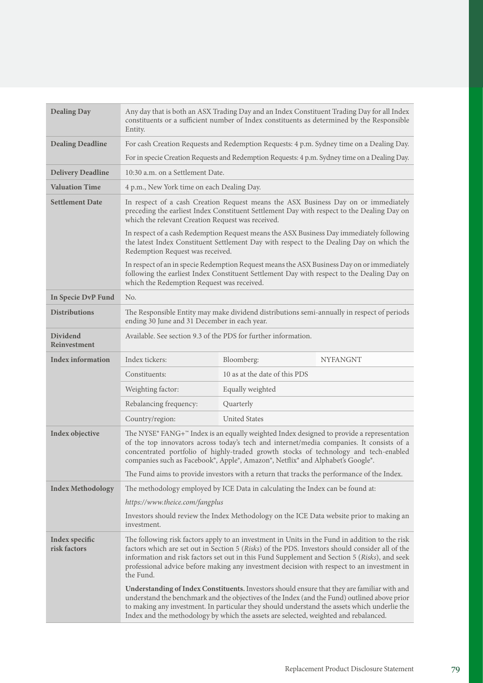| <b>Dealing Day</b>              | Any day that is both an ASX Trading Day and an Index Constituent Trading Day for all Index<br>constituents or a sufficient number of Index constituents as determined by the Responsible<br>Entity.                                                                                                                                                                                                                                                               |                                                                                                                                                                                                                                                                                                                                                                                      |                 |
|---------------------------------|-------------------------------------------------------------------------------------------------------------------------------------------------------------------------------------------------------------------------------------------------------------------------------------------------------------------------------------------------------------------------------------------------------------------------------------------------------------------|--------------------------------------------------------------------------------------------------------------------------------------------------------------------------------------------------------------------------------------------------------------------------------------------------------------------------------------------------------------------------------------|-----------------|
| <b>Dealing Deadline</b>         | For cash Creation Requests and Redemption Requests: 4 p.m. Sydney time on a Dealing Day.                                                                                                                                                                                                                                                                                                                                                                          |                                                                                                                                                                                                                                                                                                                                                                                      |                 |
|                                 |                                                                                                                                                                                                                                                                                                                                                                                                                                                                   | For in specie Creation Requests and Redemption Requests: 4 p.m. Sydney time on a Dealing Day.                                                                                                                                                                                                                                                                                        |                 |
| <b>Delivery Deadline</b>        | 10:30 a.m. on a Settlement Date.                                                                                                                                                                                                                                                                                                                                                                                                                                  |                                                                                                                                                                                                                                                                                                                                                                                      |                 |
| <b>Valuation Time</b>           | 4 p.m., New York time on each Dealing Day.                                                                                                                                                                                                                                                                                                                                                                                                                        |                                                                                                                                                                                                                                                                                                                                                                                      |                 |
| <b>Settlement Date</b>          | In respect of a cash Creation Request means the ASX Business Day on or immediately<br>preceding the earliest Index Constituent Settlement Day with respect to the Dealing Day on<br>which the relevant Creation Request was received.<br>In respect of a cash Redemption Request means the ASX Business Day immediately following<br>the latest Index Constituent Settlement Day with respect to the Dealing Day on which the<br>Redemption Request was received. |                                                                                                                                                                                                                                                                                                                                                                                      |                 |
|                                 |                                                                                                                                                                                                                                                                                                                                                                                                                                                                   |                                                                                                                                                                                                                                                                                                                                                                                      |                 |
|                                 | In respect of an in specie Redemption Request means the ASX Business Day on or immediately<br>following the earliest Index Constituent Settlement Day with respect to the Dealing Day on<br>which the Redemption Request was received.                                                                                                                                                                                                                            |                                                                                                                                                                                                                                                                                                                                                                                      |                 |
| In Specie DvP Fund              | No.                                                                                                                                                                                                                                                                                                                                                                                                                                                               |                                                                                                                                                                                                                                                                                                                                                                                      |                 |
| <b>Distributions</b>            | The Responsible Entity may make dividend distributions semi-annually in respect of periods<br>ending 30 June and 31 December in each year.                                                                                                                                                                                                                                                                                                                        |                                                                                                                                                                                                                                                                                                                                                                                      |                 |
| <b>Dividend</b><br>Reinvestment | Available. See section 9.3 of the PDS for further information.                                                                                                                                                                                                                                                                                                                                                                                                    |                                                                                                                                                                                                                                                                                                                                                                                      |                 |
| <b>Index information</b>        | Index tickers:                                                                                                                                                                                                                                                                                                                                                                                                                                                    | Bloomberg:                                                                                                                                                                                                                                                                                                                                                                           | <b>NYFANGNT</b> |
|                                 | Constituents:                                                                                                                                                                                                                                                                                                                                                                                                                                                     | 10 as at the date of this PDS                                                                                                                                                                                                                                                                                                                                                        |                 |
|                                 | Weighting factor:                                                                                                                                                                                                                                                                                                                                                                                                                                                 | Equally weighted                                                                                                                                                                                                                                                                                                                                                                     |                 |
|                                 | Rebalancing frequency:                                                                                                                                                                                                                                                                                                                                                                                                                                            | Quarterly                                                                                                                                                                                                                                                                                                                                                                            |                 |
|                                 | Country/region:                                                                                                                                                                                                                                                                                                                                                                                                                                                   | <b>United States</b>                                                                                                                                                                                                                                                                                                                                                                 |                 |
| Index objective                 | The NYSE® FANG+ $\degree$ Index is an equally weighted Index designed to provide a representation<br>of the top innovators across today's tech and internet/media companies. It consists of a<br>concentrated portfolio of highly-traded growth stocks of technology and tech-enabled<br>companies such as Facebook®, Apple®, Amazon®, Netflix® and Alphabet's Google®.                                                                                           |                                                                                                                                                                                                                                                                                                                                                                                      |                 |
|                                 |                                                                                                                                                                                                                                                                                                                                                                                                                                                                   | The Fund aims to provide investors with a return that tracks the performance of the Index.                                                                                                                                                                                                                                                                                           |                 |
| <b>Index Methodology</b>        | The methodology employed by ICE Data in calculating the Index can be found at:                                                                                                                                                                                                                                                                                                                                                                                    |                                                                                                                                                                                                                                                                                                                                                                                      |                 |
|                                 | https://www.theice.com/fangplus                                                                                                                                                                                                                                                                                                                                                                                                                                   |                                                                                                                                                                                                                                                                                                                                                                                      |                 |
|                                 | investment.                                                                                                                                                                                                                                                                                                                                                                                                                                                       | Investors should review the Index Methodology on the ICE Data website prior to making an                                                                                                                                                                                                                                                                                             |                 |
| Index specific<br>risk factors  | The following risk factors apply to an investment in Units in the Fund in addition to the risk<br>factors which are set out in Section 5 (Risks) of the PDS. Investors should consider all of the<br>information and risk factors set out in this Fund Supplement and Section 5 (Risks), and seek<br>professional advice before making any investment decision with respect to an investment in<br>the Fund.                                                      |                                                                                                                                                                                                                                                                                                                                                                                      |                 |
|                                 |                                                                                                                                                                                                                                                                                                                                                                                                                                                                   | Understanding of Index Constituents. Investors should ensure that they are familiar with and<br>understand the benchmark and the objectives of the Index (and the Fund) outlined above prior<br>to making any investment. In particular they should understand the assets which underlie the<br>Index and the methodology by which the assets are selected, weighted and rebalanced. |                 |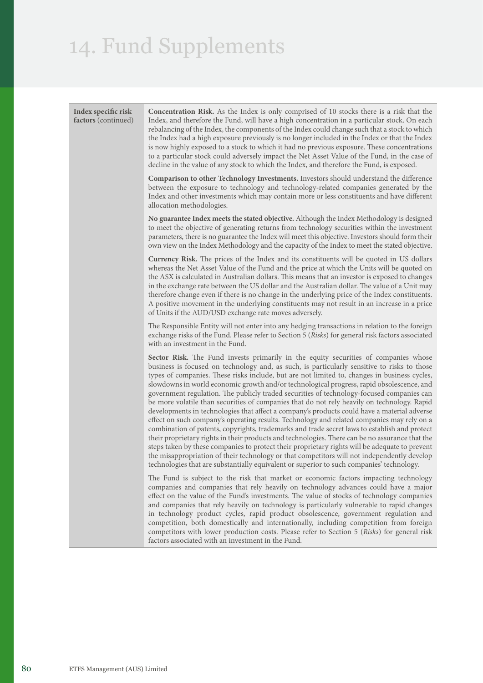| Index specific risk<br>factors (continued) | <b>Concentration Risk.</b> As the Index is only comprised of 10 stocks there is a risk that the<br>Index, and therefore the Fund, will have a high concentration in a particular stock. On each<br>rebalancing of the Index, the components of the Index could change such that a stock to which<br>the Index had a high exposure previously is no longer included in the Index or that the Index<br>is now highly exposed to a stock to which it had no previous exposure. These concentrations<br>to a particular stock could adversely impact the Net Asset Value of the Fund, in the case of<br>decline in the value of any stock to which the Index, and therefore the Fund, is exposed.                                                                                                                                                                                                                                                                                                                                                                                                                                                                                                                                                                              |
|--------------------------------------------|----------------------------------------------------------------------------------------------------------------------------------------------------------------------------------------------------------------------------------------------------------------------------------------------------------------------------------------------------------------------------------------------------------------------------------------------------------------------------------------------------------------------------------------------------------------------------------------------------------------------------------------------------------------------------------------------------------------------------------------------------------------------------------------------------------------------------------------------------------------------------------------------------------------------------------------------------------------------------------------------------------------------------------------------------------------------------------------------------------------------------------------------------------------------------------------------------------------------------------------------------------------------------|
|                                            | Comparison to other Technology Investments. Investors should understand the difference<br>between the exposure to technology and technology-related companies generated by the<br>Index and other investments which may contain more or less constituents and have different<br>allocation methodologies.                                                                                                                                                                                                                                                                                                                                                                                                                                                                                                                                                                                                                                                                                                                                                                                                                                                                                                                                                                  |
|                                            | No guarantee Index meets the stated objective. Although the Index Methodology is designed<br>to meet the objective of generating returns from technology securities within the investment<br>parameters, there is no guarantee the Index will meet this objective. Investors should form their<br>own view on the Index Methodology and the capacity of the Index to meet the stated objective.                                                                                                                                                                                                                                                                                                                                                                                                                                                                                                                                                                                                                                                                                                                                                                                                                                                                            |
|                                            | <b>Currency Risk.</b> The prices of the Index and its constituents will be quoted in US dollars<br>whereas the Net Asset Value of the Fund and the price at which the Units will be quoted on<br>the ASX is calculated in Australian dollars. This means that an investor is exposed to changes<br>in the exchange rate between the US dollar and the Australian dollar. The value of a Unit may<br>therefore change even if there is no change in the underlying price of the Index constituents.<br>A positive movement in the underlying constituents may not result in an increase in a price<br>of Units if the AUD/USD exchange rate moves adversely.                                                                                                                                                                                                                                                                                                                                                                                                                                                                                                                                                                                                                |
|                                            | The Responsible Entity will not enter into any hedging transactions in relation to the foreign<br>exchange risks of the Fund. Please refer to Section 5 (Risks) for general risk factors associated<br>with an investment in the Fund.                                                                                                                                                                                                                                                                                                                                                                                                                                                                                                                                                                                                                                                                                                                                                                                                                                                                                                                                                                                                                                     |
|                                            | Sector Risk. The Fund invests primarily in the equity securities of companies whose<br>business is focused on technology and, as such, is particularly sensitive to risks to those<br>types of companies. These risks include, but are not limited to, changes in business cycles,<br>slowdowns in world economic growth and/or technological progress, rapid obsolescence, and<br>government regulation. The publicly traded securities of technology-focused companies can<br>be more volatile than securities of companies that do not rely heavily on technology. Rapid<br>developments in technologies that affect a company's products could have a material adverse<br>effect on such company's operating results. Technology and related companies may rely on a<br>combination of patents, copyrights, trademarks and trade secret laws to establish and protect<br>their proprietary rights in their products and technologies. There can be no assurance that the<br>steps taken by these companies to protect their proprietary rights will be adequate to prevent<br>the misappropriation of their technology or that competitors will not independently develop<br>technologies that are substantially equivalent or superior to such companies' technology. |
|                                            | The Fund is subject to the risk that market or economic factors impacting technology<br>companies and companies that rely heavily on technology advances could have a major<br>effect on the value of the Fund's investments. The value of stocks of technology companies<br>and companies that rely heavily on technology is particularly vulnerable to rapid changes<br>in technology product cycles, rapid product obsolescence, government regulation and<br>competition, both domestically and internationally, including competition from foreign<br>competitors with lower production costs. Please refer to Section 5 (Risks) for general risk<br>factors associated with an investment in the Fund.                                                                                                                                                                                                                                                                                                                                                                                                                                                                                                                                                               |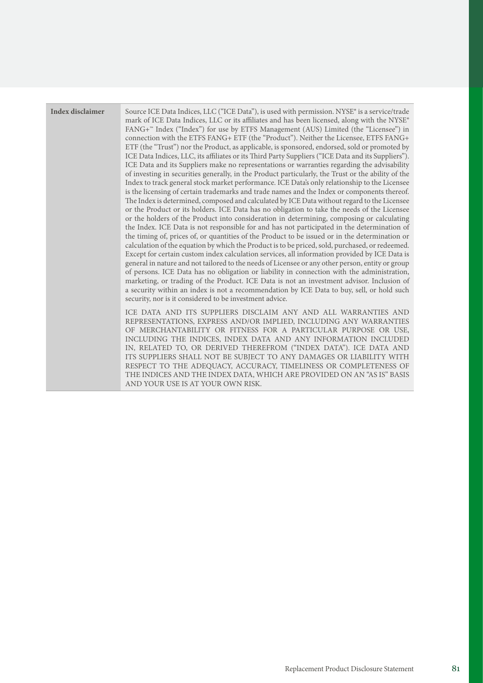| Index disclaimer | Source ICE Data Indices, LLC ("ICE Data"), is used with permission. NYSE® is a service/trade<br>mark of ICE Data Indices, LLC or its affiliates and has been licensed, along with the NYSE®<br>FANG+ <sup>n</sup> Index ("Index") for use by ETFS Management (AUS) Limited (the "Licensee") in<br>connection with the ETFS FANG+ ETF (the "Product"). Neither the Licensee, ETFS FANG+<br>ETF (the "Trust") nor the Product, as applicable, is sponsored, endorsed, sold or promoted by<br>ICE Data Indices, LLC, its affiliates or its Third Party Suppliers ("ICE Data and its Suppliers").<br>ICE Data and its Suppliers make no representations or warranties regarding the advisability<br>of investing in securities generally, in the Product particularly, the Trust or the ability of the<br>Index to track general stock market performance. ICE Data's only relationship to the Licensee<br>is the licensing of certain trademarks and trade names and the Index or components thereof.<br>The Index is determined, composed and calculated by ICE Data without regard to the Licensee<br>or the Product or its holders. ICE Data has no obligation to take the needs of the Licensee<br>or the holders of the Product into consideration in determining, composing or calculating<br>the Index. ICE Data is not responsible for and has not participated in the determination of<br>the timing of, prices of, or quantities of the Product to be issued or in the determination or<br>calculation of the equation by which the Product is to be priced, sold, purchased, or redeemed.<br>Except for certain custom index calculation services, all information provided by ICE Data is<br>general in nature and not tailored to the needs of Licensee or any other person, entity or group<br>of persons. ICE Data has no obligation or liability in connection with the administration,<br>marketing, or trading of the Product. ICE Data is not an investment advisor. Inclusion of<br>a security within an index is not a recommendation by ICE Data to buy, sell, or hold such<br>security, nor is it considered to be investment advice. |
|------------------|-----------------------------------------------------------------------------------------------------------------------------------------------------------------------------------------------------------------------------------------------------------------------------------------------------------------------------------------------------------------------------------------------------------------------------------------------------------------------------------------------------------------------------------------------------------------------------------------------------------------------------------------------------------------------------------------------------------------------------------------------------------------------------------------------------------------------------------------------------------------------------------------------------------------------------------------------------------------------------------------------------------------------------------------------------------------------------------------------------------------------------------------------------------------------------------------------------------------------------------------------------------------------------------------------------------------------------------------------------------------------------------------------------------------------------------------------------------------------------------------------------------------------------------------------------------------------------------------------------------------------------------------------------------------------------------------------------------------------------------------------------------------------------------------------------------------------------------------------------------------------------------------------------------------------------------------------------------------------------------------------------------------------------------------------------------------------------------------------------------------------------------------------------------|
|                  | ICE DATA AND ITS SUPPLIERS DISCLAIM ANY AND ALL WARRANTIES AND<br>REPRESENTATIONS, EXPRESS AND/OR IMPLIED, INCLUDING ANY WARRANTIES<br>OF MERCHANTABILITY OR FITNESS FOR A PARTICULAR PURPOSE OR USE,<br>INCLUDING THE INDICES, INDEX DATA AND ANY INFORMATION INCLUDED<br>IN, RELATED TO, OR DERIVED THEREFROM ("INDEX DATA"). ICE DATA AND<br>ITS SUPPLIERS SHALL NOT BE SUBJECT TO ANY DAMAGES OR LIABILITY WITH<br>RESPECT TO THE ADEQUACY, ACCURACY, TIMELINESS OR COMPLETENESS OF<br>THE INDICES AND THE INDEX DATA, WHICH ARE PROVIDED ON AN "AS IS" BASIS                                                                                                                                                                                                                                                                                                                                                                                                                                                                                                                                                                                                                                                                                                                                                                                                                                                                                                                                                                                                                                                                                                                                                                                                                                                                                                                                                                                                                                                                                                                                                                                         |

AND YOUR USE IS AT YOUR OWN RISK.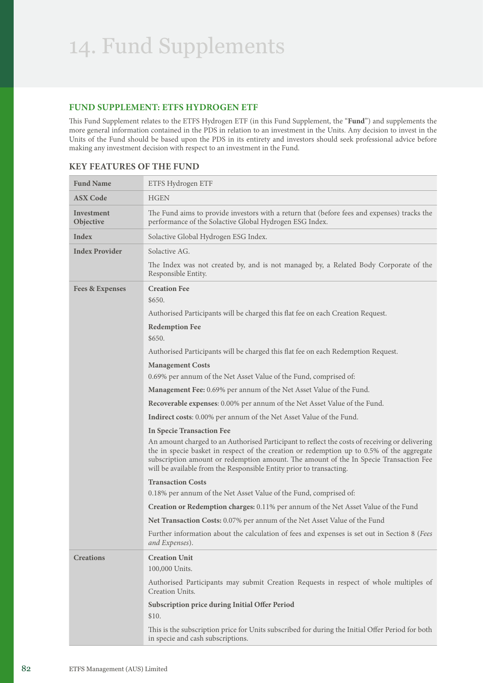#### **FUND SUPPLEMENT: ETFS HYDROGEN ETF**

This Fund Supplement relates to the ETFS Hydrogen ETF (in this Fund Supplement, the "**Fund**") and supplements the more general information contained in the PDS in relation to an investment in the Units. Any decision to invest in the Units of the Fund should be based upon the PDS in its entirety and investors should seek professional advice before making any investment decision with respect to an investment in the Fund.

| <b>Fund Name</b>           | ETFS Hydrogen ETF                                                                                                                                                                                                                                                                                                                                                                               |
|----------------------------|-------------------------------------------------------------------------------------------------------------------------------------------------------------------------------------------------------------------------------------------------------------------------------------------------------------------------------------------------------------------------------------------------|
| <b>ASX Code</b>            | <b>HGEN</b>                                                                                                                                                                                                                                                                                                                                                                                     |
| Investment<br>Objective    | The Fund aims to provide investors with a return that (before fees and expenses) tracks the<br>performance of the Solactive Global Hydrogen ESG Index.                                                                                                                                                                                                                                          |
| Index                      | Solactive Global Hydrogen ESG Index.                                                                                                                                                                                                                                                                                                                                                            |
| <b>Index Provider</b>      | Solactive AG.                                                                                                                                                                                                                                                                                                                                                                                   |
|                            | The Index was not created by, and is not managed by, a Related Body Corporate of the<br>Responsible Entity.                                                                                                                                                                                                                                                                                     |
| <b>Fees &amp; Expenses</b> | <b>Creation Fee</b><br>\$650.                                                                                                                                                                                                                                                                                                                                                                   |
|                            | Authorised Participants will be charged this flat fee on each Creation Request.                                                                                                                                                                                                                                                                                                                 |
|                            | <b>Redemption Fee</b>                                                                                                                                                                                                                                                                                                                                                                           |
|                            | \$650.                                                                                                                                                                                                                                                                                                                                                                                          |
|                            | Authorised Participants will be charged this flat fee on each Redemption Request.                                                                                                                                                                                                                                                                                                               |
|                            | <b>Management Costs</b>                                                                                                                                                                                                                                                                                                                                                                         |
|                            | 0.69% per annum of the Net Asset Value of the Fund, comprised of:                                                                                                                                                                                                                                                                                                                               |
|                            | Management Fee: 0.69% per annum of the Net Asset Value of the Fund.                                                                                                                                                                                                                                                                                                                             |
|                            | Recoverable expenses: 0.00% per annum of the Net Asset Value of the Fund.                                                                                                                                                                                                                                                                                                                       |
|                            | <b>Indirect costs:</b> 0.00% per annum of the Net Asset Value of the Fund.                                                                                                                                                                                                                                                                                                                      |
|                            | <b>In Specie Transaction Fee</b><br>An amount charged to an Authorised Participant to reflect the costs of receiving or delivering<br>the in specie basket in respect of the creation or redemption up to 0.5% of the aggregate<br>subscription amount or redemption amount. The amount of the In Specie Transaction Fee<br>will be available from the Responsible Entity prior to transacting. |
|                            | <b>Transaction Costs</b>                                                                                                                                                                                                                                                                                                                                                                        |
|                            | 0.18% per annum of the Net Asset Value of the Fund, comprised of:                                                                                                                                                                                                                                                                                                                               |
|                            | Creation or Redemption charges: 0.11% per annum of the Net Asset Value of the Fund                                                                                                                                                                                                                                                                                                              |
|                            | Net Transaction Costs: 0.07% per annum of the Net Asset Value of the Fund                                                                                                                                                                                                                                                                                                                       |
|                            | Further information about the calculation of fees and expenses is set out in Section 8 (Fees<br>and Expenses).                                                                                                                                                                                                                                                                                  |
| <b>Creations</b>           | <b>Creation Unit</b>                                                                                                                                                                                                                                                                                                                                                                            |
|                            | 100,000 Units.                                                                                                                                                                                                                                                                                                                                                                                  |
|                            | Authorised Participants may submit Creation Requests in respect of whole multiples of<br>Creation Units.                                                                                                                                                                                                                                                                                        |
|                            | Subscription price during Initial Offer Period<br>\$10.                                                                                                                                                                                                                                                                                                                                         |
|                            | This is the subscription price for Units subscribed for during the Initial Offer Period for both<br>in specie and cash subscriptions.                                                                                                                                                                                                                                                           |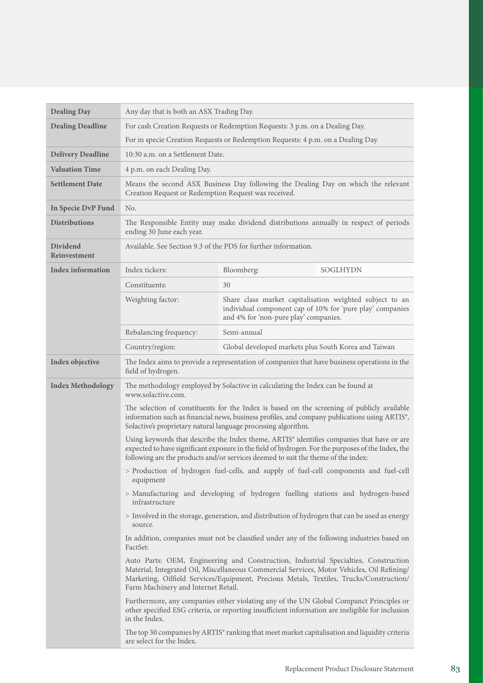| <b>Dealing Day</b>                     | Any day that is both an ASX Trading Day.                                                                                                                                                                                                                                                                            |                                                                                               |                                                                                                                       |
|----------------------------------------|---------------------------------------------------------------------------------------------------------------------------------------------------------------------------------------------------------------------------------------------------------------------------------------------------------------------|-----------------------------------------------------------------------------------------------|-----------------------------------------------------------------------------------------------------------------------|
| <b>Dealing Deadline</b>                | For cash Creation Requests or Redemption Requests: 3 p.m. on a Dealing Day.                                                                                                                                                                                                                                         |                                                                                               |                                                                                                                       |
|                                        | For in specie Creation Requests or Redemption Requests: 4 p.m. on a Dealing Day.                                                                                                                                                                                                                                    |                                                                                               |                                                                                                                       |
| <b>Delivery Deadline</b>               | 10:30 a.m. on a Settlement Date.                                                                                                                                                                                                                                                                                    |                                                                                               |                                                                                                                       |
| <b>Valuation Time</b>                  | 4 p.m. on each Dealing Day.                                                                                                                                                                                                                                                                                         |                                                                                               |                                                                                                                       |
| <b>Settlement Date</b>                 | Creation Request or Redemption Request was received.                                                                                                                                                                                                                                                                | Means the second ASX Business Day following the Dealing Day on which the relevant             |                                                                                                                       |
| In Specie DvP Fund                     | No.                                                                                                                                                                                                                                                                                                                 |                                                                                               |                                                                                                                       |
| <b>Distributions</b>                   | ending 30 June each year.                                                                                                                                                                                                                                                                                           | The Responsible Entity may make dividend distributions annually in respect of periods         |                                                                                                                       |
| <b>Dividend</b><br><b>Reinvestment</b> |                                                                                                                                                                                                                                                                                                                     | Available. See Section 9.3 of the PDS for further information.                                |                                                                                                                       |
| <b>Index information</b>               | Index tickers:                                                                                                                                                                                                                                                                                                      | Bloomberg:                                                                                    | <b>SOGLHYDN</b>                                                                                                       |
|                                        | Constituents:                                                                                                                                                                                                                                                                                                       | 30                                                                                            |                                                                                                                       |
|                                        | Weighting factor:                                                                                                                                                                                                                                                                                                   | and 4% for 'non-pure play' companies.                                                         | Share class market capitalisation weighted subject to an<br>individual component cap of 10% for 'pure play' companies |
|                                        | Rebalancing frequency:                                                                                                                                                                                                                                                                                              | Semi-annual                                                                                   |                                                                                                                       |
|                                        | Country/region:                                                                                                                                                                                                                                                                                                     | Global developed markets plus South Korea and Taiwan                                          |                                                                                                                       |
| Index objective                        | field of hydrogen.                                                                                                                                                                                                                                                                                                  | The Index aims to provide a representation of companies that have business operations in the  |                                                                                                                       |
| <b>Index Methodology</b>               | The methodology employed by Solactive in calculating the Index can be found at<br>www.solactive.com.                                                                                                                                                                                                                |                                                                                               |                                                                                                                       |
|                                        | The selection of constituents for the Index is based on the screening of publicly available<br>information such as financial news, business profiles, and company publications using ARTIS <sup>®</sup> ,<br>Solactive's proprietary natural language processing algorithm.                                         |                                                                                               |                                                                                                                       |
|                                        | Using keywords that describe the Index theme, ARTIS® identifies companies that have or are<br>expected to have significant exposure in the field of hydrogen. For the purposes of the Index, the<br>following are the products and/or services deemed to suit the theme of the index:                               |                                                                                               |                                                                                                                       |
|                                        | > Production of hydrogen fuel-cells, and supply of fuel-cell components and fuel-cell<br>equipment                                                                                                                                                                                                                  |                                                                                               |                                                                                                                       |
|                                        | > Manufacturing and developing of hydrogen fuelling stations and hydrogen-based<br>infrastructure                                                                                                                                                                                                                   |                                                                                               |                                                                                                                       |
|                                        | > Involved in the storage, generation, and distribution of hydrogen that can be used as energy<br>source.                                                                                                                                                                                                           |                                                                                               |                                                                                                                       |
|                                        | In addition, companies must not be classified under any of the following industries based on<br>FactSet:                                                                                                                                                                                                            |                                                                                               |                                                                                                                       |
|                                        | Auto Parts: OEM, Engineering and Construction, Industrial Specialties, Construction<br>Material, Integrated Oil, Miscellaneous Commercial Services, Motor Vehicles, Oil Refining/<br>Marketing, Oilfield Services/Equipment, Precious Metals, Textiles, Trucks/Construction/<br>Farm Machinery and Internet Retail. |                                                                                               |                                                                                                                       |
|                                        | Furthermore, any companies either violating any of the UN Global Companct Principles or<br>other specified ESG criteria, or reporting insufficient information are ineligible for inclusion<br>in the Index.                                                                                                        |                                                                                               |                                                                                                                       |
|                                        | are select for the Index.                                                                                                                                                                                                                                                                                           | The top 30 companies by ARTIS® ranking that meet market capitalisation and liquidity criteria |                                                                                                                       |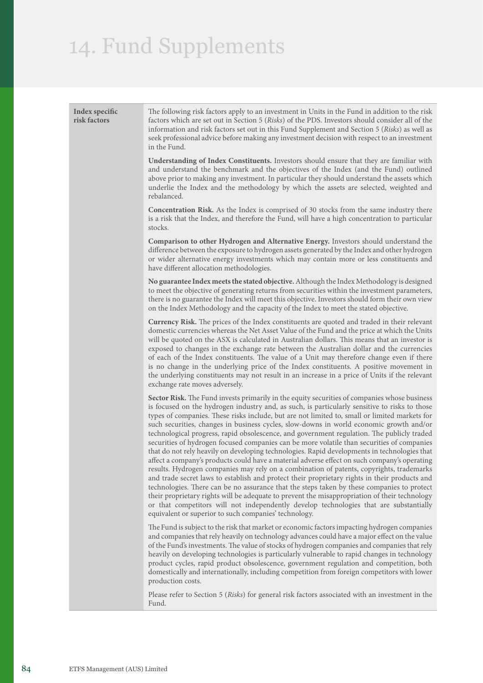| Index specific<br>risk factors | The following risk factors apply to an investment in Units in the Fund in addition to the risk<br>factors which are set out in Section 5 (Risks) of the PDS. Investors should consider all of the<br>information and risk factors set out in this Fund Supplement and Section 5 (Risks) as well as<br>seek professional advice before making any investment decision with respect to an investment<br>in the Fund.                                                                                                                                                                                                                                                                                                                                                                                                                                                                                                                                                                                                                                                                                                                                                                                                                                                                                                                   |
|--------------------------------|--------------------------------------------------------------------------------------------------------------------------------------------------------------------------------------------------------------------------------------------------------------------------------------------------------------------------------------------------------------------------------------------------------------------------------------------------------------------------------------------------------------------------------------------------------------------------------------------------------------------------------------------------------------------------------------------------------------------------------------------------------------------------------------------------------------------------------------------------------------------------------------------------------------------------------------------------------------------------------------------------------------------------------------------------------------------------------------------------------------------------------------------------------------------------------------------------------------------------------------------------------------------------------------------------------------------------------------|
|                                | Understanding of Index Constituents. Investors should ensure that they are familiar with<br>and understand the benchmark and the objectives of the Index (and the Fund) outlined<br>above prior to making any investment. In particular they should understand the assets which<br>underlie the Index and the methodology by which the assets are selected, weighted and<br>rebalanced.                                                                                                                                                                                                                                                                                                                                                                                                                                                                                                                                                                                                                                                                                                                                                                                                                                                                                                                                              |
|                                | <b>Concentration Risk.</b> As the Index is comprised of 30 stocks from the same industry there<br>is a risk that the Index, and therefore the Fund, will have a high concentration to particular<br>stocks.                                                                                                                                                                                                                                                                                                                                                                                                                                                                                                                                                                                                                                                                                                                                                                                                                                                                                                                                                                                                                                                                                                                          |
|                                | Comparison to other Hydrogen and Alternative Energy. Investors should understand the<br>difference between the exposure to hydrogen assets generated by the Index and other hydrogen<br>or wider alternative energy investments which may contain more or less constituents and<br>have different allocation methodologies.                                                                                                                                                                                                                                                                                                                                                                                                                                                                                                                                                                                                                                                                                                                                                                                                                                                                                                                                                                                                          |
|                                | No guarantee Index meets the stated objective. Although the Index Methodology is designed<br>to meet the objective of generating returns from securities within the investment parameters,<br>there is no guarantee the Index will meet this objective. Investors should form their own view<br>on the Index Methodology and the capacity of the Index to meet the stated objective.                                                                                                                                                                                                                                                                                                                                                                                                                                                                                                                                                                                                                                                                                                                                                                                                                                                                                                                                                 |
|                                | Currency Risk. The prices of the Index constituents are quoted and traded in their relevant<br>domestic currencies whereas the Net Asset Value of the Fund and the price at which the Units<br>will be quoted on the ASX is calculated in Australian dollars. This means that an investor is<br>exposed to changes in the exchange rate between the Australian dollar and the currencies<br>of each of the Index constituents. The value of a Unit may therefore change even if there<br>is no change in the underlying price of the Index constituents. A positive movement in<br>the underlying constituents may not result in an increase in a price of Units if the relevant<br>exchange rate moves adversely.                                                                                                                                                                                                                                                                                                                                                                                                                                                                                                                                                                                                                   |
|                                | Sector Risk. The Fund invests primarily in the equity securities of companies whose business<br>is focused on the hydrogen industry and, as such, is particularly sensitive to risks to those<br>types of companies. These risks include, but are not limited to, small or limited markets for<br>such securities, changes in business cycles, slow-downs in world economic growth and/or<br>technological progress, rapid obsolescence, and government regulation. The publicly traded<br>securities of hydrogen focused companies can be more volatile than securities of companies<br>that do not rely heavily on developing technologies. Rapid developments in technologies that<br>affect a company's products could have a material adverse effect on such company's operating<br>results. Hydrogen companies may rely on a combination of patents, copyrights, trademarks<br>and trade secret laws to establish and protect their proprietary rights in their products and<br>technologies. There can be no assurance that the steps taken by these companies to protect<br>their proprietary rights will be adequate to prevent the misappropriation of their technology<br>or that competitors will not independently develop technologies that are substantially<br>equivalent or superior to such companies' technology. |
|                                | The Fund is subject to the risk that market or economic factors impacting hydrogen companies<br>and companies that rely heavily on technology advances could have a major effect on the value<br>of the Fund's investments. The value of stocks of hydrogen companies and companies that rely<br>heavily on developing technologies is particularly vulnerable to rapid changes in technology<br>product cycles, rapid product obsolescence, government regulation and competition, both<br>domestically and internationally, including competition from foreign competitors with lower<br>production costs.                                                                                                                                                                                                                                                                                                                                                                                                                                                                                                                                                                                                                                                                                                                         |
|                                | Please refer to Section 5 (Risks) for general risk factors associated with an investment in the<br>Fund.                                                                                                                                                                                                                                                                                                                                                                                                                                                                                                                                                                                                                                                                                                                                                                                                                                                                                                                                                                                                                                                                                                                                                                                                                             |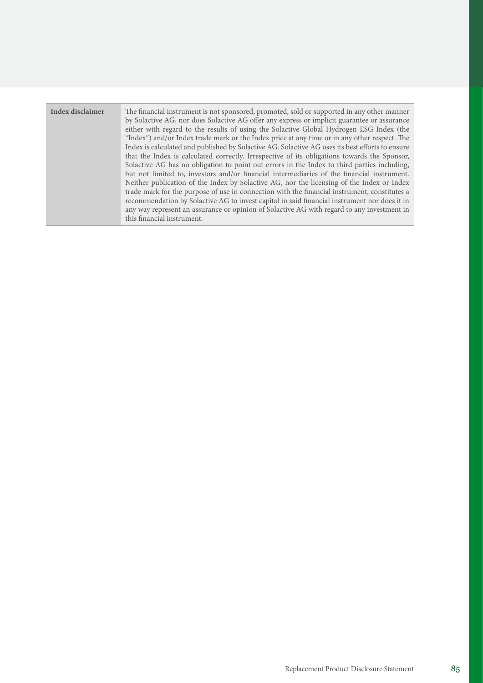| Index disclaimer | The financial instrument is not sponsored, promoted, sold or supported in any other manner<br>by Solactive AG, nor does Solactive AG offer any express or implicit guarantee or assurance<br>either with regard to the results of using the Solactive Global Hydrogen ESG Index (the<br>"Index") and/or Index trade mark or the Index price at any time or in any other respect. The<br>Index is calculated and published by Solactive AG. Solactive AG uses its best efforts to ensure<br>that the Index is calculated correctly. Irrespective of its obligations towards the Sponsor,<br>Solactive AG has no obligation to point out errors in the Index to third parties including,<br>but not limited to, investors and/or financial intermediaries of the financial instrument.<br>Neither publication of the Index by Solactive AG, nor the licensing of the Index or Index<br>trade mark for the purpose of use in connection with the financial instrument, constitutes a<br>recommendation by Solactive AG to invest capital in said financial instrument nor does it in<br>any way represent an assurance or opinion of Solactive AG with regard to any investment in<br>this financial instrument. |
|------------------|---------------------------------------------------------------------------------------------------------------------------------------------------------------------------------------------------------------------------------------------------------------------------------------------------------------------------------------------------------------------------------------------------------------------------------------------------------------------------------------------------------------------------------------------------------------------------------------------------------------------------------------------------------------------------------------------------------------------------------------------------------------------------------------------------------------------------------------------------------------------------------------------------------------------------------------------------------------------------------------------------------------------------------------------------------------------------------------------------------------------------------------------------------------------------------------------------------------|
|------------------|---------------------------------------------------------------------------------------------------------------------------------------------------------------------------------------------------------------------------------------------------------------------------------------------------------------------------------------------------------------------------------------------------------------------------------------------------------------------------------------------------------------------------------------------------------------------------------------------------------------------------------------------------------------------------------------------------------------------------------------------------------------------------------------------------------------------------------------------------------------------------------------------------------------------------------------------------------------------------------------------------------------------------------------------------------------------------------------------------------------------------------------------------------------------------------------------------------------|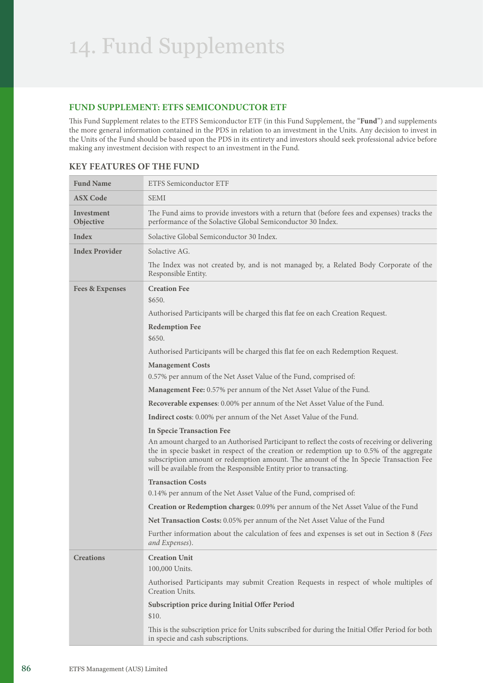### **FUND SUPPLEMENT: ETFS SEMICONDUCTOR ETF**

This Fund Supplement relates to the ETFS Semiconductor ETF (in this Fund Supplement, the "**Fund**") and supplements the more general information contained in the PDS in relation to an investment in the Units. Any decision to invest in the Units of the Fund should be based upon the PDS in its entirety and investors should seek professional advice before making any investment decision with respect to an investment in the Fund.

| <b>Fund Name</b>           | <b>ETFS Semiconductor ETF</b>                                                                                                                                                                                                                                                                                                                               |
|----------------------------|-------------------------------------------------------------------------------------------------------------------------------------------------------------------------------------------------------------------------------------------------------------------------------------------------------------------------------------------------------------|
| <b>ASX Code</b>            | <b>SEMI</b>                                                                                                                                                                                                                                                                                                                                                 |
| Investment<br>Objective    | The Fund aims to provide investors with a return that (before fees and expenses) tracks the<br>performance of the Solactive Global Semiconductor 30 Index.                                                                                                                                                                                                  |
| Index                      | Solactive Global Semiconductor 30 Index.                                                                                                                                                                                                                                                                                                                    |
| <b>Index Provider</b>      | Solactive AG.                                                                                                                                                                                                                                                                                                                                               |
|                            | The Index was not created by, and is not managed by, a Related Body Corporate of the<br>Responsible Entity.                                                                                                                                                                                                                                                 |
| <b>Fees &amp; Expenses</b> | <b>Creation Fee</b><br>\$650.                                                                                                                                                                                                                                                                                                                               |
|                            | Authorised Participants will be charged this flat fee on each Creation Request.                                                                                                                                                                                                                                                                             |
|                            | <b>Redemption Fee</b>                                                                                                                                                                                                                                                                                                                                       |
|                            | \$650.                                                                                                                                                                                                                                                                                                                                                      |
|                            | Authorised Participants will be charged this flat fee on each Redemption Request.                                                                                                                                                                                                                                                                           |
|                            | <b>Management Costs</b>                                                                                                                                                                                                                                                                                                                                     |
|                            | 0.57% per annum of the Net Asset Value of the Fund, comprised of:                                                                                                                                                                                                                                                                                           |
|                            | <b>Management Fee:</b> 0.57% per annum of the Net Asset Value of the Fund.<br>Recoverable expenses: 0.00% per annum of the Net Asset Value of the Fund.                                                                                                                                                                                                     |
|                            |                                                                                                                                                                                                                                                                                                                                                             |
|                            | <b>Indirect costs:</b> 0.00% per annum of the Net Asset Value of the Fund.<br><b>In Specie Transaction Fee</b>                                                                                                                                                                                                                                              |
|                            | An amount charged to an Authorised Participant to reflect the costs of receiving or delivering<br>the in specie basket in respect of the creation or redemption up to 0.5% of the aggregate<br>subscription amount or redemption amount. The amount of the In Specie Transaction Fee<br>will be available from the Responsible Entity prior to transacting. |
|                            | <b>Transaction Costs</b>                                                                                                                                                                                                                                                                                                                                    |
|                            | 0.14% per annum of the Net Asset Value of the Fund, comprised of:                                                                                                                                                                                                                                                                                           |
|                            | Creation or Redemption charges: 0.09% per annum of the Net Asset Value of the Fund                                                                                                                                                                                                                                                                          |
|                            | Net Transaction Costs: 0.05% per annum of the Net Asset Value of the Fund                                                                                                                                                                                                                                                                                   |
|                            | Further information about the calculation of fees and expenses is set out in Section 8 (Fees<br>and Expenses).                                                                                                                                                                                                                                              |
| <b>Creations</b>           | <b>Creation Unit</b>                                                                                                                                                                                                                                                                                                                                        |
|                            | 100,000 Units.                                                                                                                                                                                                                                                                                                                                              |
|                            | Authorised Participants may submit Creation Requests in respect of whole multiples of<br>Creation Units.                                                                                                                                                                                                                                                    |
|                            | Subscription price during Initial Offer Period<br>\$10.                                                                                                                                                                                                                                                                                                     |
|                            | This is the subscription price for Units subscribed for during the Initial Offer Period for both<br>in specie and cash subscriptions.                                                                                                                                                                                                                       |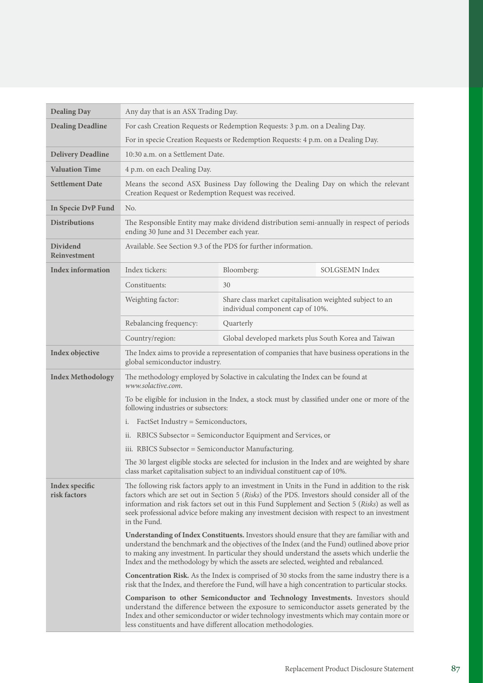| <b>Dealing Day</b>             | Any day that is an ASX Trading Day.                                                                                                                                                                                                                                                                                                                                                                                |                                                                                                                                                                                                                                             |                                                                                         |
|--------------------------------|--------------------------------------------------------------------------------------------------------------------------------------------------------------------------------------------------------------------------------------------------------------------------------------------------------------------------------------------------------------------------------------------------------------------|---------------------------------------------------------------------------------------------------------------------------------------------------------------------------------------------------------------------------------------------|-----------------------------------------------------------------------------------------|
| <b>Dealing Deadline</b>        | For cash Creation Requests or Redemption Requests: 3 p.m. on a Dealing Day.                                                                                                                                                                                                                                                                                                                                        |                                                                                                                                                                                                                                             |                                                                                         |
|                                |                                                                                                                                                                                                                                                                                                                                                                                                                    | For in specie Creation Requests or Redemption Requests: 4 p.m. on a Dealing Day.                                                                                                                                                            |                                                                                         |
| <b>Delivery Deadline</b>       | 10:30 a.m. on a Settlement Date.                                                                                                                                                                                                                                                                                                                                                                                   |                                                                                                                                                                                                                                             |                                                                                         |
| <b>Valuation Time</b>          | 4 p.m. on each Dealing Day.                                                                                                                                                                                                                                                                                                                                                                                        |                                                                                                                                                                                                                                             |                                                                                         |
| <b>Settlement Date</b>         | Means the second ASX Business Day following the Dealing Day on which the relevant<br>Creation Request or Redemption Request was received.                                                                                                                                                                                                                                                                          |                                                                                                                                                                                                                                             |                                                                                         |
| In Specie DvP Fund             | No.                                                                                                                                                                                                                                                                                                                                                                                                                |                                                                                                                                                                                                                                             |                                                                                         |
| <b>Distributions</b>           | The Responsible Entity may make dividend distribution semi-annually in respect of periods<br>ending 30 June and 31 December each year.                                                                                                                                                                                                                                                                             |                                                                                                                                                                                                                                             |                                                                                         |
| Dividend<br>Reinvestment       | Available. See Section 9.3 of the PDS for further information.                                                                                                                                                                                                                                                                                                                                                     |                                                                                                                                                                                                                                             |                                                                                         |
| <b>Index information</b>       | Index tickers:                                                                                                                                                                                                                                                                                                                                                                                                     | Bloomberg:                                                                                                                                                                                                                                  | SOLGSEMN Index                                                                          |
|                                | Constituents:                                                                                                                                                                                                                                                                                                                                                                                                      | 30                                                                                                                                                                                                                                          |                                                                                         |
|                                | Weighting factor:                                                                                                                                                                                                                                                                                                                                                                                                  | Share class market capitalisation weighted subject to an<br>individual component cap of 10%.                                                                                                                                                |                                                                                         |
|                                | Rebalancing frequency:                                                                                                                                                                                                                                                                                                                                                                                             | Quarterly                                                                                                                                                                                                                                   |                                                                                         |
|                                | Country/region:                                                                                                                                                                                                                                                                                                                                                                                                    | Global developed markets plus South Korea and Taiwan                                                                                                                                                                                        |                                                                                         |
| Index objective                | The Index aims to provide a representation of companies that have business operations in the<br>global semiconductor industry.                                                                                                                                                                                                                                                                                     |                                                                                                                                                                                                                                             |                                                                                         |
| <b>Index Methodology</b>       | The methodology employed by Solactive in calculating the Index can be found at<br>www.solactive.com.                                                                                                                                                                                                                                                                                                               |                                                                                                                                                                                                                                             |                                                                                         |
|                                | To be eligible for inclusion in the Index, a stock must by classified under one or more of the<br>following industries or subsectors:                                                                                                                                                                                                                                                                              |                                                                                                                                                                                                                                             |                                                                                         |
|                                | FactSet Industry = Semiconductors,<br>i.                                                                                                                                                                                                                                                                                                                                                                           |                                                                                                                                                                                                                                             |                                                                                         |
|                                | ii. RBICS Subsector = Semiconductor Equipment and Services, or                                                                                                                                                                                                                                                                                                                                                     |                                                                                                                                                                                                                                             |                                                                                         |
|                                | iii. RBICS Subsector = Semiconductor Manufacturing.                                                                                                                                                                                                                                                                                                                                                                |                                                                                                                                                                                                                                             |                                                                                         |
|                                | The 30 largest eligible stocks are selected for inclusion in the Index and are weighted by share<br>class market capitalisation subject to an individual constituent cap of 10%.                                                                                                                                                                                                                                   |                                                                                                                                                                                                                                             |                                                                                         |
| Index specific<br>risk factors | The following risk factors apply to an investment in Units in the Fund in addition to the risk<br>factors which are set out in Section 5 (Risks) of the PDS. Investors should consider all of the<br>information and risk factors set out in this Fund Supplement and Section 5 (Risks) as well as<br>seek professional advice before making any investment decision with respect to an investment<br>in the Fund. |                                                                                                                                                                                                                                             |                                                                                         |
|                                | Understanding of Index Constituents. Investors should ensure that they are familiar with and<br>understand the benchmark and the objectives of the Index (and the Fund) outlined above prior<br>to making any investment. In particular they should understand the assets which underlie the<br>Index and the methodology by which the assets are selected, weighted and rebalanced.                               |                                                                                                                                                                                                                                             |                                                                                         |
|                                | <b>Concentration Risk.</b> As the Index is comprised of 30 stocks from the same industry there is a<br>risk that the Index, and therefore the Fund, will have a high concentration to particular stocks.                                                                                                                                                                                                           |                                                                                                                                                                                                                                             |                                                                                         |
|                                |                                                                                                                                                                                                                                                                                                                                                                                                                    | Comparison to other Semiconductor and Technology Investments. Investors should<br>understand the difference between the exposure to semiconductor assets generated by the<br>less constituents and have different allocation methodologies. | Index and other semiconductor or wider technology investments which may contain more or |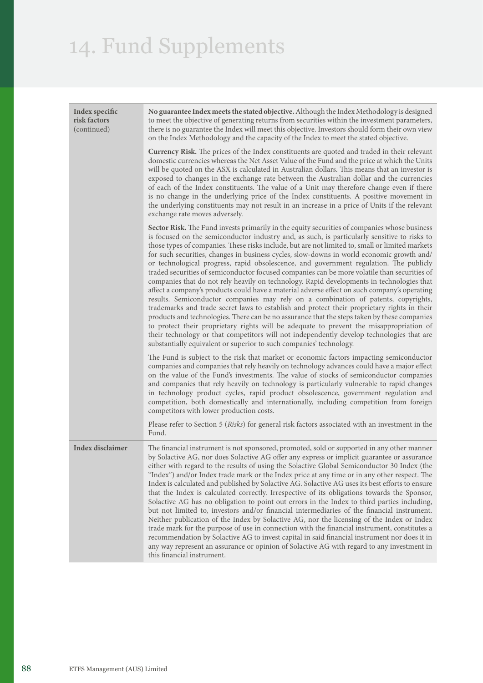| Index specific<br>risk factors<br>(continued) | No guarantee Index meets the stated objective. Although the Index Methodology is designed<br>to meet the objective of generating returns from securities within the investment parameters,<br>there is no guarantee the Index will meet this objective. Investors should form their own view<br>on the Index Methodology and the capacity of the Index to meet the stated objective.<br>Currency Risk. The prices of the Index constituents are quoted and traded in their relevant<br>domestic currencies whereas the Net Asset Value of the Fund and the price at which the Units<br>will be quoted on the ASX is calculated in Australian dollars. This means that an investor is                                                                                                                                                                                                                                                                                                                                                                                                                                                                                                                                                                                                                                                    |
|-----------------------------------------------|-----------------------------------------------------------------------------------------------------------------------------------------------------------------------------------------------------------------------------------------------------------------------------------------------------------------------------------------------------------------------------------------------------------------------------------------------------------------------------------------------------------------------------------------------------------------------------------------------------------------------------------------------------------------------------------------------------------------------------------------------------------------------------------------------------------------------------------------------------------------------------------------------------------------------------------------------------------------------------------------------------------------------------------------------------------------------------------------------------------------------------------------------------------------------------------------------------------------------------------------------------------------------------------------------------------------------------------------|
|                                               | exposed to changes in the exchange rate between the Australian dollar and the currencies<br>of each of the Index constituents. The value of a Unit may therefore change even if there<br>is no change in the underlying price of the Index constituents. A positive movement in<br>the underlying constituents may not result in an increase in a price of Units if the relevant<br>exchange rate moves adversely.                                                                                                                                                                                                                                                                                                                                                                                                                                                                                                                                                                                                                                                                                                                                                                                                                                                                                                                      |
|                                               | Sector Risk. The Fund invests primarily in the equity securities of companies whose business<br>is focused on the semiconductor industry and, as such, is particularly sensitive to risks to<br>those types of companies. These risks include, but are not limited to, small or limited markets<br>for such securities, changes in business cycles, slow-downs in world economic growth and/<br>or technological progress, rapid obsolescence, and government regulation. The publicly<br>traded securities of semiconductor focused companies can be more volatile than securities of<br>companies that do not rely heavily on technology. Rapid developments in technologies that<br>affect a company's products could have a material adverse effect on such company's operating<br>results. Semiconductor companies may rely on a combination of patents, copyrights,<br>trademarks and trade secret laws to establish and protect their proprietary rights in their<br>products and technologies. There can be no assurance that the steps taken by these companies<br>to protect their proprietary rights will be adequate to prevent the misappropriation of<br>their technology or that competitors will not independently develop technologies that are<br>substantially equivalent or superior to such companies' technology. |
|                                               | The Fund is subject to the risk that market or economic factors impacting semiconductor<br>companies and companies that rely heavily on technology advances could have a major effect<br>on the value of the Fund's investments. The value of stocks of semiconductor companies<br>and companies that rely heavily on technology is particularly vulnerable to rapid changes<br>in technology product cycles, rapid product obsolescence, government regulation and<br>competition, both domestically and internationally, including competition from foreign<br>competitors with lower production costs.                                                                                                                                                                                                                                                                                                                                                                                                                                                                                                                                                                                                                                                                                                                               |
|                                               | Please refer to Section 5 (Risks) for general risk factors associated with an investment in the<br>Fund.                                                                                                                                                                                                                                                                                                                                                                                                                                                                                                                                                                                                                                                                                                                                                                                                                                                                                                                                                                                                                                                                                                                                                                                                                                |
| Index disclaimer                              | The financial instrument is not sponsored, promoted, sold or supported in any other manner<br>by Solactive AG, nor does Solactive AG offer any express or implicit guarantee or assurance<br>either with regard to the results of using the Solactive Global Semiconductor 30 Index (the<br>"Index") and/or Index trade mark or the Index price at any time or in any other respect. The<br>Index is calculated and published by Solactive AG. Solactive AG uses its best efforts to ensure<br>that the Index is calculated correctly. Irrespective of its obligations towards the Sponsor,<br>Solactive AG has no obligation to point out errors in the Index to third parties including,<br>but not limited to, investors and/or financial intermediaries of the financial instrument.<br>Neither publication of the Index by Solactive AG, nor the licensing of the Index or Index<br>trade mark for the purpose of use in connection with the financial instrument, constitutes a<br>recommendation by Solactive AG to invest capital in said financial instrument nor does it in<br>any way represent an assurance or opinion of Solactive AG with regard to any investment in<br>this financial instrument.                                                                                                                       |